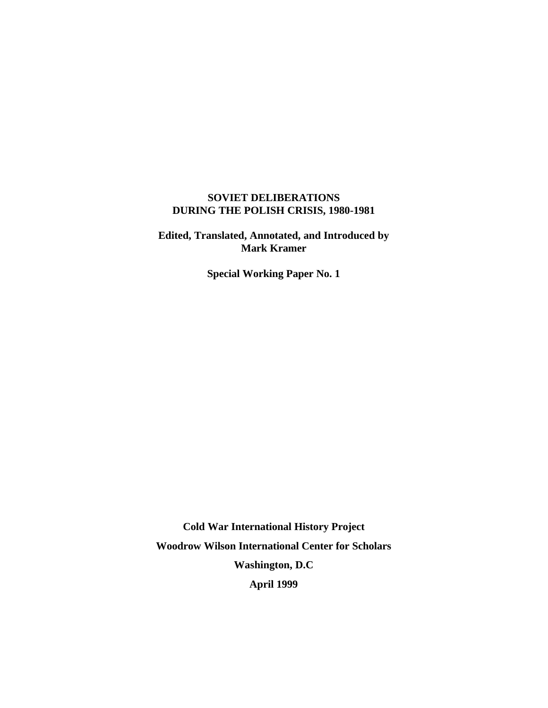# **SOVIET DELIBERATIONS DURING THE POLISH CRISIS, 1980-1981**

**Edited, Translated, Annotated, and Introduced by Mark Kramer**

**Special Working Paper No. 1**

**Cold War International History Project Woodrow Wilson International Center for Scholars Washington, D.C April 1999**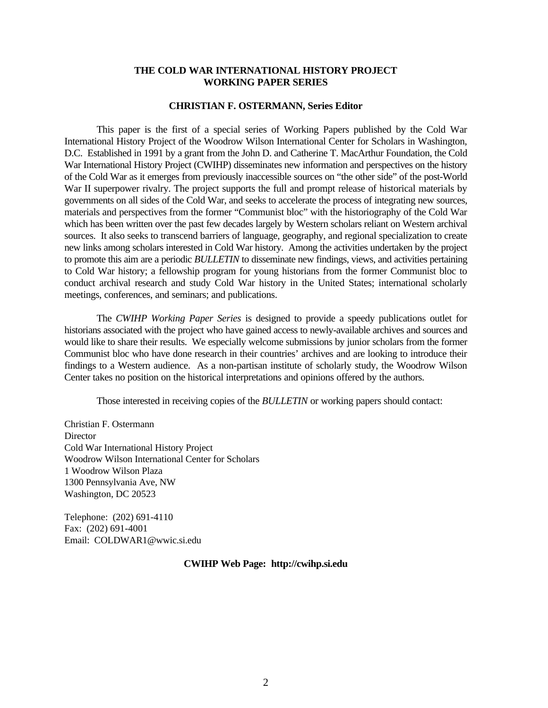#### **THE COLD WAR INTERNATIONAL HISTORY PROJECT WORKING PAPER SERIES**

#### **CHRISTIAN F. OSTERMANN, Series Editor**

This paper is the first of a special series of Working Papers published by the Cold War International History Project of the Woodrow Wilson International Center for Scholars in Washington, D.C. Established in 1991 by a grant from the John D. and Catherine T. MacArthur Foundation, the Cold War International History Project (CWIHP) disseminates new information and perspectives on the history of the Cold War as it emerges from previously inaccessible sources on "the other side" of the post-World War II superpower rivalry. The project supports the full and prompt release of historical materials by governments on all sides of the Cold War, and seeks to accelerate the process of integrating new sources, materials and perspectives from the former "Communist bloc" with the historiography of the Cold War which has been written over the past few decades largely by Western scholars reliant on Western archival sources. It also seeks to transcend barriers of language, geography, and regional specialization to create new links among scholars interested in Cold War history. Among the activities undertaken by the project to promote this aim are a periodic *BULLETIN* to disseminate new findings, views, and activities pertaining to Cold War history; a fellowship program for young historians from the former Communist bloc to conduct archival research and study Cold War history in the United States; international scholarly meetings, conferences, and seminars; and publications.

The *CWIHP Working Paper Series* is designed to provide a speedy publications outlet for historians associated with the project who have gained access to newly-available archives and sources and would like to share their results. We especially welcome submissions by junior scholars from the former Communist bloc who have done research in their countries' archives and are looking to introduce their findings to a Western audience. As a non-partisan institute of scholarly study, the Woodrow Wilson Center takes no position on the historical interpretations and opinions offered by the authors.

Those interested in receiving copies of the *BULLETIN* or working papers should contact:

Christian F. Ostermann **Director** Cold War International History Project Woodrow Wilson International Center for Scholars 1 Woodrow Wilson Plaza 1300 Pennsylvania Ave, NW Washington, DC 20523

Telephone: (202) 691-4110 Fax: (202) 691-4001 Email: COLDWAR1@wwic.si.edu

#### **CWIHP Web Page: http://cwihp.si.edu**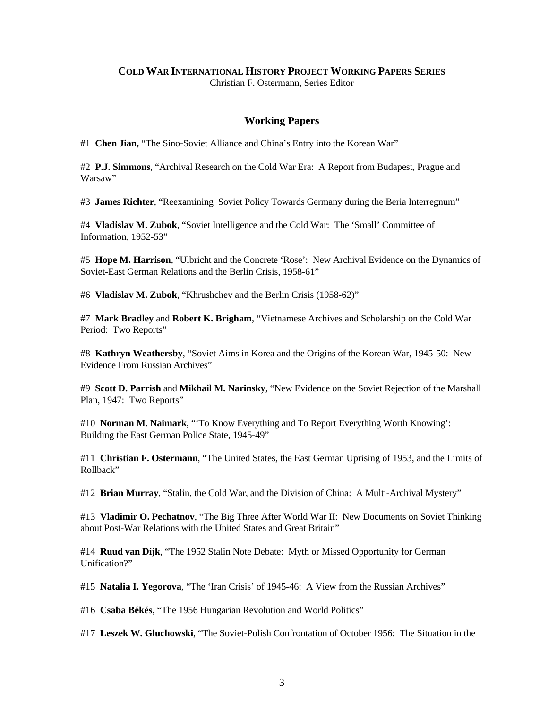## **COLD WAR INTERNATIONAL HISTORY PROJECT WORKING PAPERS SERIES**

Christian F. Ostermann, Series Editor

### **Working Papers**

#1 **Chen Jian,** "The Sino-Soviet Alliance and China's Entry into the Korean War"

#2 **P.J. Simmons**, "Archival Research on the Cold War Era: A Report from Budapest, Prague and Warsaw"

#3 **James Richter**, "Reexamining Soviet Policy Towards Germany during the Beria Interregnum"

#4 **Vladislav M. Zubok**, "Soviet Intelligence and the Cold War: The 'Small' Committee of Information, 1952-53"

#5 **Hope M. Harrison**, "Ulbricht and the Concrete 'Rose': New Archival Evidence on the Dynamics of Soviet-East German Relations and the Berlin Crisis, 1958-61"

#6 **Vladislav M. Zubok**, "Khrushchev and the Berlin Crisis (1958-62)"

#7 **Mark Bradley** and **Robert K. Brigham**, "Vietnamese Archives and Scholarship on the Cold War Period: Two Reports"

#8 **Kathryn Weathersby**, "Soviet Aims in Korea and the Origins of the Korean War, 1945-50: New Evidence From Russian Archives"

#9 **Scott D. Parrish** and **Mikhail M. Narinsky**, "New Evidence on the Soviet Rejection of the Marshall Plan, 1947: Two Reports"

#10 **Norman M. Naimark**, "'To Know Everything and To Report Everything Worth Knowing': Building the East German Police State, 1945-49"

#11 **Christian F. Ostermann**, "The United States, the East German Uprising of 1953, and the Limits of Rollback"

#12 **Brian Murray**, "Stalin, the Cold War, and the Division of China: A Multi-Archival Mystery"

#13 **Vladimir O. Pechatnov**, "The Big Three After World War II: New Documents on Soviet Thinking about Post-War Relations with the United States and Great Britain"

#14 **Ruud van Dijk**, "The 1952 Stalin Note Debate: Myth or Missed Opportunity for German Unification?"

#15 **Natalia I. Yegorova**, "The 'Iran Crisis' of 1945-46: A View from the Russian Archives"

#16 **Csaba Békés**, "The 1956 Hungarian Revolution and World Politics"

#17 **Leszek W. Gluchowski**, "The Soviet-Polish Confrontation of October 1956: The Situation in the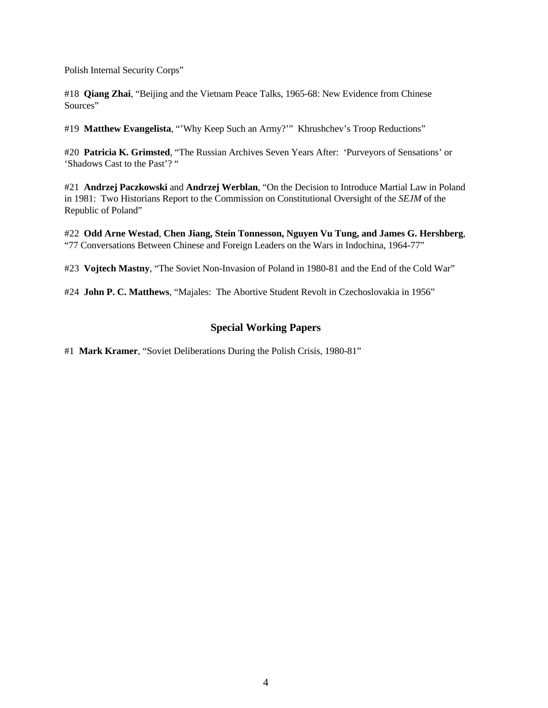Polish Internal Security Corps"

#18 **Qiang Zhai**, "Beijing and the Vietnam Peace Talks, 1965-68: New Evidence from Chinese Sources"

#19 **Matthew Evangelista**, "'Why Keep Such an Army?'" Khrushchev's Troop Reductions"

#20 **Patricia K. Grimsted**, "The Russian Archives Seven Years After: 'Purveyors of Sensations' or 'Shadows Cast to the Past'? "

#21 **Andrzej Paczkowski** and **Andrzej Werblan**, "On the Decision to Introduce Martial Law in Poland in 1981: Two Historians Report to the Commission on Constitutional Oversight of the *SEJM* of the Republic of Poland"

#22 **Odd Arne Westad**, **Chen Jiang, Stein Tonnesson, Nguyen Vu Tung, and James G. Hershberg**, "77 Conversations Between Chinese and Foreign Leaders on the Wars in Indochina, 1964-77"

#23 **Vojtech Mastny**, "The Soviet Non-Invasion of Poland in 1980-81 and the End of the Cold War"

#24 **John P. C. Matthews**, "Majales: The Abortive Student Revolt in Czechoslovakia in 1956"

# **Special Working Papers**

#1 **Mark Kramer**, "Soviet Deliberations During the Polish Crisis, 1980-81"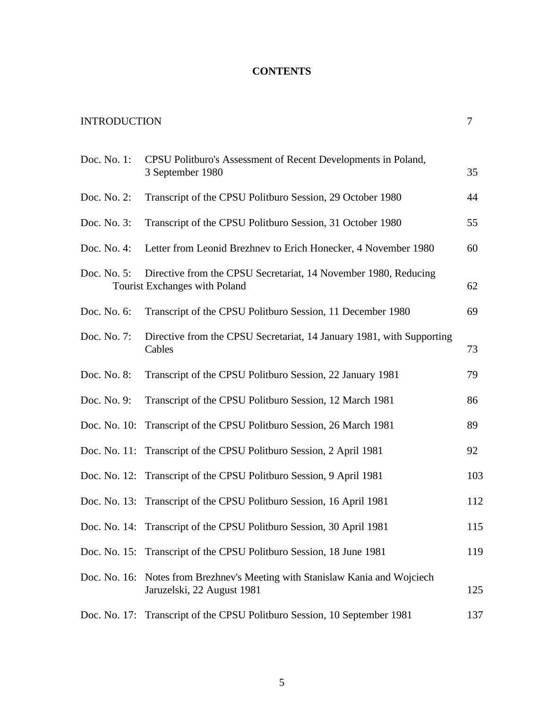# **CONTENTS**

| <b>INTRODUCTION</b> |                                                                                                  | 7   |
|---------------------|--------------------------------------------------------------------------------------------------|-----|
| Doc. No. 1:         | CPSU Politburo's Assessment of Recent Developments in Poland,<br>3 September 1980                | 35  |
| Doc. No. 2:         | Transcript of the CPSU Politburo Session, 29 October 1980                                        | 44  |
| Doc. No. 3:         | Transcript of the CPSU Politburo Session, 31 October 1980                                        | 55  |
| Doc. No. 4:         | Letter from Leonid Brezhnev to Erich Honecker, 4 November 1980                                   | 60  |
| Doc. No. 5:         | Directive from the CPSU Secretariat, 14 November 1980, Reducing<br>Tourist Exchanges with Poland | 62  |
| Doc. No. 6:         | Transcript of the CPSU Politburo Session, 11 December 1980                                       | 69  |
| Doc. No. 7:         | Directive from the CPSU Secretariat, 14 January 1981, with Supporting<br>Cables                  | 73  |
| Doc. No. 8:         | Transcript of the CPSU Politburo Session, 22 January 1981                                        | 79  |
| Doc. No. 9:         | Transcript of the CPSU Politburo Session, 12 March 1981                                          | 86  |
|                     | Doc. No. 10: Transcript of the CPSU Politburo Session, 26 March 1981                             | 89  |
|                     | Doc. No. 11: Transcript of the CPSU Politburo Session, 2 April 1981                              | 92  |
|                     | Doc. No. 12: Transcript of the CPSU Politburo Session, 9 April 1981                              | 103 |
|                     | Doc. No. 13: Transcript of the CPSU Politburo Session, 16 April 1981                             | 112 |
|                     | Doc. No. 14: Transcript of the CPSU Politburo Session, 30 April 1981                             | 115 |
| Doc. No. 15:        | Transcript of the CPSU Politburo Session, 18 June 1981                                           | 119 |
| Doc. No. 16:        | Notes from Brezhnev's Meeting with Stanislaw Kania and Wojciech<br>Jaruzelski, 22 August 1981    | 125 |
| Doc. No. 17:        | Transcript of the CPSU Politburo Session, 10 September 1981                                      | 137 |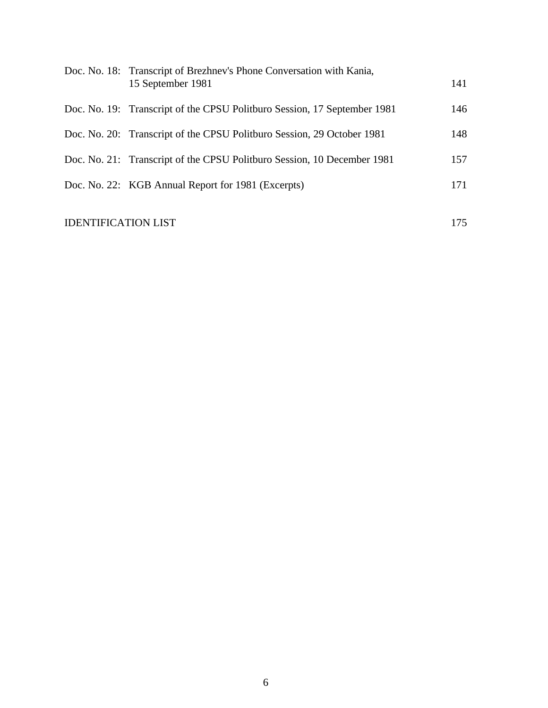| Doc. No. 18: Transcript of Brezhnev's Phone Conversation with Kania,<br>15 September 1981 | 141 |
|-------------------------------------------------------------------------------------------|-----|
| Doc. No. 19: Transcript of the CPSU Politburo Session, 17 September 1981                  | 146 |
| Doc. No. 20: Transcript of the CPSU Politburo Session, 29 October 1981                    | 148 |
| Doc. No. 21: Transcript of the CPSU Politburo Session, 10 December 1981                   | 157 |
| Doc. No. 22: KGB Annual Report for 1981 (Excerpts)                                        | 171 |
|                                                                                           |     |

# IDENTIFICATION LIST 175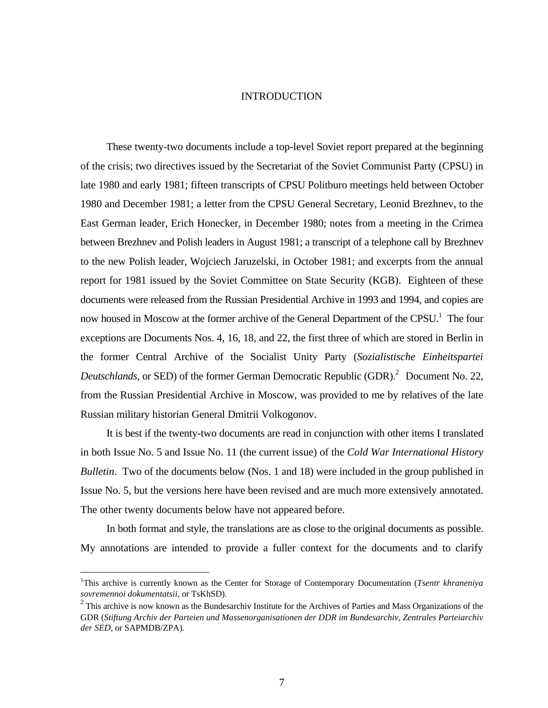#### INTRODUCTION

These twenty-two documents include a top-level Soviet report prepared at the beginning of the crisis; two directives issued by the Secretariat of the Soviet Communist Party (CPSU) in late 1980 and early 1981; fifteen transcripts of CPSU Politburo meetings held between October 1980 and December 1981; a letter from the CPSU General Secretary, Leonid Brezhnev, to the East German leader, Erich Honecker, in December 1980; notes from a meeting in the Crimea between Brezhnev and Polish leaders in August 1981; a transcript of a telephone call by Brezhnev to the new Polish leader, Wojciech Jaruzelski, in October 1981; and excerpts from the annual report for 1981 issued by the Soviet Committee on State Security (KGB). Eighteen of these documents were released from the Russian Presidential Archive in 1993 and 1994, and copies are now housed in Moscow at the former archive of the General Department of the CPSU.<sup>1</sup> The four exceptions are Documents Nos. 4, 16, 18, and 22, the first three of which are stored in Berlin in the former Central Archive of the Socialist Unity Party (*Sozialistische Einheitspartei* Deutschlands, or SED) of the former German Democratic Republic (GDR).<sup>2</sup> Document No. 22, from the Russian Presidential Archive in Moscow, was provided to me by relatives of the late Russian military historian General Dmitrii Volkogonov.

It is best if the twenty-two documents are read in conjunction with other items I translated in both Issue No. 5 and Issue No. 11 (the current issue) of the *Cold War International History Bulletin*. Two of the documents below (Nos. 1 and 18) were included in the group published in Issue No. 5, but the versions here have been revised and are much more extensively annotated. The other twenty documents below have not appeared before.

In both format and style, the translations are as close to the original documents as possible. My annotations are intended to provide a fuller context for the documents and to clarify

<sup>&</sup>lt;sup>1</sup>This archive is currently known as the Center for Storage of Contemporary Documentation (*Tsentr khraneniya sovremennoi dokumentatsii*, or TsKhSD).

 $2$  This archive is now known as the Bundesarchiv Institute for the Archives of Parties and Mass Organizations of the GDR (*Stiftung Archiv der Parteien und Massenorganisationen der DDR im Bundesarchiv, Zentrales Parteiarchiv der SED*, or SAPMDB/ZPA).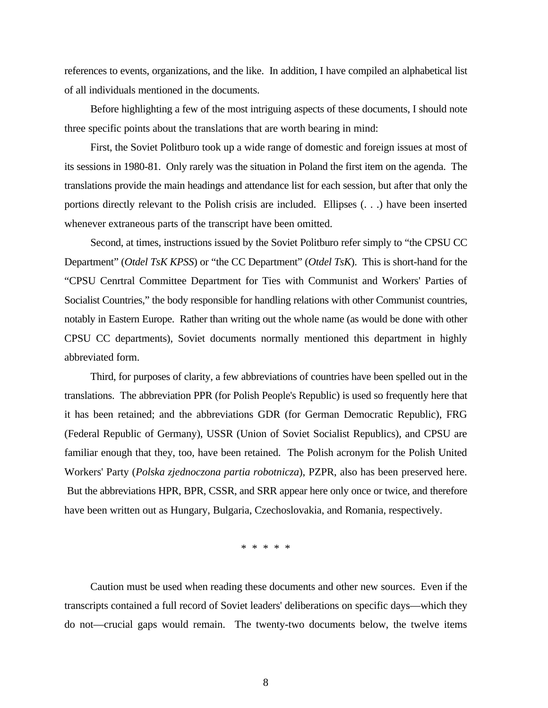references to events, organizations, and the like. In addition, I have compiled an alphabetical list of all individuals mentioned in the documents.

Before highlighting a few of the most intriguing aspects of these documents, I should note three specific points about the translations that are worth bearing in mind:

First, the Soviet Politburo took up a wide range of domestic and foreign issues at most of its sessions in 1980-81. Only rarely was the situation in Poland the first item on the agenda. The translations provide the main headings and attendance list for each session, but after that only the portions directly relevant to the Polish crisis are included. Ellipses (. . .) have been inserted whenever extraneous parts of the transcript have been omitted.

Second, at times, instructions issued by the Soviet Politburo refer simply to "the CPSU CC Department" (*Otdel TsK KPSS*) or "the CC Department" (*Otdel TsK*). This is short-hand for the "CPSU Cenrtral Committee Department for Ties with Communist and Workers' Parties of Socialist Countries," the body responsible for handling relations with other Communist countries, notably in Eastern Europe. Rather than writing out the whole name (as would be done with other CPSU CC departments), Soviet documents normally mentioned this department in highly abbreviated form.

Third, for purposes of clarity, a few abbreviations of countries have been spelled out in the translations. The abbreviation PPR (for Polish People's Republic) is used so frequently here that it has been retained; and the abbreviations GDR (for German Democratic Republic), FRG (Federal Republic of Germany), USSR (Union of Soviet Socialist Republics), and CPSU are familiar enough that they, too, have been retained. The Polish acronym for the Polish United Workers' Party (*Polska zjednoczona partia robotnicza*), PZPR, also has been preserved here. But the abbreviations HPR, BPR, CSSR, and SRR appear here only once or twice, and therefore have been written out as Hungary, Bulgaria, Czechoslovakia, and Romania, respectively.

\* \* \* \* \*

Caution must be used when reading these documents and other new sources. Even if the transcripts contained a full record of Soviet leaders' deliberations on specific days—which they do not—crucial gaps would remain. The twenty-two documents below, the twelve items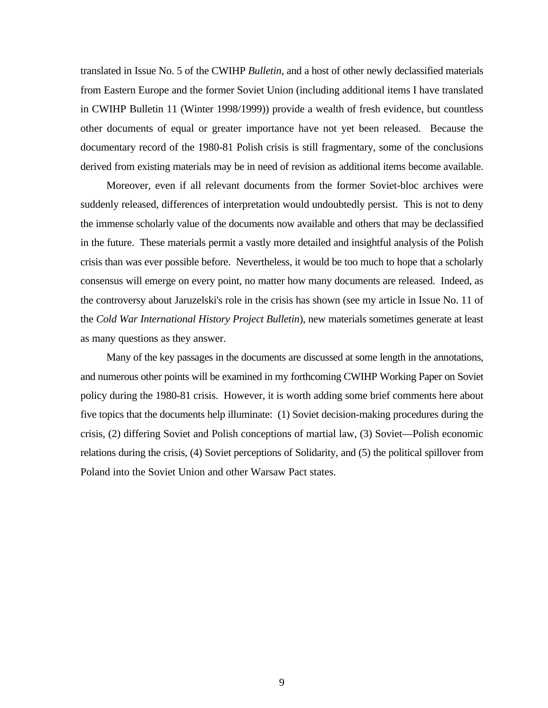translated in Issue No. 5 of the CWIHP *Bulletin*, and a host of other newly declassified materials from Eastern Europe and the former Soviet Union (including additional items I have translated in CWIHP Bulletin 11 (Winter 1998/1999)) provide a wealth of fresh evidence, but countless other documents of equal or greater importance have not yet been released. Because the documentary record of the 1980-81 Polish crisis is still fragmentary, some of the conclusions derived from existing materials may be in need of revision as additional items become available.

Moreover, even if all relevant documents from the former Soviet-bloc archives were suddenly released, differences of interpretation would undoubtedly persist. This is not to deny the immense scholarly value of the documents now available and others that may be declassified in the future. These materials permit a vastly more detailed and insightful analysis of the Polish crisis than was ever possible before. Nevertheless, it would be too much to hope that a scholarly consensus will emerge on every point, no matter how many documents are released. Indeed, as the controversy about Jaruzelski's role in the crisis has shown (see my article in Issue No. 11 of the *Cold War International History Project Bulletin*), new materials sometimes generate at least as many questions as they answer.

Many of the key passages in the documents are discussed at some length in the annotations, and numerous other points will be examined in my forthcoming CWIHP Working Paper on Soviet policy during the 1980-81 crisis. However, it is worth adding some brief comments here about five topics that the documents help illuminate: (1) Soviet decision-making procedures during the crisis, (2) differing Soviet and Polish conceptions of martial law, (3) Soviet—Polish economic relations during the crisis, (4) Soviet perceptions of Solidarity, and (5) the political spillover from Poland into the Soviet Union and other Warsaw Pact states.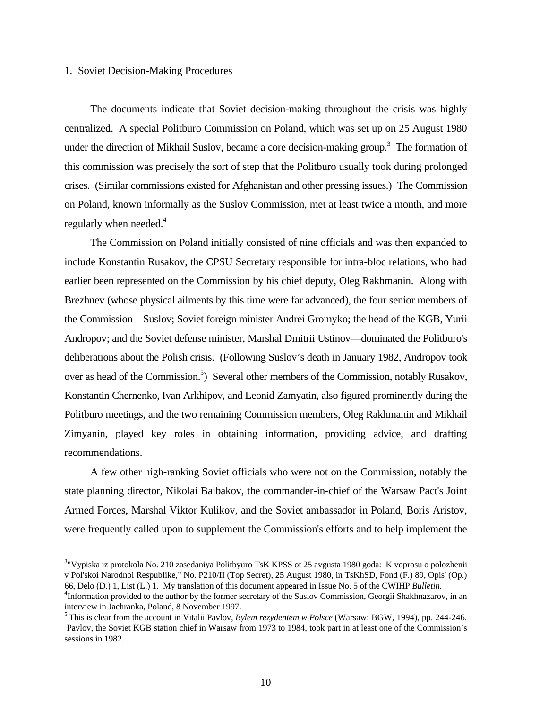#### 1. Soviet Decision-Making Procedures

 $\overline{a}$ 

The documents indicate that Soviet decision-making throughout the crisis was highly centralized. A special Politburo Commission on Poland, which was set up on 25 August 1980 under the direction of Mikhail Suslov, became a core decision-making group.<sup>3</sup> The formation of this commission was precisely the sort of step that the Politburo usually took during prolonged crises. (Similar commissions existed for Afghanistan and other pressing issues.) The Commission on Poland, known informally as the Suslov Commission, met at least twice a month, and more regularly when needed.<sup>4</sup>

The Commission on Poland initially consisted of nine officials and was then expanded to include Konstantin Rusakov, the CPSU Secretary responsible for intra-bloc relations, who had earlier been represented on the Commission by his chief deputy, Oleg Rakhmanin. Along with Brezhnev (whose physical ailments by this time were far advanced), the four senior members of the Commission—Suslov; Soviet foreign minister Andrei Gromyko; the head of the KGB, Yurii Andropov; and the Soviet defense minister, Marshal Dmitrii Ustinov—dominated the Politburo's deliberations about the Polish crisis. (Following Suslov's death in January 1982, Andropov took over as head of the Commission.<sup>5</sup>) Several other members of the Commission, notably Rusakov, Konstantin Chernenko, Ivan Arkhipov, and Leonid Zamyatin, also figured prominently during the Politburo meetings, and the two remaining Commission members, Oleg Rakhmanin and Mikhail Zimyanin, played key roles in obtaining information, providing advice, and drafting recommendations.

A few other high-ranking Soviet officials who were not on the Commission, notably the state planning director, Nikolai Baibakov, the commander-in-chief of the Warsaw Pact's Joint Armed Forces, Marshal Viktor Kulikov, and the Soviet ambassador in Poland, Boris Aristov, were frequently called upon to supplement the Commission's efforts and to help implement the

<sup>&</sup>lt;sup>3</sup>"Vypiska iz protokola No. 210 zasedaniya Politbyuro TsK KPSS ot 25 avgusta 1980 goda: K voprosu o polozhenii v Pol'skoi Narodnoi Respublike," No. P210/II (Top Secret), 25 August 1980, in TsKhSD, Fond (F.) 89, Opis' (Op.) 66, Delo (D.) 1, List (L.) 1. My translation of this document appeared in Issue No. 5 of the CWIHP *Bulletin*.

<sup>&</sup>lt;sup>4</sup>Information provided to the author by the former secretary of the Suslov Commission, Georgii Shakhnazarov, in an interview in Jachranka, Poland, 8 November 1997.

<sup>5</sup> This is clear from the account in Vitalii Pavlov, *Bylem rezydentem w Polsce* (Warsaw: BGW, 1994), pp. 244-246. Pavlov, the Soviet KGB station chief in Warsaw from 1973 to 1984, took part in at least one of the Commission's sessions in 1982.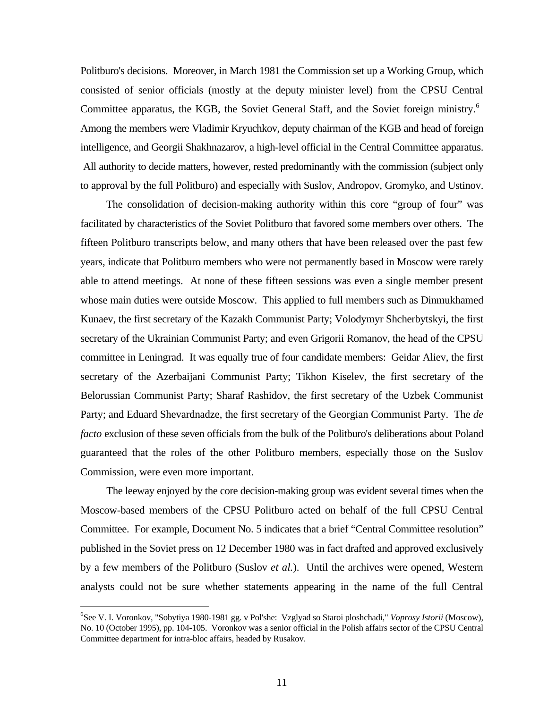Politburo's decisions. Moreover, in March 1981 the Commission set up a Working Group, which consisted of senior officials (mostly at the deputy minister level) from the CPSU Central Committee apparatus, the KGB, the Soviet General Staff, and the Soviet foreign ministry.<sup>6</sup> Among the members were Vladimir Kryuchkov, deputy chairman of the KGB and head of foreign intelligence, and Georgii Shakhnazarov, a high-level official in the Central Committee apparatus. All authority to decide matters, however, rested predominantly with the commission (subject only to approval by the full Politburo) and especially with Suslov, Andropov, Gromyko, and Ustinov.

The consolidation of decision-making authority within this core "group of four" was facilitated by characteristics of the Soviet Politburo that favored some members over others. The fifteen Politburo transcripts below, and many others that have been released over the past few years, indicate that Politburo members who were not permanently based in Moscow were rarely able to attend meetings. At none of these fifteen sessions was even a single member present whose main duties were outside Moscow. This applied to full members such as Dinmukhamed Kunaev, the first secretary of the Kazakh Communist Party; Volodymyr Shcherbytskyi, the first secretary of the Ukrainian Communist Party; and even Grigorii Romanov, the head of the CPSU committee in Leningrad. It was equally true of four candidate members: Geidar Aliev, the first secretary of the Azerbaijani Communist Party; Tikhon Kiselev, the first secretary of the Belorussian Communist Party; Sharaf Rashidov, the first secretary of the Uzbek Communist Party; and Eduard Shevardnadze, the first secretary of the Georgian Communist Party. The *de facto* exclusion of these seven officials from the bulk of the Politburo's deliberations about Poland guaranteed that the roles of the other Politburo members, especially those on the Suslov Commission, were even more important.

The leeway enjoyed by the core decision-making group was evident several times when the Moscow-based members of the CPSU Politburo acted on behalf of the full CPSU Central Committee. For example, Document No. 5 indicates that a brief "Central Committee resolution" published in the Soviet press on 12 December 1980 was in fact drafted and approved exclusively by a few members of the Politburo (Suslov *et al.*). Until the archives were opened, Western analysts could not be sure whether statements appearing in the name of the full Central

<sup>6</sup> See V. I. Voronkov, "Sobytiya 1980-1981 gg. v Pol'she: Vzglyad so Staroi ploshchadi," *Voprosy Istorii* (Moscow), No. 10 (October 1995), pp. 104-105. Voronkov was a senior official in the Polish affairs sector of the CPSU Central Committee department for intra-bloc affairs, headed by Rusakov.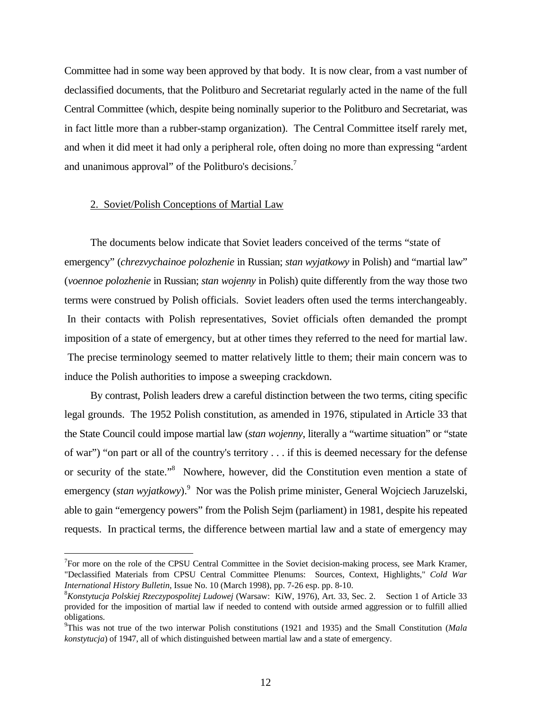Committee had in some way been approved by that body. It is now clear, from a vast number of declassified documents, that the Politburo and Secretariat regularly acted in the name of the full Central Committee (which, despite being nominally superior to the Politburo and Secretariat, was in fact little more than a rubber-stamp organization). The Central Committee itself rarely met, and when it did meet it had only a peripheral role, often doing no more than expressing "ardent and unanimous approval" of the Politburo's decisions.<sup>7</sup>

### 2. Soviet/Polish Conceptions of Martial Law

<u>.</u>

The documents below indicate that Soviet leaders conceived of the terms "state of emergency" (*chrezvychainoe polozhenie* in Russian; *stan wyjatkowy* in Polish) and "martial law" (*voennoe polozhenie* in Russian; *stan wojenny* in Polish) quite differently from the way those two terms were construed by Polish officials. Soviet leaders often used the terms interchangeably. In their contacts with Polish representatives, Soviet officials often demanded the prompt imposition of a state of emergency, but at other times they referred to the need for martial law. The precise terminology seemed to matter relatively little to them; their main concern was to induce the Polish authorities to impose a sweeping crackdown.

By contrast, Polish leaders drew a careful distinction between the two terms, citing specific legal grounds. The 1952 Polish constitution, as amended in 1976, stipulated in Article 33 that the State Council could impose martial law (*stan wojenny*, literally a "wartime situation" or "state of war") "on part or all of the country's territory . . . if this is deemed necessary for the defense or security of the state."<sup>8</sup> Nowhere, however, did the Constitution even mention a state of emergency (*stan wyjatkowy*).<sup>9</sup> Nor was the Polish prime minister, General Wojciech Jaruzelski, able to gain "emergency powers" from the Polish Sejm (parliament) in 1981, despite his repeated requests. In practical terms, the difference between martial law and a state of emergency may

 $7$  For more on the role of the CPSU Central Committee in the Soviet decision-making process, see Mark Kramer, "Declassified Materials from CPSU Central Committee Plenums: Sources, Context, Highlights," *Cold War International History Bulletin*, Issue No. 10 (March 1998), pp. 7-26 esp. pp. 8-10.

<sup>8</sup>*Konstytucja Polskiej Rzeczypospolitej Ludowej* (Warsaw: KiW, 1976), Art. 33, Sec. 2. Section 1 of Article 33 provided for the imposition of martial law if needed to contend with outside armed aggression or to fulfill allied obligations.

<sup>9</sup> This was not true of the two interwar Polish constitutions (1921 and 1935) and the Small Constitution (*Mala konstytucja*) of 1947, all of which distinguished between martial law and a state of emergency.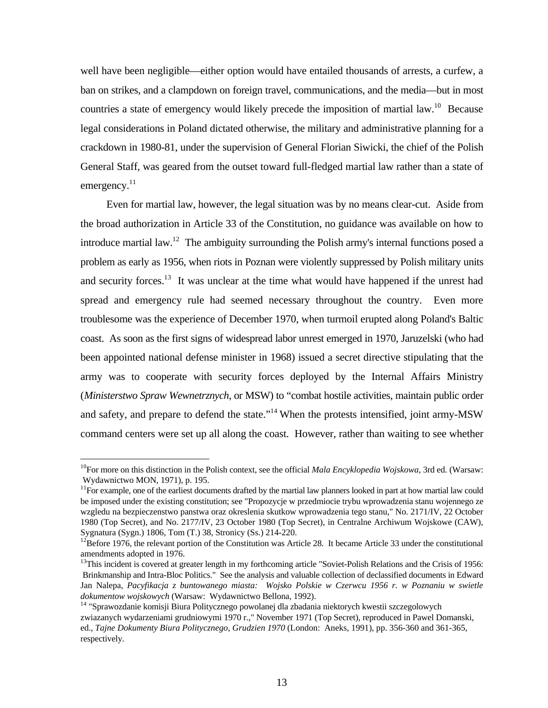well have been negligible—either option would have entailed thousands of arrests, a curfew, a ban on strikes, and a clampdown on foreign travel, communications, and the media—but in most countries a state of emergency would likely precede the imposition of martial law.<sup>10</sup> Because legal considerations in Poland dictated otherwise, the military and administrative planning for a crackdown in 1980-81, under the supervision of General Florian Siwicki, the chief of the Polish General Staff, was geared from the outset toward full-fledged martial law rather than a state of emergency.<sup>11</sup>

Even for martial law, however, the legal situation was by no means clear-cut. Aside from the broad authorization in Article 33 of the Constitution, no guidance was available on how to introduce martial law.<sup>12</sup> The ambiguity surrounding the Polish army's internal functions posed a problem as early as 1956, when riots in Poznan were violently suppressed by Polish military units and security forces.<sup>13</sup> It was unclear at the time what would have happened if the unrest had spread and emergency rule had seemed necessary throughout the country. Even more troublesome was the experience of December 1970, when turmoil erupted along Poland's Baltic coast. As soon as the first signs of widespread labor unrest emerged in 1970, Jaruzelski (who had been appointed national defense minister in 1968) issued a secret directive stipulating that the army was to cooperate with security forces deployed by the Internal Affairs Ministry (*Ministerstwo Spraw Wewnetrznych*, or MSW) to "combat hostile activities, maintain public order and safety, and prepare to defend the state."<sup>14</sup> When the protests intensified, joint army-MSW command centers were set up all along the coast. However, rather than waiting to see whether

<sup>&</sup>lt;sup>10</sup>For more on this distinction in the Polish context, see the official *Mala Encyklopedia Wojskowa*, 3rd ed. (Warsaw: Wydawnictwo MON, 1971), p. 195.

<sup>&</sup>lt;sup>11</sup>For example, one of the earliest documents drafted by the martial law planners looked in part at how martial law could be imposed under the existing constitution; see "Propozycje w przedmiocie trybu wprowadzenia stanu wojennego ze wzgledu na bezpieczenstwo panstwa oraz okreslenia skutkow wprowadzenia tego stanu," No. 2171/IV, 22 October 1980 (Top Secret), and No. 2177/IV, 23 October 1980 (Top Secret), in Centralne Archiwum Wojskowe (CAW), Sygnatura (Sygn.) 1806, Tom (T.) 38, Stronicy (Ss.) 214-220.

<sup>&</sup>lt;sup>12</sup>Before 1976, the relevant portion of the Constitution was Article 28. It became Article 33 under the constitutional amendments adopted in 1976.

<sup>&</sup>lt;sup>13</sup>This incident is covered at greater length in my forthcoming article "Soviet-Polish Relations and the Crisis of 1956: Brinkmanship and Intra-Bloc Politics." See the analysis and valuable collection of declassified documents in Edward Jan Nalepa, *Pacyfikacja z buntowanego miasta: Wojsko Polskie w Czerwcu 1956 r. w Poznaniu w swietle dokumentow wojskowych* (Warsaw: Wydawnictwo Bellona, 1992).

<sup>14</sup> "Sprawozdanie komisji Biura Politycznego powolanej dla zbadania niektorych kwestii szczegolowych zwiazanych wydarzeniami grudniowymi 1970 r.," November 1971 (Top Secret), reproduced in Pawel Domanski, ed., *Tajne Dokumenty Biura Politycznego, Grudzien 1970* (London: Aneks, 1991), pp. 356-360 and 361-365, respectively.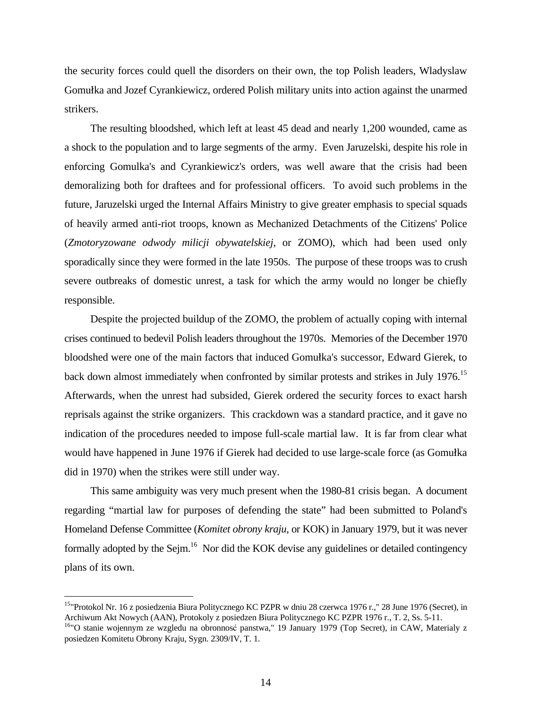the security forces could quell the disorders on their own, the top Polish leaders, Wladyslaw Gomułka and Jozef Cyrankiewicz, ordered Polish military units into action against the unarmed strikers.

The resulting bloodshed, which left at least 45 dead and nearly 1,200 wounded, came as a shock to the population and to large segments of the army. Even Jaruzelski, despite his role in enforcing Gomulka's and Cyrankiewicz's orders, was well aware that the crisis had been demoralizing both for draftees and for professional officers. To avoid such problems in the future, Jaruzelski urged the Internal Affairs Ministry to give greater emphasis to special squads of heavily armed anti-riot troops, known as Mechanized Detachments of the Citizens' Police (*Zmotoryzowane odwody milicji obywatelskiej*, or ZOMO), which had been used only sporadically since they were formed in the late 1950s. The purpose of these troops was to crush severe outbreaks of domestic unrest, a task for which the army would no longer be chiefly responsible.

Despite the projected buildup of the ZOMO, the problem of actually coping with internal crises continued to bedevil Polish leaders throughout the 1970s. Memories of the December 1970 bloodshed were one of the main factors that induced Gomułka's successor, Edward Gierek, to back down almost immediately when confronted by similar protests and strikes in July 1976.<sup>15</sup> Afterwards, when the unrest had subsided, Gierek ordered the security forces to exact harsh reprisals against the strike organizers. This crackdown was a standard practice, and it gave no indication of the procedures needed to impose full-scale martial law. It is far from clear what would have happened in June 1976 if Gierek had decided to use large-scale force (as Gomułka did in 1970) when the strikes were still under way.

This same ambiguity was very much present when the 1980-81 crisis began. A document regarding "martial law for purposes of defending the state" had been submitted to Poland's Homeland Defense Committee (*Komitet obrony kraju*, or KOK) in January 1979, but it was never formally adopted by the Sejm.<sup>16</sup> Nor did the KOK devise any guidelines or detailed contingency plans of its own.

<sup>&</sup>lt;sup>15</sup>"Protokol Nr. 16 z posiedzenia Biura Politycznego KC PZPR w dniu 28 czerwca 1976 r.," 28 June 1976 (Secret), in Archiwum Akt Nowych (AAN), Protokoly z posiedzen Biura Politycznego KC PZPR 1976 r., T. 2, Ss. 5-11.

<sup>&</sup>lt;sup>16</sup>"O stanie wojennym ze wzgledu na obronnosć panstwa," 19 January 1979 (Top Secret), in CAW, Materialy z posiedzen Komitetu Obrony Kraju, Sygn. 2309/IV, T. 1.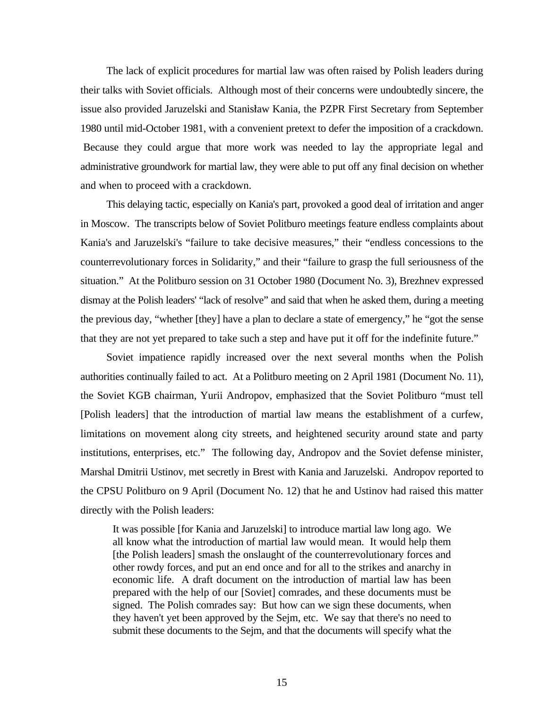The lack of explicit procedures for martial law was often raised by Polish leaders during their talks with Soviet officials. Although most of their concerns were undoubtedly sincere, the issue also provided Jaruzelski and Stanisław Kania, the PZPR First Secretary from September 1980 until mid-October 1981, with a convenient pretext to defer the imposition of a crackdown. Because they could argue that more work was needed to lay the appropriate legal and administrative groundwork for martial law, they were able to put off any final decision on whether and when to proceed with a crackdown.

This delaying tactic, especially on Kania's part, provoked a good deal of irritation and anger in Moscow. The transcripts below of Soviet Politburo meetings feature endless complaints about Kania's and Jaruzelski's "failure to take decisive measures," their "endless concessions to the counterrevolutionary forces in Solidarity," and their "failure to grasp the full seriousness of the situation." At the Politburo session on 31 October 1980 (Document No. 3), Brezhnev expressed dismay at the Polish leaders' "lack of resolve" and said that when he asked them, during a meeting the previous day, "whether [they] have a plan to declare a state of emergency," he "got the sense that they are not yet prepared to take such a step and have put it off for the indefinite future."

Soviet impatience rapidly increased over the next several months when the Polish authorities continually failed to act. At a Politburo meeting on 2 April 1981 (Document No. 11), the Soviet KGB chairman, Yurii Andropov, emphasized that the Soviet Politburo "must tell [Polish leaders] that the introduction of martial law means the establishment of a curfew, limitations on movement along city streets, and heightened security around state and party institutions, enterprises, etc." The following day, Andropov and the Soviet defense minister, Marshal Dmitrii Ustinov, met secretly in Brest with Kania and Jaruzelski. Andropov reported to the CPSU Politburo on 9 April (Document No. 12) that he and Ustinov had raised this matter directly with the Polish leaders:

It was possible [for Kania and Jaruzelski] to introduce martial law long ago. We all know what the introduction of martial law would mean. It would help them [the Polish leaders] smash the onslaught of the counterrevolutionary forces and other rowdy forces, and put an end once and for all to the strikes and anarchy in economic life. A draft document on the introduction of martial law has been prepared with the help of our [Soviet] comrades, and these documents must be signed. The Polish comrades say: But how can we sign these documents, when they haven't yet been approved by the Sejm, etc. We say that there's no need to submit these documents to the Sejm, and that the documents will specify what the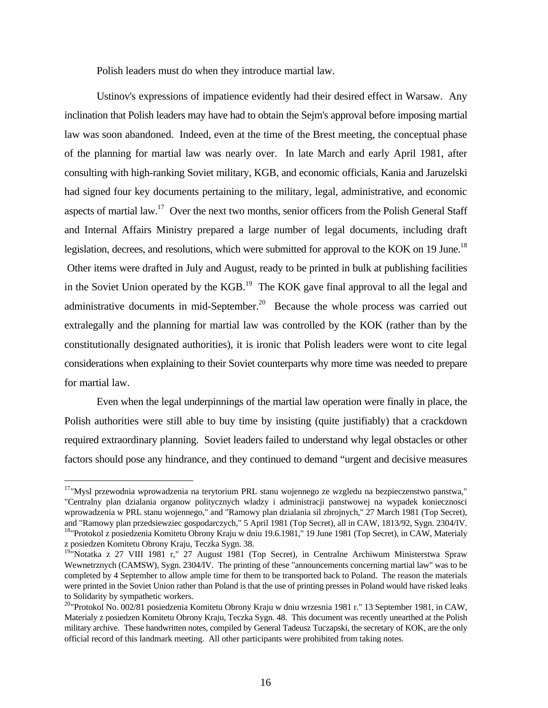Polish leaders must do when they introduce martial law.

Ustinov's expressions of impatience evidently had their desired effect in Warsaw. Any inclination that Polish leaders may have had to obtain the Sejm's approval before imposing martial law was soon abandoned. Indeed, even at the time of the Brest meeting, the conceptual phase of the planning for martial law was nearly over. In late March and early April 1981, after consulting with high-ranking Soviet military, KGB, and economic officials, Kania and Jaruzelski had signed four key documents pertaining to the military, legal, administrative, and economic aspects of martial law.<sup>17</sup> Over the next two months, senior officers from the Polish General Staff and Internal Affairs Ministry prepared a large number of legal documents, including draft legislation, decrees, and resolutions, which were submitted for approval to the KOK on 19 June.<sup>18</sup> Other items were drafted in July and August, ready to be printed in bulk at publishing facilities in the Soviet Union operated by the KGB.<sup>19</sup> The KOK gave final approval to all the legal and administrative documents in mid-September.<sup>20</sup> Because the whole process was carried out extralegally and the planning for martial law was controlled by the KOK (rather than by the constitutionally designated authorities), it is ironic that Polish leaders were wont to cite legal considerations when explaining to their Soviet counterparts why more time was needed to prepare for martial law.

Even when the legal underpinnings of the martial law operation were finally in place, the Polish authorities were still able to buy time by insisting (quite justifiably) that a crackdown required extraordinary planning. Soviet leaders failed to understand why legal obstacles or other factors should pose any hindrance, and they continued to demand "urgent and decisive measures

 $\overline{a}$ 

<sup>&</sup>lt;sup>17</sup>"Mvsl przewodnia wprowadzenia na terytorium PRL stanu wojennego ze wzgledu na bezpieczenstwo panstwa," "Centralny plan dzialania organow politycznych wladzy i administracji panstwowej na wypadek koniecznosci wprowadzenia w PRL stanu wojennego," and "Ramowy plan dzialania sil zbrojnych," 27 March 1981 (Top Secret), and "Ramowy plan przedsiewziec gospodarczych," 5 April 1981 (Top Secret), all in CAW, 1813/92, Sygn. 2304/IV. <sup>18</sup>"Protokol z posiedzenia Komitetu Obrony Kraju w dniu 19.6.1981," 19 June 1981 (Top Secret), in CAW, Materialy

z posiedzen Komitetu Obrony Kraju, Teczka Sygn. 38.

<sup>&</sup>lt;sup>19</sup>"Notatka z 27 VIII 1981 r," 27 August 1981 (Top Secret), in Centralne Archiwum Ministerstwa Spraw Wewnetrznych (CAMSW), Sygn. 2304/IV. The printing of these "announcements concerning martial law" was to be completed by 4 September to allow ample time for them to be transported back to Poland. The reason the materials were printed in the Soviet Union rather than Poland is that the use of printing presses in Poland would have risked leaks to Solidarity by sympathetic workers.

<sup>20</sup>"Protokol No. 002/81 posiedzenia Komitetu Obrony Kraju w dniu wrzesnia 1981 r." 13 September 1981, in CAW, Materialy z posiedzen Komitetu Obrony Kraju, Teczka Sygn. 48. This document was recently unearthed at the Polish military archive. These handwritten notes, compiled by General Tadeusz Tuczapski, the secretary of KOK, are the only official record of this landmark meeting. All other participants were prohibited from taking notes.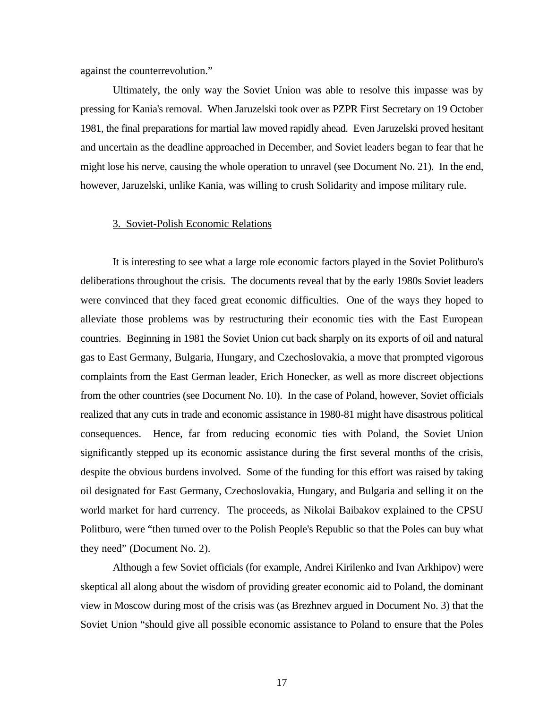against the counterrevolution."

Ultimately, the only way the Soviet Union was able to resolve this impasse was by pressing for Kania's removal. When Jaruzelski took over as PZPR First Secretary on 19 October 1981, the final preparations for martial law moved rapidly ahead. Even Jaruzelski proved hesitant and uncertain as the deadline approached in December, and Soviet leaders began to fear that he might lose his nerve, causing the whole operation to unravel (see Document No. 21). In the end, however, Jaruzelski, unlike Kania, was willing to crush Solidarity and impose military rule.

#### 3. Soviet-Polish Economic Relations

It is interesting to see what a large role economic factors played in the Soviet Politburo's deliberations throughout the crisis. The documents reveal that by the early 1980s Soviet leaders were convinced that they faced great economic difficulties. One of the ways they hoped to alleviate those problems was by restructuring their economic ties with the East European countries. Beginning in 1981 the Soviet Union cut back sharply on its exports of oil and natural gas to East Germany, Bulgaria, Hungary, and Czechoslovakia, a move that prompted vigorous complaints from the East German leader, Erich Honecker, as well as more discreet objections from the other countries (see Document No. 10). In the case of Poland, however, Soviet officials realized that any cuts in trade and economic assistance in 1980-81 might have disastrous political consequences. Hence, far from reducing economic ties with Poland, the Soviet Union significantly stepped up its economic assistance during the first several months of the crisis, despite the obvious burdens involved. Some of the funding for this effort was raised by taking oil designated for East Germany, Czechoslovakia, Hungary, and Bulgaria and selling it on the world market for hard currency. The proceeds, as Nikolai Baibakov explained to the CPSU Politburo, were "then turned over to the Polish People's Republic so that the Poles can buy what they need" (Document No. 2).

Although a few Soviet officials (for example, Andrei Kirilenko and Ivan Arkhipov) were skeptical all along about the wisdom of providing greater economic aid to Poland, the dominant view in Moscow during most of the crisis was (as Brezhnev argued in Document No. 3) that the Soviet Union "should give all possible economic assistance to Poland to ensure that the Poles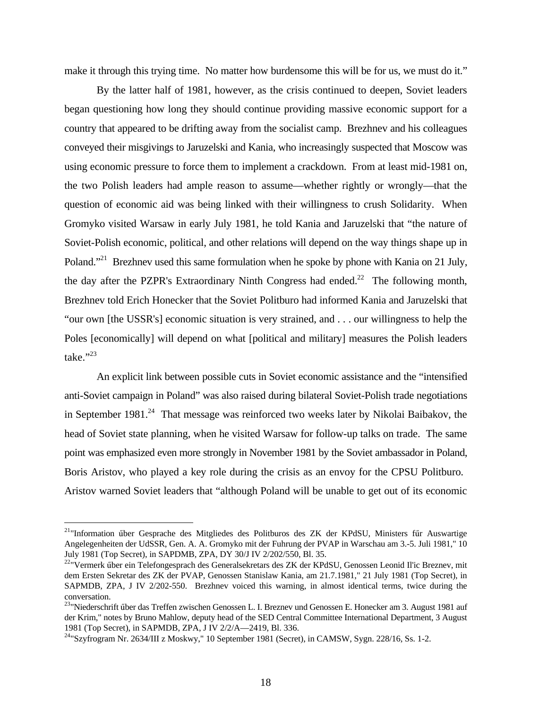make it through this trying time. No matter how burdensome this will be for us, we must do it."

By the latter half of 1981, however, as the crisis continued to deepen, Soviet leaders began questioning how long they should continue providing massive economic support for a country that appeared to be drifting away from the socialist camp. Brezhnev and his colleagues conveyed their misgivings to Jaruzelski and Kania, who increasingly suspected that Moscow was using economic pressure to force them to implement a crackdown. From at least mid-1981 on, the two Polish leaders had ample reason to assume—whether rightly or wrongly—that the question of economic aid was being linked with their willingness to crush Solidarity. When Gromyko visited Warsaw in early July 1981, he told Kania and Jaruzelski that "the nature of Soviet-Polish economic, political, and other relations will depend on the way things shape up in Poland."<sup>21</sup> Brezhnev used this same formulation when he spoke by phone with Kania on 21 July, the day after the PZPR's Extraordinary Ninth Congress had ended.<sup>22</sup> The following month, Brezhnev told Erich Honecker that the Soviet Politburo had informed Kania and Jaruzelski that "our own [the USSR's] economic situation is very strained, and . . . our willingness to help the Poles [economically] will depend on what [political and military] measures the Polish leaders take."23

An explicit link between possible cuts in Soviet economic assistance and the "intensified anti-Soviet campaign in Poland" was also raised during bilateral Soviet-Polish trade negotiations in September 1981.<sup>24</sup> That message was reinforced two weeks later by Nikolai Baibakov, the head of Soviet state planning, when he visited Warsaw for follow-up talks on trade. The same point was emphasized even more strongly in November 1981 by the Soviet ambassador in Poland, Boris Aristov, who played a key role during the crisis as an envoy for the CPSU Politburo. Aristov warned Soviet leaders that "although Poland will be unable to get out of its economic

<sup>&</sup>lt;sup>21</sup>"Information über Gesprache des Mitgliedes des Politburos des ZK der KPdSU, Ministers für Auswartige Angelegenheiten der UdSSR, Gen. A. A. Gromyko mit der Fuhrung der PVAP in Warschau am 3.-5. Juli 1981," 10 July 1981 (Top Secret), in SAPDMB, ZPA, DY 30/J IV 2/202/550, Bl. 35.

<sup>&</sup>lt;sup>22</sup>"Vermerk über ein Telefongesprach des Generalsekretars des ZK der KPdSU, Genossen Leonid II'ic Breznev, mit dem Ersten Sekretar des ZK der PVAP, Genossen Stanislaw Kania, am 21.7.1981," 21 July 1981 (Top Secret), in SAPMDB, ZPA, J IV 2/202-550. Brezhnev voiced this warning, in almost identical terms, twice during the conversation.

<sup>&</sup>lt;sup>23</sup>"Niederschrift über das Treffen zwischen Genossen L. I. Breznev und Genossen E. Honecker am 3. August 1981 auf der Krim," notes by Bruno Mahlow, deputy head of the SED Central Committee International Department, 3 August 1981 (Top Secret), in SAPMDB, ZPA, J IV 2/2/A—2419, Bl. 336.

 $^{24}$ "Szyfrogram Nr. 2634/III z Moskwy," 10 September 1981 (Secret), in CAMSW, Sygn. 228/16, Ss. 1-2.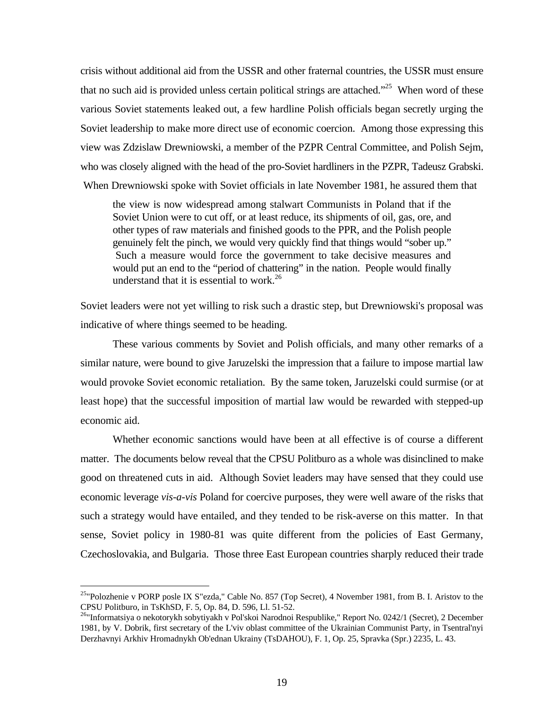crisis without additional aid from the USSR and other fraternal countries, the USSR must ensure that no such aid is provided unless certain political strings are attached."<sup>25</sup> When word of these various Soviet statements leaked out, a few hardline Polish officials began secretly urging the Soviet leadership to make more direct use of economic coercion. Among those expressing this view was Zdzislaw Drewniowski, a member of the PZPR Central Committee, and Polish Sejm, who was closely aligned with the head of the pro-Soviet hardliners in the PZPR, Tadeusz Grabski. When Drewniowski spoke with Soviet officials in late November 1981, he assured them that

the view is now widespread among stalwart Communists in Poland that if the Soviet Union were to cut off, or at least reduce, its shipments of oil, gas, ore, and other types of raw materials and finished goods to the PPR, and the Polish people genuinely felt the pinch, we would very quickly find that things would "sober up." Such a measure would force the government to take decisive measures and would put an end to the "period of chattering" in the nation. People would finally understand that it is essential to work. $26$ 

Soviet leaders were not yet willing to risk such a drastic step, but Drewniowski's proposal was indicative of where things seemed to be heading.

These various comments by Soviet and Polish officials, and many other remarks of a similar nature, were bound to give Jaruzelski the impression that a failure to impose martial law would provoke Soviet economic retaliation. By the same token, Jaruzelski could surmise (or at least hope) that the successful imposition of martial law would be rewarded with stepped-up economic aid.

Whether economic sanctions would have been at all effective is of course a different matter. The documents below reveal that the CPSU Politburo as a whole was disinclined to make good on threatened cuts in aid. Although Soviet leaders may have sensed that they could use economic leverage *vis-a-vis* Poland for coercive purposes, they were well aware of the risks that such a strategy would have entailed, and they tended to be risk-averse on this matter. In that sense, Soviet policy in 1980-81 was quite different from the policies of East Germany, Czechoslovakia, and Bulgaria. Those three East European countries sharply reduced their trade

<sup>&</sup>lt;sup>25</sup>"Polozhenie v PORP posle IX S"ezda," Cable No. 857 (Top Secret), 4 November 1981, from B. I. Aristov to the CPSU Politburo, in TsKhSD, F. 5, Op. 84, D. 596, Ll. 51-52.

<sup>&</sup>lt;sup>26</sup>"Informatsiya o nekotorykh sobytiyakh v Pol'skoi Narodnoi Respublike," Report No. 0242/1 (Secret), 2 December 1981, by V. Dobrik, first secretary of the L'viv oblast committee of the Ukrainian Communist Party, in Tsentral'nyi Derzhavnyi Arkhiv Hromadnykh Ob'ednan Ukrainy (TsDAHOU), F. 1, Op. 25, Spravka (Spr.) 2235, L. 43.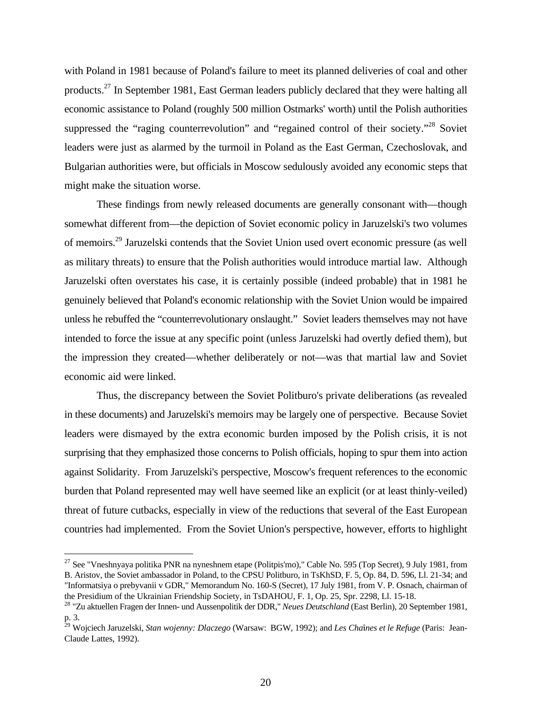with Poland in 1981 because of Poland's failure to meet its planned deliveries of coal and other products.<sup>27</sup> In September 1981, East German leaders publicly declared that they were halting all economic assistance to Poland (roughly 500 million Ostmarks' worth) until the Polish authorities suppressed the "raging counterrevolution" and "regained control of their society."<sup>28</sup> Soviet leaders were just as alarmed by the turmoil in Poland as the East German, Czechoslovak, and Bulgarian authorities were, but officials in Moscow sedulously avoided any economic steps that might make the situation worse.

These findings from newly released documents are generally consonant with—though somewhat different from—the depiction of Soviet economic policy in Jaruzelski's two volumes of memoirs.<sup>29</sup> Jaruzelski contends that the Soviet Union used overt economic pressure (as well as military threats) to ensure that the Polish authorities would introduce martial law. Although Jaruzelski often overstates his case, it is certainly possible (indeed probable) that in 1981 he genuinely believed that Poland's economic relationship with the Soviet Union would be impaired unless he rebuffed the "counterrevolutionary onslaught." Soviet leaders themselves may not have intended to force the issue at any specific point (unless Jaruzelski had overtly defied them), but the impression they created—whether deliberately or not—was that martial law and Soviet economic aid were linked.

Thus, the discrepancy between the Soviet Politburo's private deliberations (as revealed in these documents) and Jaruzelski's memoirs may be largely one of perspective. Because Soviet leaders were dismayed by the extra economic burden imposed by the Polish crisis, it is not surprising that they emphasized those concerns to Polish officials, hoping to spur them into action against Solidarity. From Jaruzelski's perspective, Moscow's frequent references to the economic burden that Poland represented may well have seemed like an explicit (or at least thinly-veiled) threat of future cutbacks, especially in view of the reductions that several of the East European countries had implemented. From the Soviet Union's perspective, however, efforts to highlight

-

<sup>&</sup>lt;sup>27</sup> See "Vneshnyaya politika PNR na nyneshnem etape (Politpis'mo)," Cable No. 595 (Top Secret), 9 July 1981, from B. Aristov, the Soviet ambassador in Poland, to the CPSU Politburo, in TsKhSD, F. 5, Op. 84, D. 596, Ll. 21-34; and "Informatsiya o prebyvanii v GDR," Memorandum No. 160-S (Secret), 17 July 1981, from V. P. Osnach, chairman of the Presidium of the Ukrainian Friendship Society, in TsDAHOU, F. 1, Op. 25, Spr. 2298, Ll. 15-18.

<sup>28</sup> "Zu aktuellen Fragen der Innen- und Aussenpolitik der DDR," *Neues Deutschland* (East Berlin), 20 September 1981, p. 3.

<sup>29</sup> Wojciech Jaruzelski, *Stan wojenny: Dlaczego* (Warsaw: BGW, 1992); and *Les ChaTnes et le Refuge* (Paris: Jean-Claude Lattes, 1992).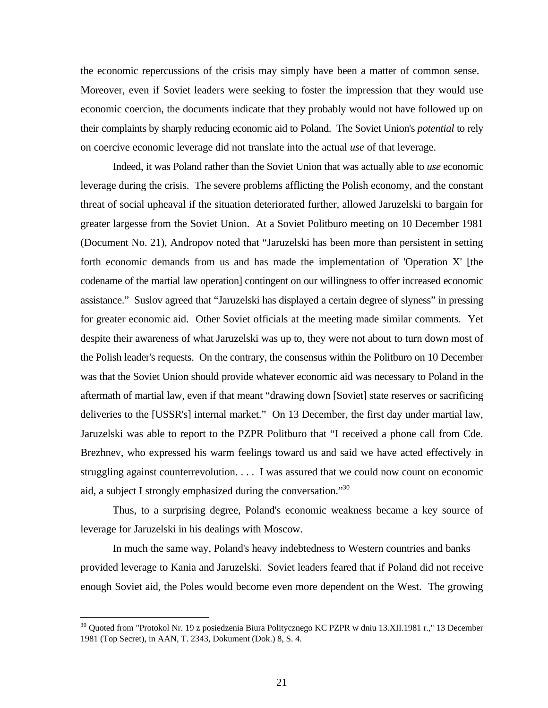the economic repercussions of the crisis may simply have been a matter of common sense. Moreover, even if Soviet leaders were seeking to foster the impression that they would use economic coercion, the documents indicate that they probably would not have followed up on their complaints by sharply reducing economic aid to Poland. The Soviet Union's *potential* to rely on coercive economic leverage did not translate into the actual *use* of that leverage.

Indeed, it was Poland rather than the Soviet Union that was actually able to *use* economic leverage during the crisis. The severe problems afflicting the Polish economy, and the constant threat of social upheaval if the situation deteriorated further, allowed Jaruzelski to bargain for greater largesse from the Soviet Union. At a Soviet Politburo meeting on 10 December 1981 (Document No. 21), Andropov noted that "Jaruzelski has been more than persistent in setting forth economic demands from us and has made the implementation of 'Operation X' [the codename of the martial law operation] contingent on our willingness to offer increased economic assistance." Suslov agreed that "Jaruzelski has displayed a certain degree of slyness" in pressing for greater economic aid. Other Soviet officials at the meeting made similar comments. Yet despite their awareness of what Jaruzelski was up to, they were not about to turn down most of the Polish leader's requests. On the contrary, the consensus within the Politburo on 10 December was that the Soviet Union should provide whatever economic aid was necessary to Poland in the aftermath of martial law, even if that meant "drawing down [Soviet] state reserves or sacrificing deliveries to the [USSR's] internal market." On 13 December, the first day under martial law, Jaruzelski was able to report to the PZPR Politburo that "I received a phone call from Cde. Brezhnev, who expressed his warm feelings toward us and said we have acted effectively in struggling against counterrevolution. . . . I was assured that we could now count on economic aid, a subject I strongly emphasized during the conversation."<sup>30</sup>

Thus, to a surprising degree, Poland's economic weakness became a key source of leverage for Jaruzelski in his dealings with Moscow.

In much the same way, Poland's heavy indebtedness to Western countries and banks provided leverage to Kania and Jaruzelski. Soviet leaders feared that if Poland did not receive enough Soviet aid, the Poles would become even more dependent on the West. The growing

 $\overline{a}$ 

<sup>&</sup>lt;sup>30</sup> Quoted from "Protokol Nr. 19 z posiedzenia Biura Politycznego KC PZPR w dniu 13.XII.1981 r.," 13 December 1981 (Top Secret), in AAN, T. 2343, Dokument (Dok.) 8, S. 4.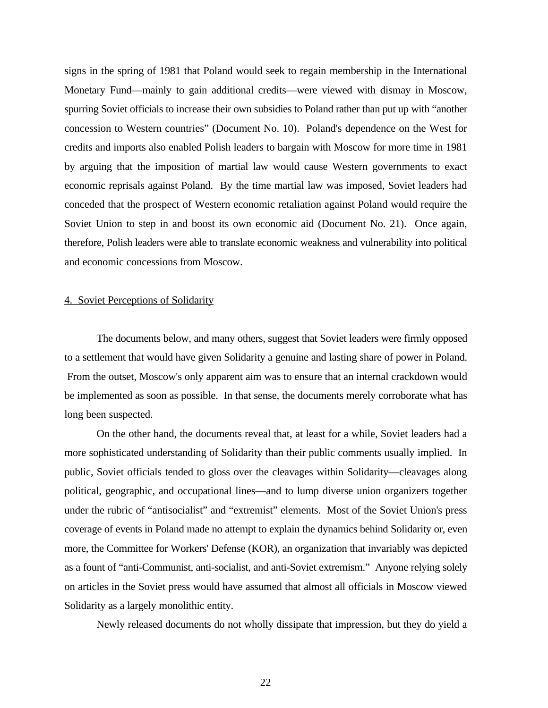signs in the spring of 1981 that Poland would seek to regain membership in the International Monetary Fund—mainly to gain additional credits—were viewed with dismay in Moscow, spurring Soviet officials to increase their own subsidies to Poland rather than put up with "another concession to Western countries" (Document No. 10). Poland's dependence on the West for credits and imports also enabled Polish leaders to bargain with Moscow for more time in 1981 by arguing that the imposition of martial law would cause Western governments to exact economic reprisals against Poland. By the time martial law was imposed, Soviet leaders had conceded that the prospect of Western economic retaliation against Poland would require the Soviet Union to step in and boost its own economic aid (Document No. 21). Once again, therefore, Polish leaders were able to translate economic weakness and vulnerability into political and economic concessions from Moscow.

#### 4. Soviet Perceptions of Solidarity

The documents below, and many others, suggest that Soviet leaders were firmly opposed to a settlement that would have given Solidarity a genuine and lasting share of power in Poland. From the outset, Moscow's only apparent aim was to ensure that an internal crackdown would be implemented as soon as possible. In that sense, the documents merely corroborate what has long been suspected.

On the other hand, the documents reveal that, at least for a while, Soviet leaders had a more sophisticated understanding of Solidarity than their public comments usually implied. In public, Soviet officials tended to gloss over the cleavages within Solidarity—cleavages along political, geographic, and occupational lines—and to lump diverse union organizers together under the rubric of "antisocialist" and "extremist" elements. Most of the Soviet Union's press coverage of events in Poland made no attempt to explain the dynamics behind Solidarity or, even more, the Committee for Workers' Defense (KOR), an organization that invariably was depicted as a fount of "anti-Communist, anti-socialist, and anti-Soviet extremism." Anyone relying solely on articles in the Soviet press would have assumed that almost all officials in Moscow viewed Solidarity as a largely monolithic entity.

Newly released documents do not wholly dissipate that impression, but they do yield a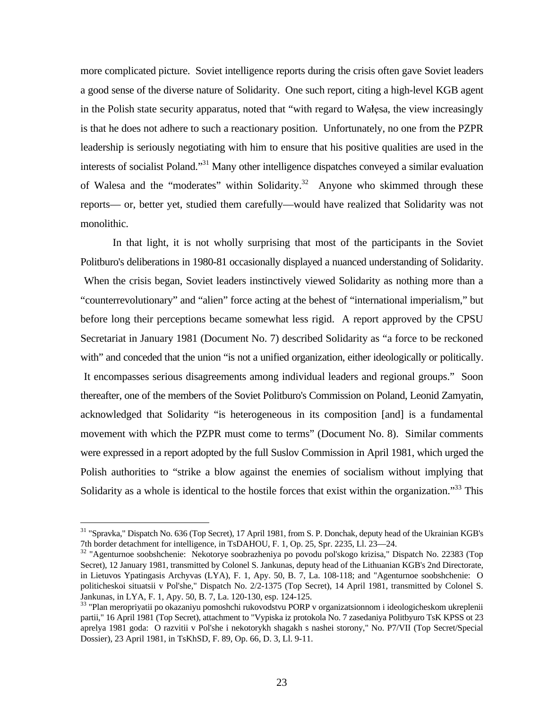more complicated picture. Soviet intelligence reports during the crisis often gave Soviet leaders a good sense of the diverse nature of Solidarity. One such report, citing a high-level KGB agent in the Polish state security apparatus, noted that "with regard to Wałęsa, the view increasingly is that he does not adhere to such a reactionary position. Unfortunately, no one from the PZPR leadership is seriously negotiating with him to ensure that his positive qualities are used in the interests of socialist Poland."<sup>31</sup> Many other intelligence dispatches conveyed a similar evaluation of Walesa and the "moderates" within Solidarity.<sup>32</sup> Anyone who skimmed through these reports— or, better yet, studied them carefully—would have realized that Solidarity was not monolithic.

In that light, it is not wholly surprising that most of the participants in the Soviet Politburo's deliberations in 1980-81 occasionally displayed a nuanced understanding of Solidarity. When the crisis began, Soviet leaders instinctively viewed Solidarity as nothing more than a "counterrevolutionary" and "alien" force acting at the behest of "international imperialism," but before long their perceptions became somewhat less rigid. A report approved by the CPSU Secretariat in January 1981 (Document No. 7) described Solidarity as "a force to be reckoned with" and conceded that the union "is not a unified organization, either ideologically or politically. It encompasses serious disagreements among individual leaders and regional groups." Soon thereafter, one of the members of the Soviet Politburo's Commission on Poland, Leonid Zamyatin, acknowledged that Solidarity "is heterogeneous in its composition [and] is a fundamental movement with which the PZPR must come to terms" (Document No. 8). Similar comments were expressed in a report adopted by the full Suslov Commission in April 1981, which urged the Polish authorities to "strike a blow against the enemies of socialism without implying that Solidarity as a whole is identical to the hostile forces that exist within the organization."<sup>33</sup> This

<sup>&</sup>lt;sup>31</sup> "Spravka," Dispatch No. 636 (Top Secret), 17 April 1981, from S. P. Donchak, deputy head of the Ukrainian KGB's 7th border detachment for intelligence, in TsDAHOU, F. 1, Op. 25, Spr. 2235, Ll. 23—24.

<sup>32</sup> "Agenturnoe soobshchenie: Nekotorye soobrazheniya po povodu pol'skogo krizisa," Dispatch No. 22383 (Top Secret), 12 January 1981, transmitted by Colonel S. Jankunas, deputy head of the Lithuanian KGB's 2nd Directorate, in Lietuvos Ypatingasis Archyvas (LYA), F. 1, Apy. 50, B. 7, La. 108-118; and "Agenturnoe soobshchenie: O politicheskoi situatsii v Pol'she," Dispatch No. 2/2-1375 (Top Secret), 14 April 1981, transmitted by Colonel S. Jankunas, in LYA, F. 1, Apy. 50, B. 7, La. 120-130, esp. 124-125.

<sup>33</sup> "Plan meropriyatii po okazaniyu pomoshchi rukovodstvu PORP v organizatsionnom i ideologicheskom ukreplenii partii," 16 April 1981 (Top Secret), attachment to "Vypiska iz protokola No. 7 zasedaniya Politbyuro TsK KPSS ot 23 aprelya 1981 goda: O razvitii v Pol'she i nekotorykh shagakh s nashei storony," No. P7/VII (Top Secret/Special Dossier), 23 April 1981, in TsKhSD, F. 89, Op. 66, D. 3, Ll. 9-11.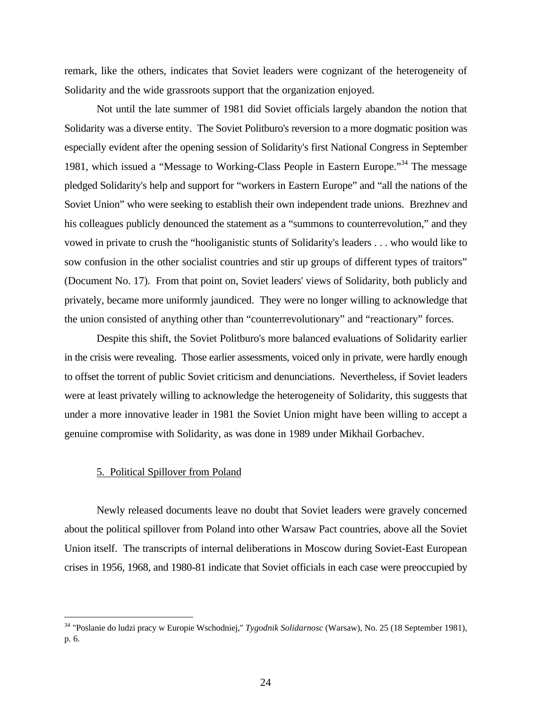remark, like the others, indicates that Soviet leaders were cognizant of the heterogeneity of Solidarity and the wide grassroots support that the organization enjoyed.

Not until the late summer of 1981 did Soviet officials largely abandon the notion that Solidarity was a diverse entity. The Soviet Politburo's reversion to a more dogmatic position was especially evident after the opening session of Solidarity's first National Congress in September 1981, which issued a "Message to Working-Class People in Eastern Europe."<sup>34</sup> The message pledged Solidarity's help and support for "workers in Eastern Europe" and "all the nations of the Soviet Union" who were seeking to establish their own independent trade unions. Brezhnev and his colleagues publicly denounced the statement as a "summons to counterrevolution," and they vowed in private to crush the "hooliganistic stunts of Solidarity's leaders . . . who would like to sow confusion in the other socialist countries and stir up groups of different types of traitors" (Document No. 17). From that point on, Soviet leaders' views of Solidarity, both publicly and privately, became more uniformly jaundiced. They were no longer willing to acknowledge that the union consisted of anything other than "counterrevolutionary" and "reactionary" forces.

Despite this shift, the Soviet Politburo's more balanced evaluations of Solidarity earlier in the crisis were revealing. Those earlier assessments, voiced only in private, were hardly enough to offset the torrent of public Soviet criticism and denunciations. Nevertheless, if Soviet leaders were at least privately willing to acknowledge the heterogeneity of Solidarity, this suggests that under a more innovative leader in 1981 the Soviet Union might have been willing to accept a genuine compromise with Solidarity, as was done in 1989 under Mikhail Gorbachev.

#### 5. Political Spillover from Poland

 $\overline{a}$ 

Newly released documents leave no doubt that Soviet leaders were gravely concerned about the political spillover from Poland into other Warsaw Pact countries, above all the Soviet Union itself. The transcripts of internal deliberations in Moscow during Soviet-East European crises in 1956, 1968, and 1980-81 indicate that Soviet officials in each case were preoccupied by

<sup>34</sup> "Poslanie do ludzi pracy w Europie Wschodniej," *Tygodnik Solidarnosc* (Warsaw), No. 25 (18 September 1981), p. 6.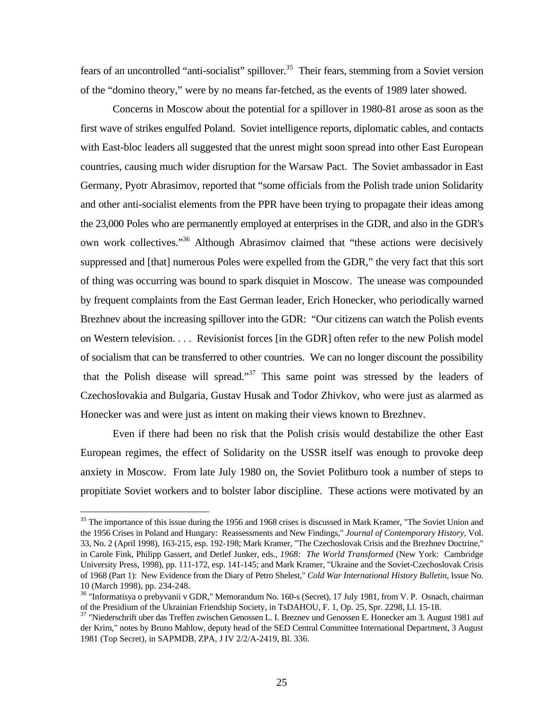fears of an uncontrolled "anti-socialist" spillover.<sup>35</sup> Their fears, stemming from a Soviet version of the "domino theory," were by no means far-fetched, as the events of 1989 later showed.

Concerns in Moscow about the potential for a spillover in 1980-81 arose as soon as the first wave of strikes engulfed Poland. Soviet intelligence reports, diplomatic cables, and contacts with East-bloc leaders all suggested that the unrest might soon spread into other East European countries, causing much wider disruption for the Warsaw Pact. The Soviet ambassador in East Germany, Pyotr Abrasimov, reported that "some officials from the Polish trade union Solidarity and other anti-socialist elements from the PPR have been trying to propagate their ideas among the 23,000 Poles who are permanently employed at enterprises in the GDR, and also in the GDR's own work collectives."<sup>36</sup> Although Abrasimov claimed that "these actions were decisively suppressed and [that] numerous Poles were expelled from the GDR," the very fact that this sort of thing was occurring was bound to spark disquiet in Moscow. The unease was compounded by frequent complaints from the East German leader, Erich Honecker, who periodically warned Brezhnev about the increasing spillover into the GDR: "Our citizens can watch the Polish events on Western television. . . . Revisionist forces [in the GDR] often refer to the new Polish model of socialism that can be transferred to other countries. We can no longer discount the possibility that the Polish disease will spread."<sup>37</sup> This same point was stressed by the leaders of Czechoslovakia and Bulgaria, Gustav Husak and Todor Zhivkov, who were just as alarmed as Honecker was and were just as intent on making their views known to Brezhnev.

Even if there had been no risk that the Polish crisis would destabilize the other East European regimes, the effect of Solidarity on the USSR itself was enough to provoke deep anxiety in Moscow. From late July 1980 on, the Soviet Politburo took a number of steps to propitiate Soviet workers and to bolster labor discipline. These actions were motivated by an

-

<sup>&</sup>lt;sup>35</sup> The importance of this issue during the 1956 and 1968 crises is discussed in Mark Kramer, "The Soviet Union and the 1956 Crises in Poland and Hungary: Reassessments and New Findings," *Journal of Contemporary History*, Vol. 33, No. 2 (April 1998), 163-215, esp. 192-198; Mark Kramer, "The Czechoslovak Crisis and the Brezhnev Doctrine," in Carole Fink, Philipp Gassert, and Detlef Junker, eds., *1968: The World Transformed* (New York: Cambridge University Press, 1998), pp. 111-172, esp. 141-145; and Mark Kramer, "Ukraine and the Soviet-Czechoslovak Crisis of 1968 (Part 1): New Evidence from the Diary of Petro Shelest," *Cold War International History Bulletin*, Issue No. 10 (March 1998), pp. 234-248.

<sup>&</sup>lt;sup>36</sup> "Informatisya o prebyvanii v GDR," Memorandum No. 160-s (Secret), 17 July 1981, from V. P. Osnach, chairman of the Presidium of the Ukrainian Friendship Society, in TsDAHOU, F. 1, Op. 25, Spr. 2298, Ll. 15-18.

<sup>&</sup>lt;sup>37</sup> "Niederschrift uber das Treffen zwischen Genossen L. I. Breznev und Genossen E. Honecker am 3. August 1981 auf der Krim," notes by Bruno Mahlow, deputy head of the SED Central Committee International Department, 3 August 1981 (Top Secret), in SAPMDB, ZPA, J IV 2/2/A-2419, Bl. 336.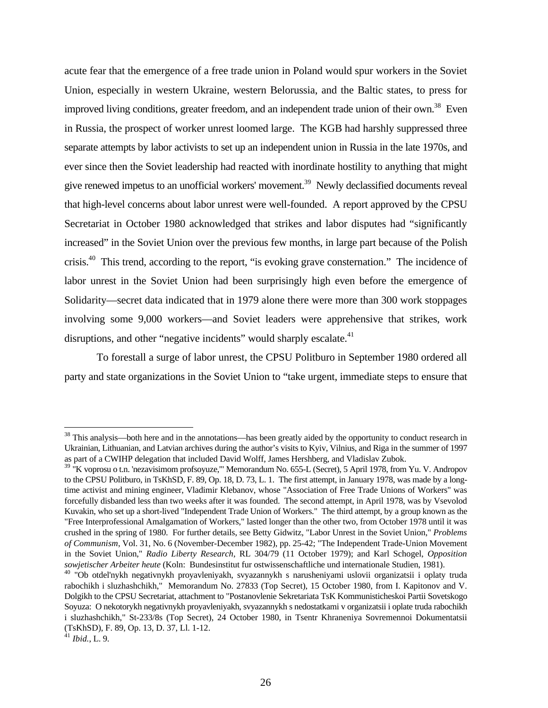acute fear that the emergence of a free trade union in Poland would spur workers in the Soviet Union, especially in western Ukraine, western Belorussia, and the Baltic states, to press for improved living conditions, greater freedom, and an independent trade union of their own.<sup>38</sup> Even in Russia, the prospect of worker unrest loomed large. The KGB had harshly suppressed three separate attempts by labor activists to set up an independent union in Russia in the late 1970s, and ever since then the Soviet leadership had reacted with inordinate hostility to anything that might give renewed impetus to an unofficial workers' movement.<sup>39</sup> Newly declassified documents reveal that high-level concerns about labor unrest were well-founded. A report approved by the CPSU Secretariat in October 1980 acknowledged that strikes and labor disputes had "significantly increased" in the Soviet Union over the previous few months, in large part because of the Polish crisis.<sup>40</sup> This trend, according to the report, "is evoking grave consternation." The incidence of labor unrest in the Soviet Union had been surprisingly high even before the emergence of Solidarity—secret data indicated that in 1979 alone there were more than 300 work stoppages involving some 9,000 workers—and Soviet leaders were apprehensive that strikes, work disruptions, and other "negative incidents" would sharply escalate.<sup>41</sup>

To forestall a surge of labor unrest, the CPSU Politburo in September 1980 ordered all party and state organizations in the Soviet Union to "take urgent, immediate steps to ensure that

 $38$  This analysis—both here and in the annotations—has been greatly aided by the opportunity to conduct research in Ukrainian, Lithuanian, and Latvian archives during the author's visits to Kyiv, Vilnius, and Riga in the summer of 1997 as part of a CWIHP delegation that included David Wolff, James Hershberg, and Vladislav Zubok.

<sup>&</sup>lt;sup>39</sup> "K voprosu o t.n. 'nezavisimom profsoyuze,'" Memorandum No. 655-L (Secret), 5 April 1978, from Yu. V. Andropov to the CPSU Politburo, in TsKhSD, F. 89, Op. 18, D. 73, L. 1. The first attempt, in January 1978, was made by a longtime activist and mining engineer, Vladimir Klebanov, whose "Association of Free Trade Unions of Workers" was forcefully disbanded less than two weeks after it was founded. The second attempt, in April 1978, was by Vsevolod Kuvakin, who set up a short-lived "Independent Trade Union of Workers." The third attempt, by a group known as the "Free Interprofessional Amalgamation of Workers," lasted longer than the other two, from October 1978 until it was crushed in the spring of 1980. For further details, see Betty Gidwitz, "Labor Unrest in the Soviet Union," *Problems of Communism*, Vol. 31, No. 6 (November-December 1982), pp. 25-42; "The Independent Trade-Union Movement in the Soviet Union," *Radio Liberty Research*, RL 304/79 (11 October 1979); and Karl Schogel, *Opposition sowjetischer Arbeiter heute* (Koln: Bundesinstitut fur ostwissenschaftliche und internationale Studien, 1981).

<sup>&</sup>lt;sup>40</sup> "Ob otdel'nykh negativnykh proyavleniyakh, svyazannykh s narusheniyami uslovii organizatsii i oplaty truda rabochikh i sluzhashchikh," Memorandum No. 27833 (Top Secret), 15 October 1980, from I. Kapitonov and V. Dolgikh to the CPSU Secretariat, attachment to "Postanovlenie Sekretariata TsK Kommunisticheskoi Partii Sovetskogo Soyuza: O nekotorykh negativnykh proyavleniyakh, svyazannykh s nedostatkami v organizatsii i oplate truda rabochikh i sluzhashchikh," St-233/8s (Top Secret), 24 October 1980, in Tsentr Khraneniya Sovremennoi Dokumentatsii (TsKhSD), F. 89, Op. 13, D. 37, Ll. 1-12.

<sup>41</sup> *Ibid.*, L. 9.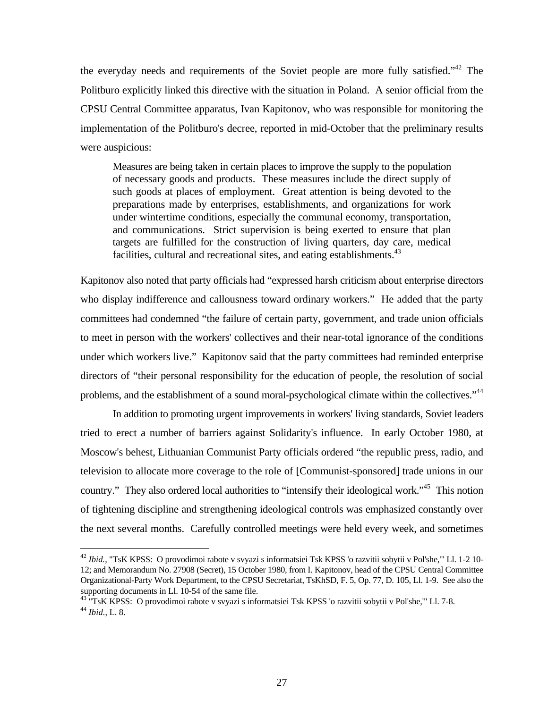the everyday needs and requirements of the Soviet people are more fully satisfied."<sup>42</sup> The Politburo explicitly linked this directive with the situation in Poland. A senior official from the CPSU Central Committee apparatus, Ivan Kapitonov, who was responsible for monitoring the implementation of the Politburo's decree, reported in mid-October that the preliminary results were auspicious:

Measures are being taken in certain places to improve the supply to the population of necessary goods and products. These measures include the direct supply of such goods at places of employment. Great attention is being devoted to the preparations made by enterprises, establishments, and organizations for work under wintertime conditions, especially the communal economy, transportation, and communications. Strict supervision is being exerted to ensure that plan targets are fulfilled for the construction of living quarters, day care, medical facilities, cultural and recreational sites, and eating establishments.<sup>43</sup>

Kapitonov also noted that party officials had "expressed harsh criticism about enterprise directors who display indifference and callousness toward ordinary workers." He added that the party committees had condemned "the failure of certain party, government, and trade union officials to meet in person with the workers' collectives and their near-total ignorance of the conditions under which workers live." Kapitonov said that the party committees had reminded enterprise directors of "their personal responsibility for the education of people, the resolution of social problems, and the establishment of a sound moral-psychological climate within the collectives."<sup>44</sup>

In addition to promoting urgent improvements in workers' living standards, Soviet leaders tried to erect a number of barriers against Solidarity's influence. In early October 1980, at Moscow's behest, Lithuanian Communist Party officials ordered "the republic press, radio, and television to allocate more coverage to the role of [Communist-sponsored] trade unions in our country." They also ordered local authorities to "intensify their ideological work."<sup>45</sup> This notion of tightening discipline and strengthening ideological controls was emphasized constantly over the next several months. Carefully controlled meetings were held every week, and sometimes

-

<sup>42</sup> *Ibid.*, "TsK KPSS: O provodimoi rabote v svyazi s informatsiei Tsk KPSS 'o razvitii sobytii v Pol'she,'" Ll. 1-2 10- 12; and Memorandum No. 27908 (Secret), 15 October 1980, from I. Kapitonov, head of the CPSU Central Committee Organizational-Party Work Department, to the CPSU Secretariat, TsKhSD, F. 5, Op. 77, D. 105, Ll. 1-9. See also the supporting documents in Ll. 10-54 of the same file.

<sup>&</sup>lt;sup>43 "T</sup>SK KPSS: O provodimoi rabote v svyazi s informatsiei Tsk KPSS 'o razvitii sobytii v Pol'she," Ll. 7-8. <sup>44</sup> *Ibid.*, L. 8.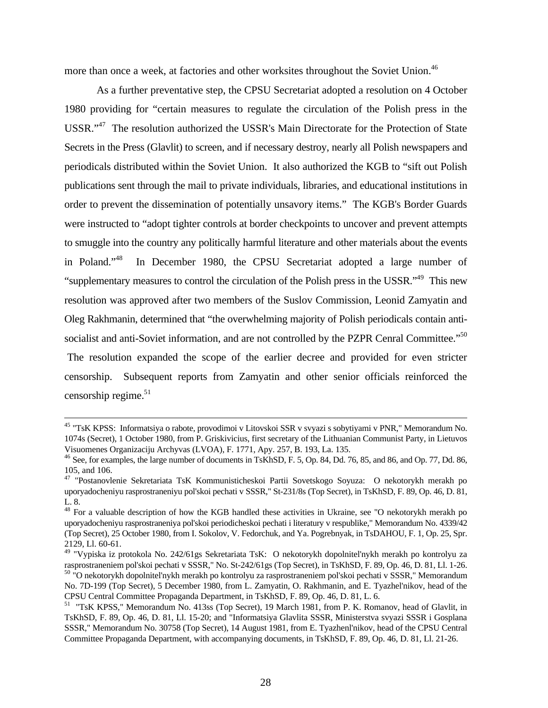more than once a week, at factories and other worksites throughout the Soviet Union.<sup>46</sup>

As a further preventative step, the CPSU Secretariat adopted a resolution on 4 October 1980 providing for "certain measures to regulate the circulation of the Polish press in the USSR."<sup>47</sup> The resolution authorized the USSR's Main Directorate for the Protection of State Secrets in the Press (Glavlit) to screen, and if necessary destroy, nearly all Polish newspapers and periodicals distributed within the Soviet Union. It also authorized the KGB to "sift out Polish publications sent through the mail to private individuals, libraries, and educational institutions in order to prevent the dissemination of potentially unsavory items." The KGB's Border Guards were instructed to "adopt tighter controls at border checkpoints to uncover and prevent attempts to smuggle into the country any politically harmful literature and other materials about the events in Poland."<sup>48</sup> In December 1980, the CPSU Secretariat adopted a large number of "supplementary measures to control the circulation of the Polish press in the USSR."<sup>49</sup> This new resolution was approved after two members of the Suslov Commission, Leonid Zamyatin and Oleg Rakhmanin, determined that "the overwhelming majority of Polish periodicals contain antisocialist and anti-Soviet information, and are not controlled by the PZPR Cenral Committee."<sup>50</sup> The resolution expanded the scope of the earlier decree and provided for even stricter censorship. Subsequent reports from Zamyatin and other senior officials reinforced the

censorship regime. $51$ 

<sup>45</sup> "TsK KPSS: Informatsiya o rabote, provodimoi v Litovskoi SSR v svyazi s sobytiyami v PNR," Memorandum No. 1074s (Secret), 1 October 1980, from P. Griskivicius, first secretary of the Lithuanian Communist Party, in Lietuvos Visuomenes Organizaciju Archyvas (LVOA), F. 1771, Apy. 257, B. 193, La. 135.

<sup>&</sup>lt;sup>46</sup> See, for examples, the large number of documents in TsKhSD, F. 5, Op. 84, Dd. 76, 85, and 86, and Op. 77, Dd. 86, 105, and 106.

<sup>47</sup> "Postanovlenie Sekretariata TsK Kommunisticheskoi Partii Sovetskogo Soyuza: O nekotorykh merakh po uporyadocheniyu rasprostraneniyu pol'skoi pechati v SSSR," St-231/8s (Top Secret), in TsKhSD, F. 89, Op. 46, D. 81, L. 8.

<sup>&</sup>lt;sup>48</sup> For a valuable description of how the KGB handled these activities in Ukraine, see "O nekotorykh merakh po uporyadocheniyu rasprostraneniya pol'skoi periodicheskoi pechati i literatury v respublike," Memorandum No. 4339/42 (Top Secret), 25 October 1980, from I. Sokolov, V. Fedorchuk, and Ya. Pogrebnyak, in TsDAHOU, F. 1, Op. 25, Spr. 2129, Ll. 60-61.

<sup>&</sup>lt;sup>49</sup> "Vypiska iz protokola No. 242/61gs Sekretariata TsK: O nekotorykh dopolnitel'nykh merakh po kontrolyu za rasprostraneniem pol'skoi pechati v SSSR," No. St-242/61gs (Top Secret), in TsKhSD, F. 89, Op. 46, D. 81, Ll. 1-26.

<sup>50</sup> "O nekotorykh dopolnitel'nykh merakh po kontrolyu za rasprostraneniem pol'skoi pechati v SSSR," Memorandum No. 7D-199 (Top Secret), 5 December 1980, from L. Zamyatin, O. Rakhmanin, and E. Tyazhel'nikov, head of the CPSU Central Committee Propaganda Department, in TsKhSD, F. 89, Op. 46, D. 81, L. 6.

<sup>&</sup>lt;sup>51</sup> "TsK KPSS," Memorandum No. 413ss (Top Secret), 19 March 1981, from P. K. Romanov, head of Glavlit, in TsKhSD, F. 89, Op. 46, D. 81, Ll. 15-20; and "Informatsiya Glavlita SSSR, Ministerstva svyazi SSSR i Gosplana SSSR," Memorandum No. 30758 (Top Secret), 14 August 1981, from E. Tyazhenl'nikov, head of the CPSU Central Committee Propaganda Department, with accompanying documents, in TsKhSD, F. 89, Op. 46, D. 81, Ll. 21-26.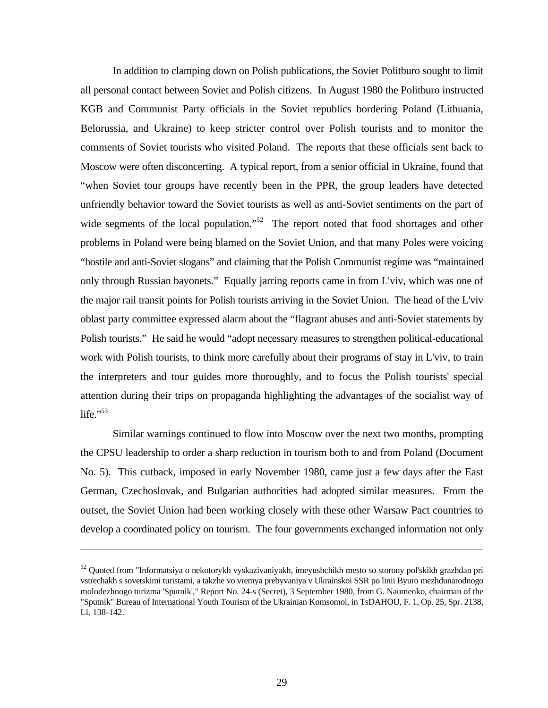In addition to clamping down on Polish publications, the Soviet Politburo sought to limit all personal contact between Soviet and Polish citizens. In August 1980 the Politburo instructed KGB and Communist Party officials in the Soviet republics bordering Poland (Lithuania, Belorussia, and Ukraine) to keep stricter control over Polish tourists and to monitor the comments of Soviet tourists who visited Poland. The reports that these officials sent back to Moscow were often disconcerting. A typical report, from a senior official in Ukraine, found that "when Soviet tour groups have recently been in the PPR, the group leaders have detected unfriendly behavior toward the Soviet tourists as well as anti-Soviet sentiments on the part of wide segments of the local population."<sup>52</sup> The report noted that food shortages and other problems in Poland were being blamed on the Soviet Union, and that many Poles were voicing "hostile and anti-Soviet slogans" and claiming that the Polish Communist regime was "maintained only through Russian bayonets." Equally jarring reports came in from L'viv, which was one of the major rail transit points for Polish tourists arriving in the Soviet Union. The head of the L'viv oblast party committee expressed alarm about the "flagrant abuses and anti-Soviet statements by Polish tourists." He said he would "adopt necessary measures to strengthen political-educational work with Polish tourists, to think more carefully about their programs of stay in L'viv, to train the interpreters and tour guides more thoroughly, and to focus the Polish tourists' special attention during their trips on propaganda highlighting the advantages of the socialist way of life." $53$ 

Similar warnings continued to flow into Moscow over the next two months, prompting the CPSU leadership to order a sharp reduction in tourism both to and from Poland (Document No. 5). This cutback, imposed in early November 1980, came just a few days after the East German, Czechoslovak, and Bulgarian authorities had adopted similar measures. From the outset, the Soviet Union had been working closely with these other Warsaw Pact countries to develop a coordinated policy on tourism. The four governments exchanged information not only

-

<sup>&</sup>lt;sup>52</sup> Quoted from "Informatsiya o nekotorykh vyskazivaniyakh, imeyushchikh mesto so storony pol'skikh grazhdan pri vstrechakh s sovetskimi turistami, a takzhe vo vremya prebyvaniya v Ukrainskoi SSR po linii Byuro mezhdunarodnogo molodezhnogo turizma 'Sputnik'," Report No. 24-s (Secret), 3 September 1980, from G. Naumenko, chairman of the "Sputnik" Bureau of International Youth Tourism of the Ukrainian Komsomol, in TsDAHOU, F. 1, Op. 25, Spr. 2138, Ll. 138-142.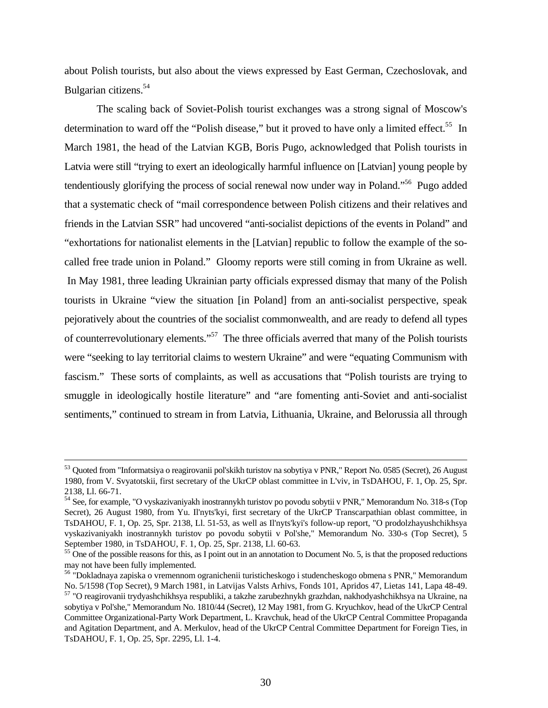about Polish tourists, but also about the views expressed by East German, Czechoslovak, and Bulgarian citizens.<sup>54</sup>

The scaling back of Soviet-Polish tourist exchanges was a strong signal of Moscow's determination to ward off the "Polish disease," but it proved to have only a limited effect.<sup>55</sup> In March 1981, the head of the Latvian KGB, Boris Pugo, acknowledged that Polish tourists in Latvia were still "trying to exert an ideologically harmful influence on [Latvian] young people by tendentiously glorifying the process of social renewal now under way in Poland.<sup>56</sup> Pugo added that a systematic check of "mail correspondence between Polish citizens and their relatives and friends in the Latvian SSR" had uncovered "anti-socialist depictions of the events in Poland" and "exhortations for nationalist elements in the [Latvian] republic to follow the example of the socalled free trade union in Poland." Gloomy reports were still coming in from Ukraine as well. In May 1981, three leading Ukrainian party officials expressed dismay that many of the Polish tourists in Ukraine "view the situation [in Poland] from an anti-socialist perspective, speak pejoratively about the countries of the socialist commonwealth, and are ready to defend all types of counterrevolutionary elements."<sup>57</sup> The three officials averred that many of the Polish tourists were "seeking to lay territorial claims to western Ukraine" and were "equating Communism with fascism." These sorts of complaints, as well as accusations that "Polish tourists are trying to smuggle in ideologically hostile literature" and "are fomenting anti-Soviet and anti-socialist sentiments," continued to stream in from Latvia, Lithuania, Ukraine, and Belorussia all through

<sup>53</sup> Quoted from "Informatsiya o reagirovanii pol'skikh turistov na sobytiya v PNR," Report No. 0585 (Secret), 26 August 1980, from V. Svyatotskii, first secretary of the UkrCP oblast committee in L'viv, in TsDAHOU, F. 1, Op. 25, Spr. 2138, Ll. 66-71.

<sup>54</sup> See, for example, "O vyskazivaniyakh inostrannykh turistov po povodu sobytii v PNR," Memorandum No. 318-s (Top Secret), 26 August 1980, from Yu. Il'nyts'kyi, first secretary of the UkrCP Transcarpathian oblast committee, in TsDAHOU, F. 1, Op. 25, Spr. 2138, Ll. 51-53, as well as Il'nyts'kyi's follow-up report, "O prodolzhayushchikhsya vyskazivaniyakh inostrannykh turistov po povodu sobytii v Pol'she," Memorandum No. 330-s (Top Secret), 5 September 1980, in TsDAHOU, F. 1, Op. 25, Spr. 2138, Ll. 60-63.

 $55$  One of the possible reasons for this, as I point out in an annotation to Document No. 5, is that the proposed reductions may not have been fully implemented.

<sup>56</sup> "Dokladnaya zapiska o vremennom ogranichenii turisticheskogo i studencheskogo obmena s PNR," Memorandum No. 5/1598 (Top Secret), 9 March 1981, in Latvijas Valsts Arhivs, Fonds 101, Apridos 47, Lietas 141, Lapa 48-49. <sup>57</sup> "O reagirovanii trydyashchikhsya respubliki, a takzhe zarubezhnykh grazhdan, nakhodyashchikhsya na Ukraine, na sobytiya v Pol'she," Memorandum No. 1810/44 (Secret), 12 May 1981, from G. Kryuchkov, head of the UkrCP Central Committee Organizational-Party Work Department, L. Kravchuk, head of the UkrCP Central Committee Propaganda and Agitation Department, and A. Merkulov, head of the UkrCP Central Committee Department for Foreign Ties, in TsDAHOU, F. 1, Op. 25, Spr. 2295, Ll. 1-4.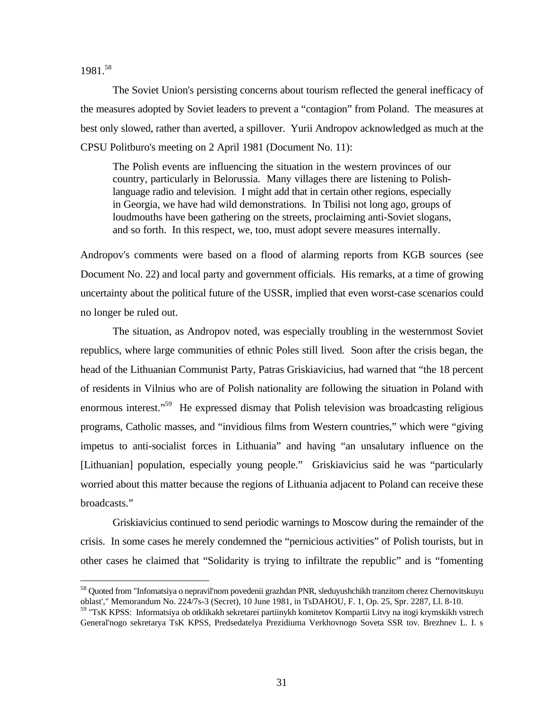1981.<sup>58</sup>

<u>.</u>

The Soviet Union's persisting concerns about tourism reflected the general inefficacy of the measures adopted by Soviet leaders to prevent a "contagion" from Poland. The measures at best only slowed, rather than averted, a spillover. Yurii Andropov acknowledged as much at the CPSU Politburo's meeting on 2 April 1981 (Document No. 11):

The Polish events are influencing the situation in the western provinces of our country, particularly in Belorussia. Many villages there are listening to Polishlanguage radio and television. I might add that in certain other regions, especially in Georgia, we have had wild demonstrations. In Tbilisi not long ago, groups of loudmouths have been gathering on the streets, proclaiming anti-Soviet slogans, and so forth. In this respect, we, too, must adopt severe measures internally.

Andropov's comments were based on a flood of alarming reports from KGB sources (see Document No. 22) and local party and government officials. His remarks, at a time of growing uncertainty about the political future of the USSR, implied that even worst-case scenarios could no longer be ruled out.

The situation, as Andropov noted, was especially troubling in the westernmost Soviet republics, where large communities of ethnic Poles still lived. Soon after the crisis began, the head of the Lithuanian Communist Party, Patras Griskiavicius, had warned that "the 18 percent of residents in Vilnius who are of Polish nationality are following the situation in Poland with enormous interest."<sup>59</sup> He expressed dismay that Polish television was broadcasting religious programs, Catholic masses, and "invidious films from Western countries," which were "giving impetus to anti-socialist forces in Lithuania" and having "an unsalutary influence on the [Lithuanian] population, especially young people." Griskiavicius said he was "particularly worried about this matter because the regions of Lithuania adjacent to Poland can receive these broadcasts."

Griskiavicius continued to send periodic warnings to Moscow during the remainder of the crisis. In some cases he merely condemned the "pernicious activities" of Polish tourists, but in other cases he claimed that "Solidarity is trying to infiltrate the republic" and is "fomenting

<sup>58</sup> Quoted from "Infomatsiya o nepravil'nom povedenii grazhdan PNR, sleduyushchikh tranzitom cherez Chernovitskuyu oblast'," Memorandum No. 224/7s-3 (Secret), 10 June 1981, in TsDAHOU, F. 1, Op. 25, Spr. 2287, Ll. 8-10.

<sup>&</sup>lt;sup>59</sup> "TsK KPSS: Informatsiya ob otklikakh sekretarei partiinykh komitetov Kompartii Litvy na itogi krymskikh vstrech General'nogo sekretarya TsK KPSS, Predsedatelya Prezidiuma Verkhovnogo Soveta SSR tov. Brezhnev L. I. s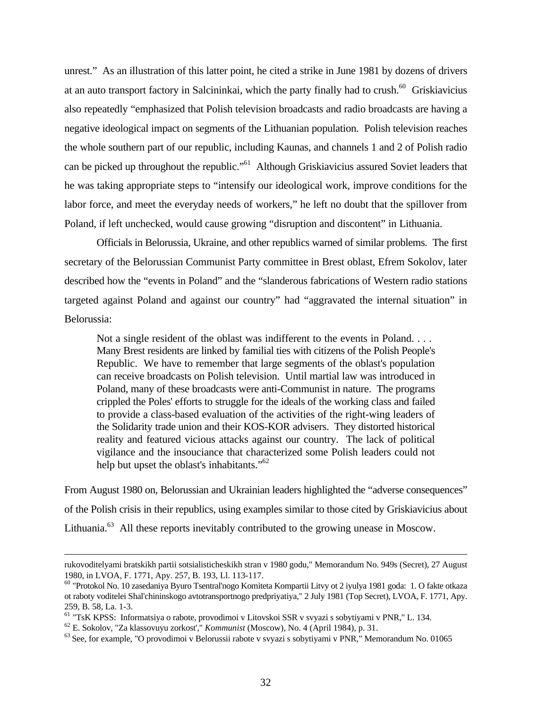unrest." As an illustration of this latter point, he cited a strike in June 1981 by dozens of drivers at an auto transport factory in Salcininkai, which the party finally had to crush.<sup>60</sup> Griskiavicius also repeatedly "emphasized that Polish television broadcasts and radio broadcasts are having a negative ideological impact on segments of the Lithuanian population. Polish television reaches the whole southern part of our republic, including Kaunas, and channels 1 and 2 of Polish radio can be picked up throughout the republic."<sup>61</sup> Although Griskiavicius assured Soviet leaders that he was taking appropriate steps to "intensify our ideological work, improve conditions for the labor force, and meet the everyday needs of workers," he left no doubt that the spillover from Poland, if left unchecked, would cause growing "disruption and discontent" in Lithuania.

Officials in Belorussia, Ukraine, and other republics warned of similar problems. The first secretary of the Belorussian Communist Party committee in Brest oblast, Efrem Sokolov, later described how the "events in Poland" and the "slanderous fabrications of Western radio stations targeted against Poland and against our country" had "aggravated the internal situation" in Belorussia:

Not a single resident of the oblast was indifferent to the events in Poland. . . . Many Brest residents are linked by familial ties with citizens of the Polish People's Republic. We have to remember that large segments of the oblast's population can receive broadcasts on Polish television. Until martial law was introduced in Poland, many of these broadcasts were anti-Communist in nature. The programs crippled the Poles' efforts to struggle for the ideals of the working class and failed to provide a class-based evaluation of the activities of the right-wing leaders of the Solidarity trade union and their KOS-KOR advisers. They distorted historical reality and featured vicious attacks against our country. The lack of political vigilance and the insouciance that characterized some Polish leaders could not help but upset the oblast's inhabitants."<sup>62</sup>

From August 1980 on, Belorussian and Ukrainian leaders highlighted the "adverse consequences" of the Polish crisis in their republics, using examples similar to those cited by Griskiavicius about Lithuania. $^{63}$  All these reports inevitably contributed to the growing unease in Moscow.

rukovoditelyami bratskikh partii sotsialisticheskikh stran v 1980 godu," Memorandum No. 949s (Secret), 27 August 1980, in LVOA, F. 1771, Apy. 257, B. 193, Ll. 113-117.

<sup>60</sup> "Protokol No. 10 zasedaniya Byuro Tsentral'nogo Komiteta Kompartii Litvy ot 2 iyulya 1981 goda: 1. O fakte otkaza ot raboty voditelei Shal'chininskogo avtotransportnogo predpriyatiya," 2 July 1981 (Top Secret), LVOA, F. 1771, Apy. 259, B. 58, La. 1-3.

<sup>61</sup> "TsK KPSS: Informatsiya o rabote, provodimoi v Litovskoi SSR v svyazi s sobytiyami v PNR," L. 134.

<sup>62</sup> E. Sokolov, "Za klassovuyu zorkost'," *Kommunist* (Moscow), No. 4 (April 1984), p. 31.

<sup>&</sup>lt;sup>63</sup> See, for example, "O provodimoi v Belorussii rabote v svyazi s sobytiyami v PNR," Memorandum No. 01065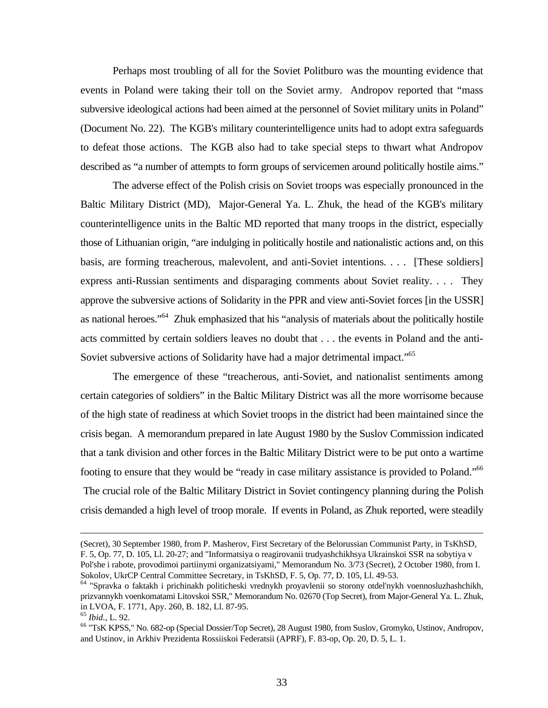Perhaps most troubling of all for the Soviet Politburo was the mounting evidence that events in Poland were taking their toll on the Soviet army. Andropov reported that "mass subversive ideological actions had been aimed at the personnel of Soviet military units in Poland" (Document No. 22). The KGB's military counterintelligence units had to adopt extra safeguards to defeat those actions. The KGB also had to take special steps to thwart what Andropov described as "a number of attempts to form groups of servicemen around politically hostile aims."

The adverse effect of the Polish crisis on Soviet troops was especially pronounced in the Baltic Military District (MD), Major-General Ya. L. Zhuk, the head of the KGB's military counterintelligence units in the Baltic MD reported that many troops in the district, especially those of Lithuanian origin, "are indulging in politically hostile and nationalistic actions and, on this basis, are forming treacherous, malevolent, and anti-Soviet intentions. . . . [These soldiers] express anti-Russian sentiments and disparaging comments about Soviet reality. . . . They approve the subversive actions of Solidarity in the PPR and view anti-Soviet forces [in the USSR] as national heroes."<sup>64</sup> Zhuk emphasized that his "analysis of materials about the politically hostile acts committed by certain soldiers leaves no doubt that . . . the events in Poland and the anti-Soviet subversive actions of Solidarity have had a major detrimental impact."<sup>65</sup>

The emergence of these "treacherous, anti-Soviet, and nationalist sentiments among certain categories of soldiers" in the Baltic Military District was all the more worrisome because of the high state of readiness at which Soviet troops in the district had been maintained since the crisis began. A memorandum prepared in late August 1980 by the Suslov Commission indicated that a tank division and other forces in the Baltic Military District were to be put onto a wartime footing to ensure that they would be "ready in case military assistance is provided to Poland."<sup>66</sup> The crucial role of the Baltic Military District in Soviet contingency planning during the Polish crisis demanded a high level of troop morale. If events in Poland, as Zhuk reported, were steadily

-

<sup>(</sup>Secret), 30 September 1980, from P. Masherov, First Secretary of the Belorussian Communist Party, in TsKhSD, F. 5, Op. 77, D. 105, Ll. 20-27; and "Informatsiya o reagirovanii trudyashchikhsya Ukrainskoi SSR na sobytiya v Pol'she i rabote, provodimoi partiinymi organizatsiyami," Memorandum No. 3/73 (Secret), 2 October 1980, from I. Sokolov, UkrCP Central Committee Secretary, in TsKhSD, F. 5, Op. 77, D. 105, Ll. 49-53.

<sup>64</sup> "Spravka o faktakh i prichinakh politicheski vrednykh proyavlenii so storony otdel'nykh voennosluzhashchikh, prizvannykh voenkomatami Litovskoi SSR," Memorandum No. 02670 (Top Secret), from Major-General Ya. L. Zhuk, in LVOA, F. 1771, Apy. 260, B. 182, Ll. 87-95.

<sup>65</sup> *Ibid.*, L. 92.

<sup>66</sup> "TsK KPSS," No. 682-op (Special Dossier/Top Secret), 28 August 1980, from Suslov, Gromyko, Ustinov, Andropov, and Ustinov, in Arkhiv Prezidenta Rossiiskoi Federatsii (APRF), F. 83-op, Op. 20, D. 5, L. 1.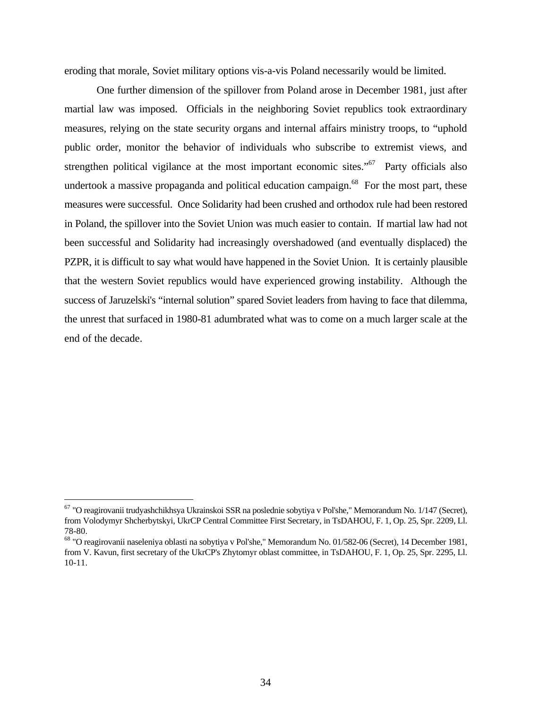eroding that morale, Soviet military options vis-a-vis Poland necessarily would be limited.

One further dimension of the spillover from Poland arose in December 1981, just after martial law was imposed. Officials in the neighboring Soviet republics took extraordinary measures, relying on the state security organs and internal affairs ministry troops, to "uphold public order, monitor the behavior of individuals who subscribe to extremist views, and strengthen political vigilance at the most important economic sites."<sup>67</sup> Party officials also undertook a massive propaganda and political education campaign.<sup>68</sup> For the most part, these measures were successful. Once Solidarity had been crushed and orthodox rule had been restored in Poland, the spillover into the Soviet Union was much easier to contain. If martial law had not been successful and Solidarity had increasingly overshadowed (and eventually displaced) the PZPR, it is difficult to say what would have happened in the Soviet Union. It is certainly plausible that the western Soviet republics would have experienced growing instability. Although the success of Jaruzelski's "internal solution" spared Soviet leaders from having to face that dilemma, the unrest that surfaced in 1980-81 adumbrated what was to come on a much larger scale at the end of the decade.

<sup>&</sup>lt;sup>67</sup> "O reagirovanii trudyashchikhsya Ukrainskoi SSR na poslednie sobytiya v Pol'she," Memorandum No. 1/147 (Secret), from Volodymyr Shcherbytskyi, UkrCP Central Committee First Secretary, in TsDAHOU, F. 1, Op. 25, Spr. 2209, Ll. 78-80.

<sup>68</sup> "O reagirovanii naseleniya oblasti na sobytiya v Pol'she," Memorandum No. 01/582-06 (Secret), 14 December 1981, from V. Kavun, first secretary of the UkrCP's Zhytomyr oblast committee, in TsDAHOU, F. 1, Op. 25, Spr. 2295, Ll. 10-11.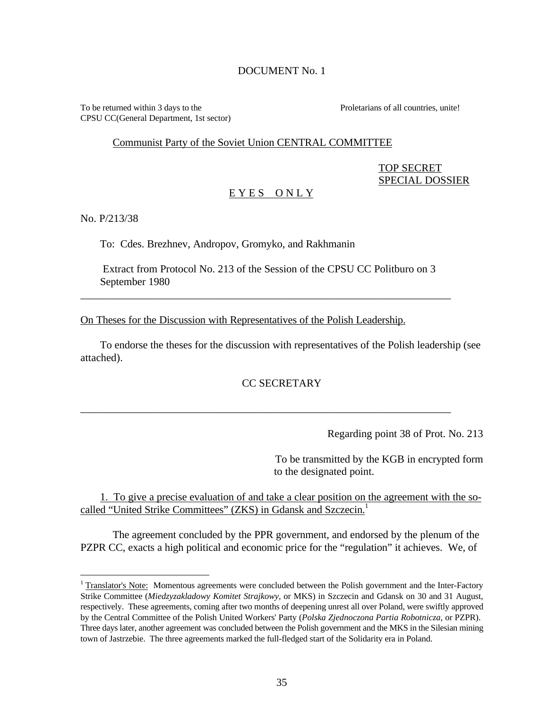## DOCUMENT No. 1

To be returned within 3 days to the Proletarians of all countries, unite! CPSU CC(General Department, 1st sector)

#### Communist Party of the Soviet Union CENTRAL COMMITTEE

# TOP SECRET SPECIAL DOSSIER

## E Y E S O N L Y

No. P/213/38

 $\overline{a}$ 

To: Cdes. Brezhnev, Andropov, Gromyko, and Rakhmanin

 Extract from Protocol No. 213 of the Session of the CPSU CC Politburo on 3 September 1980

\_\_\_\_\_\_\_\_\_\_\_\_\_\_\_\_\_\_\_\_\_\_\_\_\_\_\_\_\_\_\_\_\_\_\_\_\_\_\_\_\_\_\_\_\_\_\_\_\_\_\_\_\_\_\_\_\_\_\_\_\_\_\_\_\_\_\_\_\_

On Theses for the Discussion with Representatives of the Polish Leadership.

To endorse the theses for the discussion with representatives of the Polish leadership (see attached).

# CC SECRETARY

\_\_\_\_\_\_\_\_\_\_\_\_\_\_\_\_\_\_\_\_\_\_\_\_\_\_\_\_\_\_\_\_\_\_\_\_\_\_\_\_\_\_\_\_\_\_\_\_\_\_\_\_\_\_\_\_\_\_\_\_\_\_\_\_\_\_\_\_\_

Regarding point 38 of Prot. No. 213

To be transmitted by the KGB in encrypted form to the designated point.

1. To give a precise evaluation of and take a clear position on the agreement with the socalled "United Strike Committees" (ZKS) in Gdansk and Szczecin.<sup>1</sup>

The agreement concluded by the PPR government, and endorsed by the plenum of the PZPR CC, exacts a high political and economic price for the "regulation" it achieves. We, of

<sup>&</sup>lt;sup>1</sup> Translator's Note: Momentous agreements were concluded between the Polish government and the Inter-Factory Strike Committee (*Miedzyzakladowy Komitet Strajkowy*, or MKS) in Szczecin and Gdansk on 30 and 31 August, respectively. These agreements, coming after two months of deepening unrest all over Poland, were swiftly approved by the Central Committee of the Polish United Workers' Party (*Polska Zjednoczona Partia Robotnicza*, or PZPR). Three days later, another agreement was concluded between the Polish government and the MKS in the Silesian mining town of Jastrzebie. The three agreements marked the full-fledged start of the Solidarity era in Poland.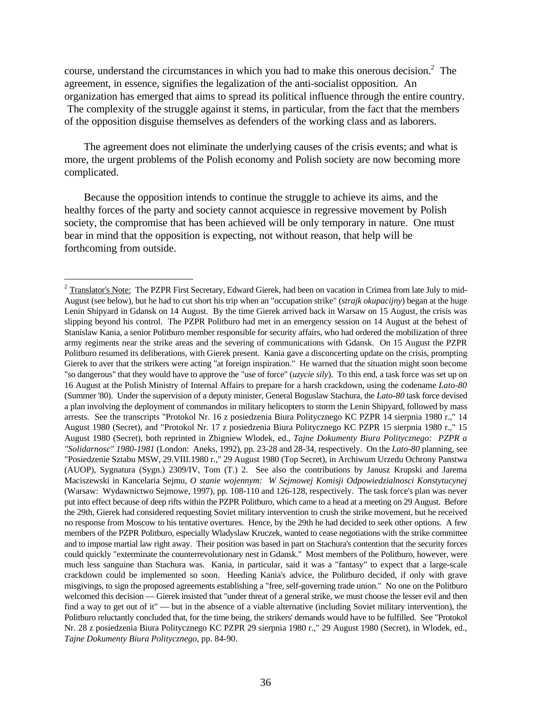course, understand the circumstances in which you had to make this onerous decision.<sup>2</sup> The agreement, in essence, signifies the legalization of the anti-socialist opposition. An organization has emerged that aims to spread its political influence through the entire country.

 The complexity of the struggle against it stems, in particular, from the fact that the members of the opposition disguise themselves as defenders of the working class and as laborers.

The agreement does not eliminate the underlying causes of the crisis events; and what is more, the urgent problems of the Polish economy and Polish society are now becoming more complicated.

Because the opposition intends to continue the struggle to achieve its aims, and the healthy forces of the party and society cannot acquiesce in regressive movement by Polish society, the compromise that has been achieved will be only temporary in nature. One must bear in mind that the opposition is expecting, not without reason, that help will be forthcoming from outside.

-

 $2$  Translator's Note: The PZPR First Secretary, Edward Gierek, had been on vacation in Crimea from late July to mid-August (see below), but he had to cut short his trip when an "occupation strike" (*strajk okupacijny*) began at the huge Lenin Shipyard in Gdansk on 14 August. By the time Gierek arrived back in Warsaw on 15 August, the crisis was slipping beyond his control. The PZPR Politburo had met in an emergency session on 14 August at the behest of Stanislaw Kania, a senior Politburo member responsible for security affairs, who had ordered the mobilization of three army regiments near the strike areas and the severing of communications with Gdansk. On 15 August the PZPR Politburo resumed its deliberations, with Gierek present. Kania gave a disconcerting update on the crisis, prompting Gierek to aver that the strikers were acting "at foreign inspiration." He warned that the situation might soon become "so dangerous" that they would have to approve the "use of force" (*uzycie sily*). To this end, a task force was set up on 16 August at the Polish Ministry of Internal Affairs to prepare for a harsh crackdown, using the codename *Lato-80* (Summer '80). Under the supervision of a deputy minister, General Boguslaw Stachura, the *Lato-80* task force devised a plan involving the deployment of commandos in military helicopters to storm the Lenin Shipyard, followed by mass arrests. See the transcripts "Protokol Nr. 16 z posiedzenia Biura Politycznego KC PZPR 14 sierpnia 1980 r.," 14 August 1980 (Secret), and "Protokol Nr. 17 z posiedzenia Biura Politycznego KC PZPR 15 sierpnia 1980 r.," 15 August 1980 (Secret), both reprinted in Zbigniew Wlodek, ed., *Tajne Dokumenty Biura Politycznego: PZPR a "Solidarnosc" 1980-1981* (London: Aneks, 1992), pp. 23-28 and 28-34, respectively. On the *Lato-80* planning, see "Posiedzenie Sztabu MSW, 29.VIII.1980 r.," 29 August 1980 (Top Secret), in Archiwum Urzedu Ochrony Panstwa (AUOP), Sygnatura (Sygn.) 2309/IV, Tom (T.) 2. See also the contributions by Janusz Krupski and Jarema Maciszewski in Kancelaria Sejmu, *O stanie wojennym: W Sejmowej Komisji Odpowiedzialnosci Konstytucynej* (Warsaw: Wydawnictwo Sejmowe, 1997), pp. 108-110 and 126-128, respectively. The task force's plan was never put into effect because of deep rifts within the PZPR Politburo, which came to a head at a meeting on 29 August. Before the 29th, Gierek had considered requesting Soviet military intervention to crush the strike movement, but he received no response from Moscow to his tentative overtures. Hence, by the 29th he had decided to seek other options. A few members of the PZPR Politburo, especially Wladyslaw Kruczek, wanted to cease negotiations with the strike committee and to impose martial law right away. Their position was based in part on Stachura's contention that the security forces could quickly "exterminate the counterrevolutionary nest in Gdansk." Most members of the Politburo, however, were much less sanguine than Stachura was. Kania, in particular, said it was a "fantasy" to expect that a large-scale crackdown could be implemented so soon. Heeding Kania's advice, the Politburo decided, if only with grave misgivings, to sign the proposed agreements establishing a "free, self-governing trade union." No one on the Politburo welcomed this decision — Gierek insisted that "under threat of a general strike, we must choose the lesser evil and then find a way to get out of it" — but in the absence of a viable alternative (including Soviet military intervention), the Politburo reluctantly concluded that, for the time being, the strikers' demands would have to be fulfilled. See "Protokol Nr. 28 z posiedzenia Biura Politycznego KC PZPR 29 sierpnia 1980 r.," 29 August 1980 (Secret), in Wlodek, ed., *Tajne Dokumenty Biura Politycznego*, pp. 84-90.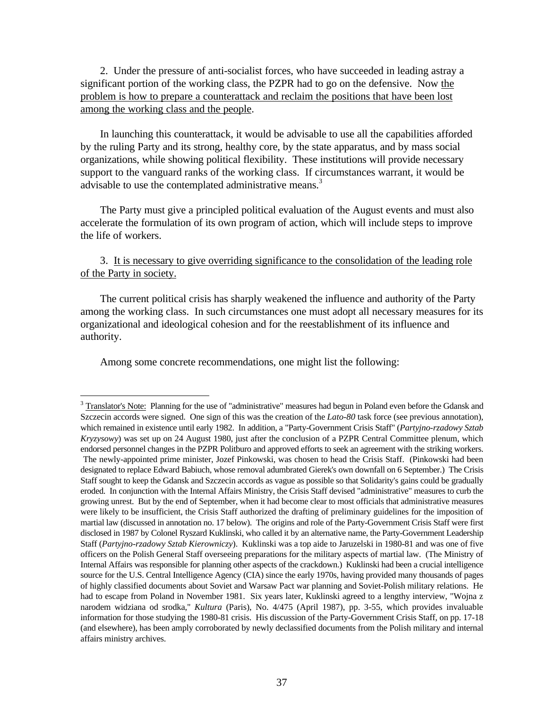2. Under the pressure of anti-socialist forces, who have succeeded in leading astray a significant portion of the working class, the PZPR had to go on the defensive. Now the problem is how to prepare a counterattack and reclaim the positions that have been lost among the working class and the people.

In launching this counterattack, it would be advisable to use all the capabilities afforded by the ruling Party and its strong, healthy core, by the state apparatus, and by mass social organizations, while showing political flexibility. These institutions will provide necessary support to the vanguard ranks of the working class. If circumstances warrant, it would be advisable to use the contemplated administrative means.<sup>3</sup>

The Party must give a principled political evaluation of the August events and must also accelerate the formulation of its own program of action, which will include steps to improve the life of workers.

3. It is necessary to give overriding significance to the consolidation of the leading role of the Party in society.

The current political crisis has sharply weakened the influence and authority of the Party among the working class. In such circumstances one must adopt all necessary measures for its organizational and ideological cohesion and for the reestablishment of its influence and authority.

Among some concrete recommendations, one might list the following:

 $\overline{a}$ 

 $3$  Translator's Note: Planning for the use of "administrative" measures had begun in Poland even before the Gdansk and Szczecin accords were signed. One sign of this was the creation of the *Lato-80* task force (see previous annotation), which remained in existence until early 1982. In addition, a "Party-Government Crisis Staff" (*Partyjno-rzadowy Sztab Kryzysowy*) was set up on 24 August 1980, just after the conclusion of a PZPR Central Committee plenum, which endorsed personnel changes in the PZPR Politburo and approved efforts to seek an agreement with the striking workers. The newly-appointed prime minister, Jozef Pinkowski, was chosen to head the Crisis Staff. (Pinkowski had been designated to replace Edward Babiuch, whose removal adumbrated Gierek's own downfall on 6 September.) The Crisis Staff sought to keep the Gdansk and Szczecin accords as vague as possible so that Solidarity's gains could be gradually eroded. In conjunction with the Internal Affairs Ministry, the Crisis Staff devised "administrative" measures to curb the growing unrest. But by the end of September, when it had become clear to most officials that administrative measures were likely to be insufficient, the Crisis Staff authorized the drafting of preliminary guidelines for the imposition of martial law (discussed in annotation no. 17 below). The origins and role of the Party-Government Crisis Staff were first disclosed in 1987 by Colonel Ryszard Kuklinski, who called it by an alternative name, the Party-Government Leadership Staff (*Partyjno-rzadowy Sztab Kierowniczy*). Kuklinski was a top aide to Jaruzelski in 1980-81 and was one of five officers on the Polish General Staff overseeing preparations for the military aspects of martial law. (The Ministry of Internal Affairs was responsible for planning other aspects of the crackdown.) Kuklinski had been a crucial intelligence source for the U.S. Central Intelligence Agency (CIA) since the early 1970s, having provided many thousands of pages of highly classified documents about Soviet and Warsaw Pact war planning and Soviet-Polish military relations. He had to escape from Poland in November 1981. Six years later, Kuklinski agreed to a lengthy interview, "Wojna z narodem widziana od srodka," *Kultura* (Paris), No. 4/475 (April 1987), pp. 3-55, which provides invaluable information for those studying the 1980-81 crisis. His discussion of the Party-Government Crisis Staff, on pp. 17-18 (and elsewhere), has been amply corroborated by newly declassified documents from the Polish military and internal affairs ministry archives.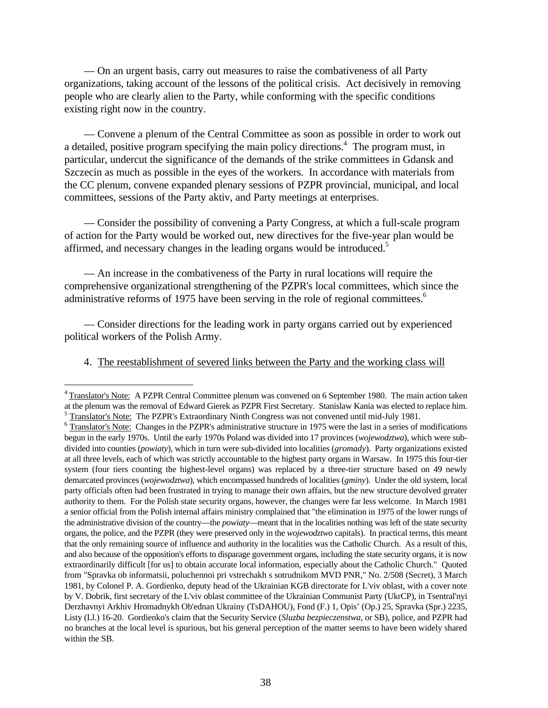— On an urgent basis, carry out measures to raise the combativeness of all Party organizations, taking account of the lessons of the political crisis. Act decisively in removing people who are clearly alien to the Party, while conforming with the specific conditions existing right now in the country.

— Convene a plenum of the Central Committee as soon as possible in order to work out a detailed, positive program specifying the main policy directions.<sup>4</sup> The program must, in particular, undercut the significance of the demands of the strike committees in Gdansk and Szczecin as much as possible in the eyes of the workers. In accordance with materials from the CC plenum, convene expanded plenary sessions of PZPR provincial, municipal, and local committees, sessions of the Party aktiv, and Party meetings at enterprises.

— Consider the possibility of convening a Party Congress, at which a full-scale program of action for the Party would be worked out, new directives for the five-year plan would be affirmed, and necessary changes in the leading organs would be introduced.<sup>5</sup>

— An increase in the combativeness of the Party in rural locations will require the comprehensive organizational strengthening of the PZPR's local committees, which since the administrative reforms of 1975 have been serving in the role of regional committees.<sup>6</sup>

— Consider directions for the leading work in party organs carried out by experienced political workers of the Polish Army.

# 4. The reestablishment of severed links between the Party and the working class will

 $\overline{a}$ 

<sup>&</sup>lt;sup>4</sup> Translator's Note: A PZPR Central Committee plenum was convened on 6 September 1980. The main action taken at the plenum was the removal of Edward Gierek as PZPR First Secretary. Stanislaw Kania was elected to replace him.  $<sup>5</sup>$  Translator's Note: The PZPR's Extraordinary Ninth Congress was not convened until mid-July 1981.</sup>

 $6$  Translator's Note: Changes in the PZPR's administrative structure in 1975 were the last in a series of modifications begun in the early 1970s. Until the early 1970s Poland was divided into 17 provinces (*wojewodztwa*), which were subdivided into counties (*powiaty*), which in turn were sub-divided into localities (*gromady*). Party organizations existed at all three levels, each of which was strictly accountable to the highest party organs in Warsaw. In 1975 this four-tier system (four tiers counting the highest-level organs) was replaced by a three-tier structure based on 49 newly demarcated provinces (*wojewodztwa*), which encompassed hundreds of localities (*gminy*). Under the old system, local party officials often had been frustrated in trying to manage their own affairs, but the new structure devolved greater authority to them. For the Polish state security organs, however, the changes were far less welcome. In March 1981 a senior official from the Polish internal affairs ministry complained that "the elimination in 1975 of the lower rungs of the administrative division of the country—the *powiaty*—meant that in the localities nothing was left of the state security organs, the police, and the PZPR (they were preserved only in the *wojewodztwo* capitals). In practical terms, this meant that the only remaining source of influence and authority in the localities was the Catholic Church. As a result of this, and also because of the opposition's efforts to disparage government organs, including the state security organs, it is now extraordinarily difficult [for us] to obtain accurate local information, especially about the Catholic Church." Quoted from "Spravka ob informatsii, poluchennoi pri vstrechakh s sotrudnikom MVD PNR," No. 2/508 (Secret), 3 March 1981, by Colonel P. A. Gordienko, deputy head of the Ukrainian KGB directorate for L'viv oblast, with a cover note by V. Dobrik, first secretary of the L'viv oblast committee of the Ukrainian Communist Party (UkrCP), in Tsentral'nyi Derzhavnyi Arkhiv Hromadnykh Ob'ednan Ukrainy (TsDAHOU), Fond (F.) 1, Opis' (Op.) 25, Spravka (Spr.) 2235, Listy (Ll.) 16-20. Gordienko's claim that the Security Service (*Sluzba bezpieczenstwa*, or SB), police, and PZPR had no branches at the local level is spurious, but his general perception of the matter seems to have been widely shared within the SB.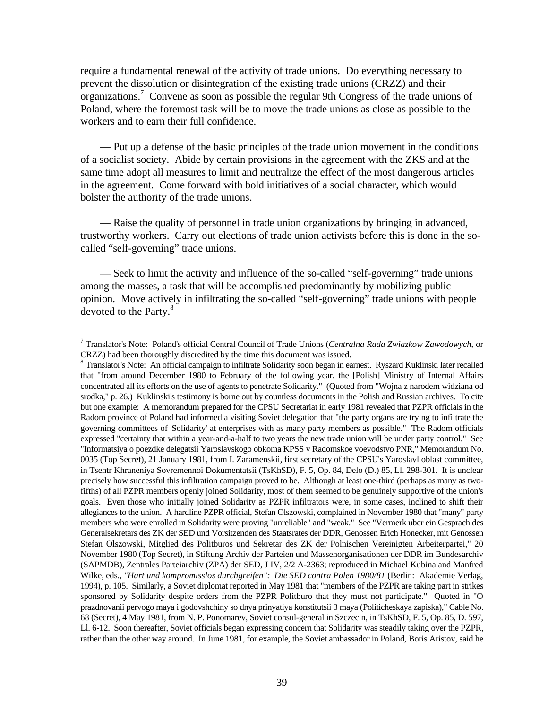require a fundamental renewal of the activity of trade unions. Do everything necessary to prevent the dissolution or disintegration of the existing trade unions (CRZZ) and their organizations.<sup>7</sup> Convene as soon as possible the regular 9th Congress of the trade unions of Poland, where the foremost task will be to move the trade unions as close as possible to the workers and to earn their full confidence.

— Put up a defense of the basic principles of the trade union movement in the conditions of a socialist society. Abide by certain provisions in the agreement with the ZKS and at the same time adopt all measures to limit and neutralize the effect of the most dangerous articles in the agreement. Come forward with bold initiatives of a social character, which would bolster the authority of the trade unions.

— Raise the quality of personnel in trade union organizations by bringing in advanced, trustworthy workers. Carry out elections of trade union activists before this is done in the socalled "self-governing" trade unions.

— Seek to limit the activity and influence of the so-called "self-governing" trade unions among the masses, a task that will be accomplished predominantly by mobilizing public opinion. Move actively in infiltrating the so-called "self-governing" trade unions with people devoted to the Party.<sup>8</sup>

<sup>7</sup> Translator's Note: Poland's official Central Council of Trade Unions (*Centralna Rada Zwiazkow Zawodowych*, or CRZZ) had been thoroughly discredited by the time this document was issued.

<sup>&</sup>lt;sup>8</sup> Translator's Note: An official campaign to infiltrate Solidarity soon began in earnest. Ryszard Kuklinski later recalled that "from around December 1980 to February of the following year, the [Polish] Ministry of Internal Affairs concentrated all its efforts on the use of agents to penetrate Solidarity." (Quoted from "Wojna z narodem widziana od srodka," p. 26.) Kuklinski's testimony is borne out by countless documents in the Polish and Russian archives. To cite but one example: A memorandum prepared for the CPSU Secretariat in early 1981 revealed that PZPR officials in the Radom province of Poland had informed a visiting Soviet delegation that "the party organs are trying to infiltrate the governing committees of 'Solidarity' at enterprises with as many party members as possible." The Radom officials expressed "certainty that within a year-and-a-half to two years the new trade union will be under party control." See "Informatsiya o poezdke delegatsii Yaroslavskogo obkoma KPSS v Radomskoe voevodstvo PNR," Memorandum No. 0035 (Top Secret), 21 January 1981, from I. Zaramenskii, first secretary of the CPSU's Yaroslavl oblast committee, in Tsentr Khraneniya Sovremennoi Dokumentatsii (TsKhSD), F. 5, Op. 84, Delo (D.) 85, Ll. 298-301. It is unclear precisely how successful this infiltration campaign proved to be. Although at least one-third (perhaps as many as twofifths) of all PZPR members openly joined Solidarity, most of them seemed to be genuinely supportive of the union's goals. Even those who initially joined Solidarity as PZPR infiltrators were, in some cases, inclined to shift their allegiances to the union. A hardline PZPR official, Stefan Olszowski, complained in November 1980 that "many" party members who were enrolled in Solidarity were proving "unreliable" and "weak." See "Vermerk uber ein Gesprach des Generalsekretars des ZK der SED und Vorsitzenden des Staatsrates der DDR, Genossen Erich Honecker, mit Genossen Stefan Olszowski, Mitglied des Politburos und Sekretar des ZK der Polnischen Vereinigten Arbeiterpartei," 20 November 1980 (Top Secret), in Stiftung Archiv der Parteien und Massenorganisationen der DDR im Bundesarchiv (SAPMDB), Zentrales Parteiarchiv (ZPA) der SED, J IV, 2/2 A-2363; reproduced in Michael Kubina and Manfred Wilke, eds., *"Hart und kompromisslos durchgreifen": Die SED contra Polen 1980/81* (Berlin: Akademie Verlag, 1994), p. 105. Similarly, a Soviet diplomat reported in May 1981 that "members of the PZPR are taking part in strikes sponsored by Solidarity despite orders from the PZPR Politburo that they must not participate." Quoted in "O prazdnovanii pervogo maya i godovshchiny so dnya prinyatiya konstitutsii 3 maya (Politicheskaya zapiska)," Cable No. 68 (Secret), 4 May 1981, from N. P. Ponomarev, Soviet consul-general in Szczecin, in TsKhSD, F. 5, Op. 85, D. 597, Ll. 6-12. Soon thereafter, Soviet officials began expressing concern that Solidarity was steadily taking over the PZPR, rather than the other way around. In June 1981, for example, the Soviet ambassador in Poland, Boris Aristov, said he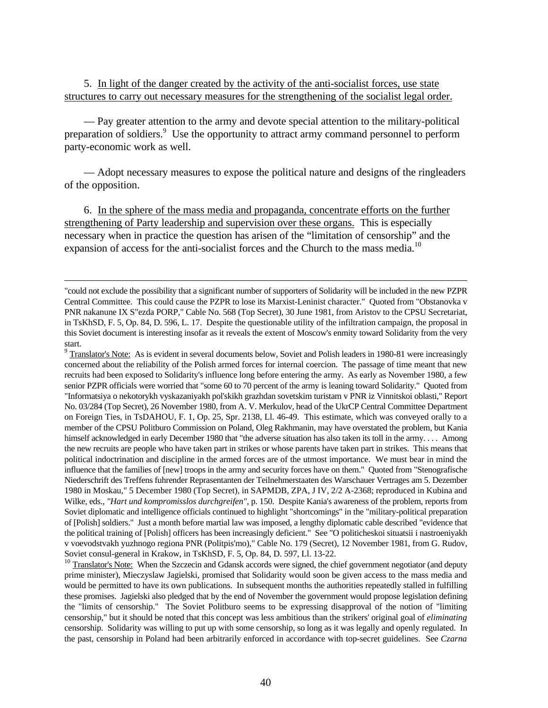5. In light of the danger created by the activity of the anti-socialist forces, use state structures to carry out necessary measures for the strengthening of the socialist legal order.

— Pay greater attention to the army and devote special attention to the military-political preparation of soldiers.<sup>9</sup> Use the opportunity to attract army command personnel to perform party-economic work as well.

— Adopt necessary measures to expose the political nature and designs of the ringleaders of the opposition.

6. In the sphere of the mass media and propaganda, concentrate efforts on the further strengthening of Party leadership and supervision over these organs. This is especially necessary when in practice the question has arisen of the "limitation of censorship" and the expansion of access for the anti-socialist forces and the Church to the mass media.<sup>10</sup>

 $\overline{a}$ 

 $9 \text{ Translator's Note: }$  As is evident in several documents below, Soviet and Polish leaders in 1980-81 were increasingly concerned about the reliability of the Polish armed forces for internal coercion. The passage of time meant that new recruits had been exposed to Solidarity's influence long before entering the army. As early as November 1980, a few senior PZPR officials were worried that "some 60 to 70 percent of the army is leaning toward Solidarity." Quoted from "Informatsiya o nekotorykh vyskazaniyakh pol'skikh grazhdan sovetskim turistam v PNR iz Vinnitskoi oblasti," Report No. 03/284 (Top Secret), 26 November 1980, from A. V. Merkulov, head of the UkrCP Central Committee Department on Foreign Ties, in TsDAHOU, F. 1, Op. 25, Spr. 2138, Ll. 46-49. This estimate, which was conveyed orally to a member of the CPSU Politburo Commission on Poland, Oleg Rakhmanin, may have overstated the problem, but Kania himself acknowledged in early December 1980 that "the adverse situation has also taken its toll in the army.... Among the new recruits are people who have taken part in strikes or whose parents have taken part in strikes. This means that political indoctrination and discipline in the armed forces are of the utmost importance. We must bear in mind the influence that the families of [new] troops in the army and security forces have on them." Quoted from "Stenografische Niederschrift des Treffens fuhrender Reprasentanten der Teilnehmerstaaten des Warschauer Vertrages am 5. Dezember 1980 in Moskau," 5 December 1980 (Top Secret), in SAPMDB, ZPA, J IV, 2/2 A-2368; reproduced in Kubina and Wilke, eds., *"Hart und kompromisslos durchgreifen"*, p. 150. Despite Kania's awareness of the problem, reports from Soviet diplomatic and intelligence officials continued to highlight "shortcomings" in the "military-political preparation of [Polish] soldiers." Just a month before martial law was imposed, a lengthy diplomatic cable described "evidence that the political training of [Polish] officers has been increasingly deficient." See "O politicheskoi situatsii i nastroeniyakh v voevodstvakh yuzhnogo regiona PNR (Politpis'mo)," Cable No. 179 (Secret), 12 November 1981, from G. Rudov, Soviet consul-general in Krakow, in TsKhSD, F. 5, Op. 84, D. 597, Ll. 13-22.

<sup>10</sup> Translator's Note: When the Szczecin and Gdansk accords were signed, the chief government negotiator (and deputy prime minister), Mieczyslaw Jagielski, promised that Solidarity would soon be given access to the mass media and would be permitted to have its own publications. In subsequent months the authorities repeatedly stalled in fulfilling these promises. Jagielski also pledged that by the end of November the government would propose legislation defining the "limits of censorship." The Soviet Politburo seems to be expressing disapproval of the notion of "limiting censorship," but it should be noted that this concept was less ambitious than the strikers' original goal of *eliminating* censorship. Solidarity was willing to put up with some censorship, so long as it was legally and openly regulated. In the past, censorship in Poland had been arbitrarily enforced in accordance with top-secret guidelines. See *Czarna*

<sup>&</sup>quot;could not exclude the possibility that a significant number of supporters of Solidarity will be included in the new PZPR Central Committee. This could cause the PZPR to lose its Marxist-Leninist character." Quoted from "Obstanovka v PNR nakanune IX S"ezda PORP," Cable No. 568 (Top Secret), 30 June 1981, from Aristov to the CPSU Secretariat, in TsKhSD, F. 5, Op. 84, D. 596, L. 17. Despite the questionable utility of the infiltration campaign, the proposal in this Soviet document is interesting insofar as it reveals the extent of Moscow's enmity toward Solidarity from the very start.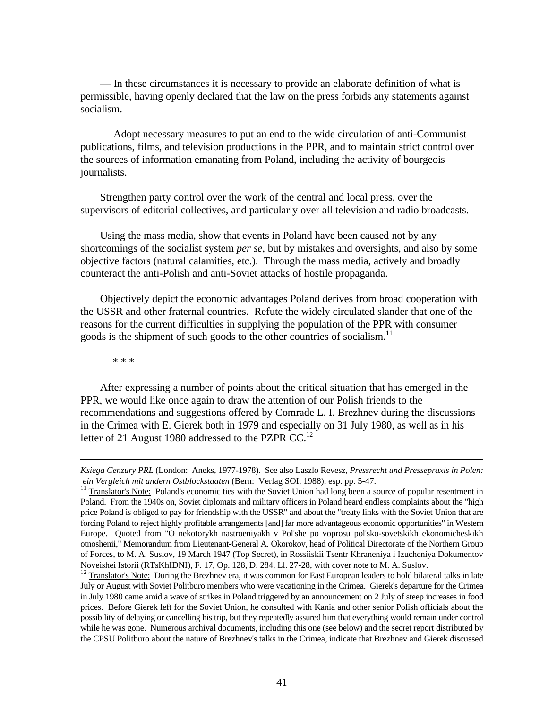— In these circumstances it is necessary to provide an elaborate definition of what is permissible, having openly declared that the law on the press forbids any statements against socialism.

— Adopt necessary measures to put an end to the wide circulation of anti-Communist publications, films, and television productions in the PPR, and to maintain strict control over the sources of information emanating from Poland, including the activity of bourgeois journalists.

Strengthen party control over the work of the central and local press, over the supervisors of editorial collectives, and particularly over all television and radio broadcasts.

Using the mass media, show that events in Poland have been caused not by any shortcomings of the socialist system *per se*, but by mistakes and oversights, and also by some objective factors (natural calamities, etc.). Through the mass media, actively and broadly counteract the anti-Polish and anti-Soviet attacks of hostile propaganda.

Objectively depict the economic advantages Poland derives from broad cooperation with the USSR and other fraternal countries. Refute the widely circulated slander that one of the reasons for the current difficulties in supplying the population of the PPR with consumer goods is the shipment of such goods to the other countries of socialism.<sup>11</sup>

\* \* \*

<u>.</u>

After expressing a number of points about the critical situation that has emerged in the PPR, we would like once again to draw the attention of our Polish friends to the recommendations and suggestions offered by Comrade L. I. Brezhnev during the discussions in the Crimea with E. Gierek both in 1979 and especially on 31 July 1980, as well as in his letter of 21 August 1980 addressed to the PZPR CC.<sup>12</sup>

*Ksiega Cenzury PRL* (London: Aneks, 1977-1978). See also Laszlo Revesz, *Pressrecht und Pressepraxis in Polen: ein Vergleich mit andern Ostblockstaaten* (Bern: Verlag SOI, 1988), esp. pp. 5-47.

<sup>&</sup>lt;sup>11</sup> Translator's Note: Poland's economic ties with the Soviet Union had long been a source of popular resentment in Poland. From the 1940s on, Soviet diplomats and military officers in Poland heard endless complaints about the "high price Poland is obliged to pay for friendship with the USSR" and about the "treaty links with the Soviet Union that are forcing Poland to reject highly profitable arrangements [and] far more advantageous economic opportunities" in Western Europe. Quoted from "O nekotorykh nastroeniyakh v Pol'she po voprosu pol'sko-sovetskikh ekonomicheskikh otnoshenii," Memorandum from Lieutenant-General A. Okorokov, head of Political Directorate of the Northern Group of Forces, to M. A. Suslov, 19 March 1947 (Top Secret), in Rossiiskii Tsentr Khraneniya i Izucheniya Dokumentov Noveishei Istorii (RTsKhIDNI), F. 17, Op. 128, D. 284, Ll. 27-28, with cover note to M. A. Suslov.

<sup>&</sup>lt;sup>12</sup> Translator's Note: During the Brezhnev era, it was common for East European leaders to hold bilateral talks in late July or August with Soviet Politburo members who were vacationing in the Crimea. Gierek's departure for the Crimea in July 1980 came amid a wave of strikes in Poland triggered by an announcement on 2 July of steep increases in food prices. Before Gierek left for the Soviet Union, he consulted with Kania and other senior Polish officials about the possibility of delaying or cancelling his trip, but they repeatedly assured him that everything would remain under control while he was gone. Numerous archival documents, including this one (see below) and the secret report distributed by the CPSU Politburo about the nature of Brezhnev's talks in the Crimea, indicate that Brezhnev and Gierek discussed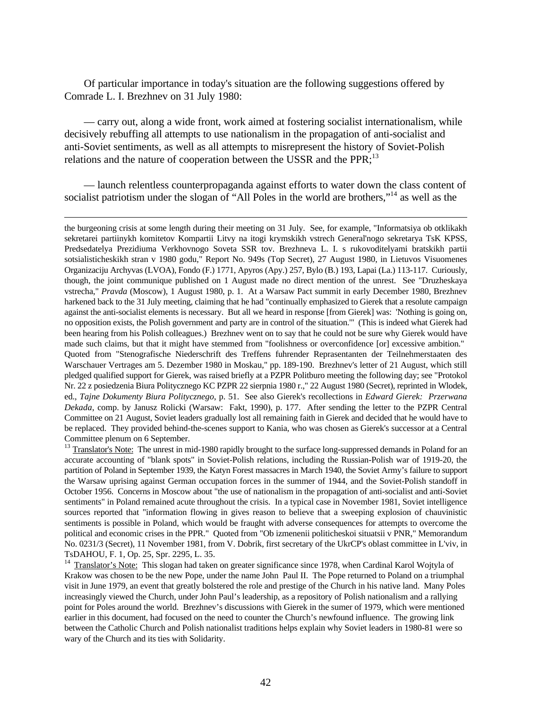Of particular importance in today's situation are the following suggestions offered by Comrade L. I. Brezhnev on 31 July 1980:

— carry out, along a wide front, work aimed at fostering socialist internationalism, while decisively rebuffing all attempts to use nationalism in the propagation of anti-socialist and anti-Soviet sentiments, as well as all attempts to misrepresent the history of Soviet-Polish relations and the nature of cooperation between the USSR and the PPR; $^{13}$ 

— launch relentless counterpropaganda against efforts to water down the class content of socialist patriotism under the slogan of "All Poles in the world are brothers,"<sup>14</sup> as well as the

-

the burgeoning crisis at some length during their meeting on 31 July. See, for example, "Informatsiya ob otklikakh sekretarei partiinykh komitetov Kompartii Litvy na itogi krymskikh vstrech General'nogo sekretarya TsK KPSS, Predsedatelya Prezidiuma Verkhovnogo Soveta SSR tov. Brezhneva L. I. s rukovoditelyami bratskikh partii sotsialisticheskikh stran v 1980 godu," Report No. 949s (Top Secret), 27 August 1980, in Lietuvos Visuomenes Organizaciju Archyvas (LVOA), Fondo (F.) 1771, Apyros (Apy.) 257, Bylo (B.) 193, Lapai (La.) 113-117. Curiously, though, the joint communique published on 1 August made no direct mention of the unrest. See "Druzheskaya vstrecha," *Pravda* (Moscow), 1 August 1980, p. 1. At a Warsaw Pact summit in early December 1980, Brezhnev harkened back to the 31 July meeting, claiming that he had "continually emphasized to Gierek that a resolute campaign against the anti-socialist elements is necessary. But all we heard in response [from Gierek] was: 'Nothing is going on, no opposition exists, the Polish government and party are in control of the situation.'" (This is indeed what Gierek had been hearing from his Polish colleagues.) Brezhnev went on to say that he could not be sure why Gierek would have made such claims, but that it might have stemmed from "foolishness or overconfidence [or] excessive ambition." Quoted from "Stenografische Niederschrift des Treffens fuhrender Reprasentanten der Teilnehmerstaaten des Warschauer Vertrages am 5. Dezember 1980 in Moskau," pp. 189-190. Brezhnev's letter of 21 August, which still pledged qualified support for Gierek, was raised briefly at a PZPR Politburo meeting the following day; see "Protokol Nr. 22 z posiedzenia Biura Politycznego KC PZPR 22 sierpnia 1980 r.," 22 August 1980 (Secret), reprinted in Wlodek, ed., *Tajne Dokumenty Biura Politycznego*, p. 51. See also Gierek's recollections in *Edward Gierek: Przerwana Dekada*, comp. by Janusz Rolicki (Warsaw: Fakt, 1990), p. 177. After sending the letter to the PZPR Central Committee on 21 August, Soviet leaders gradually lost all remaining faith in Gierek and decided that he would have to be replaced. They provided behind-the-scenes support to Kania, who was chosen as Gierek's successor at a Central Committee plenum on 6 September.

<sup>13</sup> Translator's Note: The unrest in mid-1980 rapidly brought to the surface long-suppressed demands in Poland for an accurate accounting of "blank spots" in Soviet-Polish relations, including the Russian-Polish war of 1919-20, the partition of Poland in September 1939, the Katyn Forest massacres in March 1940, the Soviet Army's failure to support the Warsaw uprising against German occupation forces in the summer of 1944, and the Soviet-Polish standoff in October 1956. Concerns in Moscow about "the use of nationalism in the propagation of anti-socialist and anti-Soviet sentiments" in Poland remained acute throughout the crisis. In a typical case in November 1981, Soviet intelligence sources reported that "information flowing in gives reason to believe that a sweeping explosion of chauvinistic sentiments is possible in Poland, which would be fraught with adverse consequences for attempts to overcome the political and economic crises in the PPR." Quoted from "Ob izmenenii politicheskoi situatsii v PNR," Memorandum No. 0231/3 (Secret), 11 November 1981, from V. Dobrik, first secretary of the UkrCP's oblast committee in L'viv, in TsDAHOU, F. 1, Op. 25, Spr. 2295, L. 35.

<sup>14</sup> Translator's Note: This slogan had taken on greater significance since 1978, when Cardinal Karol Wojtyla of Krakow was chosen to be the new Pope, under the name John Paul II. The Pope returned to Poland on a triumphal visit in June 1979, an event that greatly bolstered the role and prestige of the Church in his native land. Many Poles increasingly viewed the Church, under John Paul's leadership, as a repository of Polish nationalism and a rallying point for Poles around the world. Brezhnev's discussions with Gierek in the sumer of 1979, which were mentioned earlier in this document, had focused on the need to counter the Church's newfound influence. The growing link between the Catholic Church and Polish nationalist traditions helps explain why Soviet leaders in 1980-81 were so wary of the Church and its ties with Solidarity.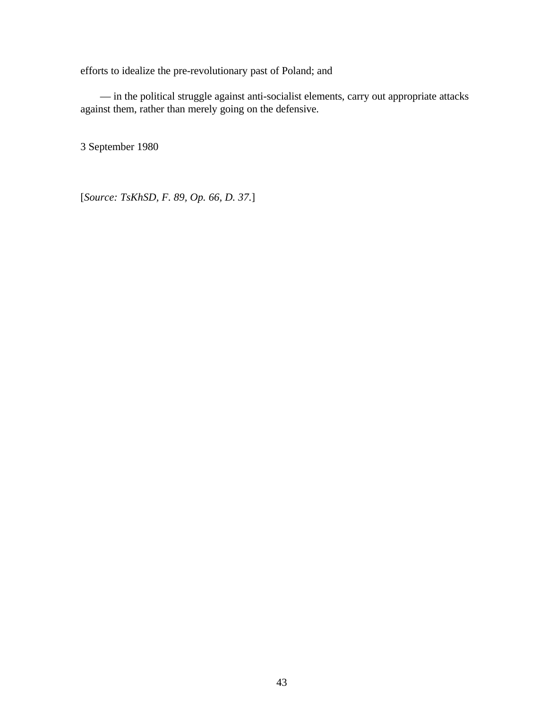efforts to idealize the pre-revolutionary past of Poland; and

— in the political struggle against anti-socialist elements, carry out appropriate attacks against them, rather than merely going on the defensive.

3 September 1980

[*Source: TsKhSD, F. 89, Op. 66, D. 37.*]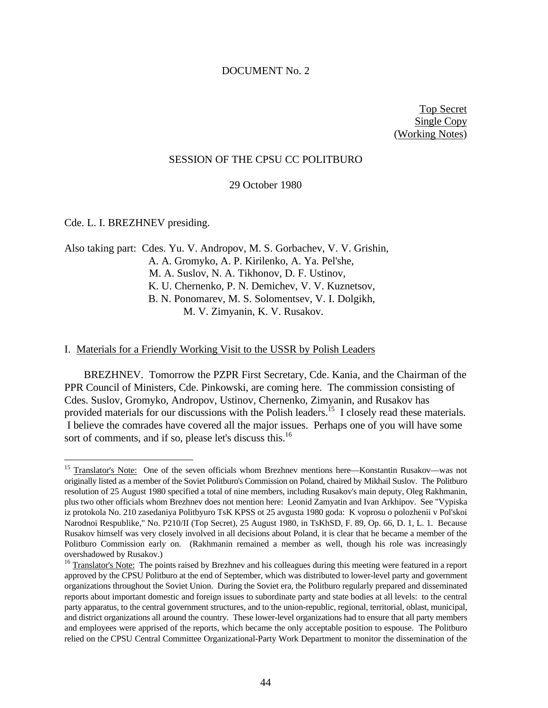#### DOCUMENT No. 2

Top Secret Single Copy (Working Notes)

#### SESSION OF THE CPSU CC POLITBURO

29 October 1980

Cde. L. I. BREZHNEV presiding.

<u>.</u>

Also taking part: Cdes. Yu. V. Andropov, M. S. Gorbachev, V. V. Grishin, A. A. Gromyko, A. P. Kirilenko, A. Ya. Pel'she, M. A. Suslov, N. A. Tikhonov, D. F. Ustinov, K. U. Chernenko, P. N. Demichev, V. V. Kuznetsov, B. N. Ponomarev, M. S. Solomentsev, V. I. Dolgikh, M. V. Zimyanin, K. V. Rusakov.

# I. Materials for a Friendly Working Visit to the USSR by Polish Leaders

BREZHNEV. Tomorrow the PZPR First Secretary, Cde. Kania, and the Chairman of the PPR Council of Ministers, Cde. Pinkowski, are coming here. The commission consisting of Cdes. Suslov, Gromyko, Andropov, Ustinov, Chernenko, Zimyanin, and Rusakov has provided materials for our discussions with the Polish leaders.<sup>15</sup> I closely read these materials. I believe the comrades have covered all the major issues. Perhaps one of you will have some sort of comments, and if so, please let's discuss this.<sup>16</sup>

<sup>&</sup>lt;sup>15</sup> Translator's Note: One of the seven officials whom Brezhnev mentions here—Konstantin Rusakov—was not originally listed as a member of the Soviet Politburo's Commission on Poland, chaired by Mikhail Suslov. The Politburo resolution of 25 August 1980 specified a total of nine members, including Rusakov's main deputy, Oleg Rakhmanin, plus two other officials whom Brezhnev does not mention here: Leonid Zamyatin and Ivan Arkhipov. See "Vypiska iz protokola No. 210 zasedaniya Politbyuro TsK KPSS ot 25 avgusta 1980 goda: K voprosu o polozhenii v Pol'skoi Narodnoi Respublike," No. P210/II (Top Secret), 25 August 1980, in TsKhSD, F. 89, Op. 66, D. 1, L. 1. Because Rusakov himself was very closely involved in all decisions about Poland, it is clear that he became a member of the Politburo Commission early on. (Rakhmanin remained a member as well, though his role was increasingly overshadowed by Rusakov.)

<sup>&</sup>lt;sup>16</sup> Translator's Note: The points raised by Brezhnev and his colleagues during this meeting were featured in a report approved by the CPSU Politburo at the end of September, which was distributed to lower-level party and government organizations throughout the Soviet Union. During the Soviet era, the Politburo regularly prepared and disseminated reports about important domestic and foreign issues to subordinate party and state bodies at all levels: to the central party apparatus, to the central government structures, and to the union-republic, regional, territorial, oblast, municipal, and district organizations all around the country. These lower-level organizations had to ensure that all party members and employees were apprised of the reports, which became the only acceptable position to espouse. The Politburo relied on the CPSU Central Committee Organizational-Party Work Department to monitor the dissemination of the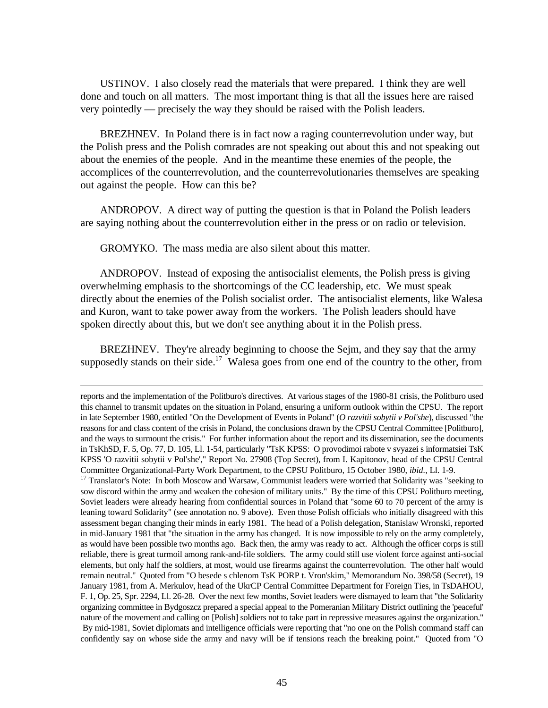USTINOV. I also closely read the materials that were prepared. I think they are well done and touch on all matters. The most important thing is that all the issues here are raised very pointedly — precisely the way they should be raised with the Polish leaders.

BREZHNEV. In Poland there is in fact now a raging counterrevolution under way, but the Polish press and the Polish comrades are not speaking out about this and not speaking out about the enemies of the people. And in the meantime these enemies of the people, the accomplices of the counterrevolution, and the counterrevolutionaries themselves are speaking out against the people. How can this be?

ANDROPOV. A direct way of putting the question is that in Poland the Polish leaders are saying nothing about the counterrevolution either in the press or on radio or television.

GROMYKO. The mass media are also silent about this matter.

<u>.</u>

ANDROPOV. Instead of exposing the antisocialist elements, the Polish press is giving overwhelming emphasis to the shortcomings of the CC leadership, etc. We must speak directly about the enemies of the Polish socialist order. The antisocialist elements, like Walesa and Kuron, want to take power away from the workers. The Polish leaders should have spoken directly about this, but we don't see anything about it in the Polish press.

BREZHNEV. They're already beginning to choose the Sejm, and they say that the army supposedly stands on their side.<sup>17</sup> Walesa goes from one end of the country to the other, from

reports and the implementation of the Politburo's directives. At various stages of the 1980-81 crisis, the Politburo used this channel to transmit updates on the situation in Poland, ensuring a uniform outlook within the CPSU. The report in late September 1980, entitled "On the Development of Events in Poland" (*O razvitii sobytii v Pol'she*), discussed "the reasons for and class content of the crisis in Poland, the conclusions drawn by the CPSU Central Committee [Politburo], and the ways to surmount the crisis." For further information about the report and its dissemination, see the documents in TsKhSD, F. 5, Op. 77, D. 105, Ll. 1-54, particularly "TsK KPSS: O provodimoi rabote v svyazei s informatsiei TsK KPSS 'O razvitii sobytii v Pol'she'," Report No. 27908 (Top Secret), from I. Kapitonov, head of the CPSU Central Committee Organizational-Party Work Department, to the CPSU Politburo, 15 October 1980, *ibid.*, Ll. 1-9.

<sup>&</sup>lt;sup>17</sup> Translator's Note: In both Moscow and Warsaw, Communist leaders were worried that Solidarity was "seeking to sow discord within the army and weaken the cohesion of military units." By the time of this CPSU Politburo meeting, Soviet leaders were already hearing from confidential sources in Poland that "some 60 to 70 percent of the army is leaning toward Solidarity" (see annotation no. 9 above). Even those Polish officials who initially disagreed with this assessment began changing their minds in early 1981. The head of a Polish delegation, Stanislaw Wronski, reported in mid-January 1981 that "the situation in the army has changed. It is now impossible to rely on the army completely, as would have been possible two months ago. Back then, the army was ready to act. Although the officer corps is still reliable, there is great turmoil among rank-and-file soldiers. The army could still use violent force against anti-social elements, but only half the soldiers, at most, would use firearms against the counterrevolution. The other half would remain neutral." Quoted from "O besede s chlenom TsK PORP t. Vron'skim," Memorandum No. 398/58 (Secret), 19 January 1981, from A. Merkulov, head of the UkrCP Central Committee Department for Foreign Ties, in TsDAHOU, F. 1, Op. 25, Spr. 2294, Ll. 26-28. Over the next few months, Soviet leaders were dismayed to learn that "the Solidarity organizing committee in Bydgoszcz prepared a special appeal to the Pomeranian Military District outlining the 'peaceful' nature of the movement and calling on [Polish] soldiers not to take part in repressive measures against the organization." By mid-1981, Soviet diplomats and intelligence officials were reporting that "no one on the Polish command staff can confidently say on whose side the army and navy will be if tensions reach the breaking point." Quoted from "O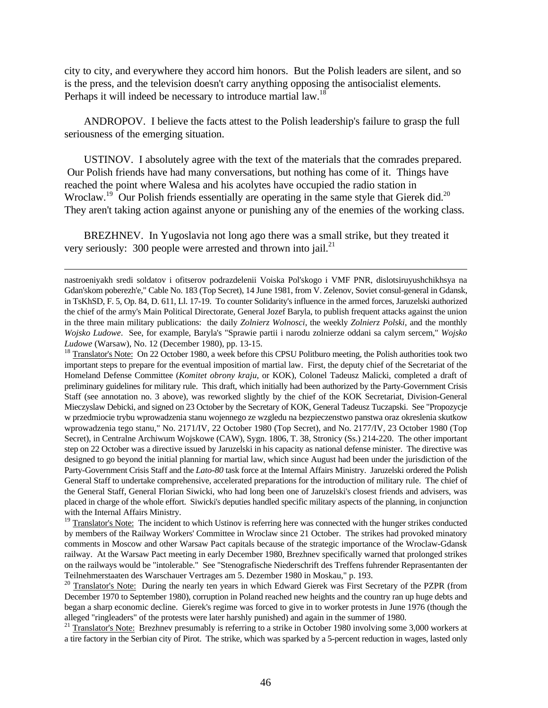city to city, and everywhere they accord him honors. But the Polish leaders are silent, and so is the press, and the television doesn't carry anything opposing the antisocialist elements. Perhaps it will indeed be necessary to introduce martial law.<sup>18</sup>

ANDROPOV. I believe the facts attest to the Polish leadership's failure to grasp the full seriousness of the emerging situation.

USTINOV. I absolutely agree with the text of the materials that the comrades prepared. Our Polish friends have had many conversations, but nothing has come of it. Things have reached the point where Walesa and his acolytes have occupied the radio station in Wroclaw.<sup>19</sup> Our Polish friends essentially are operating in the same style that Gierek did.<sup>20</sup> They aren't taking action against anyone or punishing any of the enemies of the working class.

BREZHNEV. In Yugoslavia not long ago there was a small strike, but they treated it very seriously: 300 people were arrested and thrown into jail. $^{21}$ 

<u>.</u>

<sup>18</sup> Translator's Note: On 22 October 1980, a week before this CPSU Politburo meeting, the Polish authorities took two important steps to prepare for the eventual imposition of martial law. First, the deputy chief of the Secretariat of the Homeland Defense Committee (*Komitet obrony kraju*, or KOK), Colonel Tadeusz Malicki, completed a draft of preliminary guidelines for military rule. This draft, which initially had been authorized by the Party-Government Crisis Staff (see annotation no. 3 above), was reworked slightly by the chief of the KOK Secretariat, Division-General Mieczyslaw Debicki, and signed on 23 October by the Secretary of KOK, General Tadeusz Tuczapski. See "Propozycje w przedmiocie trybu wprowadzenia stanu wojennego ze wzgledu na bezpieczenstwo panstwa oraz okreslenia skutkow wprowadzenia tego stanu," No. 2171/IV, 22 October 1980 (Top Secret), and No. 2177/IV, 23 October 1980 (Top Secret), in Centralne Archiwum Wojskowe (CAW), Sygn. 1806, T. 38, Stronicy (Ss.) 214-220. The other important step on 22 October was a directive issued by Jaruzelski in his capacity as national defense minister. The directive was designed to go beyond the initial planning for martial law, which since August had been under the jurisdiction of the Party-Government Crisis Staff and the *Lato-80* task force at the Internal Affairs Ministry. Jaruzelski ordered the Polish General Staff to undertake comprehensive, accelerated preparations for the introduction of military rule. The chief of the General Staff, General Florian Siwicki, who had long been one of Jaruzelski's closest friends and advisers, was placed in charge of the whole effort. Siwicki's deputies handled specific military aspects of the planning, in conjunction with the Internal Affairs Ministry.

 $19$  Translator's Note: The incident to which Ustinov is referring here was connected with the hunger strikes conducted by members of the Railway Workers' Committee in Wroclaw since 21 October. The strikes had provoked minatory comments in Moscow and other Warsaw Pact capitals because of the strategic importance of the Wroclaw-Gdansk railway. At the Warsaw Pact meeting in early December 1980, Brezhnev specifically warned that prolonged strikes on the railways would be "intolerable." See "Stenografische Niederschrift des Treffens fuhrender Reprasentanten der Teilnehmerstaaten des Warschauer Vertrages am 5. Dezember 1980 in Moskau," p. 193.

<sup>20</sup> Translator's Note: During the nearly ten years in which Edward Gierek was First Secretary of the PZPR (from December 1970 to September 1980), corruption in Poland reached new heights and the country ran up huge debts and began a sharp economic decline. Gierek's regime was forced to give in to worker protests in June 1976 (though the alleged "ringleaders" of the protests were later harshly punished) and again in the summer of 1980.

<sup>21</sup> Translator's Note: Brezhnev presumably is referring to a strike in October 1980 involving some 3,000 workers at a tire factory in the Serbian city of Pirot. The strike, which was sparked by a 5-percent reduction in wages, lasted only

nastroeniyakh sredi soldatov i ofitserov podrazdelenii Voiska Pol'skogo i VMF PNR, dislotsiruyushchikhsya na Gdan'skom poberezh'e," Cable No. 183 (Top Secret), 14 June 1981, from V. Zelenov, Soviet consul-general in Gdansk, in TsKhSD, F. 5, Op. 84, D. 611, Ll. 17-19. To counter Solidarity's influence in the armed forces, Jaruzelski authorized the chief of the army's Main Political Directorate, General Jozef Baryla, to publish frequent attacks against the union in the three main military publications: the daily *Zolnierz Wolnosci*, the weekly *Zolnierz Polski*, and the monthly *Wojsko Ludowe*. See, for example, Baryla's "Sprawie partii i narodu zolnierze oddani sa calym sercem," *Wojsko Ludowe* (Warsaw), No. 12 (December 1980), pp. 13-15.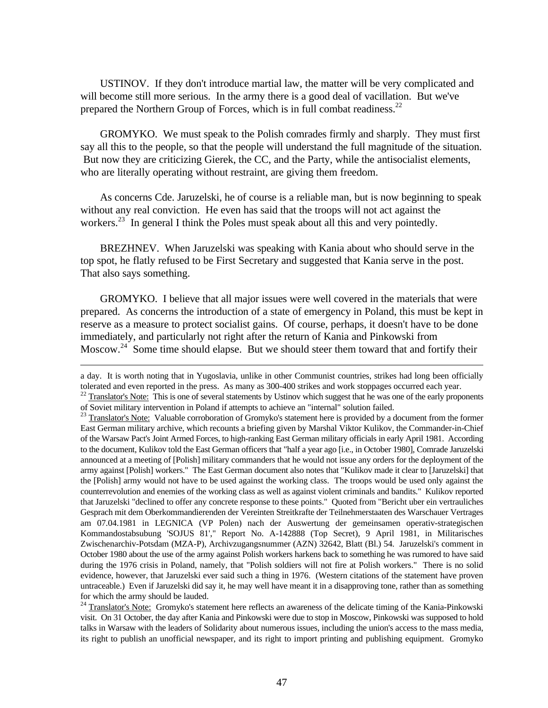USTINOV. If they don't introduce martial law, the matter will be very complicated and will become still more serious. In the army there is a good deal of vacillation. But we've prepared the Northern Group of Forces, which is in full combat readiness.<sup>22</sup>

GROMYKO. We must speak to the Polish comrades firmly and sharply. They must first say all this to the people, so that the people will understand the full magnitude of the situation. But now they are criticizing Gierek, the CC, and the Party, while the antisocialist elements, who are literally operating without restraint, are giving them freedom.

As concerns Cde. Jaruzelski, he of course is a reliable man, but is now beginning to speak without any real conviction. He even has said that the troops will not act against the workers.<sup>23</sup> In general I think the Poles must speak about all this and very pointedly.

BREZHNEV. When Jaruzelski was speaking with Kania about who should serve in the top spot, he flatly refused to be First Secretary and suggested that Kania serve in the post. That also says something.

GROMYKO. I believe that all major issues were well covered in the materials that were prepared. As concerns the introduction of a state of emergency in Poland, this must be kept in reserve as a measure to protect socialist gains. Of course, perhaps, it doesn't have to be done immediately, and particularly not right after the return of Kania and Pinkowski from Moscow.<sup>24</sup> Some time should elapse. But we should steer them toward that and fortify their

-

a day. It is worth noting that in Yugoslavia, unlike in other Communist countries, strikes had long been officially tolerated and even reported in the press. As many as 300-400 strikes and work stoppages occurred each year.

<sup>&</sup>lt;sup>22</sup> Translator's <u>Note:</u> This is one of several statements by Ustinov which suggest that he was one of the early proponents of Soviet military intervention in Poland if attempts to achieve an "internal" solution failed.

<sup>&</sup>lt;sup>23</sup> Translator's Note: Valuable corroboration of Gromyko's statement here is provided by a document from the former East German military archive, which recounts a briefing given by Marshal Viktor Kulikov, the Commander-in-Chief of the Warsaw Pact's Joint Armed Forces, to high-ranking East German military officials in early April 1981. According to the document, Kulikov told the East German officers that "half a year ago [i.e., in October 1980], Comrade Jaruzelski announced at a meeting of [Polish] military commanders that he would not issue any orders for the deployment of the army against [Polish] workers." The East German document also notes that "Kulikov made it clear to [Jaruzelski] that the [Polish] army would not have to be used against the working class. The troops would be used only against the counterrevolution and enemies of the working class as well as against violent criminals and bandits." Kulikov reported that Jaruzelski "declined to offer any concrete response to these points." Quoted from "Bericht uber ein vertrauliches Gesprach mit dem Oberkommandierenden der Vereinten Streitkrafte der Teilnehmerstaaten des Warschauer Vertrages am 07.04.1981 in LEGNICA (VP Polen) nach der Auswertung der gemeinsamen operativ-strategischen Kommandostabsubung 'SOJUS 81'," Report No. A-142888 (Top Secret), 9 April 1981, in Militarisches Zwischenarchiv-Potsdam (MZA-P), Archivzugangsnummer (AZN) 32642, Blatt (Bl.) 54. Jaruzelski's comment in October 1980 about the use of the army against Polish workers harkens back to something he was rumored to have said during the 1976 crisis in Poland, namely, that "Polish soldiers will not fire at Polish workers." There is no solid evidence, however, that Jaruzelski ever said such a thing in 1976. (Western citations of the statement have proven untraceable.) Even if Jaruzelski did say it, he may well have meant it in a disapproving tone, rather than as something for which the army should be lauded.

<sup>&</sup>lt;sup>24</sup> Translator's Note: Gromyko's statement here reflects an awareness of the delicate timing of the Kania-Pinkowski visit. On 31 October, the day after Kania and Pinkowski were due to stop in Moscow, Pinkowski was supposed to hold talks in Warsaw with the leaders of Solidarity about numerous issues, including the union's access to the mass media, its right to publish an unofficial newspaper, and its right to import printing and publishing equipment. Gromyko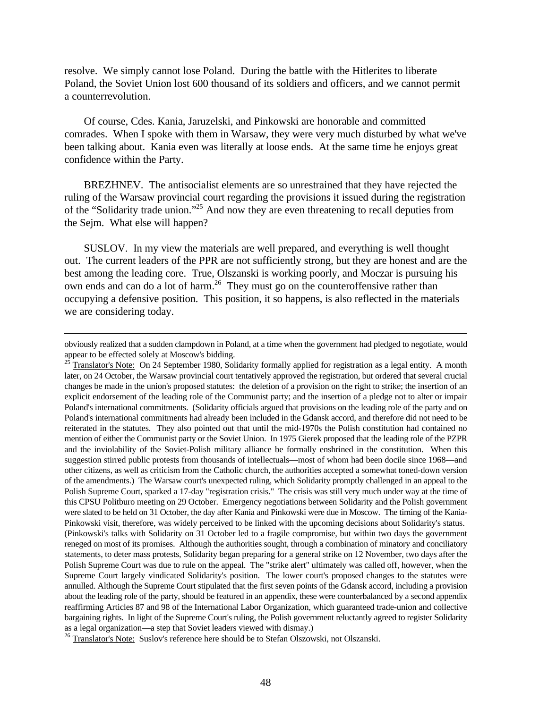resolve. We simply cannot lose Poland. During the battle with the Hitlerites to liberate Poland, the Soviet Union lost 600 thousand of its soldiers and officers, and we cannot permit a counterrevolution.

Of course, Cdes. Kania, Jaruzelski, and Pinkowski are honorable and committed comrades. When I spoke with them in Warsaw, they were very much disturbed by what we've been talking about. Kania even was literally at loose ends. At the same time he enjoys great confidence within the Party.

BREZHNEV. The antisocialist elements are so unrestrained that they have rejected the ruling of the Warsaw provincial court regarding the provisions it issued during the registration of the "Solidarity trade union."<sup>25</sup> And now they are even threatening to recall deputies from the Sejm. What else will happen?

SUSLOV. In my view the materials are well prepared, and everything is well thought out. The current leaders of the PPR are not sufficiently strong, but they are honest and are the best among the leading core. True, Olszanski is working poorly, and Moczar is pursuing his own ends and can do a lot of harm.<sup>26</sup> They must go on the counteroffensive rather than occupying a defensive position. This position, it so happens, is also reflected in the materials we are considering today.

obviously realized that a sudden clampdown in Poland, at a time when the government had pledged to negotiate, would appear to be effected solely at Moscow's bidding.

 $^{25}$  Translator's Note: On 24 September 1980, Solidarity formally applied for registration as a legal entity. A month later, on 24 October, the Warsaw provincial court tentatively approved the registration, but ordered that several crucial changes be made in the union's proposed statutes: the deletion of a provision on the right to strike; the insertion of an explicit endorsement of the leading role of the Communist party; and the insertion of a pledge not to alter or impair Poland's international commitments. (Solidarity officials argued that provisions on the leading role of the party and on Poland's international commitments had already been included in the Gdansk accord, and therefore did not need to be reiterated in the statutes. They also pointed out that until the mid-1970s the Polish constitution had contained no mention of either the Communist party or the Soviet Union. In 1975 Gierek proposed that the leading role of the PZPR and the inviolability of the Soviet-Polish military alliance be formally enshrined in the constitution. When this suggestion stirred public protests from thousands of intellectuals—most of whom had been docile since 1968—and other citizens, as well as criticism from the Catholic church, the authorities accepted a somewhat toned-down version of the amendments.) The Warsaw court's unexpected ruling, which Solidarity promptly challenged in an appeal to the Polish Supreme Court, sparked a 17-day "registration crisis." The crisis was still very much under way at the time of this CPSU Politburo meeting on 29 October. Emergency negotiations between Solidarity and the Polish government were slated to be held on 31 October, the day after Kania and Pinkowski were due in Moscow. The timing of the Kania-Pinkowski visit, therefore, was widely perceived to be linked with the upcoming decisions about Solidarity's status. (Pinkowski's talks with Solidarity on 31 October led to a fragile compromise, but within two days the government reneged on most of its promises. Although the authorities sought, through a combination of minatory and conciliatory statements, to deter mass protests, Solidarity began preparing for a general strike on 12 November, two days after the Polish Supreme Court was due to rule on the appeal. The "strike alert" ultimately was called off, however, when the Supreme Court largely vindicated Solidarity's position. The lower court's proposed changes to the statutes were annulled. Although the Supreme Court stipulated that the first seven points of the Gdansk accord, including a provision about the leading role of the party, should be featured in an appendix, these were counterbalanced by a second appendix reaffirming Articles 87 and 98 of the International Labor Organization, which guaranteed trade-union and collective bargaining rights. In light of the Supreme Court's ruling, the Polish government reluctantly agreed to register Solidarity as a legal organization—a step that Soviet leaders viewed with dismay.)

 $^{26}$  Translator's Note: Suslov's reference here should be to Stefan Olszowski, not Olszanski.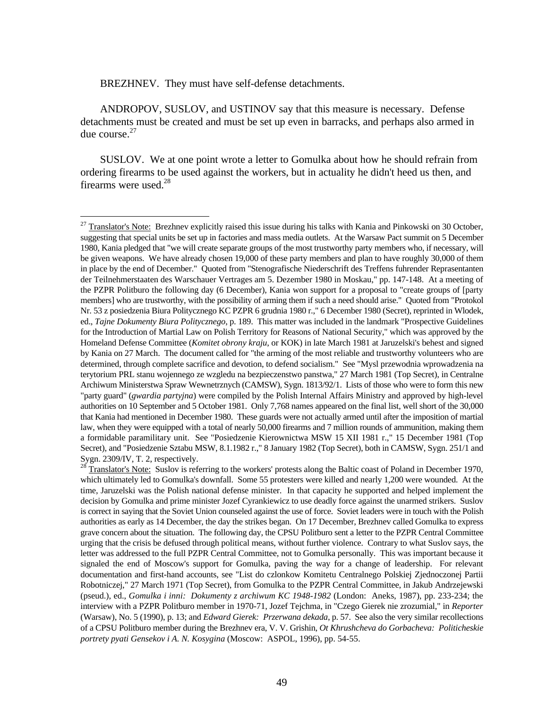BREZHNEV. They must have self-defense detachments.

 $\overline{a}$ 

ANDROPOV, SUSLOV, and USTINOV say that this measure is necessary. Defense detachments must be created and must be set up even in barracks, and perhaps also armed in due course. $27$ 

SUSLOV. We at one point wrote a letter to Gomulka about how he should refrain from ordering firearms to be used against the workers, but in actuality he didn't heed us then, and firearms were used.<sup>28</sup>

 $27$  Translator's Note: Brezhnev explicitly raised this issue during his talks with Kania and Pinkowski on 30 October, suggesting that special units be set up in factories and mass media outlets. At the Warsaw Pact summit on 5 December 1980, Kania pledged that "we will create separate groups of the most trustworthy party members who, if necessary, will be given weapons. We have already chosen 19,000 of these party members and plan to have roughly 30,000 of them in place by the end of December." Quoted from "Stenografische Niederschrift des Treffens fuhrender Reprasentanten der Teilnehmerstaaten des Warschauer Vertrages am 5. Dezember 1980 in Moskau," pp. 147-148. At a meeting of the PZPR Politburo the following day (6 December), Kania won support for a proposal to "create groups of [party members] who are trustworthy, with the possibility of arming them if such a need should arise." Quoted from "Protokol Nr. 53 z posiedzenia Biura Politycznego KC PZPR 6 grudnia 1980 r.," 6 December 1980 (Secret), reprinted in Wlodek, ed., *Tajne Dokumenty Biura Politycznego*, p. 189. This matter was included in the landmark "Prospective Guidelines for the Introduction of Martial Law on Polish Territory for Reasons of National Security," which was approved by the Homeland Defense Committee (*Komitet obrony kraju*, or KOK) in late March 1981 at Jaruzelski's behest and signed by Kania on 27 March. The document called for "the arming of the most reliable and trustworthy volunteers who are determined, through complete sacrifice and devotion, to defend socialism." See "Mysl przewodnia wprowadzenia na terytorium PRL stanu wojennego ze wzgledu na bezpieczenstwo panstwa," 27 March 1981 (Top Secret), in Centralne Archiwum Ministerstwa Spraw Wewnetrznych (CAMSW), Sygn. 1813/92/1. Lists of those who were to form this new "party guard" (*gwardia partyjna*) were compiled by the Polish Internal Affairs Ministry and approved by high-level authorities on 10 September and 5 October 1981. Only 7,768 names appeared on the final list, well short of the 30,000 that Kania had mentioned in December 1980. These guards were not actually armed until after the imposition of martial law, when they were equipped with a total of nearly 50,000 firearms and 7 million rounds of ammunition, making them a formidable paramilitary unit. See "Posiedzenie Kierownictwa MSW 15 XII 1981 r.," 15 December 1981 (Top Secret), and "Posiedzenie Sztabu MSW, 8.1.1982 r.," 8 January 1982 (Top Secret), both in CAMSW, Sygn. 251/1 and Sygn. 2309/IV, T. 2, respectively.

<sup>28</sup> Translator's Note: Suslov is referring to the workers' protests along the Baltic coast of Poland in December 1970, which ultimately led to Gomulka's downfall. Some 55 protesters were killed and nearly 1,200 were wounded. At the time, Jaruzelski was the Polish national defense minister. In that capacity he supported and helped implement the decision by Gomulka and prime minister Jozef Cyrankiewicz to use deadly force against the unarmed strikers. Suslov is correct in saying that the Soviet Union counseled against the use of force. Soviet leaders were in touch with the Polish authorities as early as 14 December, the day the strikes began. On 17 December, Brezhnev called Gomulka to express grave concern about the situation. The following day, the CPSU Politburo sent a letter to the PZPR Central Committee urging that the crisis be defused through political means, without further violence. Contrary to what Suslov says, the letter was addressed to the full PZPR Central Committee, not to Gomulka personally. This was important because it signaled the end of Moscow's support for Gomulka, paving the way for a change of leadership. For relevant documentation and first-hand accounts, see "List do czlonkow Komitetu Centralnego Polskiej Zjednoczonej Partii Robotniczej," 27 March 1971 (Top Secret), from Gomulka to the PZPR Central Committee, in Jakub Andrzejewski (pseud.), ed., *Gomulka i inni: Dokumenty z archiwum KC 1948-1982* (London: Aneks, 1987), pp. 233-234; the interview with a PZPR Politburo member in 1970-71, Jozef Tejchma, in "Czego Gierek nie zrozumial," in *Reporter* (Warsaw), No. 5 (1990), p. 13; and *Edward Gierek: Przerwana dekada*, p. 57. See also the very similar recollections of a CPSU Politburo member during the Brezhnev era, V. V. Grishin, *Ot Khrushcheva do Gorbacheva: Politicheskie portrety pyati Gensekov i A. N. Kosygina* (Moscow: ASPOL, 1996), pp. 54-55.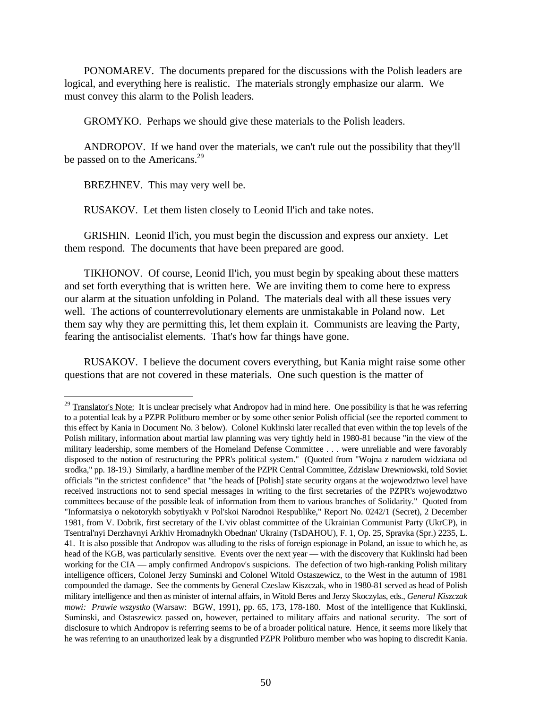PONOMAREV. The documents prepared for the discussions with the Polish leaders are logical, and everything here is realistic. The materials strongly emphasize our alarm. We must convey this alarm to the Polish leaders.

GROMYKO. Perhaps we should give these materials to the Polish leaders.

ANDROPOV. If we hand over the materials, we can't rule out the possibility that they'll be passed on to the Americans.<sup>29</sup>

BREZHNEV. This may very well be.

<u>.</u>

RUSAKOV. Let them listen closely to Leonid Il'ich and take notes.

GRISHIN. Leonid Il'ich, you must begin the discussion and express our anxiety. Let them respond. The documents that have been prepared are good.

TIKHONOV. Of course, Leonid Il'ich, you must begin by speaking about these matters and set forth everything that is written here. We are inviting them to come here to express our alarm at the situation unfolding in Poland. The materials deal with all these issues very well. The actions of counterrevolutionary elements are unmistakable in Poland now. Let them say why they are permitting this, let them explain it. Communists are leaving the Party, fearing the antisocialist elements. That's how far things have gone.

RUSAKOV. I believe the document covers everything, but Kania might raise some other questions that are not covered in these materials. One such question is the matter of

 $29$  Translator's Note: It is unclear precisely what Andropov had in mind here. One possibility is that he was referring to a potential leak by a PZPR Politburo member or by some other senior Polish official (see the reported comment to this effect by Kania in Document No. 3 below). Colonel Kuklinski later recalled that even within the top levels of the Polish military, information about martial law planning was very tightly held in 1980-81 because "in the view of the military leadership, some members of the Homeland Defense Committee . . . were unreliable and were favorably disposed to the notion of restructuring the PPR's political system." (Quoted from "Wojna z narodem widziana od srodka," pp. 18-19.) Similarly, a hardline member of the PZPR Central Committee, Zdzislaw Drewniowski, told Soviet officials "in the strictest confidence" that "the heads of [Polish] state security organs at the wojewodztwo level have received instructions not to send special messages in writing to the first secretaries of the PZPR's wojewodztwo committees because of the possible leak of information from them to various branches of Solidarity." Quoted from "Informatsiya o nekotorykh sobytiyakh v Pol'skoi Narodnoi Respublike," Report No. 0242/1 (Secret), 2 December 1981, from V. Dobrik, first secretary of the L'viv oblast committee of the Ukrainian Communist Party (UkrCP), in Tsentral'nyi Derzhavnyi Arkhiv Hromadnykh Obednan' Ukrainy (TsDAHOU), F. 1, Op. 25, Spravka (Spr.) 2235, L. 41. It is also possible that Andropov was alluding to the risks of foreign espionage in Poland, an issue to which he, as head of the KGB, was particularly sensitive. Events over the next year — with the discovery that Kuklinski had been working for the CIA — amply confirmed Andropov's suspicions. The defection of two high-ranking Polish military intelligence officers, Colonel Jerzy Suminski and Colonel Witold Ostaszewicz, to the West in the autumn of 1981 compounded the damage. See the comments by General Czeslaw Kiszczak, who in 1980-81 served as head of Polish military intelligence and then as minister of internal affairs, in Witold Beres and Jerzy Skoczylas, eds., *General Kiszczak mowi: Prawie wszystko* (Warsaw: BGW, 1991), pp. 65, 173, 178-180. Most of the intelligence that Kuklinski, Suminski, and Ostaszewicz passed on, however, pertained to military affairs and national security. The sort of disclosure to which Andropov is referring seems to be of a broader political nature. Hence, it seems more likely that he was referring to an unauthorized leak by a disgruntled PZPR Politburo member who was hoping to discredit Kania.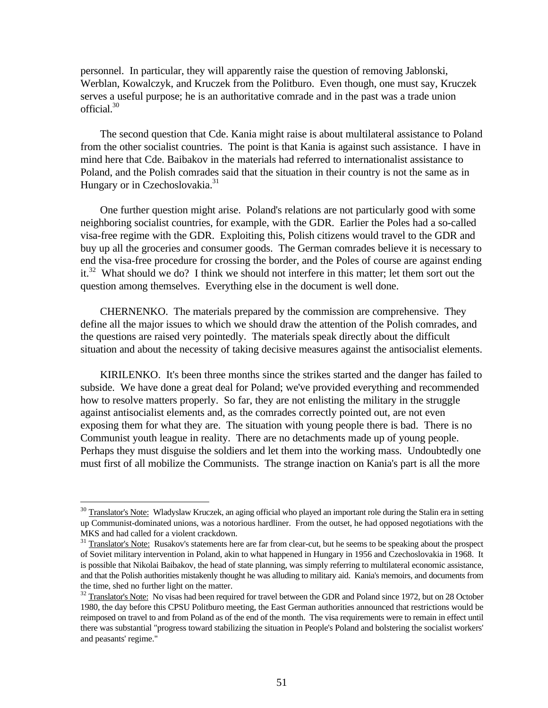personnel. In particular, they will apparently raise the question of removing Jablonski, Werblan, Kowalczyk, and Kruczek from the Politburo. Even though, one must say, Kruczek serves a useful purpose; he is an authoritative comrade and in the past was a trade union official.<sup>30</sup>

The second question that Cde. Kania might raise is about multilateral assistance to Poland from the other socialist countries. The point is that Kania is against such assistance. I have in mind here that Cde. Baibakov in the materials had referred to internationalist assistance to Poland, and the Polish comrades said that the situation in their country is not the same as in Hungary or in Czechoslovakia.<sup>31</sup>

One further question might arise. Poland's relations are not particularly good with some neighboring socialist countries, for example, with the GDR. Earlier the Poles had a so-called visa-free regime with the GDR. Exploiting this, Polish citizens would travel to the GDR and buy up all the groceries and consumer goods. The German comrades believe it is necessary to end the visa-free procedure for crossing the border, and the Poles of course are against ending it.<sup>32</sup> What should we do? I think we should not interfere in this matter; let them sort out the question among themselves. Everything else in the document is well done.

CHERNENKO. The materials prepared by the commission are comprehensive. They define all the major issues to which we should draw the attention of the Polish comrades, and the questions are raised very pointedly. The materials speak directly about the difficult situation and about the necessity of taking decisive measures against the antisocialist elements.

KIRILENKO. It's been three months since the strikes started and the danger has failed to subside. We have done a great deal for Poland; we've provided everything and recommended how to resolve matters properly. So far, they are not enlisting the military in the struggle against antisocialist elements and, as the comrades correctly pointed out, are not even exposing them for what they are. The situation with young people there is bad. There is no Communist youth league in reality. There are no detachments made up of young people. Perhaps they must disguise the soldiers and let them into the working mass. Undoubtedly one must first of all mobilize the Communists. The strange inaction on Kania's part is all the more

<sup>&</sup>lt;sup>30</sup> Translator's Note: Wladyslaw Kruczek, an aging official who played an important role during the Stalin era in setting up Communist-dominated unions, was a notorious hardliner. From the outset, he had opposed negotiations with the MKS and had called for a violent crackdown.

<sup>&</sup>lt;sup>31</sup> Translator's Note: Rusakov's statements here are far from clear-cut, but he seems to be speaking about the prospect of Soviet military intervention in Poland, akin to what happened in Hungary in 1956 and Czechoslovakia in 1968. It is possible that Nikolai Baibakov, the head of state planning, was simply referring to multilateral economic assistance, and that the Polish authorities mistakenly thought he was alluding to military aid. Kania's memoirs, and documents from the time, shed no further light on the matter.

 $32$  Translator's Note: No visas had been required for travel between the GDR and Poland since 1972, but on 28 October 1980, the day before this CPSU Politburo meeting, the East German authorities announced that restrictions would be reimposed on travel to and from Poland as of the end of the month. The visa requirements were to remain in effect until there was substantial "progress toward stabilizing the situation in People's Poland and bolstering the socialist workers' and peasants' regime."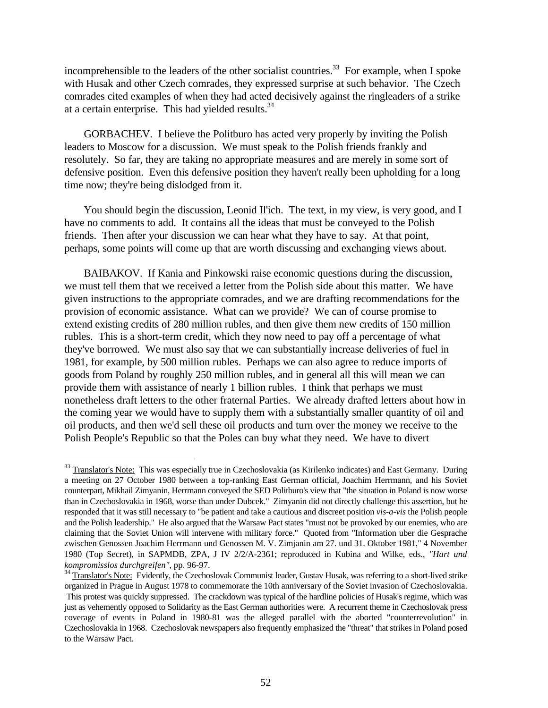incomprehensible to the leaders of the other socialist countries.<sup>33</sup> For example, when I spoke with Husak and other Czech comrades, they expressed surprise at such behavior. The Czech comrades cited examples of when they had acted decisively against the ringleaders of a strike at a certain enterprise. This had yielded results.<sup>34</sup>

GORBACHEV. I believe the Politburo has acted very properly by inviting the Polish leaders to Moscow for a discussion. We must speak to the Polish friends frankly and resolutely. So far, they are taking no appropriate measures and are merely in some sort of defensive position. Even this defensive position they haven't really been upholding for a long time now; they're being dislodged from it.

You should begin the discussion, Leonid Il'ich. The text, in my view, is very good, and I have no comments to add. It contains all the ideas that must be conveyed to the Polish friends. Then after your discussion we can hear what they have to say. At that point, perhaps, some points will come up that are worth discussing and exchanging views about.

BAIBAKOV. If Kania and Pinkowski raise economic questions during the discussion, we must tell them that we received a letter from the Polish side about this matter. We have given instructions to the appropriate comrades, and we are drafting recommendations for the provision of economic assistance. What can we provide? We can of course promise to extend existing credits of 280 million rubles, and then give them new credits of 150 million rubles. This is a short-term credit, which they now need to pay off a percentage of what they've borrowed. We must also say that we can substantially increase deliveries of fuel in 1981, for example, by 500 million rubles. Perhaps we can also agree to reduce imports of goods from Poland by roughly 250 million rubles, and in general all this will mean we can provide them with assistance of nearly 1 billion rubles. I think that perhaps we must nonetheless draft letters to the other fraternal Parties. We already drafted letters about how in the coming year we would have to supply them with a substantially smaller quantity of oil and oil products, and then we'd sell these oil products and turn over the money we receive to the Polish People's Republic so that the Poles can buy what they need. We have to divert

 $\overline{a}$ 

<sup>&</sup>lt;sup>33</sup> Translator's Note: This was especially true in Czechoslovakia (as Kirilenko indicates) and East Germany. During a meeting on 27 October 1980 between a top-ranking East German official, Joachim Herrmann, and his Soviet counterpart, Mikhail Zimyanin, Herrmann conveyed the SED Politburo's view that "the situation in Poland is now worse than in Czechoslovakia in 1968, worse than under Dubcek." Zimyanin did not directly challenge this assertion, but he responded that it was still necessary to "be patient and take a cautious and discreet position *vis-a-vis* the Polish people and the Polish leadership." He also argued that the Warsaw Pact states "must not be provoked by our enemies, who are claiming that the Soviet Union will intervene with military force." Quoted from "Information uber die Gesprache zwischen Genossen Joachim Herrmann und Genossen M. V. Zimjanin am 27. und 31. Oktober 1981," 4 November 1980 (Top Secret), in SAPMDB, ZPA, J IV 2/2/A-2361; reproduced in Kubina and Wilke, eds., *"Hart und kompromisslos durchgreifen"*, pp. 96-97.

<sup>&</sup>lt;sup>34</sup> Translator's Note: Evidently, the Czechoslovak Communist leader, Gustav Husak, was referring to a short-lived strike organized in Prague in August 1978 to commemorate the 10th anniversary of the Soviet invasion of Czechoslovakia. This protest was quickly suppressed. The crackdown was typical of the hardline policies of Husak's regime, which was just as vehemently opposed to Solidarity as the East German authorities were. A recurrent theme in Czechoslovak press coverage of events in Poland in 1980-81 was the alleged parallel with the aborted "counterrevolution" in Czechoslovakia in 1968. Czechoslovak newspapers also frequently emphasized the "threat" that strikes in Poland posed to the Warsaw Pact.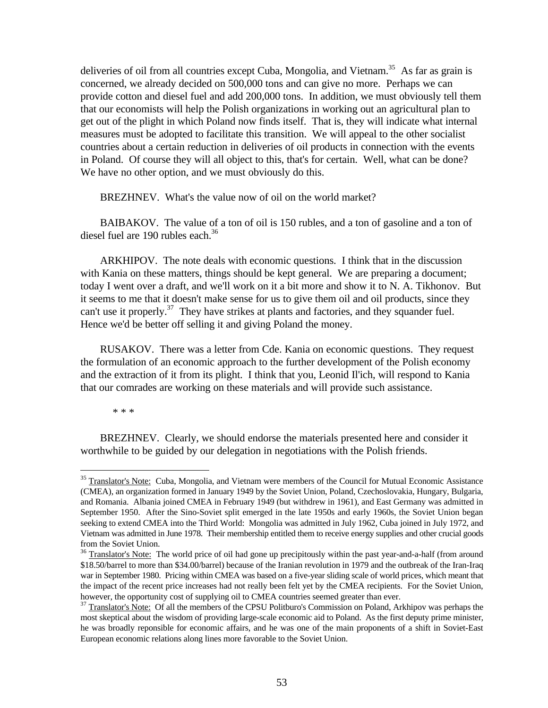deliveries of oil from all countries except Cuba, Mongolia, and Vietnam.<sup>35</sup> As far as grain is concerned, we already decided on 500,000 tons and can give no more. Perhaps we can provide cotton and diesel fuel and add 200,000 tons. In addition, we must obviously tell them that our economists will help the Polish organizations in working out an agricultural plan to get out of the plight in which Poland now finds itself. That is, they will indicate what internal measures must be adopted to facilitate this transition. We will appeal to the other socialist countries about a certain reduction in deliveries of oil products in connection with the events in Poland. Of course they will all object to this, that's for certain. Well, what can be done? We have no other option, and we must obviously do this.

BREZHNEV. What's the value now of oil on the world market?

BAIBAKOV. The value of a ton of oil is 150 rubles, and a ton of gasoline and a ton of diesel fuel are 190 rubles each.<sup>36</sup>

ARKHIPOV. The note deals with economic questions. I think that in the discussion with Kania on these matters, things should be kept general. We are preparing a document; today I went over a draft, and we'll work on it a bit more and show it to N. A. Tikhonov. But it seems to me that it doesn't make sense for us to give them oil and oil products, since they can't use it properly.<sup>37</sup> They have strikes at plants and factories, and they squander fuel. Hence we'd be better off selling it and giving Poland the money.

RUSAKOV. There was a letter from Cde. Kania on economic questions. They request the formulation of an economic approach to the further development of the Polish economy and the extraction of it from its plight. I think that you, Leonid Il'ich, will respond to Kania that our comrades are working on these materials and will provide such assistance.

\* \* \*

<u>.</u>

BREZHNEV. Clearly, we should endorse the materials presented here and consider it worthwhile to be guided by our delegation in negotiations with the Polish friends.

<sup>&</sup>lt;sup>35</sup> Translator's Note: Cuba, Mongolia, and Vietnam were members of the Council for Mutual Economic Assistance (CMEA), an organization formed in January 1949 by the Soviet Union, Poland, Czechoslovakia, Hungary, Bulgaria, and Romania. Albania joined CMEA in February 1949 (but withdrew in 1961), and East Germany was admitted in September 1950. After the Sino-Soviet split emerged in the late 1950s and early 1960s, the Soviet Union began seeking to extend CMEA into the Third World: Mongolia was admitted in July 1962, Cuba joined in July 1972, and Vietnam was admitted in June 1978. Their membership entitled them to receive energy supplies and other crucial goods from the Soviet Union.

<sup>&</sup>lt;sup>36</sup> Translator's Note: The world price of oil had gone up precipitously within the past year-and-a-half (from around \$18.50/barrel to more than \$34.00/barrel) because of the Iranian revolution in 1979 and the outbreak of the Iran-Iraq war in September 1980. Pricing within CMEA was based on a five-year sliding scale of world prices, which meant that the impact of the recent price increases had not really been felt yet by the CMEA recipients. For the Soviet Union, however, the opportunity cost of supplying oil to CMEA countries seemed greater than ever.

<sup>&</sup>lt;sup>37</sup> Translator's Note: Of all the members of the CPSU Politburo's Commission on Poland, Arkhipov was perhaps the most skeptical about the wisdom of providing large-scale economic aid to Poland. As the first deputy prime minister, he was broadly reponsible for economic affairs, and he was one of the main proponents of a shift in Soviet-East European economic relations along lines more favorable to the Soviet Union.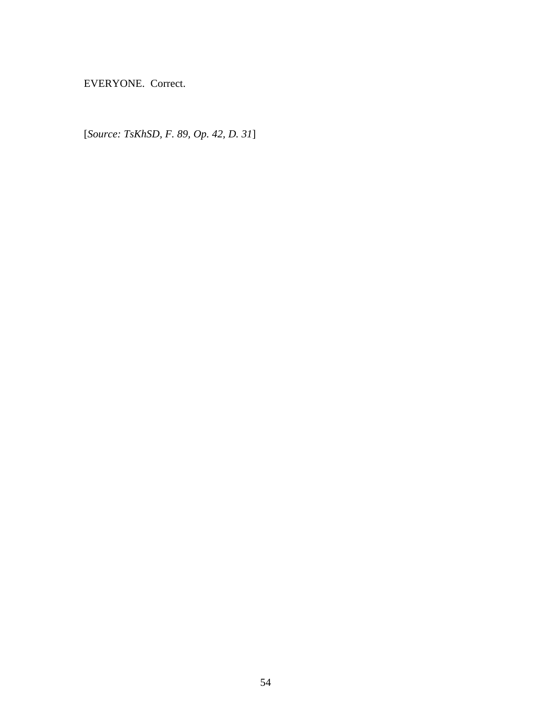EVERYONE. Correct.

[*Source: TsKhSD, F. 89, Op. 42, D. 31*]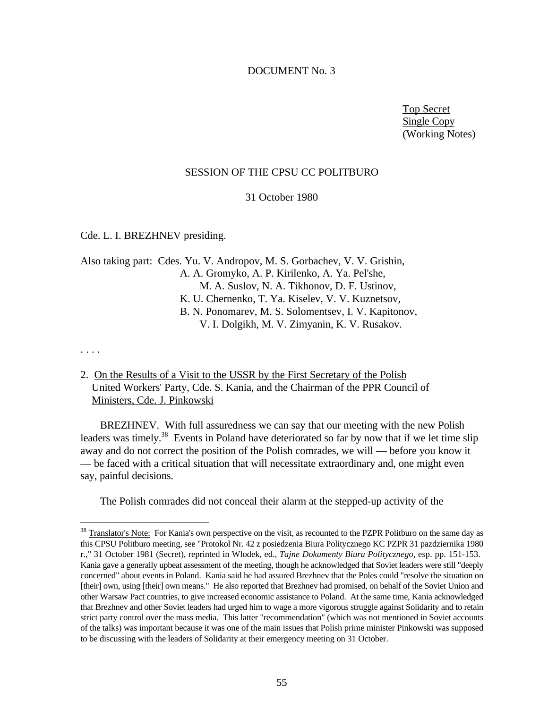# DOCUMENT No. 3

Top Secret Single Copy (Working Notes)

#### SESSION OF THE CPSU CC POLITBURO

31 October 1980

Cde. L. I. BREZHNEV presiding.

Also taking part: Cdes. Yu. V. Andropov, M. S. Gorbachev, V. V. Grishin, A. A. Gromyko, A. P. Kirilenko, A. Ya. Pel'she, M. A. Suslov, N. A. Tikhonov, D. F. Ustinov, K. U. Chernenko, T. Ya. Kiselev, V. V. Kuznetsov, B. N. Ponomarev, M. S. Solomentsev, I. V. Kapitonov, V. I. Dolgikh, M. V. Zimyanin, K. V. Rusakov.

. . . .

<u>.</u>

# 2. On the Results of a Visit to the USSR by the First Secretary of the Polish United Workers' Party, Cde. S. Kania, and the Chairman of the PPR Council of Ministers, Cde. J. Pinkowski

BREZHNEV. With full assuredness we can say that our meeting with the new Polish leaders was timely.<sup>38</sup> Events in Poland have deteriorated so far by now that if we let time slip away and do not correct the position of the Polish comrades, we will — before you know it — be faced with a critical situation that will necessitate extraordinary and, one might even say, painful decisions.

The Polish comrades did not conceal their alarm at the stepped-up activity of the

<sup>&</sup>lt;sup>38</sup> Translator's Note: For Kania's own perspective on the visit, as recounted to the PZPR Politburo on the same day as this CPSU Politburo meeting, see "Protokol Nr. 42 z posiedzenia Biura Politycznego KC PZPR 31 pazdziernika 1980 r.," 31 October 1981 (Secret), reprinted in Wlodek, ed., *Tajne Dokumenty Biura Politycznego*, esp. pp. 151-153. Kania gave a generally upbeat assessment of the meeting, though he acknowledged that Soviet leaders were still "deeply concerned" about events in Poland. Kania said he had assured Brezhnev that the Poles could "resolve the situation on [their] own, using [their] own means." He also reported that Brezhnev had promised, on behalf of the Soviet Union and other Warsaw Pact countries, to give increased economic assistance to Poland. At the same time, Kania acknowledged that Brezhnev and other Soviet leaders had urged him to wage a more vigorous struggle against Solidarity and to retain strict party control over the mass media. This latter "recommendation" (which was not mentioned in Soviet accounts of the talks) was important because it was one of the main issues that Polish prime minister Pinkowski was supposed to be discussing with the leaders of Solidarity at their emergency meeting on 31 October.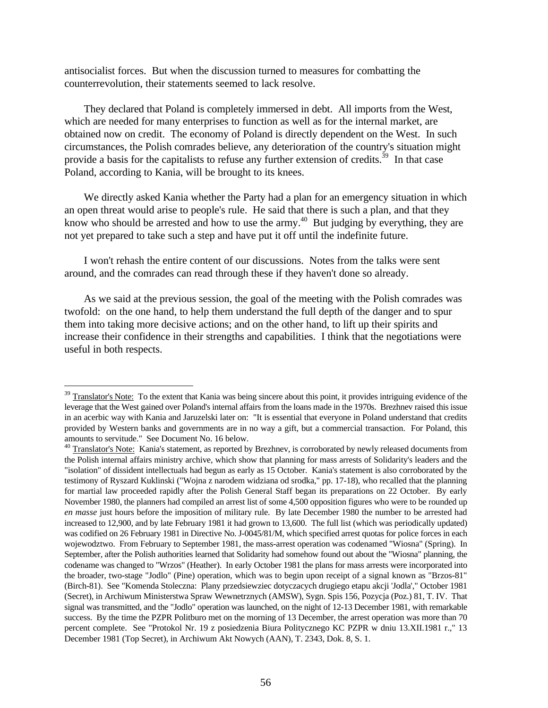antisocialist forces. But when the discussion turned to measures for combatting the counterrevolution, their statements seemed to lack resolve.

They declared that Poland is completely immersed in debt. All imports from the West, which are needed for many enterprises to function as well as for the internal market, are obtained now on credit. The economy of Poland is directly dependent on the West. In such circumstances, the Polish comrades believe, any deterioration of the country's situation might provide a basis for the capitalists to refuse any further extension of credits.<sup>39</sup> In that case Poland, according to Kania, will be brought to its knees.

We directly asked Kania whether the Party had a plan for an emergency situation in which an open threat would arise to people's rule. He said that there is such a plan, and that they know who should be arrested and how to use the army.<sup>40</sup> But judging by everything, they are not yet prepared to take such a step and have put it off until the indefinite future.

I won't rehash the entire content of our discussions. Notes from the talks were sent around, and the comrades can read through these if they haven't done so already.

As we said at the previous session, the goal of the meeting with the Polish comrades was twofold: on the one hand, to help them understand the full depth of the danger and to spur them into taking more decisive actions; and on the other hand, to lift up their spirits and increase their confidence in their strengths and capabilities. I think that the negotiations were useful in both respects.

-

<sup>&</sup>lt;sup>39</sup> Translator's Note: To the extent that Kania was being sincere about this point, it provides intriguing evidence of the leverage that the West gained over Poland's internal affairs from the loans made in the 1970s. Brezhnev raised this issue in an acerbic way with Kania and Jaruzelski later on: "It is essential that everyone in Poland understand that credits provided by Western banks and governments are in no way a gift, but a commercial transaction. For Poland, this amounts to servitude." See Document No. 16 below.

<sup>&</sup>lt;sup>40</sup> Translator's Note: Kania's statement, as reported by Brezhnev, is corroborated by newly released documents from the Polish internal affairs ministry archive, which show that planning for mass arrests of Solidarity's leaders and the "isolation" of dissident intellectuals had begun as early as 15 October. Kania's statement is also corroborated by the testimony of Ryszard Kuklinski ("Wojna z narodem widziana od srodka," pp. 17-18), who recalled that the planning for martial law proceeded rapidly after the Polish General Staff began its preparations on 22 October. By early November 1980, the planners had compiled an arrest list of some 4,500 opposition figures who were to be rounded up *en masse* just hours before the imposition of military rule. By late December 1980 the number to be arrested had increased to 12,900, and by late February 1981 it had grown to 13,600. The full list (which was periodically updated) was codified on 26 February 1981 in Directive No. J-0045/81/M, which specified arrest quotas for police forces in each wojewodztwo. From February to September 1981, the mass-arrest operation was codenamed "Wiosna" (Spring). In September, after the Polish authorities learned that Solidarity had somehow found out about the "Wiosna" planning, the codename was changed to "Wrzos" (Heather). In early October 1981 the plans for mass arrests were incorporated into the broader, two-stage "Jodlo" (Pine) operation, which was to begin upon receipt of a signal known as "Brzos-81" (Birch-81). See "Komenda Stoleczna: Plany przedsiewziec dotyczacych drugiego etapu akcji 'Jodla'," October 1981 (Secret), in Archiwum Ministerstwa Spraw Wewnetrznych (AMSW), Sygn. Spis 156, Pozycja (Poz.) 81, T. IV. That signal was transmitted, and the "Jodlo" operation was launched, on the night of 12-13 December 1981, with remarkable success. By the time the PZPR Politburo met on the morning of 13 December, the arrest operation was more than 70 percent complete. See "Protokol Nr. 19 z posiedzenia Biura Politycznego KC PZPR w dniu 13.XII.1981 r.," 13 December 1981 (Top Secret), in Archiwum Akt Nowych (AAN), T. 2343, Dok. 8, S. 1.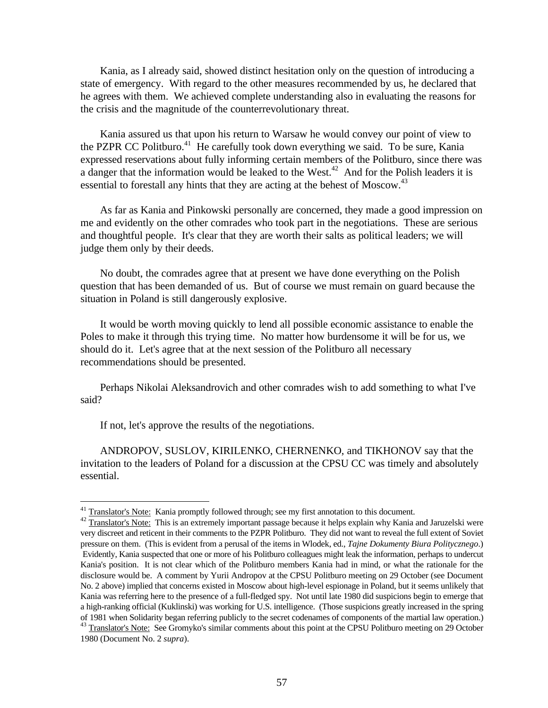Kania, as I already said, showed distinct hesitation only on the question of introducing a state of emergency. With regard to the other measures recommended by us, he declared that he agrees with them. We achieved complete understanding also in evaluating the reasons for the crisis and the magnitude of the counterrevolutionary threat.

Kania assured us that upon his return to Warsaw he would convey our point of view to the PZPR CC Politburo.<sup>41</sup> He carefully took down everything we said. To be sure, Kania expressed reservations about fully informing certain members of the Politburo, since there was a danger that the information would be leaked to the West.<sup>42</sup> And for the Polish leaders it is essential to forestall any hints that they are acting at the behest of Moscow.<sup>43</sup>

As far as Kania and Pinkowski personally are concerned, they made a good impression on me and evidently on the other comrades who took part in the negotiations. These are serious and thoughtful people. It's clear that they are worth their salts as political leaders; we will judge them only by their deeds.

No doubt, the comrades agree that at present we have done everything on the Polish question that has been demanded of us. But of course we must remain on guard because the situation in Poland is still dangerously explosive.

It would be worth moving quickly to lend all possible economic assistance to enable the Poles to make it through this trying time. No matter how burdensome it will be for us, we should do it. Let's agree that at the next session of the Politburo all necessary recommendations should be presented.

Perhaps Nikolai Aleksandrovich and other comrades wish to add something to what I've said?

If not, let's approve the results of the negotiations.

ANDROPOV, SUSLOV, KIRILENKO, CHERNENKO, and TIKHONOV say that the invitation to the leaders of Poland for a discussion at the CPSU CC was timely and absolutely essential.

 $41$  Translator's Note: Kania promptly followed through; see my first annotation to this document.

<sup>&</sup>lt;sup>42</sup> Translator's Note: This is an extremely important passage because it helps explain why Kania and Jaruzelski were very discreet and reticent in their comments to the PZPR Politburo. They did not want to reveal the full extent of Soviet pressure on them. (This is evident from a perusal of the items in Wlodek, ed., *Tajne Dokumenty Biura Politycznego*.) Evidently, Kania suspected that one or more of his Politburo colleagues might leak the information, perhaps to undercut Kania's position. It is not clear which of the Politburo members Kania had in mind, or what the rationale for the disclosure would be. A comment by Yurii Andropov at the CPSU Politburo meeting on 29 October (see Document No. 2 above) implied that concerns existed in Moscow about high-level espionage in Poland, but it seems unlikely that Kania was referring here to the presence of a full-fledged spy. Not until late 1980 did suspicions begin to emerge that a high-ranking official (Kuklinski) was working for U.S. intelligence. (Those suspicions greatly increased in the spring of 1981 when Solidarity began referring publicly to the secret codenames of components of the martial law operation.) <sup>43</sup> Translator's Note: See Gromyko's similar comments about this point at the CPSU Politburo meeting on 29 October

<sup>1980 (</sup>Document No. 2 *supra*).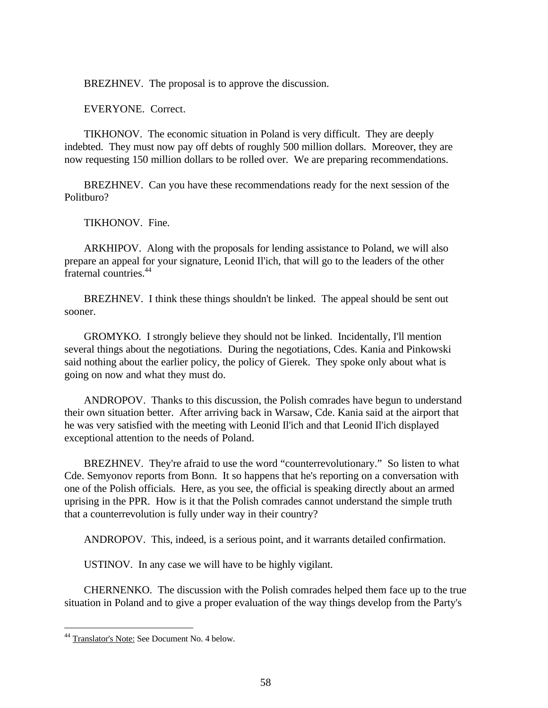BREZHNEV. The proposal is to approve the discussion.

EVERYONE. Correct.

TIKHONOV. The economic situation in Poland is very difficult. They are deeply indebted. They must now pay off debts of roughly 500 million dollars. Moreover, they are now requesting 150 million dollars to be rolled over. We are preparing recommendations.

BREZHNEV. Can you have these recommendations ready for the next session of the Politburo?

TIKHONOV. Fine.

ARKHIPOV. Along with the proposals for lending assistance to Poland, we will also prepare an appeal for your signature, Leonid Il'ich, that will go to the leaders of the other fraternal countries.<sup>44</sup>

BREZHNEV. I think these things shouldn't be linked. The appeal should be sent out sooner.

GROMYKO. I strongly believe they should not be linked. Incidentally, I'll mention several things about the negotiations. During the negotiations, Cdes. Kania and Pinkowski said nothing about the earlier policy, the policy of Gierek. They spoke only about what is going on now and what they must do.

ANDROPOV. Thanks to this discussion, the Polish comrades have begun to understand their own situation better. After arriving back in Warsaw, Cde. Kania said at the airport that he was very satisfied with the meeting with Leonid Il'ich and that Leonid Il'ich displayed exceptional attention to the needs of Poland.

BREZHNEV. They're afraid to use the word "counterrevolutionary." So listen to what Cde. Semyonov reports from Bonn. It so happens that he's reporting on a conversation with one of the Polish officials. Here, as you see, the official is speaking directly about an armed uprising in the PPR. How is it that the Polish comrades cannot understand the simple truth that a counterrevolution is fully under way in their country?

ANDROPOV. This, indeed, is a serious point, and it warrants detailed confirmation.

USTINOV. In any case we will have to be highly vigilant.

CHERNENKO. The discussion with the Polish comrades helped them face up to the true situation in Poland and to give a proper evaluation of the way things develop from the Party's

-

<sup>44</sup> Translator's Note: See Document No. 4 below.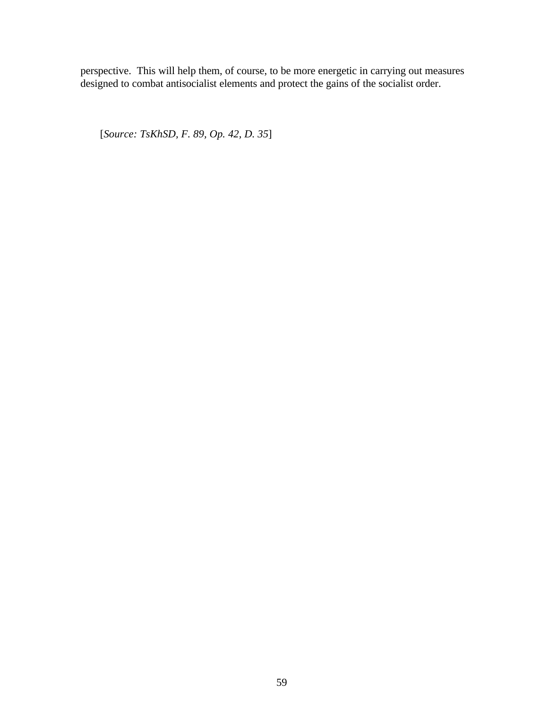perspective. This will help them, of course, to be more energetic in carrying out measures designed to combat antisocialist elements and protect the gains of the socialist order.

[*Source: TsKhSD, F. 89, Op. 42, D. 35*]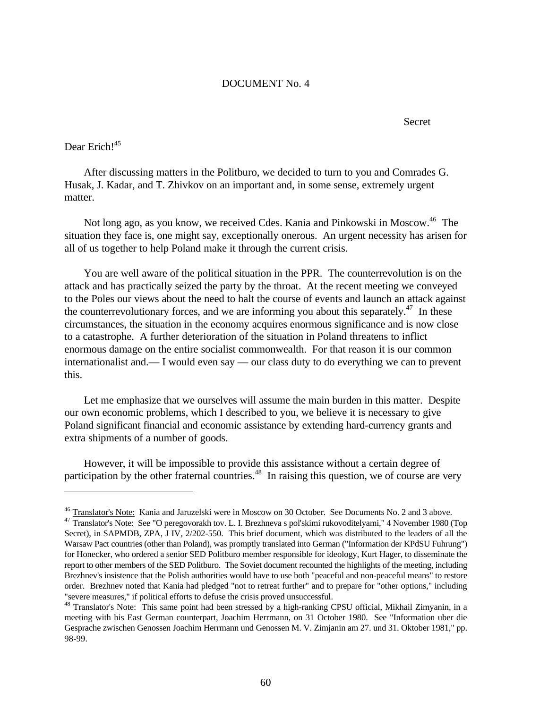# DOCUMENT No. 4

Secret

# Dear Erich!<sup>45</sup>

<u>.</u>

After discussing matters in the Politburo, we decided to turn to you and Comrades G. Husak, J. Kadar, and T. Zhivkov on an important and, in some sense, extremely urgent matter.

Not long ago, as you know, we received Cdes. Kania and Pinkowski in Moscow.<sup>46</sup> The situation they face is, one might say, exceptionally onerous. An urgent necessity has arisen for all of us together to help Poland make it through the current crisis.

You are well aware of the political situation in the PPR. The counterrevolution is on the attack and has practically seized the party by the throat. At the recent meeting we conveyed to the Poles our views about the need to halt the course of events and launch an attack against the counterrevolutionary forces, and we are informing you about this separately.<sup>47</sup> In these circumstances, the situation in the economy acquires enormous significance and is now close to a catastrophe. A further deterioration of the situation in Poland threatens to inflict enormous damage on the entire socialist commonwealth. For that reason it is our common internationalist and.— I would even say — our class duty to do everything we can to prevent this.

Let me emphasize that we ourselves will assume the main burden in this matter. Despite our own economic problems, which I described to you, we believe it is necessary to give Poland significant financial and economic assistance by extending hard-currency grants and extra shipments of a number of goods.

However, it will be impossible to provide this assistance without a certain degree of participation by the other fraternal countries.<sup>48</sup> In raising this question, we of course are very

<sup>&</sup>lt;sup>46</sup> Translator's Note: Kania and Jaruzelski were in Moscow on 30 October. See Documents No. 2 and 3 above.

<sup>&</sup>lt;sup>47</sup> Translator's Note: See "O peregovorakh tov. L. I. Brezhneva s pol'skimi rukovoditelyami," 4 November 1980 (Top Secret), in SAPMDB, ZPA, J IV, 2/202-550. This brief document, which was distributed to the leaders of all the Warsaw Pact countries (other than Poland), was promptly translated into German ("Information der KPdSU Fuhrung") for Honecker, who ordered a senior SED Politburo member responsible for ideology, Kurt Hager, to disseminate the report to other members of the SED Politburo. The Soviet document recounted the highlights of the meeting, including Brezhnev's insistence that the Polish authorities would have to use both "peaceful and non-peaceful means" to restore order. Brezhnev noted that Kania had pledged "not to retreat further" and to prepare for "other options," including "severe measures," if political efforts to defuse the crisis proved unsuccessful.

<sup>&</sup>lt;sup>48</sup> Translator's Note: This same point had been stressed by a high-ranking CPSU official, Mikhail Zimyanin, in a meeting with his East German counterpart, Joachim Herrmann, on 31 October 1980. See "Information uber die Gesprache zwischen Genossen Joachim Herrmann und Genossen M. V. Zimjanin am 27. und 31. Oktober 1981," pp. 98-99.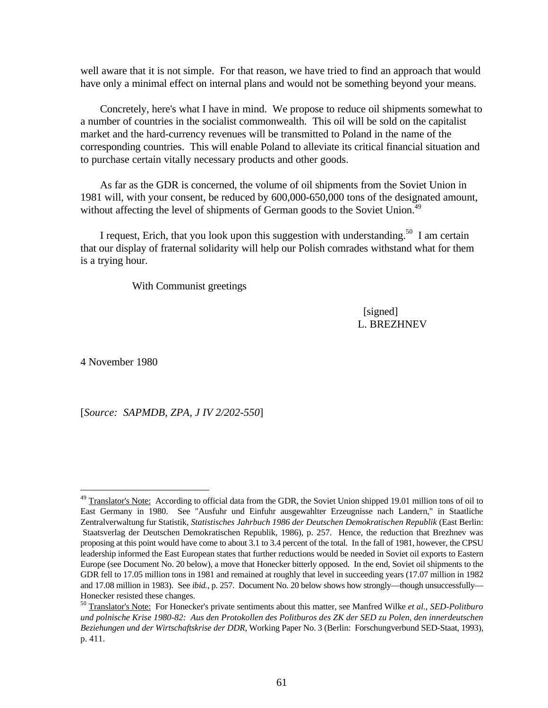well aware that it is not simple. For that reason, we have tried to find an approach that would have only a minimal effect on internal plans and would not be something beyond your means.

Concretely, here's what I have in mind. We propose to reduce oil shipments somewhat to a number of countries in the socialist commonwealth. This oil will be sold on the capitalist market and the hard-currency revenues will be transmitted to Poland in the name of the corresponding countries. This will enable Poland to alleviate its critical financial situation and to purchase certain vitally necessary products and other goods.

As far as the GDR is concerned, the volume of oil shipments from the Soviet Union in 1981 will, with your consent, be reduced by 600,000-650,000 tons of the designated amount, without affecting the level of shipments of German goods to the Soviet Union.<sup>49</sup>

I request, Erich, that you look upon this suggestion with understanding.<sup>50</sup> I am certain that our display of fraternal solidarity will help our Polish comrades withstand what for them is a trying hour.

With Communist greetings

 [signed] L. BREZHNEV

4 November 1980

-

[*Source: SAPMDB, ZPA, J IV 2/202-550*]

<sup>&</sup>lt;sup>49</sup> Translator's Note: According to official data from the GDR, the Soviet Union shipped 19.01 million tons of oil to East Germany in 1980. See "Ausfuhr und Einfuhr ausgewahlter Erzeugnisse nach Landern," in Staatliche Zentralverwaltung fur Statistik, *Statistisches Jahrbuch 1986 der Deutschen Demokratischen Republik* (East Berlin: Staatsverlag der Deutschen Demokratischen Republik, 1986), p. 257. Hence, the reduction that Brezhnev was proposing at this point would have come to about 3.1 to 3.4 percent of the total. In the fall of 1981, however, the CPSU leadership informed the East European states that further reductions would be needed in Soviet oil exports to Eastern Europe (see Document No. 20 below), a move that Honecker bitterly opposed. In the end, Soviet oil shipments to the GDR fell to 17.05 million tons in 1981 and remained at roughly that level in succeeding years (17.07 million in 1982 and 17.08 million in 1983). See *ibid.*, p. 257. Document No. 20 below shows how strongly—though unsuccessfully— Honecker resisted these changes.

<sup>50</sup> Translator's Note: For Honecker's private sentiments about this matter, see Manfred Wilke *et al.*, *SED-Politburo und polnische Krise 1980-82: Aus den Protokollen des Politburos des ZK der SED zu Polen, den innerdeutschen Beziehungen und der Wirtschaftskrise der DDR*, Working Paper No. 3 (Berlin: Forschungverbund SED-Staat, 1993), p. 411.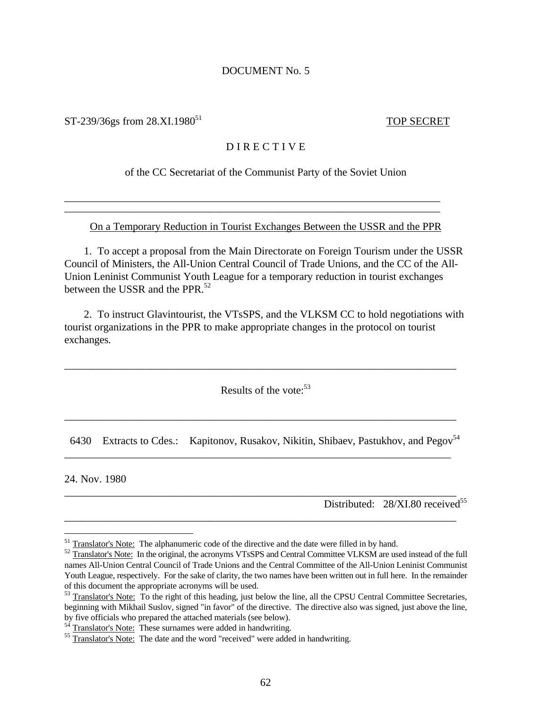#### DOCUMENT No. 5

 $ST-239/36$ gs from  $28.XI.1980<sup>51</sup>$  TOP SECRET

# D I R E C T I V E

of the CC Secretariat of the Communist Party of the Soviet Union

On a Temporary Reduction in Tourist Exchanges Between the USSR and the PPR

\_\_\_\_\_\_\_\_\_\_\_\_\_\_\_\_\_\_\_\_\_\_\_\_\_\_\_\_\_\_\_\_\_\_\_\_\_\_\_\_\_\_\_\_\_\_\_\_\_\_\_\_\_\_\_\_\_\_\_\_\_\_\_\_\_\_\_\_\_\_ \_\_\_\_\_\_\_\_\_\_\_\_\_\_\_\_\_\_\_\_\_\_\_\_\_\_\_\_\_\_\_\_\_\_\_\_\_\_\_\_\_\_\_\_\_\_\_\_\_\_\_\_\_\_\_\_\_\_\_\_\_\_\_\_\_\_\_\_\_\_

1. To accept a proposal from the Main Directorate on Foreign Tourism under the USSR Council of Ministers, the All-Union Central Council of Trade Unions, and the CC of the All-Union Leninist Communist Youth League for a temporary reduction in tourist exchanges between the USSR and the PPR.<sup>52</sup>

2. To instruct Glavintourist, the VTsSPS, and the VLKSM CC to hold negotiations with tourist organizations in the PPR to make appropriate changes in the protocol on tourist exchanges.

Results of the vote: $53$ 

\_\_\_\_\_\_\_\_\_\_\_\_\_\_\_\_\_\_\_\_\_\_\_\_\_\_\_\_\_\_\_\_\_\_\_\_\_\_\_\_\_\_\_\_\_\_\_\_\_\_\_\_\_\_\_\_\_\_\_\_\_\_\_\_\_\_\_\_\_\_\_\_\_

6430 Extracts to Cdes.: Kapitonov, Rusakov, Nikitin, Shibaev, Pastukhov, and Pegov<sup>54</sup>

\_\_\_\_\_\_\_\_\_\_\_\_\_\_\_\_\_\_\_\_\_\_\_\_\_\_\_\_\_\_\_\_\_\_\_\_\_\_\_\_\_\_\_\_\_\_\_\_\_\_\_\_\_\_\_\_\_\_\_\_\_\_\_\_\_\_\_\_\_\_\_\_

\_\_\_\_\_\_\_\_\_\_\_\_\_\_\_\_\_\_\_\_\_\_\_\_\_\_\_\_\_\_\_\_\_\_\_\_\_\_\_\_\_\_\_\_\_\_\_\_\_\_\_\_\_\_\_\_\_\_\_\_\_\_\_\_\_\_\_\_\_\_\_\_\_

\_\_\_\_\_\_\_\_\_\_\_\_\_\_\_\_\_\_\_\_\_\_\_\_\_\_\_\_\_\_\_\_\_\_\_\_\_\_\_\_\_\_\_\_\_\_\_\_\_\_\_\_\_\_\_\_\_\_\_\_\_\_\_\_\_\_\_\_\_\_\_\_\_

\_\_\_\_\_\_\_\_\_\_\_\_\_\_\_\_\_\_\_\_\_\_\_\_\_\_\_\_\_\_\_\_\_\_\_\_\_\_\_\_\_\_\_\_\_\_\_\_\_\_\_\_\_\_\_\_\_\_\_\_\_\_\_\_\_\_\_\_\_\_\_\_\_

24. Nov. 1980

 $\overline{a}$ 

Distributed:  $28/XI.80$  received<sup>55</sup>

<sup>&</sup>lt;sup>51</sup> Translator's Note: The alphanumeric code of the directive and the date were filled in by hand.

<sup>&</sup>lt;sup>52</sup> Translator's Note: In the original, the acronyms VTsSPS and Central Committee VLKSM are used instead of the full names All-Union Central Council of Trade Unions and the Central Committee of the All-Union Leninist Communist Youth League, respectively. For the sake of clarity, the two names have been written out in full here. In the remainder of this document the appropriate acronyms will be used.

<sup>&</sup>lt;sup>53</sup> Translator's Note: To the right of this heading, just below the line, all the CPSU Central Committee Secretaries, beginning with Mikhail Suslov, signed "in favor" of the directive. The directive also was signed, just above the line, by five officials who prepared the attached materials (see below).

 $54$  Translator's Note: These surnames were added in handwriting.

<sup>&</sup>lt;sup>55</sup> Translator's Note: The date and the word "received" were added in handwriting.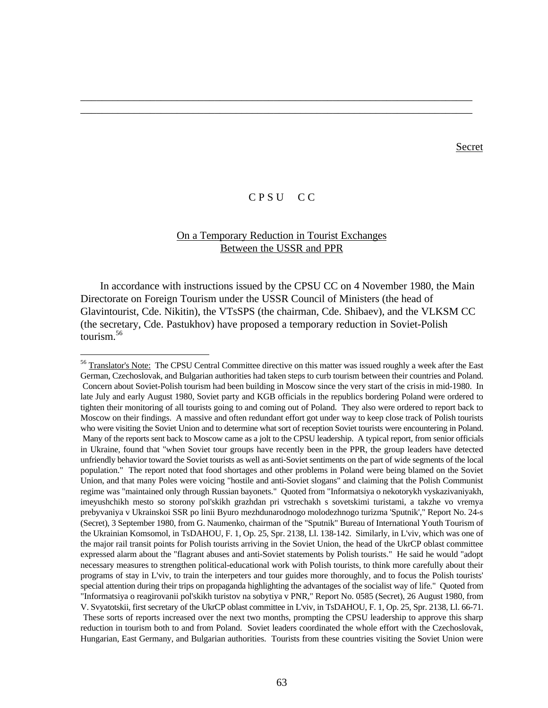#### **Secret**

# C P S U C C

\_\_\_\_\_\_\_\_\_\_\_\_\_\_\_\_\_\_\_\_\_\_\_\_\_\_\_\_\_\_\_\_\_\_\_\_\_\_\_\_\_\_\_\_\_\_\_\_\_\_\_\_\_\_\_\_\_\_\_\_\_\_\_\_\_\_\_\_\_\_\_\_\_ \_\_\_\_\_\_\_\_\_\_\_\_\_\_\_\_\_\_\_\_\_\_\_\_\_\_\_\_\_\_\_\_\_\_\_\_\_\_\_\_\_\_\_\_\_\_\_\_\_\_\_\_\_\_\_\_\_\_\_\_\_\_\_\_\_\_\_\_\_\_\_\_\_

# On a Temporary Reduction in Tourist Exchanges Between the USSR and PPR

In accordance with instructions issued by the CPSU CC on 4 November 1980, the Main Directorate on Foreign Tourism under the USSR Council of Ministers (the head of Glavintourist, Cde. Nikitin), the VTsSPS (the chairman, Cde. Shibaev), and the VLKSM CC (the secretary, Cde. Pastukhov) have proposed a temporary reduction in Soviet-Polish tourism.<sup>56</sup>

 $\overline{a}$ 

<sup>&</sup>lt;sup>56</sup> Translator's Note: The CPSU Central Committee directive on this matter was issued roughly a week after the East German, Czechoslovak, and Bulgarian authorities had taken steps to curb tourism between their countries and Poland. Concern about Soviet-Polish tourism had been building in Moscow since the very start of the crisis in mid-1980. In late July and early August 1980, Soviet party and KGB officials in the republics bordering Poland were ordered to tighten their monitoring of all tourists going to and coming out of Poland. They also were ordered to report back to Moscow on their findings. A massive and often redundant effort got under way to keep close track of Polish tourists who were visiting the Soviet Union and to determine what sort of reception Soviet tourists were encountering in Poland. Many of the reports sent back to Moscow came as a jolt to the CPSU leadership. A typical report, from senior officials in Ukraine, found that "when Soviet tour groups have recently been in the PPR, the group leaders have detected unfriendly behavior toward the Soviet tourists as well as anti-Soviet sentiments on the part of wide segments of the local population." The report noted that food shortages and other problems in Poland were being blamed on the Soviet Union, and that many Poles were voicing "hostile and anti-Soviet slogans" and claiming that the Polish Communist regime was "maintained only through Russian bayonets." Quoted from "Informatsiya o nekotorykh vyskazivaniyakh, imeyushchikh mesto so storony pol'skikh grazhdan pri vstrechakh s sovetskimi turistami, a takzhe vo vremya prebyvaniya v Ukrainskoi SSR po linii Byuro mezhdunarodnogo molodezhnogo turizma 'Sputnik'," Report No. 24-s (Secret), 3 September 1980, from G. Naumenko, chairman of the "Sputnik" Bureau of International Youth Tourism of the Ukrainian Komsomol, in TsDAHOU, F. 1, Op. 25, Spr. 2138, Ll. 138-142. Similarly, in L'viv, which was one of the major rail transit points for Polish tourists arriving in the Soviet Union, the head of the UkrCP oblast committee expressed alarm about the "flagrant abuses and anti-Soviet statements by Polish tourists." He said he would "adopt necessary measures to strengthen political-educational work with Polish tourists, to think more carefully about their programs of stay in L'viv, to train the interpeters and tour guides more thoroughly, and to focus the Polish tourists' special attention during their trips on propaganda highlighting the advantages of the socialist way of life." Quoted from "Informatsiya o reagirovanii pol'skikh turistov na sobytiya v PNR," Report No. 0585 (Secret), 26 August 1980, from V. Svyatotskii, first secretary of the UkrCP oblast committee in L'viv, in TsDAHOU, F. 1, Op. 25, Spr. 2138, Ll. 66-71. These sorts of reports increased over the next two months, prompting the CPSU leadership to approve this sharp reduction in tourism both to and from Poland. Soviet leaders coordinated the whole effort with the Czechoslovak, Hungarian, East Germany, and Bulgarian authorities. Tourists from these countries visiting the Soviet Union were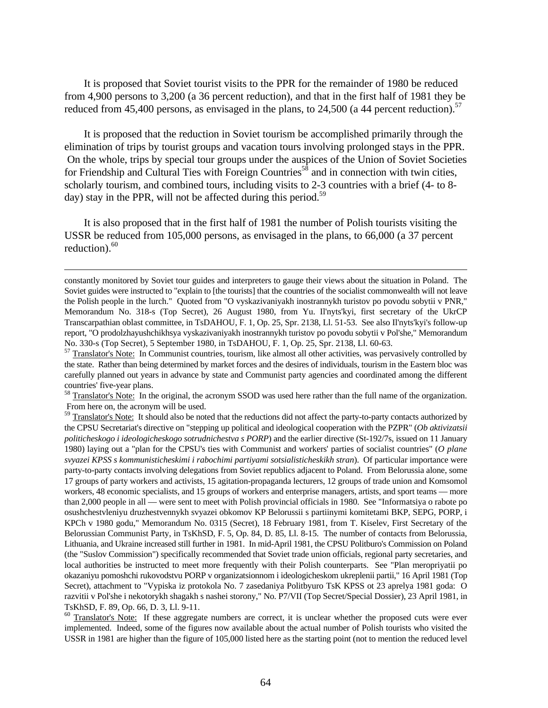It is proposed that Soviet tourist visits to the PPR for the remainder of 1980 be reduced from 4,900 persons to 3,200 (a 36 percent reduction), and that in the first half of 1981 they be reduced from 45,400 persons, as envisaged in the plans, to 24,500 (a 44 percent reduction).<sup>57</sup>

It is proposed that the reduction in Soviet tourism be accomplished primarily through the elimination of trips by tourist groups and vacation tours involving prolonged stays in the PPR. On the whole, trips by special tour groups under the auspices of the Union of Soviet Societies for Friendship and Cultural Ties with Foreign Countries<sup>58</sup> and in connection with twin cities, scholarly tourism, and combined tours, including visits to 2-3 countries with a brief (4- to 8 day) stay in the PPR, will not be affected during this period.<sup>59</sup>

It is also proposed that in the first half of 1981 the number of Polish tourists visiting the USSR be reduced from 105,000 persons, as envisaged in the plans, to 66,000 (a 37 percent reduction). $60$ 

 $\overline{a}$ 

constantly monitored by Soviet tour guides and interpreters to gauge their views about the situation in Poland. The Soviet guides were instructed to "explain to [the tourists] that the countries of the socialist commonwealth will not leave the Polish people in the lurch." Quoted from "O vyskazivaniyakh inostrannykh turistov po povodu sobytii v PNR," Memorandum No. 318-s (Top Secret), 26 August 1980, from Yu. Il'nyts'kyi, first secretary of the UkrCP Transcarpathian oblast committee, in TsDAHOU, F. 1, Op. 25, Spr. 2138, Ll. 51-53. See also Il'nyts'kyi's follow-up report, "O prodolzhayushchikhsya vyskazivaniyakh inostrannykh turistov po povodu sobytii v Pol'she," Memorandum No. 330-s (Top Secret), 5 September 1980, in TsDAHOU, F. 1, Op. 25, Spr. 2138, Ll. 60-63.

<sup>&</sup>lt;sup>57</sup> Translator's Note: In Communist countries, tourism, like almost all other activities, was pervasively controlled by the state. Rather than being determined by market forces and the desires of individuals, tourism in the Eastern bloc was carefully planned out years in advance by state and Communist party agencies and coordinated among the different countries' five-year plans.

<sup>&</sup>lt;sup>58</sup> Translator's Note: In the original, the acronym SSOD was used here rather than the full name of the organization. From here on, the acronym will be used.

<sup>&</sup>lt;sup>59</sup> Translator's Note: It should also be noted that the reductions did not affect the party-to-party contacts authorized by the CPSU Secretariat's directive on "stepping up political and ideological cooperation with the PZPR" (*Ob aktivizatsii politicheskogo i ideologicheskogo sotrudnichestva s PORP*) and the earlier directive (St-192/7s, issued on 11 January 1980) laying out a "plan for the CPSU's ties with Communist and workers' parties of socialist countries" (*O plane svyazei KPSS s kommunisticheskimi i rabochimi partiyami sotsialisticheskikh stran*). Of particular importance were party-to-party contacts involving delegations from Soviet republics adjacent to Poland. From Belorussia alone, some 17 groups of party workers and activists, 15 agitation-propaganda lecturers, 12 groups of trade union and Komsomol workers, 48 economic specialists, and 15 groups of workers and enterprise managers, artists, and sport teams — more than 2,000 people in all — were sent to meet with Polish provincial officials in 1980. See "Informatsiya o rabote po osushchestvleniyu druzhestvennykh svyazei obkomov KP Belorussii s partiinymi komitetami BKP, SEPG, PORP, i KPCh v 1980 godu," Memorandum No. 0315 (Secret), 18 February 1981, from T. Kiselev, First Secretary of the Belorussian Communist Party, in TsKhSD, F. 5, Op. 84, D. 85, Ll. 8-15. The number of contacts from Belorussia, Lithuania, and Ukraine increased still further in 1981. In mid-April 1981, the CPSU Politburo's Commission on Poland (the "Suslov Commission") specifically recommended that Soviet trade union officials, regional party secretaries, and local authorities be instructed to meet more frequently with their Polish counterparts. See "Plan meropriyatii po okazaniyu pomoshchi rukovodstvu PORP v organizatsionnom i ideologicheskom ukreplenii partii," 16 April 1981 (Top Secret), attachment to "Vypiska iz protokola No. 7 zasedaniya Politbyuro TsK KPSS ot 23 aprelya 1981 goda: O razvitii v Pol'she i nekotorykh shagakh s nashei storony," No. P7/VII (Top Secret/Special Dossier), 23 April 1981, in TsKhSD, F. 89, Op. 66, D. 3, Ll. 9-11.

<sup>&</sup>lt;sup>60</sup> Translator's Note: If these aggregate numbers are correct, it is unclear whether the proposed cuts were ever implemented. Indeed, some of the figures now available about the actual number of Polish tourists who visited the USSR in 1981 are higher than the figure of 105,000 listed here as the starting point (not to mention the reduced level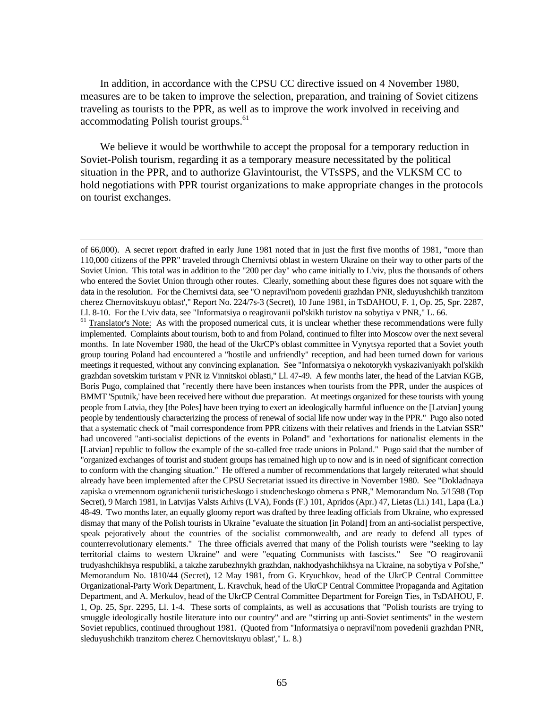In addition, in accordance with the CPSU CC directive issued on 4 November 1980, measures are to be taken to improve the selection, preparation, and training of Soviet citizens traveling as tourists to the PPR, as well as to improve the work involved in receiving and accommodating Polish tourist groups.<sup>61</sup>

We believe it would be worthwhile to accept the proposal for a temporary reduction in Soviet-Polish tourism, regarding it as a temporary measure necessitated by the political situation in the PPR, and to authorize Glavintourist, the VTsSPS, and the VLKSM CC to hold negotiations with PPR tourist organizations to make appropriate changes in the protocols on tourist exchanges.

of 66,000). A secret report drafted in early June 1981 noted that in just the first five months of 1981, "more than 110,000 citizens of the PPR" traveled through Chernivtsi oblast in western Ukraine on their way to other parts of the Soviet Union. This total was in addition to the "200 per day" who came initially to L'viv, plus the thousands of others who entered the Soviet Union through other routes. Clearly, something about these figures does not square with the data in the resolution. For the Chernivtsi data, see "O nepravil'nom povedenii grazhdan PNR, sleduyushchikh tranzitom cherez Chernovitskuyu oblast'," Report No. 224/7s-3 (Secret), 10 June 1981, in TsDAHOU, F. 1, Op. 25, Spr. 2287, Ll. 8-10. For the L'viv data, see "Informatsiya o reagirovanii pol'skikh turistov na sobytiya v PNR," L. 66.

 $<sup>61</sup>$  Translator's Note: As with the proposed numerical cuts, it is unclear whether these recommendations were fully</sup> implemented. Complaints about tourism, both to and from Poland, continued to filter into Moscow over the next several months. In late November 1980, the head of the UkrCP's oblast committee in Vynytsya reported that a Soviet youth group touring Poland had encountered a "hostile and unfriendly" reception, and had been turned down for various meetings it requested, without any convincing explanation. See "Informatsiya o nekotorykh vyskazivaniyakh pol'skikh grazhdan sovetskim turistam v PNR iz Vinnitskoi oblasti," Ll. 47-49. A few months later, the head of the Latvian KGB, Boris Pugo, complained that "recently there have been instances when tourists from the PPR, under the auspices of BMMT 'Sputnik,' have been received here without due preparation. At meetings organized for these tourists with young people from Latvia, they [the Poles] have been trying to exert an ideologically harmful influence on the [Latvian] young people by tendentiously characterizing the process of renewal of social life now under way in the PPR." Pugo also noted that a systematic check of "mail correspondence from PPR citizens with their relatives and friends in the Latvian SSR" had uncovered "anti-socialist depictions of the events in Poland" and "exhortations for nationalist elements in the [Latvian] republic to follow the example of the so-called free trade unions in Poland." Pugo said that the number of "organized exchanges of tourist and student groups has remained high up to now and is in need of significant correction to conform with the changing situation." He offered a number of recommendations that largely reiterated what should already have been implemented after the CPSU Secretariat issued its directive in November 1980. See "Dokladnaya zapiska o vremennom ogranichenii turisticheskogo i studencheskogo obmena s PNR," Memorandum No. 5/1598 (Top Secret), 9 March 1981, in Latvijas Valsts Arhivs (LVA), Fonds (F.) 101, Apridos (Apr.) 47, Lietas (Li.) 141, Lapa (La.) 48-49. Two months later, an equally gloomy report was drafted by three leading officials from Ukraine, who expressed dismay that many of the Polish tourists in Ukraine "evaluate the situation [in Poland] from an anti-socialist perspective, speak pejoratively about the countries of the socialist commonwealth, and are ready to defend all types of counterrevolutionary elements." The three officials averred that many of the Polish tourists were "seeking to lay territorial claims to western Ukraine" and were "equating Communists with fascists." See "O reagirovanii trudyashchikhsya respubliki, a takzhe zarubezhnykh grazhdan, nakhodyashchikhsya na Ukraine, na sobytiya v Pol'she," Memorandum No. 1810/44 (Secret), 12 May 1981, from G. Kryuchkov, head of the UkrCP Central Committee Organizational-Party Work Department, L. Kravchuk, head of the UkrCP Central Committee Propaganda and Agitation Department, and A. Merkulov, head of the UkrCP Central Committee Department for Foreign Ties, in TsDAHOU, F. 1, Op. 25, Spr. 2295, Ll. 1-4. These sorts of complaints, as well as accusations that "Polish tourists are trying to smuggle ideologically hostile literature into our country" and are "stirring up anti-Soviet sentiments" in the western Soviet republics, continued throughout 1981. (Quoted from "Informatsiya o nepravil'nom povedenii grazhdan PNR, sleduyushchikh tranzitom cherez Chernovitskuyu oblast'," L. 8.)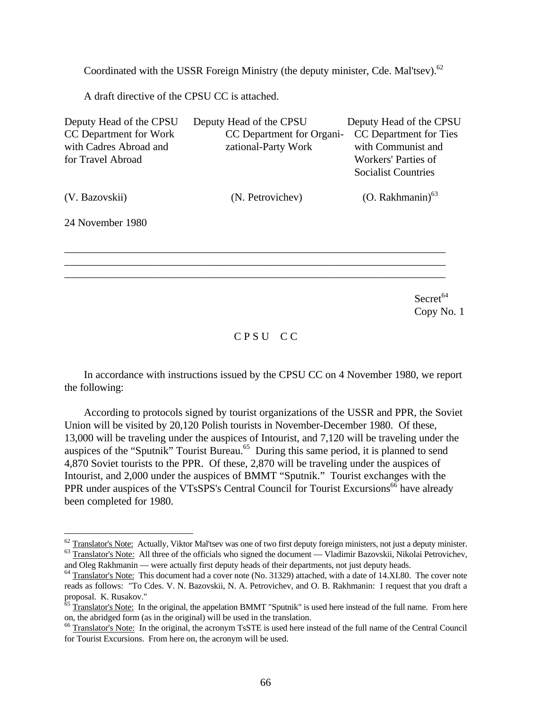Coordinated with the USSR Foreign Ministry (the deputy minister, Cde. Mal'tsev).<sup>62</sup>

A draft directive of the CPSU CC is attached.

| Deputy Head of the CPSU | Deputy Head of the CPSU   | Deputy Head of the CPSU    |
|-------------------------|---------------------------|----------------------------|
| CC Department for Work  | CC Department for Organi- | CC Department for Ties     |
| with Cadres Abroad and  | zational-Party Work       | with Communist and         |
| for Travel Abroad       |                           | Workers' Parties of        |
|                         |                           | <b>Socialist Countries</b> |
| (V. Bazovskii)          | (N. Petrovichev)          | (O. Rakhmanin) $^{63}$     |
| 24 November 1980        |                           |                            |
|                         |                           |                            |
|                         |                           |                            |
|                         |                           |                            |
|                         |                           | Secret <sup>64</sup>       |
|                         |                           | Copy No. 1                 |

C P S U C C

In accordance with instructions issued by the CPSU CC on 4 November 1980, we report the following:

According to protocols signed by tourist organizations of the USSR and PPR, the Soviet Union will be visited by 20,120 Polish tourists in November-December 1980. Of these, 13,000 will be traveling under the auspices of Intourist, and 7,120 will be traveling under the auspices of the "Sputnik" Tourist Bureau.<sup>65</sup> During this same period, it is planned to send 4,870 Soviet tourists to the PPR. Of these, 2,870 will be traveling under the auspices of Intourist, and 2,000 under the auspices of BMMT "Sputnik." Tourist exchanges with the PPR under auspices of the VTsSPS's Central Council for Tourist Excursions<sup>66</sup> have already been completed for 1980.

 $\overline{a}$ 

 $62$  Translator's Note: Actually, Viktor Mal'tsev was one of two first deputy foreign ministers, not just a deputy minister. <sup>63</sup> Translator's Note: All three of the officials who signed the document — Vladimir Bazovskii, Nikolai Petrovichev,

and Oleg Rakhmanin — were actually first deputy heads of their departments, not just deputy heads.

<sup>&</sup>lt;sup>64</sup> Translator's Note: This document had a cover note (No. 31329) attached, with a date of 14.XI.80. The cover note reads as follows: "To Cdes. V. N. Bazovskii, N. A. Petrovichev, and O. B. Rakhmanin: I request that you draft a proposal. K. Rusakov."

<sup>&</sup>lt;sup>65</sup> Translator's Note: In the original, the appelation BMMT "Sputnik" is used here instead of the full name. From here on, the abridged form (as in the original) will be used in the translation.

<sup>66</sup> Translator's Note: In the original, the acronym TsSTE is used here instead of the full name of the Central Council for Tourist Excursions. From here on, the acronym will be used.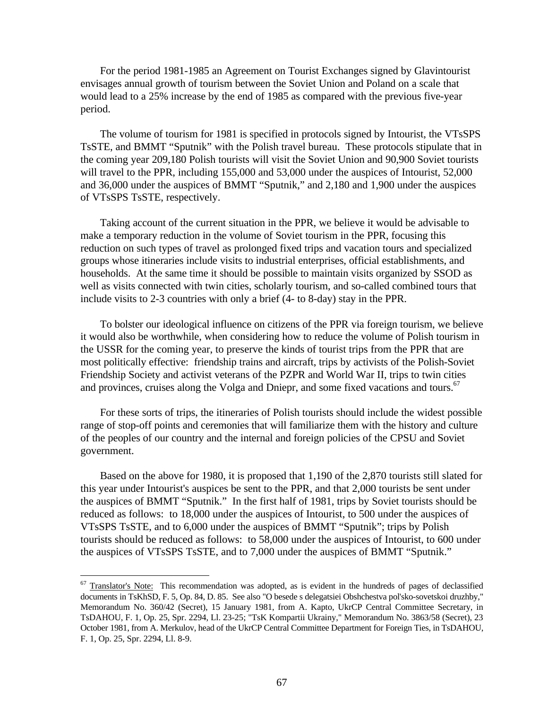For the period 1981-1985 an Agreement on Tourist Exchanges signed by Glavintourist envisages annual growth of tourism between the Soviet Union and Poland on a scale that would lead to a 25% increase by the end of 1985 as compared with the previous five-year period.

The volume of tourism for 1981 is specified in protocols signed by Intourist, the VTsSPS TsSTE, and BMMT "Sputnik" with the Polish travel bureau. These protocols stipulate that in the coming year 209,180 Polish tourists will visit the Soviet Union and 90,900 Soviet tourists will travel to the PPR, including 155,000 and 53,000 under the auspices of Intourist, 52,000 and 36,000 under the auspices of BMMT "Sputnik," and 2,180 and 1,900 under the auspices of VTsSPS TsSTE, respectively.

Taking account of the current situation in the PPR, we believe it would be advisable to make a temporary reduction in the volume of Soviet tourism in the PPR, focusing this reduction on such types of travel as prolonged fixed trips and vacation tours and specialized groups whose itineraries include visits to industrial enterprises, official establishments, and households. At the same time it should be possible to maintain visits organized by SSOD as well as visits connected with twin cities, scholarly tourism, and so-called combined tours that include visits to 2-3 countries with only a brief (4- to 8-day) stay in the PPR.

To bolster our ideological influence on citizens of the PPR via foreign tourism, we believe it would also be worthwhile, when considering how to reduce the volume of Polish tourism in the USSR for the coming year, to preserve the kinds of tourist trips from the PPR that are most politically effective: friendship trains and aircraft, trips by activists of the Polish-Soviet Friendship Society and activist veterans of the PZPR and World War II, trips to twin cities and provinces, cruises along the Volga and Dniepr, and some fixed vacations and tours.<sup>67</sup>

For these sorts of trips, the itineraries of Polish tourists should include the widest possible range of stop-off points and ceremonies that will familiarize them with the history and culture of the peoples of our country and the internal and foreign policies of the CPSU and Soviet government.

Based on the above for 1980, it is proposed that 1,190 of the 2,870 tourists still slated for this year under Intourist's auspices be sent to the PPR, and that 2,000 tourists be sent under the auspices of BMMT "Sputnik." In the first half of 1981, trips by Soviet tourists should be reduced as follows: to 18,000 under the auspices of Intourist, to 500 under the auspices of VTsSPS TsSTE, and to 6,000 under the auspices of BMMT "Sputnik"; trips by Polish tourists should be reduced as follows: to 58,000 under the auspices of Intourist, to 600 under the auspices of VTsSPS TsSTE, and to 7,000 under the auspices of BMMT "Sputnik."

 $\overline{a}$ 

 $67$  Translator's Note: This recommendation was adopted, as is evident in the hundreds of pages of declassified documents in TsKhSD, F. 5, Op. 84, D. 85. See also "O besede s delegatsiei Obshchestva pol'sko-sovetskoi druzhby," Memorandum No. 360/42 (Secret), 15 January 1981, from A. Kapto, UkrCP Central Committee Secretary, in TsDAHOU, F. 1, Op. 25, Spr. 2294, Ll. 23-25; "TsK Kompartii Ukrainy," Memorandum No. 3863/58 (Secret), 23 October 1981, from A. Merkulov, head of the UkrCP Central Committee Department for Foreign Ties, in TsDAHOU, F. 1, Op. 25, Spr. 2294, Ll. 8-9.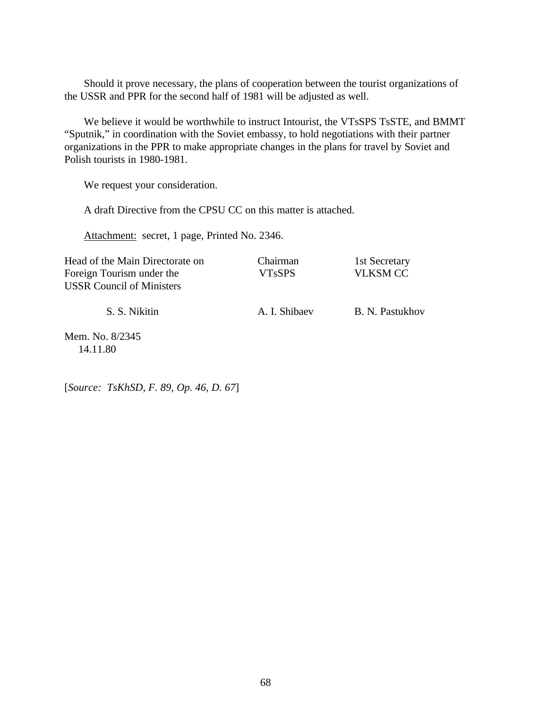Should it prove necessary, the plans of cooperation between the tourist organizations of the USSR and PPR for the second half of 1981 will be adjusted as well.

We believe it would be worthwhile to instruct Intourist, the VTsSPS TsSTE, and BMMT "Sputnik," in coordination with the Soviet embassy, to hold negotiations with their partner organizations in the PPR to make appropriate changes in the plans for travel by Soviet and Polish tourists in 1980-1981.

We request your consideration.

A draft Directive from the CPSU CC on this matter is attached.

Attachment: secret, 1 page, Printed No. 2346.

| Head of the Main Directorate on  | Chairman      | 1st Secretary   |
|----------------------------------|---------------|-----------------|
| Foreign Tourism under the        | <b>VTsSPS</b> | <b>VLKSM CC</b> |
| <b>USSR Council of Ministers</b> |               |                 |
| S. S. Nikitin                    | A. I. Shibaev | B. N. Pastukhov |
|                                  |               |                 |

Mem. No. 8/2345 14.11.80

[*Source: TsKhSD, F. 89, Op. 46, D. 67*]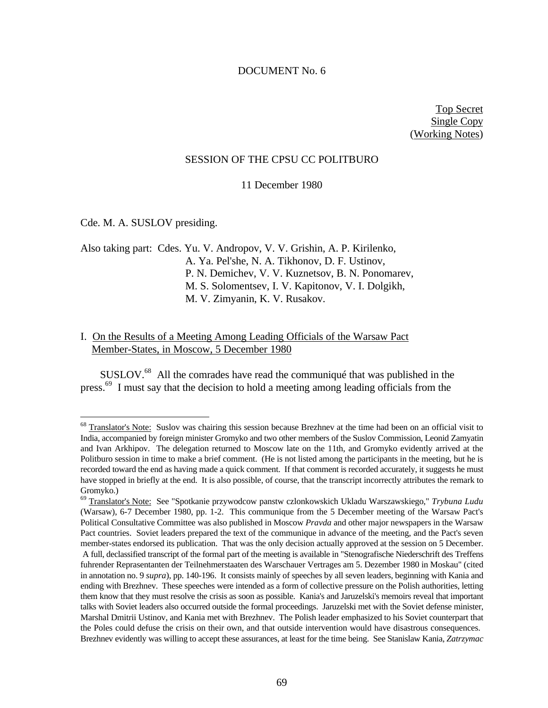#### DOCUMENT No. 6

Top Secret Single Copy (Working Notes)

#### SESSION OF THE CPSU CC POLITBURO

11 December 1980

Cde. M. A. SUSLOV presiding.

 $\overline{a}$ 

Also taking part: Cdes. Yu. V. Andropov, V. V. Grishin, A. P. Kirilenko, A. Ya. Pel'she, N. A. Tikhonov, D. F. Ustinov, P. N. Demichev, V. V. Kuznetsov, B. N. Ponomarev, M. S. Solomentsev, I. V. Kapitonov, V. I. Dolgikh, M. V. Zimyanin, K. V. Rusakov.

# I. On the Results of a Meeting Among Leading Officials of the Warsaw Pact Member-States, in Moscow, 5 December 1980

SUSLOV.<sup>68</sup> All the comrades have read the communiqué that was published in the press.<sup>69</sup> I must say that the decision to hold a meeting among leading officials from the

<sup>&</sup>lt;sup>68</sup> Translator's Note: Suslov was chairing this session because Brezhnev at the time had been on an official visit to India, accompanied by foreign minister Gromyko and two other members of the Suslov Commission, Leonid Zamyatin and Ivan Arkhipov. The delegation returned to Moscow late on the 11th, and Gromyko evidently arrived at the Politburo session in time to make a brief comment. (He is not listed among the participants in the meeting, but he is recorded toward the end as having made a quick comment. If that comment is recorded accurately, it suggests he must have stopped in briefly at the end. It is also possible, of course, that the transcript incorrectly attributes the remark to Gromyko.)

<sup>69</sup> Translator's Note: See "Spotkanie przywodcow panstw czlonkowskich Ukladu Warszawskiego," *Trybuna Ludu* (Warsaw), 6-7 December 1980, pp. 1-2. This communique from the 5 December meeting of the Warsaw Pact's Political Consultative Committee was also published in Moscow *Pravda* and other major newspapers in the Warsaw Pact countries. Soviet leaders prepared the text of the communique in advance of the meeting, and the Pact's seven member-states endorsed its publication. That was the only decision actually approved at the session on 5 December. A full, declassified transcript of the formal part of the meeting is available in "Stenografische Niederschrift des Treffens fuhrender Reprasentanten der Teilnehmerstaaten des Warschauer Vertrages am 5. Dezember 1980 in Moskau" (cited in annotation no. 9 *supra*), pp. 140-196. It consists mainly of speeches by all seven leaders, beginning with Kania and ending with Brezhnev. These speeches were intended as a form of collective pressure on the Polish authorities, letting them know that they must resolve the crisis as soon as possible. Kania's and Jaruzelski's memoirs reveal that important talks with Soviet leaders also occurred outside the formal proceedings. Jaruzelski met with the Soviet defense minister, Marshal Dmitrii Ustinov, and Kania met with Brezhnev. The Polish leader emphasized to his Soviet counterpart that the Poles could defuse the crisis on their own, and that outside intervention would have disastrous consequences. Brezhnev evidently was willing to accept these assurances, at least for the time being. See Stanislaw Kania, *Zatrzymac*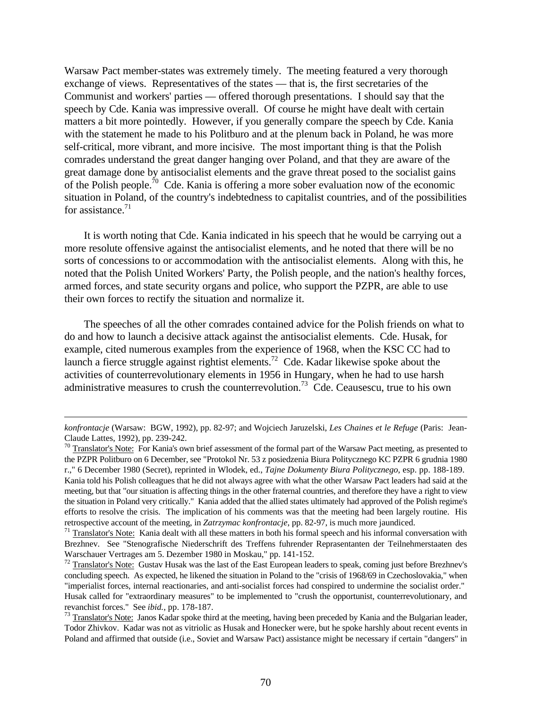Warsaw Pact member-states was extremely timely. The meeting featured a very thorough exchange of views. Representatives of the states — that is, the first secretaries of the Communist and workers' parties — offered thorough presentations. I should say that the speech by Cde. Kania was impressive overall. Of course he might have dealt with certain matters a bit more pointedly. However, if you generally compare the speech by Cde. Kania with the statement he made to his Politburo and at the plenum back in Poland, he was more self-critical, more vibrant, and more incisive. The most important thing is that the Polish comrades understand the great danger hanging over Poland, and that they are aware of the great damage done by antisocialist elements and the grave threat posed to the socialist gains of the Polish people.<sup>70</sup> Cde. Kania is offering a more sober evaluation now of the economic situation in Poland, of the country's indebtedness to capitalist countries, and of the possibilities for assistance. $71$ 

It is worth noting that Cde. Kania indicated in his speech that he would be carrying out a more resolute offensive against the antisocialist elements, and he noted that there will be no sorts of concessions to or accommodation with the antisocialist elements. Along with this, he noted that the Polish United Workers' Party, the Polish people, and the nation's healthy forces, armed forces, and state security organs and police, who support the PZPR, are able to use their own forces to rectify the situation and normalize it.

The speeches of all the other comrades contained advice for the Polish friends on what to do and how to launch a decisive attack against the antisocialist elements. Cde. Husak, for example, cited numerous examples from the experience of 1968, when the KSC CC had to launch a fierce struggle against rightist elements.<sup>72</sup> Cde. Kadar likewise spoke about the activities of counterrevolutionary elements in 1956 in Hungary, when he had to use harsh administrative measures to crush the counterrevolution.<sup>73</sup> Cde. Ceausescu, true to his own

*konfrontacje* (Warsaw: BGW, 1992), pp. 82-97; and Wojciech Jaruzelski, *Les Chaines et le Refuge* (Paris: Jean-Claude Lattes, 1992), pp. 239-242.

<sup>&</sup>lt;sup>70</sup> Translator's Note: For Kania's own brief assessment of the formal part of the Warsaw Pact meeting, as presented to the PZPR Politburo on 6 December, see "Protokol Nr. 53 z posiedzenia Biura Politycznego KC PZPR 6 grudnia 1980 r.," 6 December 1980 (Secret), reprinted in Wlodek, ed., *Tajne Dokumenty Biura Politycznego*, esp. pp. 188-189. Kania told his Polish colleagues that he did not always agree with what the other Warsaw Pact leaders had said at the meeting, but that "our situation is affecting things in the other fraternal countries, and therefore they have a right to view the situation in Poland very critically." Kania added that the allied states ultimately had approved of the Polish regime's efforts to resolve the crisis. The implication of his comments was that the meeting had been largely routine. His retrospective account of the meeting, in *Zatrzymac konfrontacje*, pp. 82-97, is much more jaundiced.

 $71$  Translator's Note: Kania dealt with all these matters in both his formal speech and his informal conversation with Brezhnev. See "Stenografische Niederschrift des Treffens fuhrender Reprasentanten der Teilnehmerstaaten des Warschauer Vertrages am 5. Dezember 1980 in Moskau," pp. 141-152.

 $72$  Translator's Note: Gustav Husak was the last of the East European leaders to speak, coming just before Brezhnev's concluding speech. As expected, he likened the situation in Poland to the "crisis of 1968/69 in Czechoslovakia," when "imperialist forces, internal reactionaries, and anti-socialist forces had conspired to undermine the socialist order." Husak called for "extraordinary measures" to be implemented to "crush the opportunist, counterrevolutionary, and revanchist forces." See *ibid.*, pp. 178-187.

<sup>&</sup>lt;sup>73</sup> Translator's Note: Janos Kadar spoke third at the meeting, having been preceded by Kania and the Bulgarian leader, Todor Zhivkov. Kadar was not as vitriolic as Husak and Honecker were, but he spoke harshly about recent events in Poland and affirmed that outside (i.e., Soviet and Warsaw Pact) assistance might be necessary if certain "dangers" in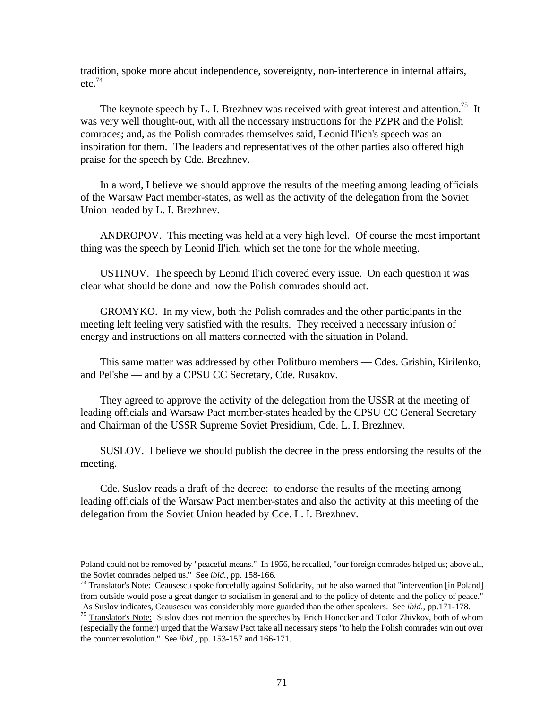tradition, spoke more about independence, sovereignty, non-interference in internal affairs,  $etc.<sup>74</sup>$ 

The keynote speech by L. I. Brezhnev was received with great interest and attention.<sup>75</sup> It was very well thought-out, with all the necessary instructions for the PZPR and the Polish comrades; and, as the Polish comrades themselves said, Leonid Il'ich's speech was an inspiration for them. The leaders and representatives of the other parties also offered high praise for the speech by Cde. Brezhnev.

In a word, I believe we should approve the results of the meeting among leading officials of the Warsaw Pact member-states, as well as the activity of the delegation from the Soviet Union headed by L. I. Brezhnev.

ANDROPOV. This meeting was held at a very high level. Of course the most important thing was the speech by Leonid Il'ich, which set the tone for the whole meeting.

USTINOV. The speech by Leonid Il'ich covered every issue. On each question it was clear what should be done and how the Polish comrades should act.

GROMYKO. In my view, both the Polish comrades and the other participants in the meeting left feeling very satisfied with the results. They received a necessary infusion of energy and instructions on all matters connected with the situation in Poland.

This same matter was addressed by other Politburo members — Cdes. Grishin, Kirilenko, and Pel'she — and by a CPSU CC Secretary, Cde. Rusakov.

They agreed to approve the activity of the delegation from the USSR at the meeting of leading officials and Warsaw Pact member-states headed by the CPSU CC General Secretary and Chairman of the USSR Supreme Soviet Presidium, Cde. L. I. Brezhnev.

SUSLOV. I believe we should publish the decree in the press endorsing the results of the meeting.

Cde. Suslov reads a draft of the decree: to endorse the results of the meeting among leading officials of the Warsaw Pact member-states and also the activity at this meeting of the delegation from the Soviet Union headed by Cde. L. I. Brezhnev.

Poland could not be removed by "peaceful means." In 1956, he recalled, "our foreign comrades helped us; above all, the Soviet comrades helped us." See *ibid.*, pp. 158-166.

 $74$  Translator's Note: Ceausescu spoke forcefully against Solidarity, but he also warned that "intervention [in Poland] from outside would pose a great danger to socialism in general and to the policy of detente and the policy of peace." As Suslov indicates, Ceausescu was considerably more guarded than the other speakers. See *ibid*., pp.171-178.

<sup>&</sup>lt;sup>75</sup> Translator's Note: Suslov does not mention the speeches by Erich Honecker and Todor Zhivkov, both of whom (especially the former) urged that the Warsaw Pact take all necessary steps "to help the Polish comrades win out over the counterrevolution." See *ibid.*, pp. 153-157 and 166-171.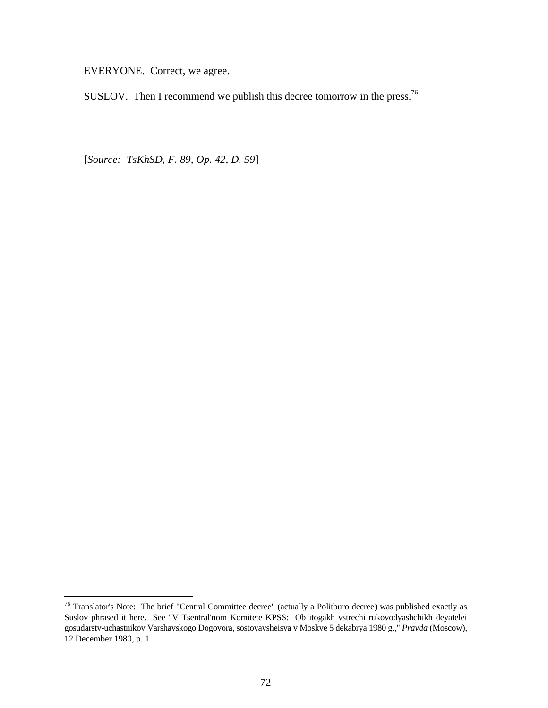EVERYONE. Correct, we agree.

SUSLOV. Then I recommend we publish this decree tomorrow in the press.<sup>76</sup>

[*Source: TsKhSD, F. 89, Op. 42, D. 59*]

 $76$  Translator's Note: The brief "Central Committee decree" (actually a Politburo decree) was published exactly as Suslov phrased it here. See "V Tsentral'nom Komitete KPSS: Ob itogakh vstrechi rukovodyashchikh deyatelei gosudarstv-uchastnikov Varshavskogo Dogovora, sostoyavsheisya v Moskve 5 dekabrya 1980 g.," *Pravda* (Moscow), 12 December 1980, p. 1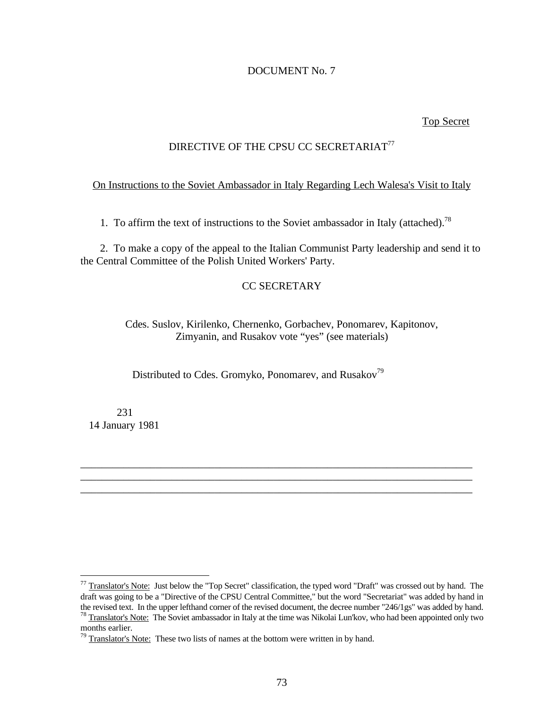# DOCUMENT No. 7

## Top Secret

# DIRECTIVE OF THE CPSU CC SECRETARIAT<sup>77</sup>

# On Instructions to the Soviet Ambassador in Italy Regarding Lech Walesa's Visit to Italy

1. To affirm the text of instructions to the Soviet ambassador in Italy (attached).<sup>78</sup>

2. To make a copy of the appeal to the Italian Communist Party leadership and send it to the Central Committee of the Polish United Workers' Party.

# CC SECRETARY

Cdes. Suslov, Kirilenko, Chernenko, Gorbachev, Ponomarev, Kapitonov, Zimyanin, and Rusakov vote "yes" (see materials)

\_\_\_\_\_\_\_\_\_\_\_\_\_\_\_\_\_\_\_\_\_\_\_\_\_\_\_\_\_\_\_\_\_\_\_\_\_\_\_\_\_\_\_\_\_\_\_\_\_\_\_\_\_\_\_\_\_\_\_\_\_\_\_\_\_\_\_\_\_\_\_\_\_ \_\_\_\_\_\_\_\_\_\_\_\_\_\_\_\_\_\_\_\_\_\_\_\_\_\_\_\_\_\_\_\_\_\_\_\_\_\_\_\_\_\_\_\_\_\_\_\_\_\_\_\_\_\_\_\_\_\_\_\_\_\_\_\_\_\_\_\_\_\_\_\_\_ \_\_\_\_\_\_\_\_\_\_\_\_\_\_\_\_\_\_\_\_\_\_\_\_\_\_\_\_\_\_\_\_\_\_\_\_\_\_\_\_\_\_\_\_\_\_\_\_\_\_\_\_\_\_\_\_\_\_\_\_\_\_\_\_\_\_\_\_\_\_\_\_\_

Distributed to Cdes. Gromyko, Ponomarev, and Rusakov<sup>79</sup>

 231 14 January 1981

-

 $^{77}$  Translator's Note: Just below the "Top Secret" classification, the typed word "Draft" was crossed out by hand. The draft was going to be a "Directive of the CPSU Central Committee," but the word "Secretariat" was added by hand in the revised text. In the upper lefthand corner of the revised document, the decree number "246/1gs" was added by hand. <sup>78</sup> Translator's Note: The Soviet ambassador in Italy at the time was Nikolai Lun'kov, who had been appointed only two

months earlier.

 $79$  Translator's Note: These two lists of names at the bottom were written in by hand.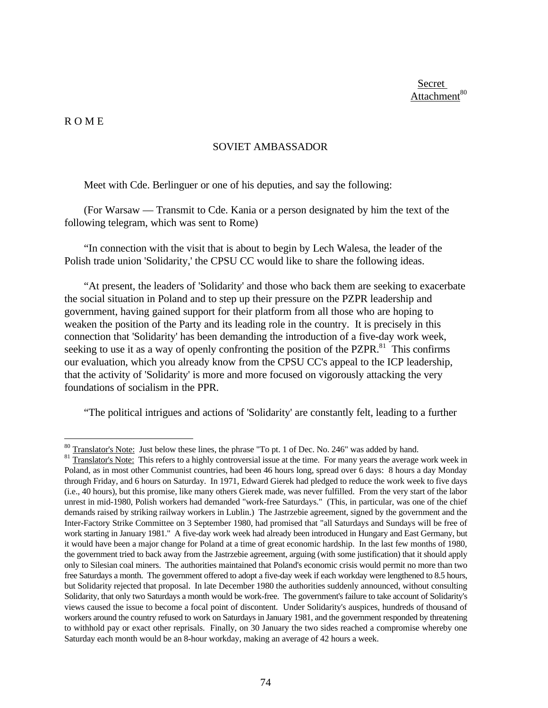Secret Attachment<sup>80</sup>

## R O M E

 $\overline{a}$ 

## SOVIET AMBASSADOR

Meet with Cde. Berlinguer or one of his deputies, and say the following:

(For Warsaw — Transmit to Cde. Kania or a person designated by him the text of the following telegram, which was sent to Rome)

"In connection with the visit that is about to begin by Lech Walesa, the leader of the Polish trade union 'Solidarity,' the CPSU CC would like to share the following ideas.

"At present, the leaders of 'Solidarity' and those who back them are seeking to exacerbate the social situation in Poland and to step up their pressure on the PZPR leadership and government, having gained support for their platform from all those who are hoping to weaken the position of the Party and its leading role in the country. It is precisely in this connection that 'Solidarity' has been demanding the introduction of a five-day work week, seeking to use it as a way of openly confronting the position of the PZPR. $81$  This confirms our evaluation, which you already know from the CPSU CC's appeal to the ICP leadership, that the activity of 'Solidarity' is more and more focused on vigorously attacking the very foundations of socialism in the PPR.

"The political intrigues and actions of 'Solidarity' are constantly felt, leading to a further

 $80$  Translator's Note: Just below these lines, the phrase "To pt. 1 of Dec. No. 246" was added by hand.

 $81$  Translator's Note: This refers to a highly controversial issue at the time. For many years the average work week in Poland, as in most other Communist countries, had been 46 hours long, spread over 6 days: 8 hours a day Monday through Friday, and 6 hours on Saturday. In 1971, Edward Gierek had pledged to reduce the work week to five days (i.e., 40 hours), but this promise, like many others Gierek made, was never fulfilled. From the very start of the labor unrest in mid-1980, Polish workers had demanded "work-free Saturdays." (This, in particular, was one of the chief demands raised by striking railway workers in Lublin.) The Jastrzebie agreement, signed by the government and the Inter-Factory Strike Committee on 3 September 1980, had promised that "all Saturdays and Sundays will be free of work starting in January 1981." A five-day work week had already been introduced in Hungary and East Germany, but it would have been a major change for Poland at a time of great economic hardship. In the last few months of 1980, the government tried to back away from the Jastrzebie agreement, arguing (with some justification) that it should apply only to Silesian coal miners. The authorities maintained that Poland's economic crisis would permit no more than two free Saturdays a month. The government offered to adopt a five-day week if each workday were lengthened to 8.5 hours, but Solidarity rejected that proposal. In late December 1980 the authorities suddenly announced, without consulting Solidarity, that only two Saturdays a month would be work-free. The government's failure to take account of Solidarity's views caused the issue to become a focal point of discontent. Under Solidarity's auspices, hundreds of thousand of workers around the country refused to work on Saturdays in January 1981, and the government responded by threatening to withhold pay or exact other reprisals. Finally, on 30 January the two sides reached a compromise whereby one Saturday each month would be an 8-hour workday, making an average of 42 hours a week.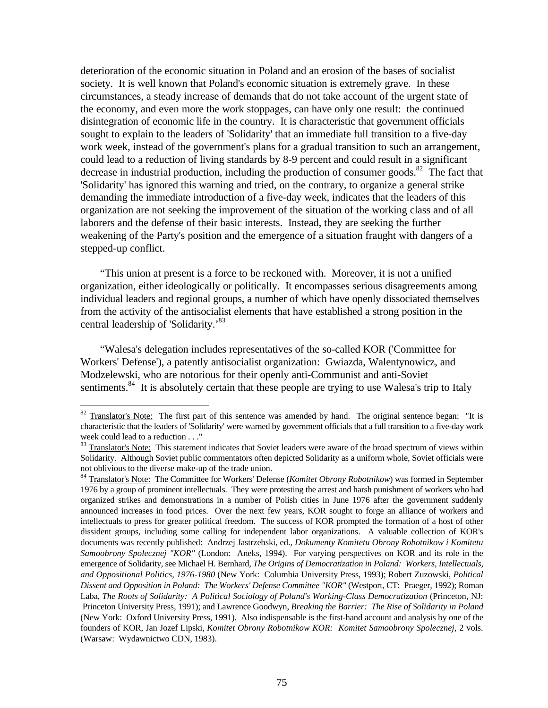deterioration of the economic situation in Poland and an erosion of the bases of socialist society. It is well known that Poland's economic situation is extremely grave. In these circumstances, a steady increase of demands that do not take account of the urgent state of the economy, and even more the work stoppages, can have only one result: the continued disintegration of economic life in the country. It is characteristic that government officials sought to explain to the leaders of 'Solidarity' that an immediate full transition to a five-day work week, instead of the government's plans for a gradual transition to such an arrangement, could lead to a reduction of living standards by 8-9 percent and could result in a significant decrease in industrial production, including the production of consumer goods.<sup>82</sup> The fact that 'Solidarity' has ignored this warning and tried, on the contrary, to organize a general strike demanding the immediate introduction of a five-day week, indicates that the leaders of this organization are not seeking the improvement of the situation of the working class and of all laborers and the defense of their basic interests. Instead, they are seeking the further weakening of the Party's position and the emergence of a situation fraught with dangers of a stepped-up conflict.

"This union at present is a force to be reckoned with. Moreover, it is not a unified organization, either ideologically or politically. It encompasses serious disagreements among individual leaders and regional groups, a number of which have openly dissociated themselves from the activity of the antisocialist elements that have established a strong position in the central leadership of 'Solidarity.'<sup>83</sup>

"Walesa's delegation includes representatives of the so-called KOR ('Committee for Workers' Defense'), a patently antisocialist organization: Gwiazda, Walentynowicz, and Modzelewski, who are notorious for their openly anti-Communist and anti-Soviet sentiments.<sup>84</sup> It is absolutely certain that these people are trying to use Walesa's trip to Italy

<sup>&</sup>lt;sup>82</sup> Translator's Note: The first part of this sentence was amended by hand. The original sentence began: "It is characteristic that the leaders of 'Solidarity' were warned by government officials that a full transition to a five-day work week could lead to a reduction . . ."

<sup>&</sup>lt;sup>83</sup> Translator's Note: This statement indicates that Soviet leaders were aware of the broad spectrum of views within Solidarity. Although Soviet public commentators often depicted Solidarity as a uniform whole, Soviet officials were not oblivious to the diverse make-up of the trade union.

<sup>84</sup> Translator's Note: The Committee for Workers' Defense (*Komitet Obrony Robotnikow*) was formed in September 1976 by a group of prominent intellectuals. They were protesting the arrest and harsh punishment of workers who had organized strikes and demonstrations in a number of Polish cities in June 1976 after the government suddenly announced increases in food prices. Over the next few years, KOR sought to forge an alliance of workers and intellectuals to press for greater political freedom. The success of KOR prompted the formation of a host of other dissident groups, including some calling for independent labor organizations. A valuable collection of KOR's documents was recently published: Andrzej Jastrzebski, ed., *Dokumenty Komitetu Obrony Robotnikow i Komitetu Samoobrony Spolecznej "KOR"* (London: Aneks, 1994). For varying perspectives on KOR and its role in the emergence of Solidarity, see Michael H. Bernhard, *The Origins of Democratization in Poland: Workers, Intellectuals, and Oppositional Politics, 1976-1980* (New York: Columbia University Press, 1993); Robert Zuzowski, *Political Dissent and Opposition in Poland: The Workers' Defense Committee "KOR"* (Westport, CT: Praeger, 1992); Roman Laba, *The Roots of Solidarity: A Political Sociology of Poland's Working-Class Democratization* (Princeton, NJ: Princeton University Press, 1991); and Lawrence Goodwyn, *Breaking the Barrier: The Rise of Solidarity in Poland* (New York: Oxford University Press, 1991). Also indispensable is the first-hand account and analysis by one of the founders of KOR, Jan Jozef Lipski, *Komitet Obrony Robotnikow KOR: Komitet Samoobrony Spolecznej*, 2 vols. (Warsaw: Wydawnictwo CDN, 1983).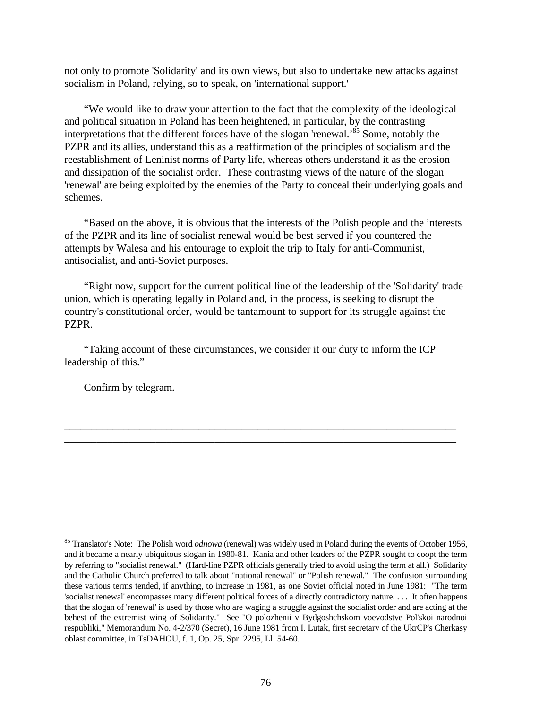not only to promote 'Solidarity' and its own views, but also to undertake new attacks against socialism in Poland, relying, so to speak, on 'international support.'

"We would like to draw your attention to the fact that the complexity of the ideological and political situation in Poland has been heightened, in particular, by the contrasting interpretations that the different forces have of the slogan 'renewal.'<sup>85</sup> Some, notably the PZPR and its allies, understand this as a reaffirmation of the principles of socialism and the reestablishment of Leninist norms of Party life, whereas others understand it as the erosion and dissipation of the socialist order. These contrasting views of the nature of the slogan 'renewal' are being exploited by the enemies of the Party to conceal their underlying goals and schemes.

"Based on the above, it is obvious that the interests of the Polish people and the interests of the PZPR and its line of socialist renewal would be best served if you countered the attempts by Walesa and his entourage to exploit the trip to Italy for anti-Communist, antisocialist, and anti-Soviet purposes.

"Right now, support for the current political line of the leadership of the 'Solidarity' trade union, which is operating legally in Poland and, in the process, is seeking to disrupt the country's constitutional order, would be tantamount to support for its struggle against the PZPR.

"Taking account of these circumstances, we consider it our duty to inform the ICP leadership of this."

\_\_\_\_\_\_\_\_\_\_\_\_\_\_\_\_\_\_\_\_\_\_\_\_\_\_\_\_\_\_\_\_\_\_\_\_\_\_\_\_\_\_\_\_\_\_\_\_\_\_\_\_\_\_\_\_\_\_\_\_\_\_\_\_\_\_\_\_\_\_\_\_\_ \_\_\_\_\_\_\_\_\_\_\_\_\_\_\_\_\_\_\_\_\_\_\_\_\_\_\_\_\_\_\_\_\_\_\_\_\_\_\_\_\_\_\_\_\_\_\_\_\_\_\_\_\_\_\_\_\_\_\_\_\_\_\_\_\_\_\_\_\_\_\_\_\_ \_\_\_\_\_\_\_\_\_\_\_\_\_\_\_\_\_\_\_\_\_\_\_\_\_\_\_\_\_\_\_\_\_\_\_\_\_\_\_\_\_\_\_\_\_\_\_\_\_\_\_\_\_\_\_\_\_\_\_\_\_\_\_\_\_\_\_\_\_\_\_\_\_

Confirm by telegram.

-

<sup>&</sup>lt;sup>85</sup> Translator's Note: The Polish word *odnowa* (renewal) was widely used in Poland during the events of October 1956, and it became a nearly ubiquitous slogan in 1980-81. Kania and other leaders of the PZPR sought to coopt the term by referring to "socialist renewal." (Hard-line PZPR officials generally tried to avoid using the term at all.) Solidarity and the Catholic Church preferred to talk about "national renewal" or "Polish renewal." The confusion surrounding these various terms tended, if anything, to increase in 1981, as one Soviet official noted in June 1981: "The term 'socialist renewal' encompasses many different political forces of a directly contradictory nature. . . . It often happens that the slogan of 'renewal' is used by those who are waging a struggle against the socialist order and are acting at the behest of the extremist wing of Solidarity." See "O polozhenii v Bydgoshchskom voevodstve Pol'skoi narodnoi respubliki," Memorandum No. 4-2/370 (Secret), 16 June 1981 from I. Lutak, first secretary of the UkrCP's Cherkasy oblast committee, in TsDAHOU, f. 1, Op. 25, Spr. 2295, Ll. 54-60.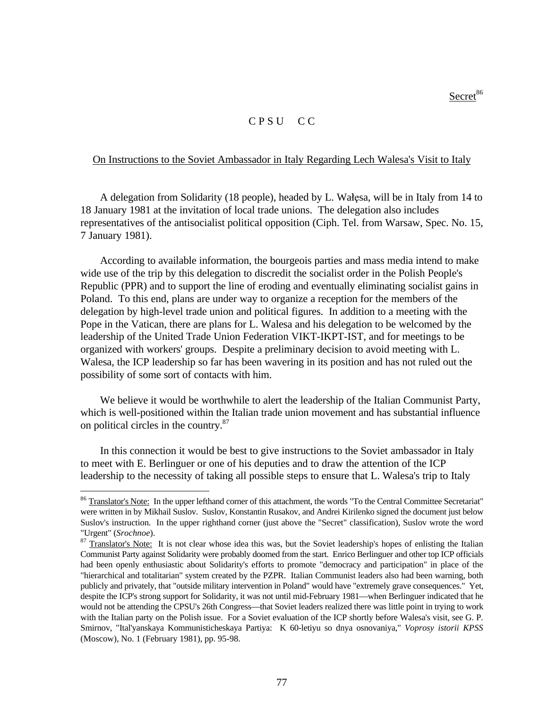$S$ ecret $86$ 

## C P S U C C

# On Instructions to the Soviet Ambassador in Italy Regarding Lech Walesa's Visit to Italy

A delegation from Solidarity (18 people), headed by L. Wałęsa, will be in Italy from 14 to 18 January 1981 at the invitation of local trade unions. The delegation also includes representatives of the antisocialist political opposition (Ciph. Tel. from Warsaw, Spec. No. 15, 7 January 1981).

According to available information, the bourgeois parties and mass media intend to make wide use of the trip by this delegation to discredit the socialist order in the Polish People's Republic (PPR) and to support the line of eroding and eventually eliminating socialist gains in Poland. To this end, plans are under way to organize a reception for the members of the delegation by high-level trade union and political figures. In addition to a meeting with the Pope in the Vatican, there are plans for L. Walesa and his delegation to be welcomed by the leadership of the United Trade Union Federation VIKT-IKPT-IST, and for meetings to be organized with workers' groups. Despite a preliminary decision to avoid meeting with L. Walesa, the ICP leadership so far has been wavering in its position and has not ruled out the possibility of some sort of contacts with him.

We believe it would be worthwhile to alert the leadership of the Italian Communist Party, which is well-positioned within the Italian trade union movement and has substantial influence on political circles in the country.<sup>87</sup>

In this connection it would be best to give instructions to the Soviet ambassador in Italy to meet with E. Berlinguer or one of his deputies and to draw the attention of the ICP leadership to the necessity of taking all possible steps to ensure that L. Walesa's trip to Italy

<sup>&</sup>lt;sup>86</sup> Translator's <u>Note:</u> In the upper lefthand corner of this attachment, the words "To the Central Committee Secretariat" were written in by Mikhail Suslov. Suslov, Konstantin Rusakov, and Andrei Kirilenko signed the document just below Suslov's instruction. In the upper righthand corner (just above the "Secret" classification), Suslov wrote the word "Urgent" (*Srochnoe*).

<sup>&</sup>lt;sup>87</sup> Translator's Note: It is not clear whose idea this was, but the Soviet leadership's hopes of enlisting the Italian Communist Party against Solidarity were probably doomed from the start. Enrico Berlinguer and other top ICP officials had been openly enthusiastic about Solidarity's efforts to promote "democracy and participation" in place of the "hierarchical and totalitarian" system created by the PZPR. Italian Communist leaders also had been warning, both publicly and privately, that "outside military intervention in Poland" would have "extremely grave consequences." Yet, despite the ICP's strong support for Solidarity, it was not until mid-February 1981—when Berlinguer indicated that he would not be attending the CPSU's 26th Congress—that Soviet leaders realized there was little point in trying to work with the Italian party on the Polish issue. For a Soviet evaluation of the ICP shortly before Walesa's visit, see G. P. Smirnov, "Ital'yanskaya Kommunisticheskaya Partiya: K 60-letiyu so dnya osnovaniya," *Voprosy istorii KPSS* (Moscow), No. 1 (February 1981), pp. 95-98.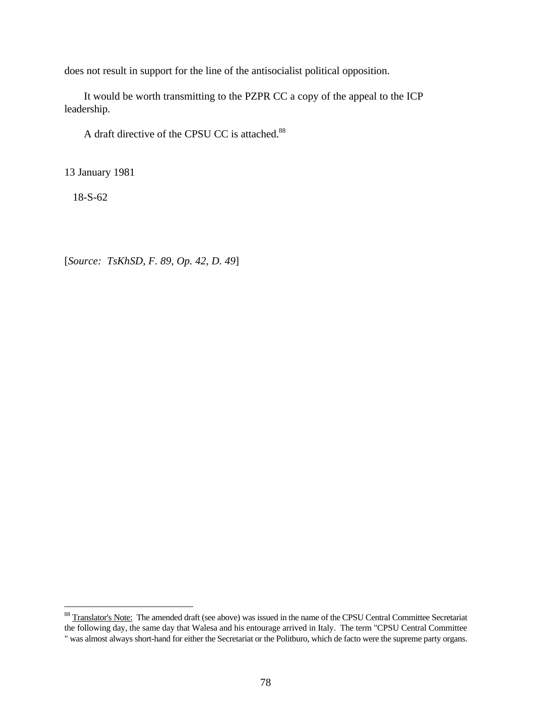does not result in support for the line of the antisocialist political opposition.

It would be worth transmitting to the PZPR CC a copy of the appeal to the ICP leadership.

A draft directive of the CPSU CC is attached.<sup>88</sup>

13 January 1981

18-S-62

<u>.</u>

[*Source: TsKhSD, F. 89, Op. 42, D. 49*]

<sup>&</sup>lt;sup>88</sup> Translator's Note: The amended draft (see above) was issued in the name of the CPSU Central Committee Secretariat the following day, the same day that Walesa and his entourage arrived in Italy. The term "CPSU Central Committee " was almost always short-hand for either the Secretariat or the Politburo, which de facto were the supreme party organs.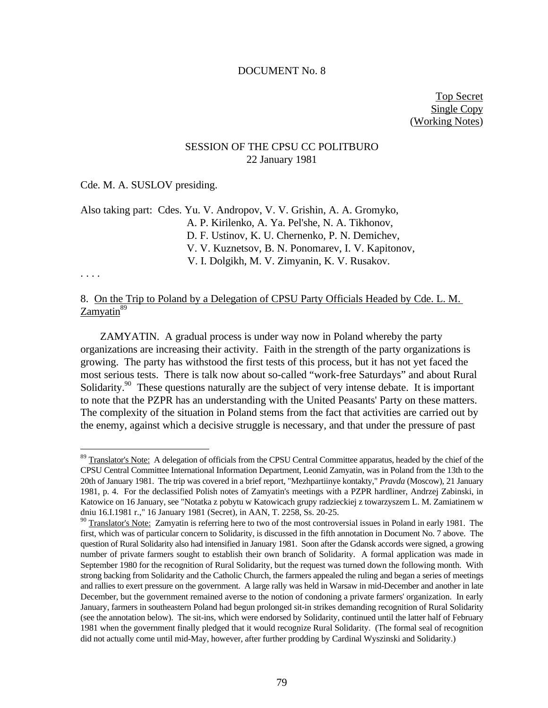#### DOCUMENT No. 8

Top Secret Single Copy (Working Notes)

# SESSION OF THE CPSU CC POLITBURO 22 January 1981

## Cde. M. A. SUSLOV presiding.

Also taking part: Cdes. Yu. V. Andropov, V. V. Grishin, A. A. Gromyko, A. P. Kirilenko, A. Ya. Pel'she, N. A. Tikhonov, D. F. Ustinov, K. U. Chernenko, P. N. Demichev, V. V. Kuznetsov, B. N. Ponomarev, I. V. Kapitonov, V. I. Dolgikh, M. V. Zimyanin, K. V. Rusakov.

### . . . .

<u>.</u>

# 8. On the Trip to Poland by a Delegation of CPSU Party Officials Headed by Cde. L. M. Zamvatin<sup>89</sup>

ZAMYATIN. A gradual process is under way now in Poland whereby the party organizations are increasing their activity. Faith in the strength of the party organizations is growing. The party has withstood the first tests of this process, but it has not yet faced the most serious tests. There is talk now about so-called "work-free Saturdays" and about Rural Solidarity.<sup>90</sup> These questions naturally are the subject of very intense debate. It is important to note that the PZPR has an understanding with the United Peasants' Party on these matters. The complexity of the situation in Poland stems from the fact that activities are carried out by the enemy, against which a decisive struggle is necessary, and that under the pressure of past

<sup>&</sup>lt;sup>89</sup> Translator's Note: A delegation of officials from the CPSU Central Committee apparatus, headed by the chief of the CPSU Central Committee International Information Department, Leonid Zamyatin, was in Poland from the 13th to the 20th of January 1981. The trip was covered in a brief report, "Mezhpartiinye kontakty," *Pravda* (Moscow), 21 January 1981, p. 4. For the declassified Polish notes of Zamyatin's meetings with a PZPR hardliner, Andrzej Zabinski, in Katowice on 16 January, see "Notatka z pobytu w Katowicach grupy radzieckiej z towarzyszem L. M. Zamiatinem w dniu 16.I.1981 r.," 16 January 1981 (Secret), in AAN, T. 2258, Ss. 20-25.

<sup>&</sup>lt;sup>90</sup> Translator's Note: Zamyatin is referring here to two of the most controversial issues in Poland in early 1981. The first, which was of particular concern to Solidarity, is discussed in the fifth annotation in Document No. 7 above. The question of Rural Solidarity also had intensified in January 1981. Soon after the Gdansk accords were signed, a growing number of private farmers sought to establish their own branch of Solidarity. A formal application was made in September 1980 for the recognition of Rural Solidarity, but the request was turned down the following month. With strong backing from Solidarity and the Catholic Church, the farmers appealed the ruling and began a series of meetings and rallies to exert pressure on the government. A large rally was held in Warsaw in mid-December and another in late December, but the government remained averse to the notion of condoning a private farmers' organization. In early January, farmers in southeastern Poland had begun prolonged sit-in strikes demanding recognition of Rural Solidarity (see the annotation below). The sit-ins, which were endorsed by Solidarity, continued until the latter half of February 1981 when the government finally pledged that it would recognize Rural Solidarity. (The formal seal of recognition did not actually come until mid-May, however, after further prodding by Cardinal Wyszinski and Solidarity.)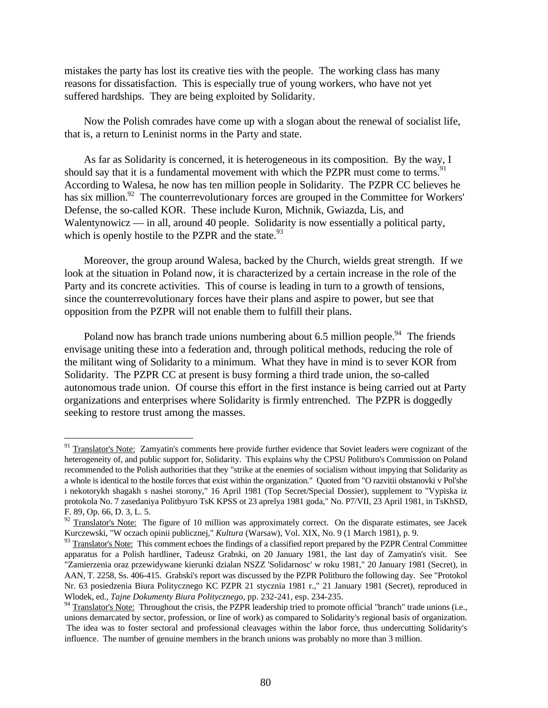mistakes the party has lost its creative ties with the people. The working class has many reasons for dissatisfaction. This is especially true of young workers, who have not yet suffered hardships. They are being exploited by Solidarity.

Now the Polish comrades have come up with a slogan about the renewal of socialist life, that is, a return to Leninist norms in the Party and state.

As far as Solidarity is concerned, it is heterogeneous in its composition. By the way, I should say that it is a fundamental movement with which the PZPR must come to terms.<sup>91</sup> According to Walesa, he now has ten million people in Solidarity. The PZPR CC believes he has six million.<sup>92</sup> The counterrevolutionary forces are grouped in the Committee for Workers' Defense, the so-called KOR. These include Kuron, Michnik, Gwiazda, Lis, and Walentynowicz — in all, around 40 people. Solidarity is now essentially a political party, which is openly hostile to the PZPR and the state. $93$ 

Moreover, the group around Walesa, backed by the Church, wields great strength. If we look at the situation in Poland now, it is characterized by a certain increase in the role of the Party and its concrete activities. This of course is leading in turn to a growth of tensions, since the counterrevolutionary forces have their plans and aspire to power, but see that opposition from the PZPR will not enable them to fulfill their plans.

Poland now has branch trade unions numbering about 6.5 million people.<sup>94</sup> The friends envisage uniting these into a federation and, through political methods, reducing the role of the militant wing of Solidarity to a minimum. What they have in mind is to sever KOR from Solidarity. The PZPR CC at present is busy forming a third trade union, the so-called autonomous trade union. Of course this effort in the first instance is being carried out at Party organizations and enterprises where Solidarity is firmly entrenched. The PZPR is doggedly seeking to restore trust among the masses.

<sup>&</sup>lt;sup>91</sup> Translator's Note: Zamyatin's comments here provide further evidence that Soviet leaders were cognizant of the heterogeneity of, and public support for, Solidarity. This explains why the CPSU Politburo's Commission on Poland recommended to the Polish authorities that they "strike at the enemies of socialism without impying that Solidarity as a whole is identical to the hostile forces that exist within the organization." Quoted from "O razvitii obstanovki v Pol'she i nekotorykh shagakh s nashei storony," 16 April 1981 (Top Secret/Special Dossier), supplement to "Vypiska iz protokola No. 7 zasedaniya Politbyuro TsK KPSS ot 23 aprelya 1981 goda," No. P7/VII, 23 April 1981, in TsKhSD, F. 89, Op. 66, D. 3, L. 5.

<sup>&</sup>lt;sup>92</sup> Translator's Note: The figure of 10 million was approximately correct. On the disparate estimates, see Jacek Kurczewski, "W oczach opinii publicznej," *Kultura* (Warsaw), Vol. XIX, No. 9 (1 March 1981), p. 9.

<sup>&</sup>lt;sup>93</sup> Translator's Note: This comment echoes the findings of a classified report prepared by the PZPR Central Committee apparatus for a Polish hardliner, Tadeusz Grabski, on 20 January 1981, the last day of Zamyatin's visit. See "Zamierzenia oraz przewidywane kierunki dzialan NSZZ 'Solidarnosc' w roku 1981," 20 January 1981 (Secret), in AAN, T. 2258, Ss. 406-415. Grabski's report was discussed by the PZPR Politburo the following day. See "Protokol Nr. 63 posiedzenia Biura Politycznego KC PZPR 21 stycznia 1981 r.," 21 January 1981 (Secret), reproduced in Wlodek, ed., *Tajne Dokumenty Biura Politycznego*, pp. 232-241, esp. 234-235.

<sup>&</sup>lt;sup>94</sup> Translator's Note: Throughout the crisis, the PZPR leadership tried to promote official "branch" trade unions (i.e., unions demarcated by sector, profession, or line of work) as compared to Solidarity's regional basis of organization. The idea was to foster sectoral and professional cleavages within the labor force, thus undercutting Solidarity's influence. The number of genuine members in the branch unions was probably no more than 3 million.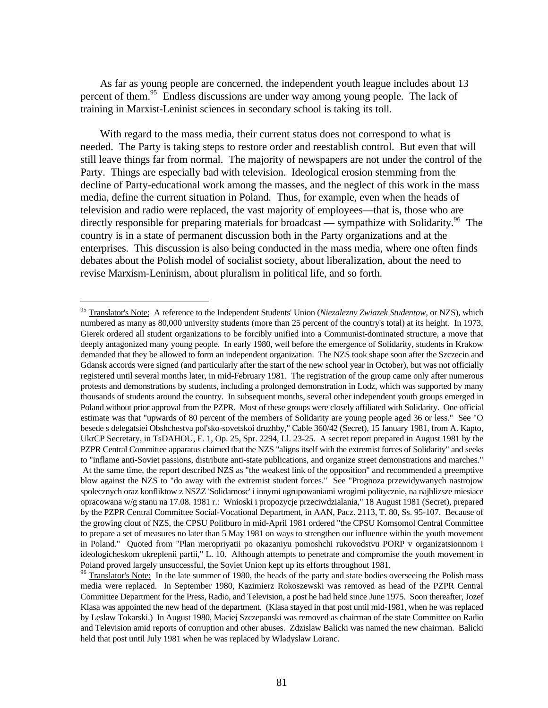As far as young people are concerned, the independent youth league includes about 13 percent of them.<sup>95</sup> Endless discussions are under way among young people. The lack of training in Marxist-Leninist sciences in secondary school is taking its toll.

With regard to the mass media, their current status does not correspond to what is needed. The Party is taking steps to restore order and reestablish control. But even that will still leave things far from normal. The majority of newspapers are not under the control of the Party. Things are especially bad with television. Ideological erosion stemming from the decline of Party-educational work among the masses, and the neglect of this work in the mass media, define the current situation in Poland. Thus, for example, even when the heads of television and radio were replaced, the vast majority of employees—that is, those who are directly responsible for preparing materials for broadcast — sympathize with Solidarity.<sup>96</sup> The country is in a state of permanent discussion both in the Party organizations and at the enterprises. This discussion is also being conducted in the mass media, where one often finds debates about the Polish model of socialist society, about liberalization, about the need to revise Marxism-Leninism, about pluralism in political life, and so forth.

<sup>95</sup> Translator's Note: A reference to the Independent Students' Union (*Niezalezny Zwiazek Studentow*, or NZS), which numbered as many as 80,000 university students (more than 25 percent of the country's total) at its height. In 1973, Gierek ordered all student organizations to be forcibly unified into a Communist-dominated structure, a move that deeply antagonized many young people. In early 1980, well before the emergence of Solidarity, students in Krakow demanded that they be allowed to form an independent organization. The NZS took shape soon after the Szczecin and Gdansk accords were signed (and particularly after the start of the new school year in October), but was not officially registered until several months later, in mid-February 1981. The registration of the group came only after numerous protests and demonstrations by students, including a prolonged demonstration in Lodz, which was supported by many thousands of students around the country. In subsequent months, several other independent youth groups emerged in Poland without prior approval from the PZPR. Most of these groups were closely affiliated with Solidarity. One official estimate was that "upwards of 80 percent of the members of Solidarity are young people aged 36 or less." See "O besede s delegatsiei Obshchestva pol'sko-sovetskoi druzhby," Cable 360/42 (Secret), 15 January 1981, from A. Kapto, UkrCP Secretary, in TsDAHOU, F. 1, Op. 25, Spr. 2294, Ll. 23-25. A secret report prepared in August 1981 by the PZPR Central Committee apparatus claimed that the NZS "aligns itself with the extremist forces of Solidarity" and seeks to "inflame anti-Soviet passions, distribute anti-state publications, and organize street demonstrations and marches." At the same time, the report described NZS as "the weakest link of the opposition" and recommended a preemptive blow against the NZS to "do away with the extremist student forces." See "Prognoza przewidywanych nastrojow spolecznych oraz konfliktow z NSZZ 'Solidarnosc' i innymi ugrupowaniami wrogimi politycznie, na najblizsze miesiace opracowana w/g stanu na 17.08. 1981 r.: Wnioski i propozycje przeciwdzialania," 18 August 1981 (Secret), prepared by the PZPR Central Committee Social-Vocational Department, in AAN, Pacz. 2113, T. 80, Ss. 95-107. Because of the growing clout of NZS, the CPSU Politburo in mid-April 1981 ordered "the CPSU Komsomol Central Committee to prepare a set of measures no later than 5 May 1981 on ways to strengthen our influence within the youth movement in Poland." Quoted from "Plan meropriyatii po okazaniyu pomoshchi rukovodstvu PORP v organizatsionnom i ideologicheskom ukreplenii partii," L. 10. Although attempts to penetrate and compromise the youth movement in Poland proved largely unsuccessful, the Soviet Union kept up its efforts throughout 1981.

 $96$  Translator's Note: In the late summer of 1980, the heads of the party and state bodies overseeing the Polish mass media were replaced. In September 1980, Kazimierz Rokoszewski was removed as head of the PZPR Central Committee Department for the Press, Radio, and Television, a post he had held since June 1975. Soon thereafter, Jozef Klasa was appointed the new head of the department. (Klasa stayed in that post until mid-1981, when he was replaced by Leslaw Tokarski.) In August 1980, Maciej Szczepanski was removed as chairman of the state Committee on Radio and Television amid reports of corruption and other abuses. Zdzislaw Balicki was named the new chairman. Balicki held that post until July 1981 when he was replaced by Wladyslaw Loranc.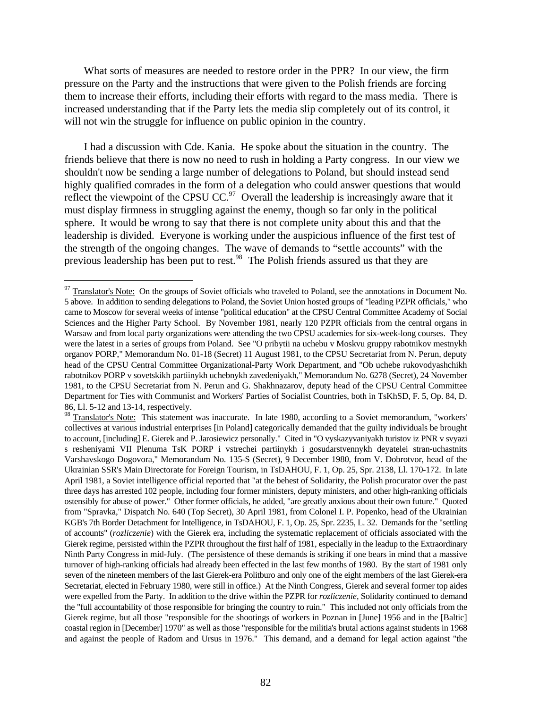What sorts of measures are needed to restore order in the PPR? In our view, the firm pressure on the Party and the instructions that were given to the Polish friends are forcing them to increase their efforts, including their efforts with regard to the mass media. There is increased understanding that if the Party lets the media slip completely out of its control, it will not win the struggle for influence on public opinion in the country.

I had a discussion with Cde. Kania. He spoke about the situation in the country. The friends believe that there is now no need to rush in holding a Party congress. In our view we shouldn't now be sending a large number of delegations to Poland, but should instead send highly qualified comrades in the form of a delegation who could answer questions that would reflect the viewpoint of the CPSU CC.<sup>97</sup> Overall the leadership is increasingly aware that it must display firmness in struggling against the enemy, though so far only in the political sphere. It would be wrong to say that there is not complete unity about this and that the leadership is divided. Everyone is working under the auspicious influence of the first test of the strength of the ongoing changes. The wave of demands to "settle accounts" with the previous leadership has been put to rest.<sup>98</sup> The Polish friends assured us that they are

<sup>&</sup>lt;sup>97</sup> Translator's Note: On the groups of Soviet officials who traveled to Poland, see the annotations in Document No. 5 above. In addition to sending delegations to Poland, the Soviet Union hosted groups of "leading PZPR officials," who came to Moscow for several weeks of intense "political education" at the CPSU Central Committee Academy of Social Sciences and the Higher Party School. By November 1981, nearly 120 PZPR officials from the central organs in Warsaw and from local party organizations were attending the two CPSU academies for six-week-long courses. They were the latest in a series of groups from Poland. See "O pribytii na uchebu v Moskvu gruppy rabotnikov mestnykh organov PORP," Memorandum No. 01-18 (Secret) 11 August 1981, to the CPSU Secretariat from N. Perun, deputy head of the CPSU Central Committee Organizational-Party Work Department, and "Ob uchebe rukovodyashchikh rabotnikov PORP v sovetskikh partiinykh uchebnykh zavedeniyakh," Memorandum No. 6278 (Secret), 24 November 1981, to the CPSU Secretariat from N. Perun and G. Shakhnazarov, deputy head of the CPSU Central Committee Department for Ties with Communist and Workers' Parties of Socialist Countries, both in TsKhSD, F. 5, Op. 84, D. 86, Ll. 5-12 and 13-14, respectively.

<sup>&</sup>lt;sup>98</sup> Translator's Note: This statement was inaccurate. In late 1980, according to a Soviet memorandum, "workers' collectives at various industrial enterprises [in Poland] categorically demanded that the guilty individuals be brought to account, [including] E. Gierek and P. Jarosiewicz personally." Cited in "O vyskazyvaniyakh turistov iz PNR v svyazi s resheniyami VII Plenuma TsK PORP i vstrechei partiinykh i gosudarstvennykh deyatelei stran-uchastnits Varshavskogo Dogovora," Memorandum No. 135-S (Secret), 9 December 1980, from V. Dobrotvor, head of the Ukrainian SSR's Main Directorate for Foreign Tourism, in TsDAHOU, F. 1, Op. 25, Spr. 2138, Ll. 170-172. In late April 1981, a Soviet intelligence official reported that "at the behest of Solidarity, the Polish procurator over the past three days has arrested 102 people, including four former ministers, deputy ministers, and other high-ranking officials ostensibly for abuse of power." Other former officials, he added, "are greatly anxious about their own future." Quoted from "Spravka," Dispatch No. 640 (Top Secret), 30 April 1981, from Colonel I. P. Popenko, head of the Ukrainian KGB's 7th Border Detachment for Intelligence, in TsDAHOU, F. 1, Op. 25, Spr. 2235, L. 32. Demands for the "settling of accounts" (*rozliczenie*) with the Gierek era, including the systematic replacement of officials associated with the Gierek regime, persisted within the PZPR throughout the first half of 1981, especially in the leadup to the Extraordinary Ninth Party Congress in mid-July. (The persistence of these demands is striking if one bears in mind that a massive turnover of high-ranking officials had already been effected in the last few months of 1980. By the start of 1981 only seven of the nineteen members of the last Gierek-era Politburo and only one of the eight members of the last Gierek-era Secretariat, elected in February 1980, were still in office.) At the Ninth Congress, Gierek and several former top aides were expelled from the Party. In addition to the drive within the PZPR for *rozliczenie*, Solidarity continued to demand the "full accountability of those responsible for bringing the country to ruin." This included not only officials from the Gierek regime, but all those "responsible for the shootings of workers in Poznan in [June] 1956 and in the [Baltic] coastal region in [December] 1970" as well as those "responsible for the militia's brutal actions against students in 1968 and against the people of Radom and Ursus in 1976." This demand, and a demand for legal action against "the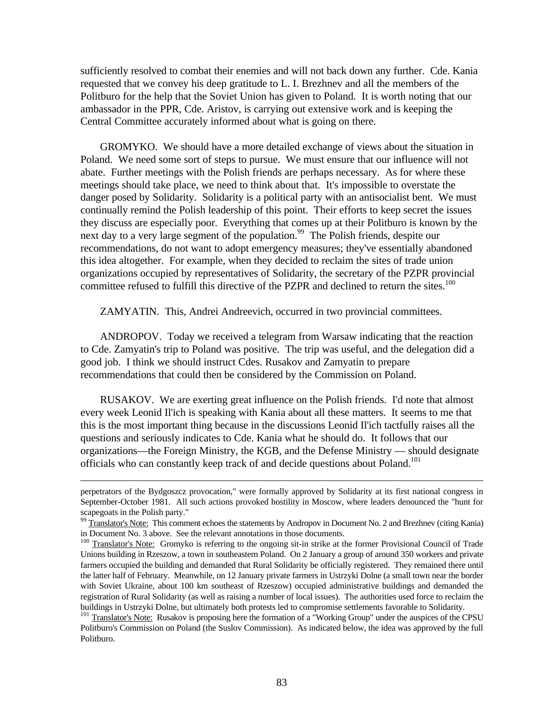sufficiently resolved to combat their enemies and will not back down any further. Cde. Kania requested that we convey his deep gratitude to L. I. Brezhnev and all the members of the Politburo for the help that the Soviet Union has given to Poland. It is worth noting that our ambassador in the PPR, Cde. Aristov, is carrying out extensive work and is keeping the Central Committee accurately informed about what is going on there.

GROMYKO. We should have a more detailed exchange of views about the situation in Poland. We need some sort of steps to pursue. We must ensure that our influence will not abate. Further meetings with the Polish friends are perhaps necessary. As for where these meetings should take place, we need to think about that. It's impossible to overstate the danger posed by Solidarity. Solidarity is a political party with an antisocialist bent. We must continually remind the Polish leadership of this point. Their efforts to keep secret the issues they discuss are especially poor. Everything that comes up at their Politburo is known by the next day to a very large segment of the population.<sup>99</sup> The Polish friends, despite our recommendations, do not want to adopt emergency measures; they've essentially abandoned this idea altogether. For example, when they decided to reclaim the sites of trade union organizations occupied by representatives of Solidarity, the secretary of the PZPR provincial committee refused to fulfill this directive of the PZPR and declined to return the sites.<sup>100</sup>

ZAMYATIN. This, Andrei Andreevich, occurred in two provincial committees.

ANDROPOV. Today we received a telegram from Warsaw indicating that the reaction to Cde. Zamyatin's trip to Poland was positive. The trip was useful, and the delegation did a good job. I think we should instruct Cdes. Rusakov and Zamyatin to prepare recommendations that could then be considered by the Commission on Poland.

RUSAKOV. We are exerting great influence on the Polish friends. I'd note that almost every week Leonid Il'ich is speaking with Kania about all these matters. It seems to me that this is the most important thing because in the discussions Leonid Il'ich tactfully raises all the questions and seriously indicates to Cde. Kania what he should do. It follows that our organizations—the Foreign Ministry, the KGB, and the Defense Ministry — should designate officials who can constantly keep track of and decide questions about Poland.<sup>101</sup>

perpetrators of the Bydgoszcz provocation," were formally approved by Solidarity at its first national congress in September-October 1981. All such actions provoked hostility in Moscow, where leaders denounced the "hunt for scapegoats in the Polish party."

<sup>&</sup>lt;sup>99</sup> Translator's Note: This comment echoes the statements by Andropov in Document No. 2 and Brezhnev (citing Kania) in Document No. 3 above. See the relevant annotations in those documents.

<sup>&</sup>lt;sup>100</sup> Translator's Note: Gromyko is referring to the ongoing sit-in strike at the former Provisional Council of Trade Unions building in Rzeszow, a town in southeastern Poland. On 2 January a group of around 350 workers and private farmers occupied the building and demanded that Rural Solidarity be officially registered. They remained there until the latter half of February. Meanwhile, on 12 January private farmers in Ustrzyki Dolne (a small town near the border with Soviet Ukraine, about 100 km southeast of Rzeszow) occupied administrative buildings and demanded the registration of Rural Solidarity (as well as raising a number of local issues). The authorities used force to reclaim the buildings in Ustrzyki Dolne, but ultimately both protests led to compromise settlements favorable to Solidarity.

<sup>&</sup>lt;sup>101</sup> Translator's Note: Rusakov is proposing here the formation of a "Working Group" under the auspices of the CPSU Politburo's Commission on Poland (the Suslov Commission). As indicated below, the idea was approved by the full Politburo.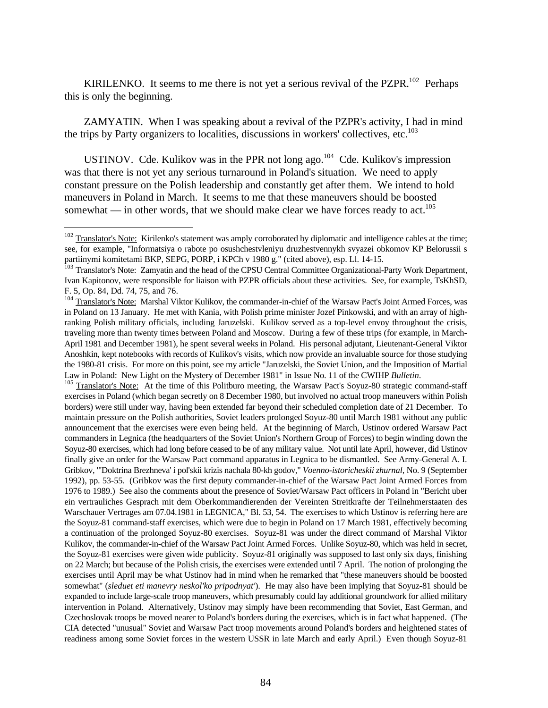KIRILENKO. It seems to me there is not yet a serious revival of the PZPR. $102$  Perhaps this is only the beginning.

ZAMYATIN. When I was speaking about a revival of the PZPR's activity, I had in mind the trips by Party organizers to localities, discussions in workers' collectives, etc.<sup>103</sup>

USTINOV. Cde. Kulikov was in the PPR not long ago.<sup>104</sup> Cde. Kulikov's impression was that there is not yet any serious turnaround in Poland's situation. We need to apply constant pressure on the Polish leadership and constantly get after them. We intend to hold maneuvers in Poland in March. It seems to me that these maneuvers should be boosted somewhat — in other words, that we should make clear we have forces ready to act.<sup>105</sup>

<u>.</u>

<sup>105</sup> Translator's Note: At the time of this Politburo meeting, the Warsaw Pact's Soyuz-80 strategic command-staff exercises in Poland (which began secretly on 8 December 1980, but involved no actual troop maneuvers within Polish borders) were still under way, having been extended far beyond their scheduled completion date of 21 December. To maintain pressure on the Polish authorities, Soviet leaders prolonged Soyuz-80 until March 1981 without any public announcement that the exercises were even being held. At the beginning of March, Ustinov ordered Warsaw Pact commanders in Legnica (the headquarters of the Soviet Union's Northern Group of Forces) to begin winding down the Soyuz-80 exercises, which had long before ceased to be of any military value. Not until late April, however, did Ustinov finally give an order for the Warsaw Pact command apparatus in Legnica to be dismantled. See Army-General A. I. Gribkov, "'Doktrina Brezhneva' i pol'skii krizis nachala 80-kh godov," *Voenno-istoricheskii zhurnal*, No. 9 (September 1992), pp. 53-55. (Gribkov was the first deputy commander-in-chief of the Warsaw Pact Joint Armed Forces from 1976 to 1989.) See also the comments about the presence of Soviet/Warsaw Pact officers in Poland in "Bericht uber ein vertrauliches Gesprach mit dem Oberkommandierenden der Vereinten Streitkrafte der Teilnehmerstaaten des Warschauer Vertrages am 07.04.1981 in LEGNICA," Bl. 53, 54. The exercises to which Ustinov is referring here are the Soyuz-81 command-staff exercises, which were due to begin in Poland on 17 March 1981, effectively becoming a continuation of the prolonged Soyuz-80 exercises. Soyuz-81 was under the direct command of Marshal Viktor Kulikov, the commander-in-chief of the Warsaw Pact Joint Armed Forces. Unlike Soyuz-80, which was held in secret, the Soyuz-81 exercises were given wide publicity. Soyuz-81 originally was supposed to last only six days, finishing on 22 March; but because of the Polish crisis, the exercises were extended until 7 April. The notion of prolonging the exercises until April may be what Ustinov had in mind when he remarked that "these maneuvers should be boosted somewhat" (*sleduet eti manevry neskol'ko pripodnyat'*). He may also have been implying that Soyuz-81 should be expanded to include large-scale troop maneuvers, which presumably could lay additional groundwork for allied military intervention in Poland. Alternatively, Ustinov may simply have been recommending that Soviet, East German, and Czechoslovak troops be moved nearer to Poland's borders during the exercises, which is in fact what happened. (The CIA detected "unusual" Soviet and Warsaw Pact troop movements around Poland's borders and heightened states of readiness among some Soviet forces in the western USSR in late March and early April.) Even though Soyuz-81

 $102$  Translator's Note: Kirilenko's statement was amply corroborated by diplomatic and intelligence cables at the time; see, for example, "Informatsiya o rabote po osushchestvleniyu druzhestvennykh svyazei obkomov KP Belorussii s partiinymi komitetami BKP, SEPG, PORP, i KPCh v 1980 g." (cited above), esp. Ll. 14-15.

<sup>&</sup>lt;sup>103</sup> Translator's Note: Zamyatin and the head of the CPSU Central Committee Organizational-Party Work Department, Ivan Kapitonov, were responsible for liaison with PZPR officials about these activities. See, for example, TsKhSD, F. 5, Op. 84, Dd. 74, 75, and 76.

<sup>&</sup>lt;sup>104</sup> Translator's Note: Marshal Viktor Kulikov, the commander-in-chief of the Warsaw Pact's Joint Armed Forces, was in Poland on 13 January. He met with Kania, with Polish prime minister Jozef Pinkowski, and with an array of highranking Polish military officials, including Jaruzelski. Kulikov served as a top-level envoy throughout the crisis, traveling more than twenty times between Poland and Moscow. During a few of these trips (for example, in March-April 1981 and December 1981), he spent several weeks in Poland. His personal adjutant, Lieutenant-General Viktor Anoshkin, kept notebooks with records of Kulikov's visits, which now provide an invaluable source for those studying the 1980-81 crisis. For more on this point, see my article "Jaruzelski, the Soviet Union, and the Imposition of Martial Law in Poland: New Light on the Mystery of December 1981" in Issue No. 11 of the CWIHP *Bulletin*.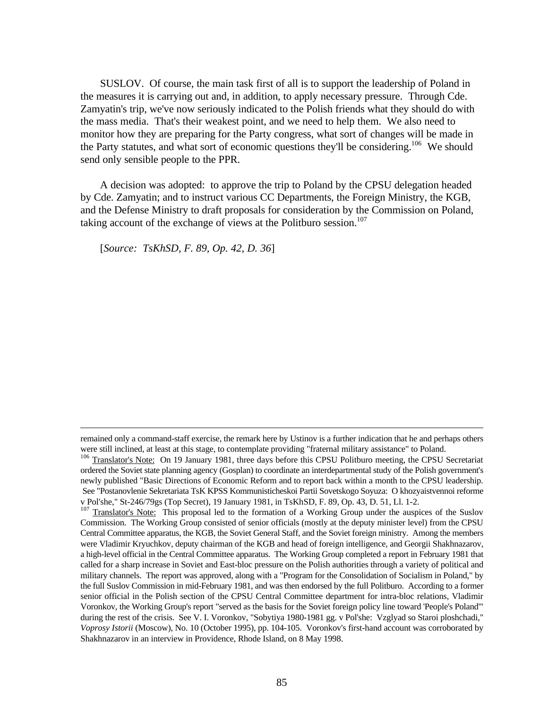SUSLOV. Of course, the main task first of all is to support the leadership of Poland in the measures it is carrying out and, in addition, to apply necessary pressure. Through Cde. Zamyatin's trip, we've now seriously indicated to the Polish friends what they should do with the mass media. That's their weakest point, and we need to help them. We also need to monitor how they are preparing for the Party congress, what sort of changes will be made in the Party statutes, and what sort of economic questions they'll be considering.<sup>106</sup> We should send only sensible people to the PPR.

A decision was adopted: to approve the trip to Poland by the CPSU delegation headed by Cde. Zamyatin; and to instruct various CC Departments, the Foreign Ministry, the KGB, and the Defense Ministry to draft proposals for consideration by the Commission on Poland, taking account of the exchange of views at the Politburo session.<sup>107</sup>

[*Source: TsKhSD, F. 89, Op. 42, D. 36*]

remained only a command-staff exercise, the remark here by Ustinov is a further indication that he and perhaps others were still inclined, at least at this stage, to contemplate providing "fraternal military assistance" to Poland.

<sup>&</sup>lt;sup>106</sup> Translator's Note: On 19 January 1981, three days before this CPSU Politburo meeting, the CPSU Secretariat ordered the Soviet state planning agency (Gosplan) to coordinate an interdepartmental study of the Polish government's newly published "Basic Directions of Economic Reform and to report back within a month to the CPSU leadership. See "Postanovlenie Sekretariata TsK KPSS Kommunisticheskoi Partii Sovetskogo Soyuza: O khozyaistvennoi reforme v Pol'she," St-246/79gs (Top Secret), 19 January 1981, in TsKhSD, F. 89, Op. 43, D. 51, Ll. 1-2.

<sup>&</sup>lt;sup>107</sup> Translator's Note: This proposal led to the formation of a Working Group under the auspices of the Suslov Commission. The Working Group consisted of senior officials (mostly at the deputy minister level) from the CPSU Central Committee apparatus, the KGB, the Soviet General Staff, and the Soviet foreign ministry. Among the members were Vladimir Kryuchkov, deputy chairman of the KGB and head of foreign intelligence, and Georgii Shakhnazarov, a high-level official in the Central Committee apparatus. The Working Group completed a report in February 1981 that called for a sharp increase in Soviet and East-bloc pressure on the Polish authorities through a variety of political and military channels. The report was approved, along with a "Program for the Consolidation of Socialism in Poland," by the full Suslov Commission in mid-February 1981, and was then endorsed by the full Politburo. According to a former senior official in the Polish section of the CPSU Central Committee department for intra-bloc relations, Vladimir Voronkov, the Working Group's report "served as the basis for the Soviet foreign policy line toward 'People's Poland'" during the rest of the crisis. See V. I. Voronkov, "Sobytiya 1980-1981 gg. v Pol'she: Vzglyad so Staroi ploshchadi," *Voprosy Istorii* (Moscow), No. 10 (October 1995), pp. 104-105. Voronkov's first-hand account was corroborated by Shakhnazarov in an interview in Providence, Rhode Island, on 8 May 1998.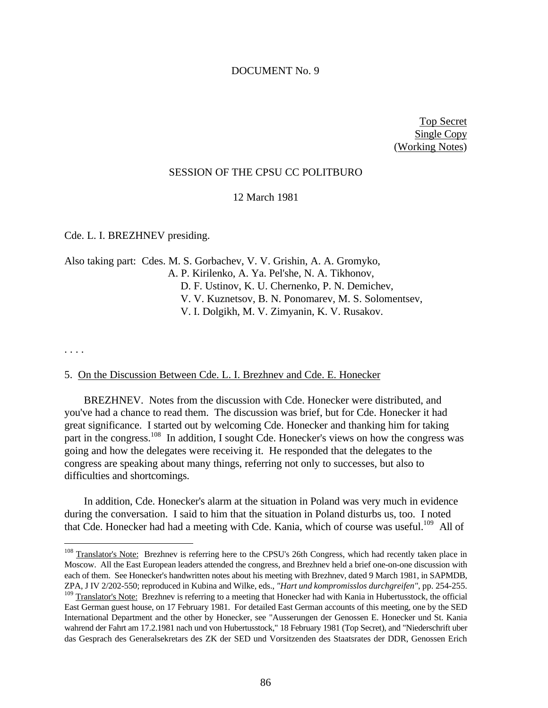# DOCUMENT No. 9

Top Secret Single Copy (Working Notes)

# SESSION OF THE CPSU CC POLITBURO

12 March 1981

Cde. L. I. BREZHNEV presiding.

Also taking part: Cdes. M. S. Gorbachev, V. V. Grishin, A. A. Gromyko, A. P. Kirilenko, A. Ya. Pel'she, N. A. Tikhonov, D. F. Ustinov, K. U. Chernenko, P. N. Demichev, V. V. Kuznetsov, B. N. Ponomarev, M. S. Solomentsev, V. I. Dolgikh, M. V. Zimyanin, K. V. Rusakov.

. . . .

 $\overline{a}$ 

#### 5. On the Discussion Between Cde. L. I. Brezhnev and Cde. E. Honecker

BREZHNEV. Notes from the discussion with Cde. Honecker were distributed, and you've had a chance to read them. The discussion was brief, but for Cde. Honecker it had great significance. I started out by welcoming Cde. Honecker and thanking him for taking part in the congress.<sup>108</sup> In addition, I sought Cde. Honecker's views on how the congress was going and how the delegates were receiving it. He responded that the delegates to the congress are speaking about many things, referring not only to successes, but also to difficulties and shortcomings.

In addition, Cde. Honecker's alarm at the situation in Poland was very much in evidence during the conversation. I said to him that the situation in Poland disturbs us, too. I noted that Cde. Honecker had had a meeting with Cde. Kania, which of course was useful.<sup>109</sup> All of

<sup>&</sup>lt;sup>108</sup> Translator's Note: Brezhnev is referring here to the CPSU's 26th Congress, which had recently taken place in Moscow. All the East European leaders attended the congress, and Brezhnev held a brief one-on-one discussion with each of them. See Honecker's handwritten notes about his meeting with Brezhnev, dated 9 March 1981, in SAPMDB, ZPA, J IV 2/202-550; reproduced in Kubina and Wilke, eds., *"Hart und kompromisslos durchgreifen"*, pp. 254-255. <sup>109</sup> Translator's Note: Brezhnev is referring to a meeting that Honecker had with Kania in Hubertusstock, the official East German guest house, on 17 February 1981. For detailed East German accounts of this meeting, one by the SED International Department and the other by Honecker, see "Ausserungen der Genossen E. Honecker und St. Kania wahrend der Fahrt am 17.2.1981 nach und von Hubertusstock," 18 February 1981 (Top Secret), and "Niederschrift uber das Gesprach des Generalsekretars des ZK der SED und Vorsitzenden des Staatsrates der DDR, Genossen Erich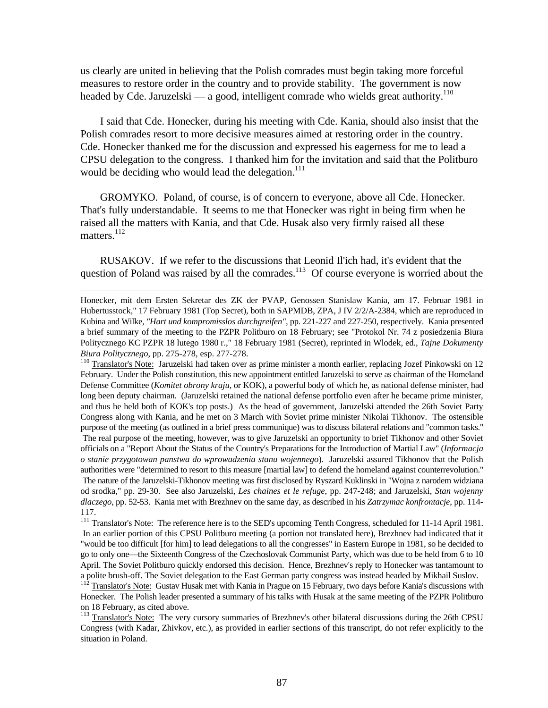us clearly are united in believing that the Polish comrades must begin taking more forceful measures to restore order in the country and to provide stability. The government is now headed by Cde. Jaruzelski — a good, intelligent comrade who wields great authority.<sup>110</sup>

I said that Cde. Honecker, during his meeting with Cde. Kania, should also insist that the Polish comrades resort to more decisive measures aimed at restoring order in the country. Cde. Honecker thanked me for the discussion and expressed his eagerness for me to lead a CPSU delegation to the congress. I thanked him for the invitation and said that the Politburo would be deciding who would lead the delegation.<sup>111</sup>

GROMYKO. Poland, of course, is of concern to everyone, above all Cde. Honecker. That's fully understandable. It seems to me that Honecker was right in being firm when he raised all the matters with Kania, and that Cde. Husak also very firmly raised all these matters. $^{112}$ 

RUSAKOV. If we refer to the discussions that Leonid Il'ich had, it's evident that the question of Poland was raised by all the comrades.<sup>113</sup> Of course everyone is worried about the

<u>.</u>

1<sup>10</sup> Translator's Note: Jaruzelski had taken over as prime minister a month earlier, replacing Jozef Pinkowski on 12 February. Under the Polish constitution, this new appointment entitled Jaruzelski to serve as chairman of the Homeland Defense Committee (*Komitet obrony kraju*, or KOK), a powerful body of which he, as national defense minister, had long been deputy chairman. (Jaruzelski retained the national defense portfolio even after he became prime minister, and thus he held both of KOK's top posts.) As the head of government, Jaruzelski attended the 26th Soviet Party Congress along with Kania, and he met on 3 March with Soviet prime minister Nikolai Tikhonov. The ostensible purpose of the meeting (as outlined in a brief press communique) was to discuss bilateral relations and "common tasks."

Honecker, mit dem Ersten Sekretar des ZK der PVAP, Genossen Stanislaw Kania, am 17. Februar 1981 in Hubertusstock," 17 February 1981 (Top Secret), both in SAPMDB, ZPA, J IV 2/2/A-2384, which are reproduced in Kubina and Wilke, *"Hart und kompromisslos durchgreifen"*, pp. 221-227 and 227-250, respectively. Kania presented a brief summary of the meeting to the PZPR Politburo on 18 February; see "Protokol Nr. 74 z posiedzenia Biura Politycznego KC PZPR 18 lutego 1980 r.," 18 February 1981 (Secret), reprinted in Wlodek, ed., *Tajne Dokumenty Biura Politycznego*, pp. 275-278, esp. 277-278.

The real purpose of the meeting, however, was to give Jaruzelski an opportunity to brief Tikhonov and other Soviet officials on a "Report About the Status of the Country's Preparations for the Introduction of Martial Law" (*Informacja o stanie przygotowan panstwa do wprowadzenia stanu wojennego*). Jaruzelski assured Tikhonov that the Polish authorities were "determined to resort to this measure [martial law] to defend the homeland against counterrevolution." The nature of the Jaruzelski-Tikhonov meeting was first disclosed by Ryszard Kuklinski in "Wojna z narodem widziana od srodka," pp. 29-30. See also Jaruzelski, *Les chaines et le refuge*, pp. 247-248; and Jaruzelski, *Stan wojenny dlaczego*, pp. 52-53. Kania met with Brezhnev on the same day, as described in his *Zatrzymac konfrontacje*, pp. 114- 117.

<sup>&</sup>lt;sup>111</sup> Translator's Note: The reference here is to the SED's upcoming Tenth Congress, scheduled for 11-14 April 1981. In an earlier portion of this CPSU Politburo meeting (a portion not translated here), Brezhnev had indicated that it "would be too difficult [for him] to lead delegations to all the congresses" in Eastern Europe in 1981, so he decided to go to only one—the Sixteenth Congress of the Czechoslovak Communist Party, which was due to be held from 6 to 10 April. The Soviet Politburo quickly endorsed this decision. Hence, Brezhnev's reply to Honecker was tantamount to a polite brush-off. The Soviet delegation to the East German party congress was instead headed by Mikhail Suslov.

Translator's Note: Gustav Husak met with Kania in Prague on 15 February, two days before Kania's discussions with Honecker. The Polish leader presented a summary of his talks with Husak at the same meeting of the PZPR Politburo on 18 February, as cited above.

<sup>&</sup>lt;sup>113</sup> Translator's Note: The very cursory summaries of Brezhnev's other bilateral discussions during the 26th CPSU Congress (with Kadar, Zhivkov, etc.), as provided in earlier sections of this transcript, do not refer explicitly to the situation in Poland.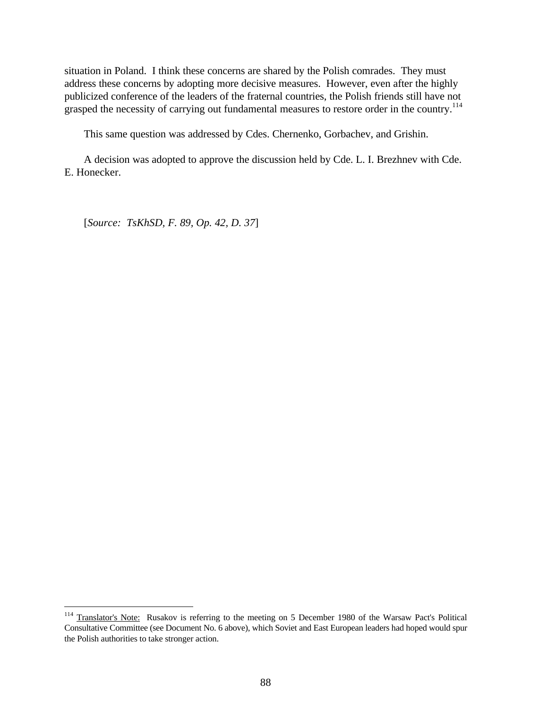situation in Poland. I think these concerns are shared by the Polish comrades. They must address these concerns by adopting more decisive measures. However, even after the highly publicized conference of the leaders of the fraternal countries, the Polish friends still have not grasped the necessity of carrying out fundamental measures to restore order in the country.<sup>114</sup>

This same question was addressed by Cdes. Chernenko, Gorbachev, and Grishin.

A decision was adopted to approve the discussion held by Cde. L. I. Brezhnev with Cde. E. Honecker.

[*Source: TsKhSD, F. 89, Op. 42, D. 37*]

<sup>&</sup>lt;sup>114</sup> Translator's Note: Rusakov is referring to the meeting on 5 December 1980 of the Warsaw Pact's Political Consultative Committee (see Document No. 6 above), which Soviet and East European leaders had hoped would spur the Polish authorities to take stronger action.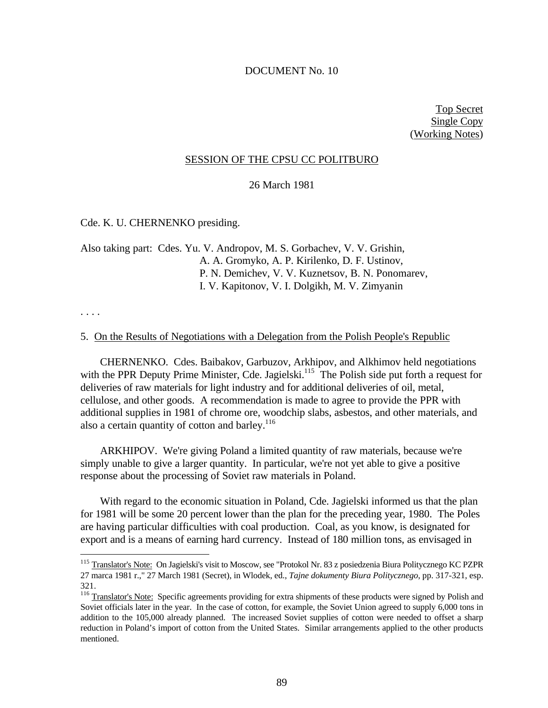### DOCUMENT No. 10

Top Secret Single Copy (Working Notes)

#### SESSION OF THE CPSU CC POLITBURO

26 March 1981

## Cde. K. U. CHERNENKO presiding.

Also taking part: Cdes. Yu. V. Andropov, M. S. Gorbachev, V. V. Grishin, A. A. Gromyko, A. P. Kirilenko, D. F. Ustinov, P. N. Demichev, V. V. Kuznetsov, B. N. Ponomarev, I. V. Kapitonov, V. I. Dolgikh, M. V. Zimyanin

. . . .

 $\overline{a}$ 

#### 5. On the Results of Negotiations with a Delegation from the Polish People's Republic

CHERNENKO. Cdes. Baibakov, Garbuzov, Arkhipov, and Alkhimov held negotiations with the PPR Deputy Prime Minister, Cde. Jagielski.<sup>115</sup> The Polish side put forth a request for deliveries of raw materials for light industry and for additional deliveries of oil, metal, cellulose, and other goods. A recommendation is made to agree to provide the PPR with additional supplies in 1981 of chrome ore, woodchip slabs, asbestos, and other materials, and also a certain quantity of cotton and barley.<sup>116</sup>

ARKHIPOV. We're giving Poland a limited quantity of raw materials, because we're simply unable to give a larger quantity. In particular, we're not yet able to give a positive response about the processing of Soviet raw materials in Poland.

With regard to the economic situation in Poland, Cde. Jagielski informed us that the plan for 1981 will be some 20 percent lower than the plan for the preceding year, 1980. The Poles are having particular difficulties with coal production. Coal, as you know, is designated for export and is a means of earning hard currency. Instead of 180 million tons, as envisaged in

<sup>115</sup> Translator's Note: On Jagielski's visit to Moscow, see "Protokol Nr. 83 z posiedzenia Biura Politycznego KC PZPR 27 marca 1981 r.," 27 March 1981 (Secret), in Wlodek, ed., *Tajne dokumenty Biura Politycznego*, pp. 317-321, esp. 321.

<sup>&</sup>lt;sup>116</sup> Translator's Note: Specific agreements providing for extra shipments of these products were signed by Polish and Soviet officials later in the year. In the case of cotton, for example, the Soviet Union agreed to supply 6,000 tons in addition to the 105,000 already planned. The increased Soviet supplies of cotton were needed to offset a sharp reduction in Poland's import of cotton from the United States. Similar arrangements applied to the other products mentioned.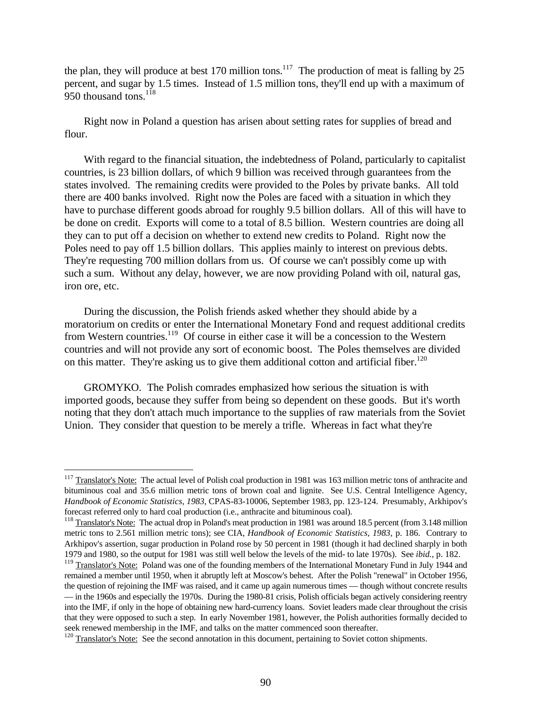the plan, they will produce at best 170 million tons.<sup>117</sup> The production of meat is falling by 25 percent, and sugar by 1.5 times. Instead of 1.5 million tons, they'll end up with a maximum of 950 thousand tons.<sup>118</sup>

Right now in Poland a question has arisen about setting rates for supplies of bread and flour.

With regard to the financial situation, the indebtedness of Poland, particularly to capitalist countries, is 23 billion dollars, of which 9 billion was received through guarantees from the states involved. The remaining credits were provided to the Poles by private banks. All told there are 400 banks involved. Right now the Poles are faced with a situation in which they have to purchase different goods abroad for roughly 9.5 billion dollars. All of this will have to be done on credit. Exports will come to a total of 8.5 billion. Western countries are doing all they can to put off a decision on whether to extend new credits to Poland. Right now the Poles need to pay off 1.5 billion dollars. This applies mainly to interest on previous debts. They're requesting 700 million dollars from us. Of course we can't possibly come up with such a sum. Without any delay, however, we are now providing Poland with oil, natural gas, iron ore, etc.

During the discussion, the Polish friends asked whether they should abide by a moratorium on credits or enter the International Monetary Fond and request additional credits from Western countries.<sup>119</sup> Of course in either case it will be a concession to the Western countries and will not provide any sort of economic boost. The Poles themselves are divided on this matter. They're asking us to give them additional cotton and artificial fiber.<sup>120</sup>

GROMYKO. The Polish comrades emphasized how serious the situation is with imported goods, because they suffer from being so dependent on these goods. But it's worth noting that they don't attach much importance to the supplies of raw materials from the Soviet Union. They consider that question to be merely a trifle. Whereas in fact what they're

<sup>&</sup>lt;sup>117</sup> Translator's Note: The actual level of Polish coal production in 1981 was 163 million metric tons of anthracite and bituminous coal and 35.6 million metric tons of brown coal and lignite. See U.S. Central Intelligence Agency, *Handbook of Economic Statistics, 1983*, CPAS-83-10006, September 1983, pp. 123-124. Presumably, Arkhipov's forecast referred only to hard coal production (i.e., anthracite and bituminous coal).

<sup>&</sup>lt;sup>118</sup> Translator's Note: The actual drop in Poland's meat production in 1981 was around 18.5 percent (from 3.148 million metric tons to 2.561 million metric tons); see CIA, *Handbook of Economic Statistics, 1983*, p. 186. Contrary to Arkhipov's assertion, sugar production in Poland rose by 50 percent in 1981 (though it had declined sharply in both 1979 and 1980, so the output for 1981 was still well below the levels of the mid- to late 1970s). See *ibid.*, p. 182.

<sup>&</sup>lt;sup>119</sup> Translator's Note: Poland was one of the founding members of the International Monetary Fund in July 1944 and remained a member until 1950, when it abruptly left at Moscow's behest. After the Polish "renewal" in October 1956, the question of rejoining the IMF was raised, and it came up again numerous times — though without concrete results — in the 1960s and especially the 1970s. During the 1980-81 crisis, Polish officials began actively considering reentry into the IMF, if only in the hope of obtaining new hard-currency loans. Soviet leaders made clear throughout the crisis that they were opposed to such a step. In early November 1981, however, the Polish authorities formally decided to seek renewed membership in the IMF, and talks on the matter commenced soon thereafter.

 $120$  Translator's Note: See the second annotation in this document, pertaining to Soviet cotton shipments.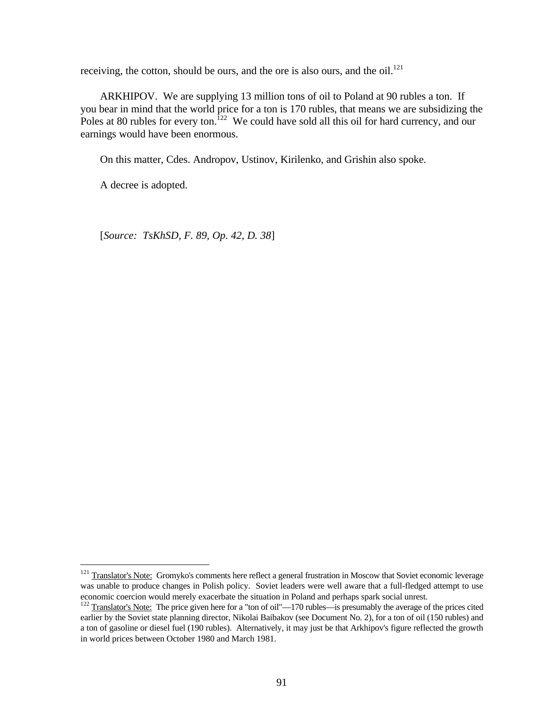receiving, the cotton, should be ours, and the ore is also ours, and the oil.<sup>121</sup>

ARKHIPOV. We are supplying 13 million tons of oil to Poland at 90 rubles a ton. If you bear in mind that the world price for a ton is 170 rubles, that means we are subsidizing the Poles at 80 rubles for every ton.<sup>122</sup> We could have sold all this oil for hard currency, and our earnings would have been enormous.

On this matter, Cdes. Andropov, Ustinov, Kirilenko, and Grishin also spoke.

A decree is adopted.

<u>.</u>

[*Source: TsKhSD, F. 89, Op. 42, D. 38*]

<sup>&</sup>lt;sup>121</sup> Translator's Note: Gromyko's comments here reflect a general frustration in Moscow that Soviet economic leverage was unable to produce changes in Polish policy. Soviet leaders were well aware that a full-fledged attempt to use economic coercion would merely exacerbate the situation in Poland and perhaps spark social unrest.

<sup>&</sup>lt;sup>122</sup> Translator's Note: The price given here for a "ton of oil"—170 rubles—is presumably the average of the prices cited earlier by the Soviet state planning director, Nikolai Baibakov (see Document No. 2), for a ton of oil (150 rubles) and a ton of gasoline or diesel fuel (190 rubles). Alternatively, it may just be that Arkhipov's figure reflected the growth in world prices between October 1980 and March 1981.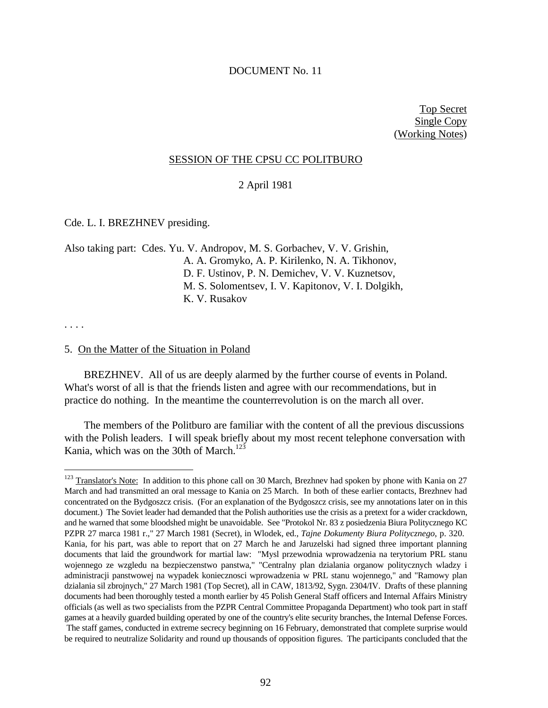### DOCUMENT No. 11

Top Secret Single Copy (Working Notes)

# SESSION OF THE CPSU CC POLITBURO

2 April 1981

Cde. L. I. BREZHNEV presiding.

Also taking part: Cdes. Yu. V. Andropov, M. S. Gorbachev, V. V. Grishin, A. A. Gromyko, A. P. Kirilenko, N. A. Tikhonov, D. F. Ustinov, P. N. Demichev, V. V. Kuznetsov, M. S. Solomentsev, I. V. Kapitonov, V. I. Dolgikh, K. V. Rusakov

. . . .

 $\overline{a}$ 

#### 5. On the Matter of the Situation in Poland

BREZHNEV. All of us are deeply alarmed by the further course of events in Poland. What's worst of all is that the friends listen and agree with our recommendations, but in practice do nothing. In the meantime the counterrevolution is on the march all over.

The members of the Politburo are familiar with the content of all the previous discussions with the Polish leaders. I will speak briefly about my most recent telephone conversation with Kania, which was on the 30th of March. $123$ 

 $123$  Translator's Note: In addition to this phone call on 30 March, Brezhnev had spoken by phone with Kania on 27 March and had transmitted an oral message to Kania on 25 March. In both of these earlier contacts, Brezhnev had concentrated on the Bydgoszcz crisis. (For an explanation of the Bydgoszcz crisis, see my annotations later on in this document.) The Soviet leader had demanded that the Polish authorities use the crisis as a pretext for a wider crackdown, and he warned that some bloodshed might be unavoidable. See "Protokol Nr. 83 z posiedzenia Biura Politycznego KC PZPR 27 marca 1981 r.," 27 March 1981 (Secret), in Wlodek, ed., *Tajne Dokumenty Biura Politycznego*, p. 320. Kania, for his part, was able to report that on 27 March he and Jaruzelski had signed three important planning documents that laid the groundwork for martial law: "Mysl przewodnia wprowadzenia na terytorium PRL stanu wojennego ze wzgledu na bezpieczenstwo panstwa," "Centralny plan dzialania organow politycznych wladzy i administracji panstwowej na wypadek koniecznosci wprowadzenia w PRL stanu wojennego," and "Ramowy plan dzialania sil zbrojnych," 27 March 1981 (Top Secret), all in CAW, 1813/92, Sygn. 2304/IV. Drafts of these planning documents had been thoroughly tested a month earlier by 45 Polish General Staff officers and Internal Affairs Ministry officials (as well as two specialists from the PZPR Central Committee Propaganda Department) who took part in staff games at a heavily guarded building operated by one of the country's elite security branches, the Internal Defense Forces. The staff games, conducted in extreme secrecy beginning on 16 February, demonstrated that complete surprise would be required to neutralize Solidarity and round up thousands of opposition figures. The participants concluded that the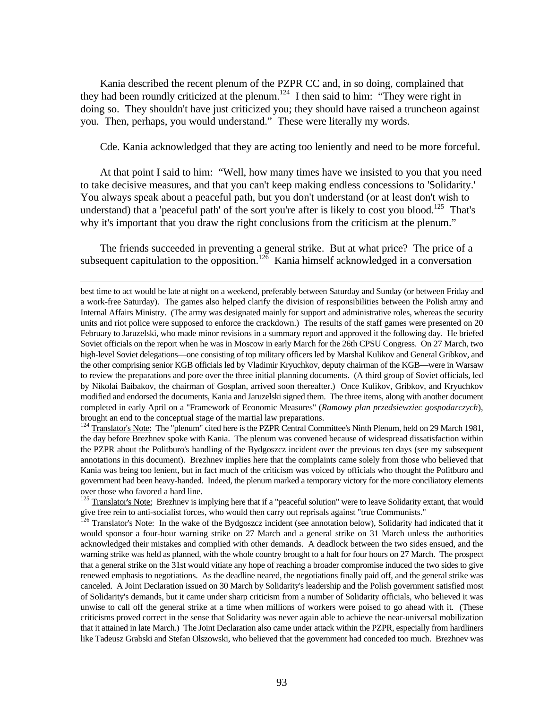Kania described the recent plenum of the PZPR CC and, in so doing, complained that they had been roundly criticized at the plenum.<sup>124</sup> I then said to him: "They were right in doing so. They shouldn't have just criticized you; they should have raised a truncheon against you. Then, perhaps, you would understand." These were literally my words.

Cde. Kania acknowledged that they are acting too leniently and need to be more forceful.

At that point I said to him: "Well, how many times have we insisted to you that you need to take decisive measures, and that you can't keep making endless concessions to 'Solidarity.' You always speak about a peaceful path, but you don't understand (or at least don't wish to understand) that a 'peaceful path' of the sort you're after is likely to cost you blood.<sup>125</sup> That's why it's important that you draw the right conclusions from the criticism at the plenum."

The friends succeeded in preventing a general strike. But at what price? The price of a subsequent capitulation to the opposition.<sup>126</sup> Kania himself acknowledged in a conversation

<u>.</u>

<sup>124</sup> Translator's Note: The "plenum" cited here is the PZPR Central Committee's Ninth Plenum, held on 29 March 1981, the day before Brezhnev spoke with Kania. The plenum was convened because of widespread dissatisfaction within the PZPR about the Politburo's handling of the Bydgoszcz incident over the previous ten days (see my subsequent annotations in this document). Brezhnev implies here that the complaints came solely from those who believed that Kania was being too lenient, but in fact much of the criticism was voiced by officials who thought the Politburo and government had been heavy-handed. Indeed, the plenum marked a temporary victory for the more conciliatory elements over those who favored a hard line.

best time to act would be late at night on a weekend, preferably between Saturday and Sunday (or between Friday and a work-free Saturday). The games also helped clarify the division of responsibilities between the Polish army and Internal Affairs Ministry. (The army was designated mainly for support and administrative roles, whereas the security units and riot police were supposed to enforce the crackdown.) The results of the staff games were presented on 20 February to Jaruzelski, who made minor revisions in a summary report and approved it the following day. He briefed Soviet officials on the report when he was in Moscow in early March for the 26th CPSU Congress. On 27 March, two high-level Soviet delegations—one consisting of top military officers led by Marshal Kulikov and General Gribkov, and the other comprising senior KGB officials led by Vladimir Kryuchkov, deputy chairman of the KGB—were in Warsaw to review the preparations and pore over the three initial planning documents. (A third group of Soviet officials, led by Nikolai Baibakov, the chairman of Gosplan, arrived soon thereafter.) Once Kulikov, Gribkov, and Kryuchkov modified and endorsed the documents, Kania and Jaruzelski signed them. The three items, along with another document completed in early April on a "Framework of Economic Measures" (*Ramowy plan przedsiewziec gospodarczych*), brought an end to the conceptual stage of the martial law preparations.

<sup>&</sup>lt;sup>125</sup> Translator's Note: Brezhnev is implying here that if a "peaceful solution" were to leave Solidarity extant, that would give free rein to anti-socialist forces, who would then carry out reprisals against "true Communists."

<sup>126</sup> Translator's Note: In the wake of the Bydgoszcz incident (see annotation below), Solidarity had indicated that it would sponsor a four-hour warning strike on 27 March and a general strike on 31 March unless the authorities acknowledged their mistakes and complied with other demands. A deadlock between the two sides ensued, and the warning strike was held as planned, with the whole country brought to a halt for four hours on 27 March. The prospect that a general strike on the 31st would vitiate any hope of reaching a broader compromise induced the two sides to give renewed emphasis to negotiations. As the deadline neared, the negotiations finally paid off, and the general strike was canceled. A Joint Declaration issued on 30 March by Solidarity's leadership and the Polish government satisfied most of Solidarity's demands, but it came under sharp criticism from a number of Solidarity officials, who believed it was unwise to call off the general strike at a time when millions of workers were poised to go ahead with it. (These criticisms proved correct in the sense that Solidarity was never again able to achieve the near-universal mobilization that it attained in late March.) The Joint Declaration also came under attack within the PZPR, especially from hardliners like Tadeusz Grabski and Stefan Olszowski, who believed that the government had conceded too much. Brezhnev was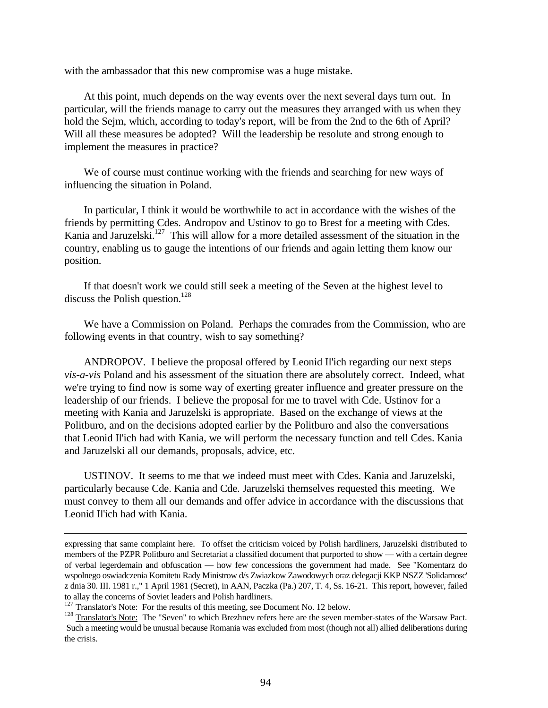with the ambassador that this new compromise was a huge mistake.

At this point, much depends on the way events over the next several days turn out. In particular, will the friends manage to carry out the measures they arranged with us when they hold the Sejm, which, according to today's report, will be from the 2nd to the 6th of April? Will all these measures be adopted? Will the leadership be resolute and strong enough to implement the measures in practice?

We of course must continue working with the friends and searching for new ways of influencing the situation in Poland.

In particular, I think it would be worthwhile to act in accordance with the wishes of the friends by permitting Cdes. Andropov and Ustinov to go to Brest for a meeting with Cdes. Kania and Jaruzelski.<sup>127</sup> This will allow for a more detailed assessment of the situation in the country, enabling us to gauge the intentions of our friends and again letting them know our position.

If that doesn't work we could still seek a meeting of the Seven at the highest level to discuss the Polish question.<sup>128</sup>

We have a Commission on Poland. Perhaps the comrades from the Commission, who are following events in that country, wish to say something?

ANDROPOV. I believe the proposal offered by Leonid Il'ich regarding our next steps *vis-a-vis* Poland and his assessment of the situation there are absolutely correct. Indeed, what we're trying to find now is some way of exerting greater influence and greater pressure on the leadership of our friends. I believe the proposal for me to travel with Cde. Ustinov for a meeting with Kania and Jaruzelski is appropriate. Based on the exchange of views at the Politburo, and on the decisions adopted earlier by the Politburo and also the conversations that Leonid Il'ich had with Kania, we will perform the necessary function and tell Cdes. Kania and Jaruzelski all our demands, proposals, advice, etc.

USTINOV. It seems to me that we indeed must meet with Cdes. Kania and Jaruzelski, particularly because Cde. Kania and Cde. Jaruzelski themselves requested this meeting. We must convey to them all our demands and offer advice in accordance with the discussions that Leonid Il'ich had with Kania.

expressing that same complaint here. To offset the criticism voiced by Polish hardliners, Jaruzelski distributed to members of the PZPR Politburo and Secretariat a classified document that purported to show — with a certain degree of verbal legerdemain and obfuscation — how few concessions the government had made. See "Komentarz do wspolnego oswiadczenia Komitetu Rady Ministrow d/s Zwiazkow Zawodowych oraz delegacji KKP NSZZ 'Solidarnosc' z dnia 30. III. 1981 r.," 1 April 1981 (Secret), in AAN, Paczka (Pa.) 207, T. 4, Ss. 16-21. This report, however, failed to allay the concerns of Soviet leaders and Polish hardliners.

<sup>&</sup>lt;sup>127</sup> Translator's Note: For the results of this meeting, see Document No. 12 below.

<sup>128</sup> Translator's Note: The "Seven" to which Brezhnev refers here are the seven member-states of the Warsaw Pact. Such a meeting would be unusual because Romania was excluded from most (though not all) allied deliberations during the crisis.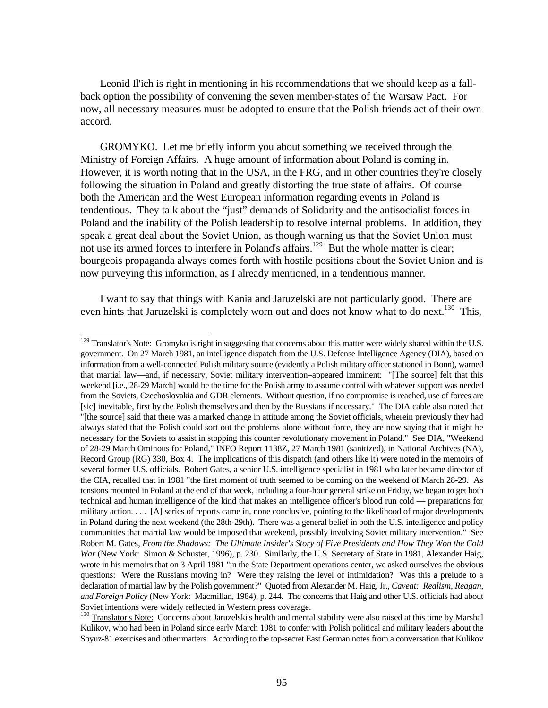Leonid Il'ich is right in mentioning in his recommendations that we should keep as a fallback option the possibility of convening the seven member-states of the Warsaw Pact. For now, all necessary measures must be adopted to ensure that the Polish friends act of their own accord.

GROMYKO. Let me briefly inform you about something we received through the Ministry of Foreign Affairs. A huge amount of information about Poland is coming in. However, it is worth noting that in the USA, in the FRG, and in other countries they're closely following the situation in Poland and greatly distorting the true state of affairs. Of course both the American and the West European information regarding events in Poland is tendentious. They talk about the "just" demands of Solidarity and the antisocialist forces in Poland and the inability of the Polish leadership to resolve internal problems. In addition, they speak a great deal about the Soviet Union, as though warning us that the Soviet Union must not use its armed forces to interfere in Poland's affairs.<sup>129</sup> But the whole matter is clear; bourgeois propaganda always comes forth with hostile positions about the Soviet Union and is now purveying this information, as I already mentioned, in a tendentious manner.

I want to say that things with Kania and Jaruzelski are not particularly good. There are even hints that Jaruzelski is completely worn out and does not know what to do next.<sup>130</sup> This,

 $129$  Translator's Note: Gromyko is right in suggesting that concerns about this matter were widely shared within the U.S. government. On 27 March 1981, an intelligence dispatch from the U.S. Defense Intelligence Agency (DIA), based on information from a well-connected Polish military source (evidently a Polish military officer stationed in Bonn), warned that martial law—and, if necessary, Soviet military intervention–appeared imminent: "[The source] felt that this weekend [i.e., 28-29 March] would be the time for the Polish army to assume control with whatever support was needed from the Soviets, Czechoslovakia and GDR elements. Without question, if no compromise is reached, use of forces are [sic] inevitable, first by the Polish themselves and then by the Russians if necessary." The DIA cable also noted that "[the source] said that there was a marked change in attitude among the Soviet officials, wherein previously they had always stated that the Polish could sort out the problems alone without force, they are now saying that it might be necessary for the Soviets to assist in stopping this counter revolutionary movement in Poland." See DIA, "Weekend of 28-29 March Ominous for Poland," INFO Report 1138Z, 27 March 1981 (sanitized), in National Archives (NA), Record Group (RG) 330, Box 4. The implications of this dispatch (and others like it) were noted in the memoirs of several former U.S. officials. Robert Gates, a senior U.S. intelligence specialist in 1981 who later became director of the CIA, recalled that in 1981 "the first moment of truth seemed to be coming on the weekend of March 28-29. As tensions mounted in Poland at the end of that week, including a four-hour general strike on Friday, we began to get both technical and human intelligence of the kind that makes an intelligence officer's blood run cold — preparations for military action. . . . [A] series of reports came in, none conclusive, pointing to the likelihood of major developments in Poland during the next weekend (the 28th-29th). There was a general belief in both the U.S. intelligence and policy communities that martial law would be imposed that weekend, possibly involving Soviet military intervention." See Robert M. Gates, *From the Shadows: The Ultimate Insider's Story of Five Presidents and How They Won the Cold War* (New York: Simon & Schuster, 1996), p. 230. Similarly, the U.S. Secretary of State in 1981, Alexander Haig, wrote in his memoirs that on 3 April 1981 "in the State Department operations center, we asked ourselves the obvious questions: Were the Russians moving in? Were they raising the level of intimidation? Was this a prelude to a declaration of martial law by the Polish government?" Quoted from Alexander M. Haig, Jr., *Caveat: Realism, Reagan, and Foreign Policy* (New York: Macmillan, 1984), p. 244. The concerns that Haig and other U.S. officials had about Soviet intentions were widely reflected in Western press coverage.

<sup>&</sup>lt;sup>130</sup> Translator's Note: Concerns about Jaruzelski's health and mental stability were also raised at this time by Marshal Kulikov, who had been in Poland since early March 1981 to confer with Polish political and military leaders about the Soyuz-81 exercises and other matters. According to the top-secret East German notes from a conversation that Kulikov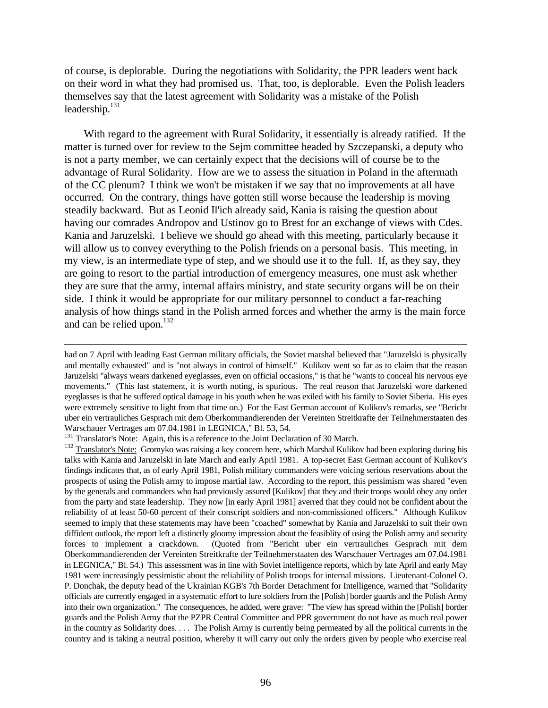of course, is deplorable. During the negotiations with Solidarity, the PPR leaders went back on their word in what they had promised us. That, too, is deplorable. Even the Polish leaders themselves say that the latest agreement with Solidarity was a mistake of the Polish leadership. $131$ 

With regard to the agreement with Rural Solidarity, it essentially is already ratified. If the matter is turned over for review to the Sejm committee headed by Szczepanski, a deputy who is not a party member, we can certainly expect that the decisions will of course be to the advantage of Rural Solidarity. How are we to assess the situation in Poland in the aftermath of the CC plenum? I think we won't be mistaken if we say that no improvements at all have occurred. On the contrary, things have gotten still worse because the leadership is moving steadily backward. But as Leonid Il'ich already said, Kania is raising the question about having our comrades Andropov and Ustinov go to Brest for an exchange of views with Cdes. Kania and Jaruzelski. I believe we should go ahead with this meeting, particularly because it will allow us to convey everything to the Polish friends on a personal basis. This meeting, in my view, is an intermediate type of step, and we should use it to the full. If, as they say, they are going to resort to the partial introduction of emergency measures, one must ask whether they are sure that the army, internal affairs ministry, and state security organs will be on their side. I think it would be appropriate for our military personnel to conduct a far-reaching analysis of how things stand in the Polish armed forces and whether the army is the main force and can be relied upon.<sup>132</sup>

had on 7 April with leading East German military officials, the Soviet marshal believed that "Jaruzelski is physically and mentally exhausted" and is "not always in control of himself." Kulikov went so far as to claim that the reason Jaruzelski "always wears darkened eyeglasses, even on official occasions," is that he "wants to conceal his nervous eye movements." (This last statement, it is worth noting, is spurious. The real reason that Jaruzelski wore darkened eyeglasses is that he suffered optical damage in his youth when he was exiled with his family to Soviet Siberia. His eyes were extremely sensitive to light from that time on.) For the East German account of Kulikov's remarks, see "Bericht uber ein vertrauliches Gesprach mit dem Oberkommandierenden der Vereinten Streitkrafte der Teilnehmerstaaten des Warschauer Vertrages am 07.04.1981 in LEGNICA," Bl. 53, 54.

<sup>&</sup>lt;sup>131</sup> Translator's Note: Again, this is a reference to the Joint Declaration of 30 March.

<sup>132</sup> Translator's Note: Gromyko was raising a key concern here, which Marshal Kulikov had been exploring during his talks with Kania and Jaruzelski in late March and early April 1981. A top-secret East German account of Kulikov's findings indicates that, as of early April 1981, Polish military commanders were voicing serious reservations about the prospects of using the Polish army to impose martial law. According to the report, this pessimism was shared "even by the generals and commanders who had previously assured [Kulikov] that they and their troops would obey any order from the party and state leadership. They now [in early April 1981] averred that they could not be confident about the reliability of at least 50-60 percent of their conscript soldiers and non-commissioned officers." Although Kulikov seemed to imply that these statements may have been "coached" somewhat by Kania and Jaruzelski to suit their own diffident outlook, the report left a distinctly gloomy impression about the feasiblity of using the Polish army and security forces to implement a crackdown. (Quoted from "Bericht uber ein vertrauliches Gesprach mit dem Oberkommandierenden der Vereinten Streitkrafte der Teilnehmerstaaten des Warschauer Vertrages am 07.04.1981 in LEGNICA," Bl. 54.) This assessment was in line with Soviet intelligence reports, which by late April and early May 1981 were increasingly pessimistic about the reliability of Polish troops for internal missions. Lieutenant-Colonel O. P. Donchak, the deputy head of the Ukrainian KGB's 7th Border Detachment for Intelligence, warned that "Solidarity officials are currently engaged in a systematic effort to lure soldiers from the [Polish] border guards and the Polish Army into their own organization." The consequences, he added, were grave: "The view has spread within the [Polish] border guards and the Polish Army that the PZPR Central Committee and PPR government do not have as much real power in the country as Solidarity does. . . . The Polish Army is currently being permeated by all the political currents in the country and is taking a neutral position, whereby it will carry out only the orders given by people who exercise real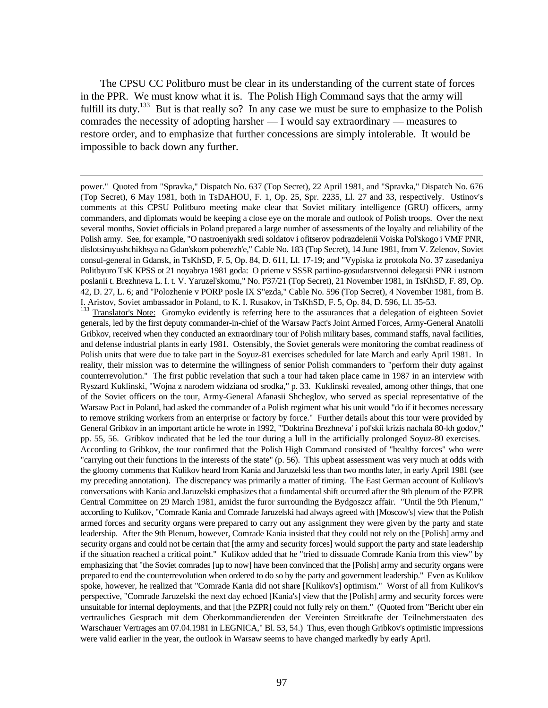The CPSU CC Politburo must be clear in its understanding of the current state of forces in the PPR. We must know what it is. The Polish High Command says that the army will fulfill its duty.<sup>133</sup> But is that really so? In any case we must be sure to emphasize to the Polish comrades the necessity of adopting harsher — I would say extraordinary — measures to restore order, and to emphasize that further concessions are simply intolerable. It would be impossible to back down any further.

 $\overline{a}$ 

<sup>133</sup> Translator's Note: Gromyko evidently is referring here to the assurances that a delegation of eighteen Soviet generals, led by the first deputy commander-in-chief of the Warsaw Pact's Joint Armed Forces, Army-General Anatolii Gribkov, received when they conducted an extraordinary tour of Polish military bases, command staffs, naval facilities, and defense industrial plants in early 1981. Ostensibly, the Soviet generals were monitoring the combat readiness of Polish units that were due to take part in the Soyuz-81 exercises scheduled for late March and early April 1981. In reality, their mission was to determine the willingness of senior Polish commanders to "perform their duty against counterrevolution." The first public revelation that such a tour had taken place came in 1987 in an interview with Ryszard Kuklinski, "Wojna z narodem widziana od srodka," p. 33. Kuklinski revealed, among other things, that one of the Soviet officers on the tour, Army-General Afanasii Shcheglov, who served as special representative of the Warsaw Pact in Poland, had asked the commander of a Polish regiment what his unit would "do if it becomes necessary to remove striking workers from an enterprise or factory by force." Further details about this tour were provided by General Gribkov in an important article he wrote in 1992, "'Doktrina Brezhneva' i pol'skii krizis nachala 80-kh godov," pp. 55, 56. Gribkov indicated that he led the tour during a lull in the artificially prolonged Soyuz-80 exercises. According to Gribkov, the tour confirmed that the Polish High Command consisted of "healthy forces" who were "carrying out their functions in the interests of the state" (p. 56). This upbeat assessment was very much at odds with the gloomy comments that Kulikov heard from Kania and Jaruzelski less than two months later, in early April 1981 (see my preceding annotation). The discrepancy was primarily a matter of timing. The East German account of Kulikov's conversations with Kania and Jaruzelski emphasizes that a fundamental shift occurred after the 9th plenum of the PZPR Central Committee on 29 March 1981, amidst the furor surrounding the Bydgoszcz affair. "Until the 9th Plenum," according to Kulikov, "Comrade Kania and Comrade Jaruzelski had always agreed with [Moscow's] view that the Polish armed forces and security organs were prepared to carry out any assignment they were given by the party and state leadership. After the 9th Plenum, however, Comrade Kania insisted that they could not rely on the [Polish] army and security organs and could not be certain that [the army and security forces] would support the party and state leadership if the situation reached a critical point." Kulikov added that he "tried to dissuade Comrade Kania from this view" by emphasizing that "the Soviet comrades [up to now] have been convinced that the [Polish] army and security organs were prepared to end the counterrevolution when ordered to do so by the party and government leadership." Even as Kulikov spoke, however, he realized that "Comrade Kania did not share [Kulikov's] optimism." Worst of all from Kulikov's perspective, "Comrade Jaruzelski the next day echoed [Kania's] view that the [Polish] army and security forces were unsuitable for internal deployments, and that [the PZPR] could not fully rely on them." (Quoted from "Bericht uber ein vertrauliches Gesprach mit dem Oberkommandierenden der Vereinten Streitkrafte der Teilnehmerstaaten des Warschauer Vertrages am 07.04.1981 in LEGNICA," Bl. 53, 54.) Thus, even though Gribkov's optimistic impressions were valid earlier in the year, the outlook in Warsaw seems to have changed markedly by early April.

power." Quoted from "Spravka," Dispatch No. 637 (Top Secret), 22 April 1981, and "Spravka," Dispatch No. 676 (Top Secret), 6 May 1981, both in TsDAHOU, F. 1, Op. 25, Spr. 2235, Ll. 27 and 33, respectively. Ustinov's comments at this CPSU Politburo meeting make clear that Soviet military intelligence (GRU) officers, army commanders, and diplomats would be keeping a close eye on the morale and outlook of Polish troops. Over the next several months, Soviet officials in Poland prepared a large number of assessments of the loyalty and reliability of the Polish army. See, for example, "O nastroeniyakh sredi soldatov i ofitserov podrazdelenii Voiska Pol'skogo i VMF PNR, dislotsiruyushchikhsya na Gdan'skom poberezh'e," Cable No. 183 (Top Secret), 14 June 1981, from V. Zelenov, Soviet consul-general in Gdansk, in TsKhSD, F. 5, Op. 84, D. 611, Ll. 17-19; and "Vypiska iz protokola No. 37 zasedaniya Politbyuro TsK KPSS ot 21 noyabrya 1981 goda: O prieme v SSSR partiino-gosudarstvennoi delegatsii PNR i ustnom poslanii t. Brezhneva L. I. t. V. Yaruzel'skomu," No. P37/21 (Top Secret), 21 November 1981, in TsKhSD, F. 89, Op. 42, D. 27, L. 6; and "Polozhenie v PORP posle IX S"ezda," Cable No. 596 (Top Secret), 4 November 1981, from B. I. Aristov, Soviet ambassador in Poland, to K. I. Rusakov, in TsKhSD, F. 5, Op. 84, D. 596, Ll. 35-53.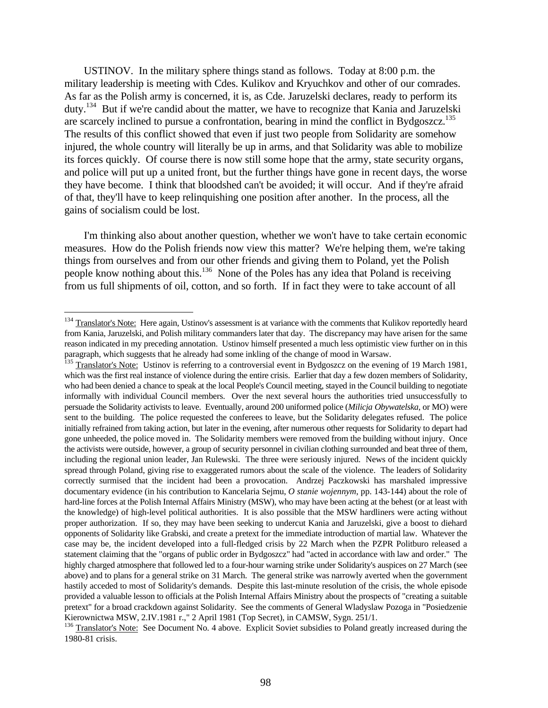USTINOV. In the military sphere things stand as follows. Today at 8:00 p.m. the military leadership is meeting with Cdes. Kulikov and Kryuchkov and other of our comrades. As far as the Polish army is concerned, it is, as Cde. Jaruzelski declares, ready to perform its duty.<sup>134</sup> But if we're candid about the matter, we have to recognize that Kania and Jaruzelski are scarcely inclined to pursue a confrontation, bearing in mind the conflict in Bydgoszcz.<sup>135</sup> The results of this conflict showed that even if just two people from Solidarity are somehow injured, the whole country will literally be up in arms, and that Solidarity was able to mobilize its forces quickly. Of course there is now still some hope that the army, state security organs, and police will put up a united front, but the further things have gone in recent days, the worse they have become. I think that bloodshed can't be avoided; it will occur. And if they're afraid of that, they'll have to keep relinquishing one position after another. In the process, all the gains of socialism could be lost.

I'm thinking also about another question, whether we won't have to take certain economic measures. How do the Polish friends now view this matter? We're helping them, we're taking things from ourselves and from our other friends and giving them to Poland, yet the Polish people know nothing about this.<sup>136</sup> None of the Poles has any idea that Poland is receiving from us full shipments of oil, cotton, and so forth. If in fact they were to take account of all

<sup>&</sup>lt;sup>134</sup> Translator's Note: Here again, Ustinov's assessment is at variance with the comments that Kulikov reportedly heard from Kania, Jaruzelski, and Polish military commanders later that day. The discrepancy may have arisen for the same reason indicated in my preceding annotation. Ustinov himself presented a much less optimistic view further on in this paragraph, which suggests that he already had some inkling of the change of mood in Warsaw.

<sup>&</sup>lt;sup>135</sup> Translator's Note: Ustinov is referring to a controversial event in Bydgoszcz on the evening of 19 March 1981, which was the first real instance of violence during the entire crisis. Earlier that day a few dozen members of Solidarity, who had been denied a chance to speak at the local People's Council meeting, stayed in the Council building to negotiate informally with individual Council members. Over the next several hours the authorities tried unsuccessfully to persuade the Solidarity activists to leave. Eventually, around 200 uniformed police (*Milicja Obywatelska*, or MO) were sent to the building. The police requested the conferees to leave, but the Solidarity delegates refused. The police initially refrained from taking action, but later in the evening, after numerous other requests for Solidarity to depart had gone unheeded, the police moved in. The Solidarity members were removed from the building without injury. Once the activists were outside, however, a group of security personnel in civilian clothing surrounded and beat three of them, including the regional union leader, Jan Rulewski. The three were seriously injured. News of the incident quickly spread through Poland, giving rise to exaggerated rumors about the scale of the violence. The leaders of Solidarity correctly surmised that the incident had been a provocation. Andrzej Paczkowski has marshaled impressive documentary evidence (in his contribution to Kancelaria Sejmu, *O stanie wojennym*, pp. 143-144) about the role of hard-line forces at the Polish Internal Affairs Ministry (MSW), who may have been acting at the behest (or at least with the knowledge) of high-level political authorities. It is also possible that the MSW hardliners were acting without proper authorization. If so, they may have been seeking to undercut Kania and Jaruzelski, give a boost to diehard opponents of Solidarity like Grabski, and create a pretext for the immediate introduction of martial law. Whatever the case may be, the incident developed into a full-fledged crisis by 22 March when the PZPR Politburo released a statement claiming that the "organs of public order in Bydgoszcz" had "acted in accordance with law and order." The highly charged atmosphere that followed led to a four-hour warning strike under Solidarity's auspices on 27 March (see above) and to plans for a general strike on 31 March. The general strike was narrowly averted when the government hastily acceded to most of Solidarity's demands. Despite this last-minute resolution of the crisis, the whole episode provided a valuable lesson to officials at the Polish Internal Affairs Ministry about the prospects of "creating a suitable pretext" for a broad crackdown against Solidarity. See the comments of General Wladyslaw Pozoga in "Posiedzenie Kierownictwa MSW, 2.IV.1981 r.," 2 April 1981 (Top Secret), in CAMSW, Sygn. 251/1.

<sup>&</sup>lt;sup>136</sup> Translator's Note: See Document No. 4 above. Explicit Soviet subsidies to Poland greatly increased during the 1980-81 crisis.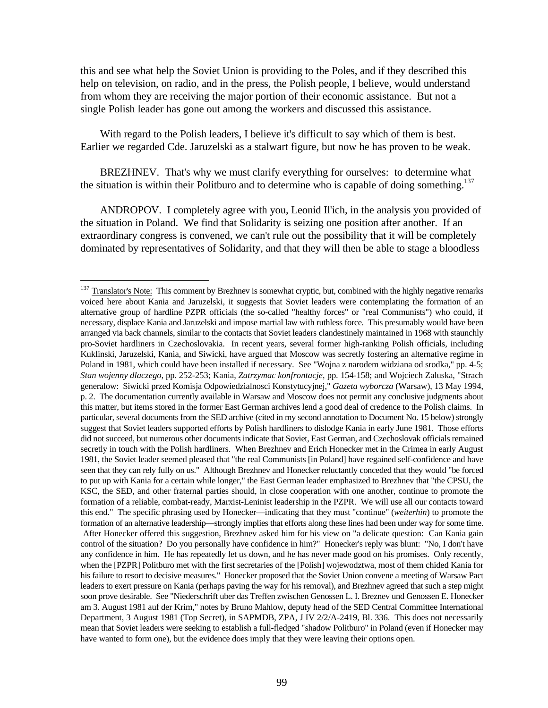this and see what help the Soviet Union is providing to the Poles, and if they described this help on television, on radio, and in the press, the Polish people, I believe, would understand from whom they are receiving the major portion of their economic assistance. But not a single Polish leader has gone out among the workers and discussed this assistance.

With regard to the Polish leaders, I believe it's difficult to say which of them is best. Earlier we regarded Cde. Jaruzelski as a stalwart figure, but now he has proven to be weak.

BREZHNEV. That's why we must clarify everything for ourselves: to determine what the situation is within their Politburo and to determine who is capable of doing something.<sup>137</sup>

ANDROPOV. I completely agree with you, Leonid Il'ich, in the analysis you provided of the situation in Poland. We find that Solidarity is seizing one position after another. If an extraordinary congress is convened, we can't rule out the possibility that it will be completely dominated by representatives of Solidarity, and that they will then be able to stage a bloodless

 $137$  Translator's Note: This comment by Brezhnev is somewhat cryptic, but, combined with the highly negative remarks voiced here about Kania and Jaruzelski, it suggests that Soviet leaders were contemplating the formation of an alternative group of hardline PZPR officials (the so-called "healthy forces" or "real Communists") who could, if necessary, displace Kania and Jaruzelski and impose martial law with ruthless force. This presumably would have been arranged via back channels, similar to the contacts that Soviet leaders clandestinely maintained in 1968 with staunchly pro-Soviet hardliners in Czechoslovakia. In recent years, several former high-ranking Polish officials, including Kuklinski, Jaruzelski, Kania, and Siwicki, have argued that Moscow was secretly fostering an alternative regime in Poland in 1981, which could have been installed if necessary. See "Wojna z narodem widziana od srodka," pp. 4-5; *Stan wojenny dlaczego*, pp. 252-253; Kania, *Zatrzymac konfrontacje*, pp. 154-158; and Wojciech Zaluska, "Strach generalow: Siwicki przed Komisja Odpowiedzialnosci Konstytucyjnej," *Gazeta wyborcza* (Warsaw), 13 May 1994, p. 2. The documentation currently available in Warsaw and Moscow does not permit any conclusive judgments about this matter, but items stored in the former East German archives lend a good deal of credence to the Polish claims. In particular, several documents from the SED archive (cited in my second annotation to Document No. 15 below) strongly suggest that Soviet leaders supported efforts by Polish hardliners to dislodge Kania in early June 1981. Those efforts did not succeed, but numerous other documents indicate that Soviet, East German, and Czechoslovak officials remained secretly in touch with the Polish hardliners. When Brezhnev and Erich Honecker met in the Crimea in early August 1981, the Soviet leader seemed pleased that "the real Communists [in Poland] have regained self-confidence and have seen that they can rely fully on us." Although Brezhnev and Honecker reluctantly conceded that they would "be forced to put up with Kania for a certain while longer," the East German leader emphasized to Brezhnev that "the CPSU, the KSC, the SED, and other fraternal parties should, in close cooperation with one another, continue to promote the formation of a reliable, combat-ready, Marxist-Leninist leadership in the PZPR. We will use all our contacts toward this end." The specific phrasing used by Honecker—indicating that they must "continue" (*weiterhin*) to promote the formation of an alternative leadership—strongly implies that efforts along these lines had been under way for some time. After Honecker offered this suggestion, Brezhnev asked him for his view on "a delicate question: Can Kania gain control of the situation? Do you personally have confidence in him?" Honecker's reply was blunt: "No, I don't have any confidence in him. He has repeatedly let us down, and he has never made good on his promises. Only recently, when the [PZPR] Politburo met with the first secretaries of the [Polish] wojewodztwa, most of them chided Kania for his failure to resort to decisive measures." Honecker proposed that the Soviet Union convene a meeting of Warsaw Pact leaders to exert pressure on Kania (perhaps paving the way for his removal), and Brezhnev agreed that such a step might soon prove desirable. See "Niederschrift uber das Treffen zwischen Genossen L. I. Breznev und Genossen E. Honecker am 3. August 1981 auf der Krim," notes by Bruno Mahlow, deputy head of the SED Central Committee International Department, 3 August 1981 (Top Secret), in SAPMDB, ZPA, J IV 2/2/A-2419, Bl. 336. This does not necessarily mean that Soviet leaders were seeking to establish a full-fledged "shadow Politburo" in Poland (even if Honecker may have wanted to form one), but the evidence does imply that they were leaving their options open.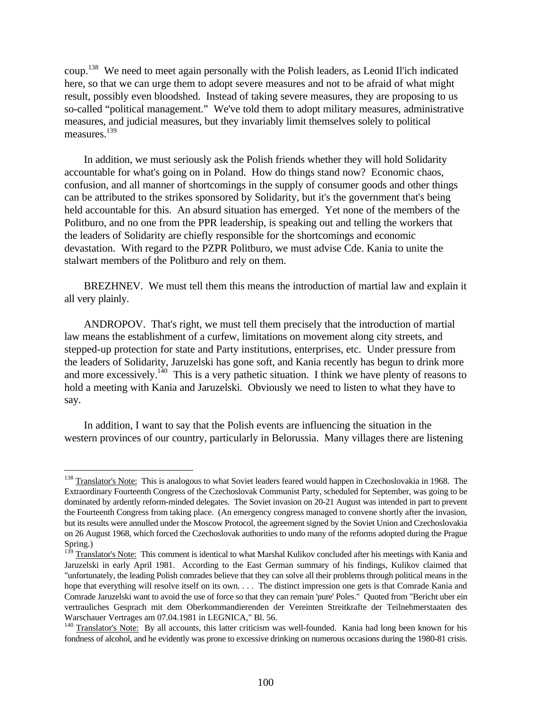coup.<sup>138</sup> We need to meet again personally with the Polish leaders, as Leonid Il'ich indicated here, so that we can urge them to adopt severe measures and not to be afraid of what might result, possibly even bloodshed. Instead of taking severe measures, they are proposing to us so-called "political management." We've told them to adopt military measures, administrative measures, and judicial measures, but they invariably limit themselves solely to political measures.<sup>139</sup>

In addition, we must seriously ask the Polish friends whether they will hold Solidarity accountable for what's going on in Poland. How do things stand now? Economic chaos, confusion, and all manner of shortcomings in the supply of consumer goods and other things can be attributed to the strikes sponsored by Solidarity, but it's the government that's being held accountable for this. An absurd situation has emerged. Yet none of the members of the Politburo, and no one from the PPR leadership, is speaking out and telling the workers that the leaders of Solidarity are chiefly responsible for the shortcomings and economic devastation. With regard to the PZPR Politburo, we must advise Cde. Kania to unite the stalwart members of the Politburo and rely on them.

BREZHNEV. We must tell them this means the introduction of martial law and explain it all very plainly.

ANDROPOV. That's right, we must tell them precisely that the introduction of martial law means the establishment of a curfew, limitations on movement along city streets, and stepped-up protection for state and Party institutions, enterprises, etc. Under pressure from the leaders of Solidarity, Jaruzelski has gone soft, and Kania recently has begun to drink more and more excessively.<sup>140</sup> This is a very pathetic situation. I think we have plenty of reasons to hold a meeting with Kania and Jaruzelski. Obviously we need to listen to what they have to say.

In addition, I want to say that the Polish events are influencing the situation in the western provinces of our country, particularly in Belorussia. Many villages there are listening

<sup>&</sup>lt;sup>138</sup> Translator's Note: This is analogous to what Soviet leaders feared would happen in Czechoslovakia in 1968. The Extraordinary Fourteenth Congress of the Czechoslovak Communist Party, scheduled for September, was going to be dominated by ardently reform-minded delegates. The Soviet invasion on 20-21 August was intended in part to prevent the Fourteenth Congress from taking place. (An emergency congress managed to convene shortly after the invasion, but its results were annulled under the Moscow Protocol, the agreement signed by the Soviet Union and Czechoslovakia on 26 August 1968, which forced the Czechoslovak authorities to undo many of the reforms adopted during the Prague Spring.)

<sup>&</sup>lt;sup>139</sup> Translator's Note: This comment is identical to what Marshal Kulikov concluded after his meetings with Kania and Jaruzelski in early April 1981. According to the East German summary of his findings, Kulikov claimed that "unfortunately, the leading Polish comrades believe that they can solve all their problems through political means in the hope that everything will resolve itself on its own. . . . The distinct impression one gets is that Comrade Kania and Comrade Jaruzelski want to avoid the use of force so that they can remain 'pure' Poles." Quoted from "Bericht uber ein vertrauliches Gesprach mit dem Oberkommandierenden der Vereinten Streitkrafte der Teilnehmerstaaten des Warschauer Vertrages am 07.04.1981 in LEGNICA," Bl. 56.

<sup>&</sup>lt;sup>140</sup> Translator's Note: By all accounts, this latter criticism was well-founded. Kania had long been known for his fondness of alcohol, and he evidently was prone to excessive drinking on numerous occasions during the 1980-81 crisis.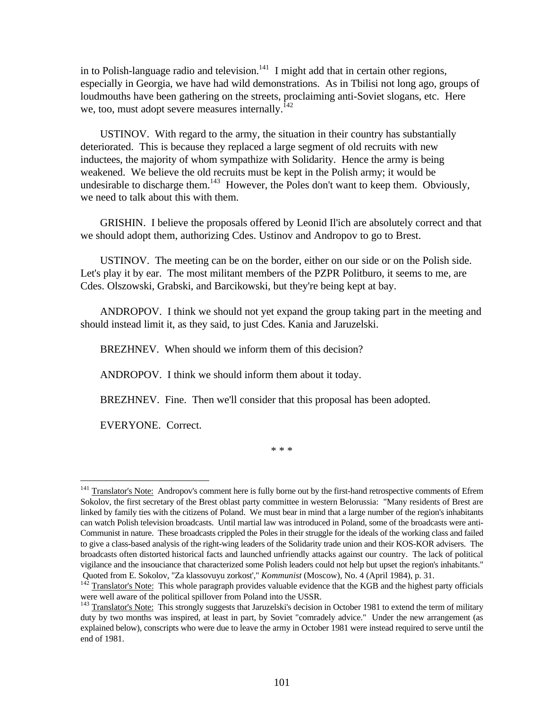in to Polish-language radio and television.<sup>141</sup> I might add that in certain other regions, especially in Georgia, we have had wild demonstrations. As in Tbilisi not long ago, groups of loudmouths have been gathering on the streets, proclaiming anti-Soviet slogans, etc. Here we, too, must adopt severe measures internally. $^{142}$ 

USTINOV. With regard to the army, the situation in their country has substantially deteriorated. This is because they replaced a large segment of old recruits with new inductees, the majority of whom sympathize with Solidarity. Hence the army is being weakened. We believe the old recruits must be kept in the Polish army; it would be undesirable to discharge them.<sup>143</sup> However, the Poles don't want to keep them. Obviously, we need to talk about this with them.

GRISHIN. I believe the proposals offered by Leonid Il'ich are absolutely correct and that we should adopt them, authorizing Cdes. Ustinov and Andropov to go to Brest.

USTINOV. The meeting can be on the border, either on our side or on the Polish side. Let's play it by ear. The most militant members of the PZPR Politburo, it seems to me, are Cdes. Olszowski, Grabski, and Barcikowski, but they're being kept at bay.

ANDROPOV. I think we should not yet expand the group taking part in the meeting and should instead limit it, as they said, to just Cdes. Kania and Jaruzelski.

BREZHNEV. When should we inform them of this decision?

ANDROPOV. I think we should inform them about it today.

BREZHNEV. Fine. Then we'll consider that this proposal has been adopted.

EVERYONE. Correct.

 $\overline{a}$ 

\* \* \*

<sup>&</sup>lt;sup>141</sup> Translator's Note: Andropov's comment here is fully borne out by the first-hand retrospective comments of Efrem Sokolov, the first secretary of the Brest oblast party committee in western Belorussia: "Many residents of Brest are linked by family ties with the citizens of Poland. We must bear in mind that a large number of the region's inhabitants can watch Polish television broadcasts. Until martial law was introduced in Poland, some of the broadcasts were anti-Communist in nature. These broadcasts crippled the Poles in their struggle for the ideals of the working class and failed to give a class-based analysis of the right-wing leaders of the Solidarity trade union and their KOS-KOR advisers. The broadcasts often distorted historical facts and launched unfriendly attacks against our country. The lack of political vigilance and the insouciance that characterized some Polish leaders could not help but upset the region's inhabitants." Quoted from E. Sokolov, "Za klassovuyu zorkost'," *Kommunist* (Moscow), No. 4 (April 1984), p. 31.

Translator's Note: This whole paragraph provides valuable evidence that the KGB and the highest party officials were well aware of the political spillover from Poland into the USSR.

<sup>&</sup>lt;sup>143</sup> Translator's Note: This strongly suggests that Jaruzelski's decision in October 1981 to extend the term of military duty by two months was inspired, at least in part, by Soviet "comradely advice." Under the new arrangement (as explained below), conscripts who were due to leave the army in October 1981 were instead required to serve until the end of 1981.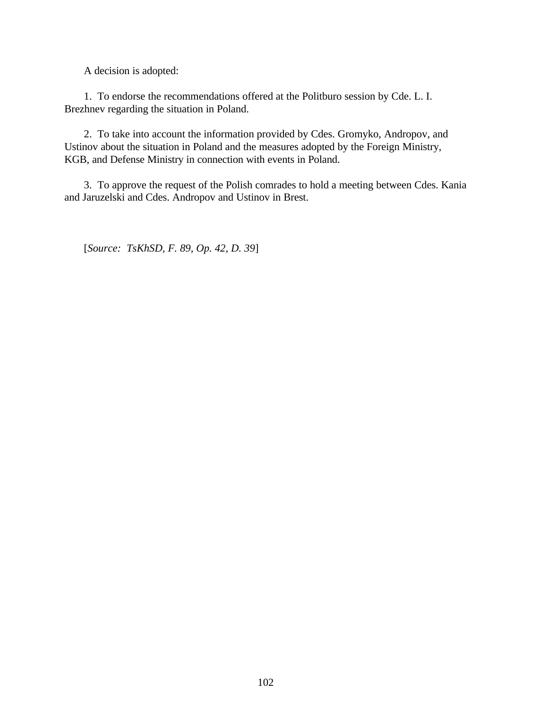A decision is adopted:

1. To endorse the recommendations offered at the Politburo session by Cde. L. I. Brezhnev regarding the situation in Poland.

2. To take into account the information provided by Cdes. Gromyko, Andropov, and Ustinov about the situation in Poland and the measures adopted by the Foreign Ministry, KGB, and Defense Ministry in connection with events in Poland.

3. To approve the request of the Polish comrades to hold a meeting between Cdes. Kania and Jaruzelski and Cdes. Andropov and Ustinov in Brest.

[*Source: TsKhSD, F. 89, Op. 42, D. 39*]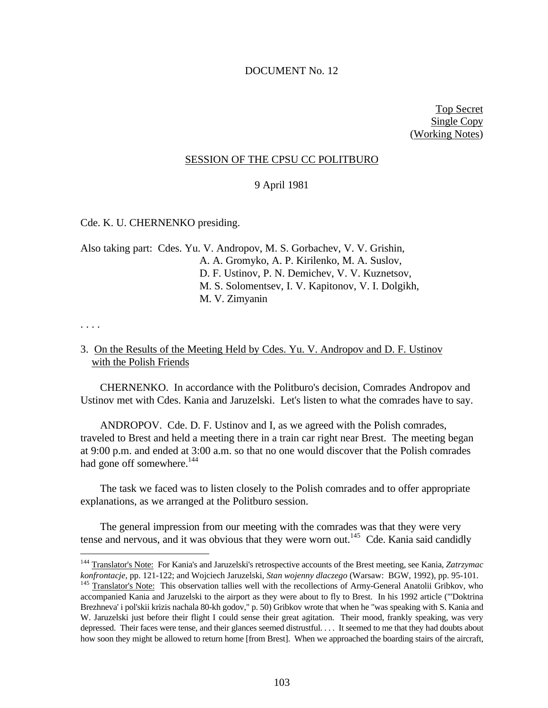# DOCUMENT No. 12

Top Secret Single Copy (Working Notes)

# SESSION OF THE CPSU CC POLITBURO

#### 9 April 1981

## Cde. K. U. CHERNENKO presiding.

Also taking part: Cdes. Yu. V. Andropov, M. S. Gorbachev, V. V. Grishin, A. A. Gromyko, A. P. Kirilenko, M. A. Suslov, D. F. Ustinov, P. N. Demichev, V. V. Kuznetsov, M. S. Solomentsev, I. V. Kapitonov, V. I. Dolgikh, M. V. Zimyanin

. . . .

 $\overline{a}$ 

# 3. On the Results of the Meeting Held by Cdes. Yu. V. Andropov and D. F. Ustinov with the Polish Friends

CHERNENKO. In accordance with the Politburo's decision, Comrades Andropov and Ustinov met with Cdes. Kania and Jaruzelski. Let's listen to what the comrades have to say.

ANDROPOV. Cde. D. F. Ustinov and I, as we agreed with the Polish comrades, traveled to Brest and held a meeting there in a train car right near Brest. The meeting began at 9:00 p.m. and ended at 3:00 a.m. so that no one would discover that the Polish comrades had gone off somewhere.<sup>144</sup>

The task we faced was to listen closely to the Polish comrades and to offer appropriate explanations, as we arranged at the Politburo session.

The general impression from our meeting with the comrades was that they were very tense and nervous, and it was obvious that they were worn out.<sup>145</sup> Cde. Kania said candidly

<sup>144</sup> Translator's Note: For Kania's and Jaruzelski's retrospective accounts of the Brest meeting, see Kania, *Zatrzymac konfrontacje*, pp. 121-122; and Wojciech Jaruzelski, *Stan wojenny dlaczego* (Warsaw: BGW, 1992), pp. 95-101.

<sup>&</sup>lt;sup>145</sup> Translator's Note: This observation tallies well with the recollections of Army-General Anatolii Gribkov, who accompanied Kania and Jaruzelski to the airport as they were about to fly to Brest. In his 1992 article ("'Doktrina Brezhneva' i pol'skii krizis nachala 80-kh godov," p. 50) Gribkov wrote that when he "was speaking with S. Kania and W. Jaruzelski just before their flight I could sense their great agitation. Their mood, frankly speaking, was very depressed. Their faces were tense, and their glances seemed distrustful. . . . It seemed to me that they had doubts about how soon they might be allowed to return home [from Brest]. When we approached the boarding stairs of the aircraft,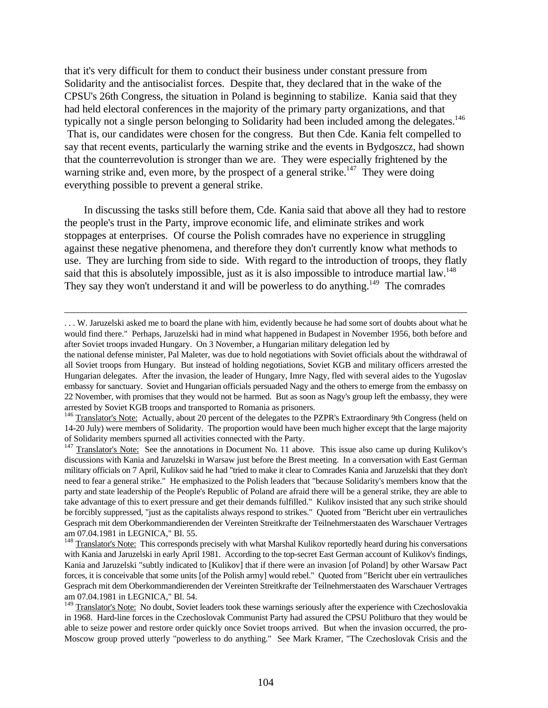that it's very difficult for them to conduct their business under constant pressure from Solidarity and the antisocialist forces. Despite that, they declared that in the wake of the CPSU's 26th Congress, the situation in Poland is beginning to stabilize. Kania said that they had held electoral conferences in the majority of the primary party organizations, and that typically not a single person belonging to Solidarity had been included among the delegates.<sup>146</sup> That is, our candidates were chosen for the congress. But then Cde. Kania felt compelled to say that recent events, particularly the warning strike and the events in Bydgoszcz, had shown that the counterrevolution is stronger than we are. They were especially frightened by the warning strike and, even more, by the prospect of a general strike.<sup>147</sup> They were doing everything possible to prevent a general strike.

In discussing the tasks still before them, Cde. Kania said that above all they had to restore the people's trust in the Party, improve economic life, and eliminate strikes and work stoppages at enterprises. Of course the Polish comrades have no experience in struggling against these negative phenomena, and therefore they don't currently know what methods to use. They are lurching from side to side. With regard to the introduction of troops, they flatly said that this is absolutely impossible, just as it is also impossible to introduce martial law.<sup>148</sup> They say they won't understand it and will be powerless to do anything.<sup>149</sup> The comrades

-

<sup>. . .</sup> W. Jaruzelski asked me to board the plane with him, evidently because he had some sort of doubts about what he would find there." Perhaps, Jaruzelski had in mind what happened in Budapest in November 1956, both before and after Soviet troops invaded Hungary. On 3 November, a Hungarian military delegation led by

the national defense minister, Pal Maleter, was due to hold negotiations with Soviet officials about the withdrawal of all Soviet troops from Hungary. But instead of holding negotiations, Soviet KGB and military officers arrested the Hungarian delegates. After the invasion, the leader of Hungary, Imre Nagy, fled with several aides to the Yugoslav embassy for sanctuary. Soviet and Hungarian officials persuaded Nagy and the others to emerge from the embassy on 22 November, with promises that they would not be harmed. But as soon as Nagy's group left the embassy, they were arrested by Soviet KGB troops and transported to Romania as prisoners.

<sup>&</sup>lt;sup>146</sup> Translator's Note: Actually, about 20 percent of the delegates to the PZPR's Extraordinary 9th Congress (held on 14-20 July) were members of Solidarity. The proportion would have been much higher except that the large majority of Solidarity members spurned all activities connected with the Party.

<sup>&</sup>lt;sup>147</sup> Translator's Note: See the annotations in Document No. 11 above. This issue also came up during Kulikov's discussions with Kania and Jaruzelski in Warsaw just before the Brest meeting. In a conversation with East German military officials on 7 April, Kulikov said he had "tried to make it clear to Comrades Kania and Jaruzelski that they don't need to fear a general strike." He emphasized to the Polish leaders that "because Solidarity's members know that the party and state leadership of the People's Republic of Poland are afraid there will be a general strike, they are able to take advantage of this to exert pressure and get their demands fulfilled." Kulikov insisted that any such strike should be forcibly suppressed, "just as the capitalists always respond to strikes." Quoted from "Bericht uber ein vertrauliches Gesprach mit dem Oberkommandierenden der Vereinten Streitkrafte der Teilnehmerstaaten des Warschauer Vertrages am 07.04.1981 in LEGNICA," Bl. 55.

<sup>&</sup>lt;sup>148</sup> Translator's Note: This corresponds precisely with what Marshal Kulikov reportedly heard during his conversations with Kania and Jaruzelski in early April 1981. According to the top-secret East German account of Kulikov's findings, Kania and Jaruzelski "subtly indicated to [Kulikov] that if there were an invasion [of Poland] by other Warsaw Pact forces, it is conceivable that some units [of the Polish army] would rebel." Quoted from "Bericht uber ein vertrauliches Gesprach mit dem Oberkommandierenden der Vereinten Streitkrafte der Teilnehmerstaaten des Warschauer Vertrages am 07.04.1981 in LEGNICA," Bl. 54.

<sup>&</sup>lt;sup>149</sup> Translator's Note: No doubt, Soviet leaders took these warnings seriously after the experience with Czechoslovakia in 1968. Hard-line forces in the Czechoslovak Communist Party had assured the CPSU Politburo that they would be able to seize power and restore order quickly once Soviet troops arrived. But when the invasion occurred, the pro-Moscow group proved utterly "powerless to do anything." See Mark Kramer, "The Czechoslovak Crisis and the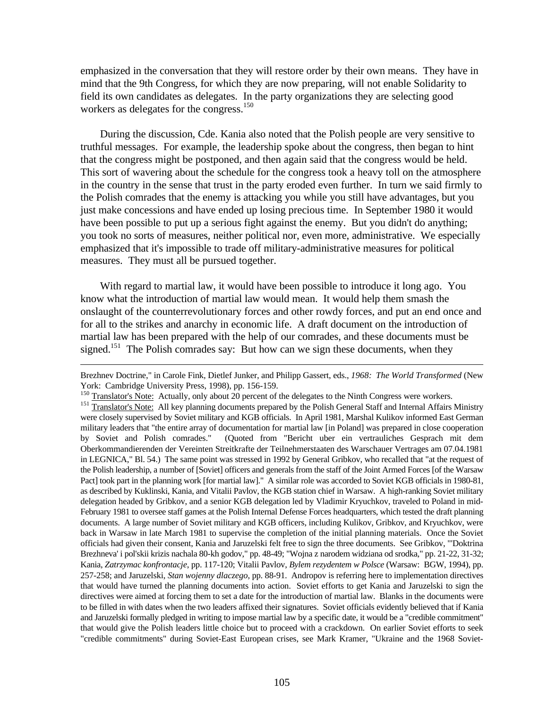emphasized in the conversation that they will restore order by their own means. They have in mind that the 9th Congress, for which they are now preparing, will not enable Solidarity to field its own candidates as delegates. In the party organizations they are selecting good workers as delegates for the congress.<sup>150</sup>

During the discussion, Cde. Kania also noted that the Polish people are very sensitive to truthful messages. For example, the leadership spoke about the congress, then began to hint that the congress might be postponed, and then again said that the congress would be held. This sort of wavering about the schedule for the congress took a heavy toll on the atmosphere in the country in the sense that trust in the party eroded even further. In turn we said firmly to the Polish comrades that the enemy is attacking you while you still have advantages, but you just make concessions and have ended up losing precious time. In September 1980 it would have been possible to put up a serious fight against the enemy. But you didn't do anything; you took no sorts of measures, neither political nor, even more, administrative. We especially emphasized that it's impossible to trade off military-administrative measures for political measures. They must all be pursued together.

With regard to martial law, it would have been possible to introduce it long ago. You know what the introduction of martial law would mean. It would help them smash the onslaught of the counterrevolutionary forces and other rowdy forces, and put an end once and for all to the strikes and anarchy in economic life. A draft document on the introduction of martial law has been prepared with the help of our comrades, and these documents must be signed.<sup>151</sup> The Polish comrades say: But how can we sign these documents, when they

-

Brezhnev Doctrine," in Carole Fink, Dietlef Junker, and Philipp Gassert, eds., *1968: The World Transformed* (New York: Cambridge University Press, 1998), pp. 156-159.

<sup>&</sup>lt;sup>150</sup> Translator's Note: Actually, only about 20 percent of the delegates to the Ninth Congress were workers.

<sup>151</sup> Translator's Note: All key planning documents prepared by the Polish General Staff and Internal Affairs Ministry were closely supervised by Soviet military and KGB officials. In April 1981, Marshal Kulikov informed East German military leaders that "the entire array of documentation for martial law [in Poland] was prepared in close cooperation by Soviet and Polish comrades." (Quoted from "Bericht uber ein vertrauliches Gesprach mit dem Oberkommandierenden der Vereinten Streitkrafte der Teilnehmerstaaten des Warschauer Vertrages am 07.04.1981 in LEGNICA," Bl. 54.) The same point was stressed in 1992 by General Gribkov, who recalled that "at the request of the Polish leadership, a number of [Soviet] officers and generals from the staff of the Joint Armed Forces [of the Warsaw Pact] took part in the planning work [for martial law]." A similar role was accorded to Soviet KGB officials in 1980-81, as described by Kuklinski, Kania, and Vitalii Pavlov, the KGB station chief in Warsaw. A high-ranking Soviet military delegation headed by Gribkov, and a senior KGB delegation led by Vladimir Kryuchkov, traveled to Poland in mid-February 1981 to oversee staff games at the Polish Internal Defense Forces headquarters, which tested the draft planning documents. A large number of Soviet military and KGB officers, including Kulikov, Gribkov, and Kryuchkov, were back in Warsaw in late March 1981 to supervise the completion of the initial planning materials. Once the Soviet officials had given their consent, Kania and Jaruzelski felt free to sign the three documents. See Gribkov, "'Doktrina Brezhneva' i pol'skii krizis nachala 80-kh godov," pp. 48-49; "Wojna z narodem widziana od srodka," pp. 21-22, 31-32; Kania, *Zatrzymac konfrontacje*, pp. 117-120; Vitalii Pavlov, *Bylem rezydentem w Polsce* (Warsaw: BGW, 1994), pp. 257-258; and Jaruzelski, *Stan wojenny dlaczego*, pp. 88-91. Andropov is referring here to implementation directives that would have turned the planning documents into action. Soviet efforts to get Kania and Jaruzelski to sign the directives were aimed at forcing them to set a date for the introduction of martial law. Blanks in the documents were to be filled in with dates when the two leaders affixed their signatures. Soviet officials evidently believed that if Kania and Jaruzelski formally pledged in writing to impose martial law by a specific date, it would be a "credible commitment" that would give the Polish leaders little choice but to proceed with a crackdown. On earlier Soviet efforts to seek "credible commitments" during Soviet-East European crises, see Mark Kramer, "Ukraine and the 1968 Soviet-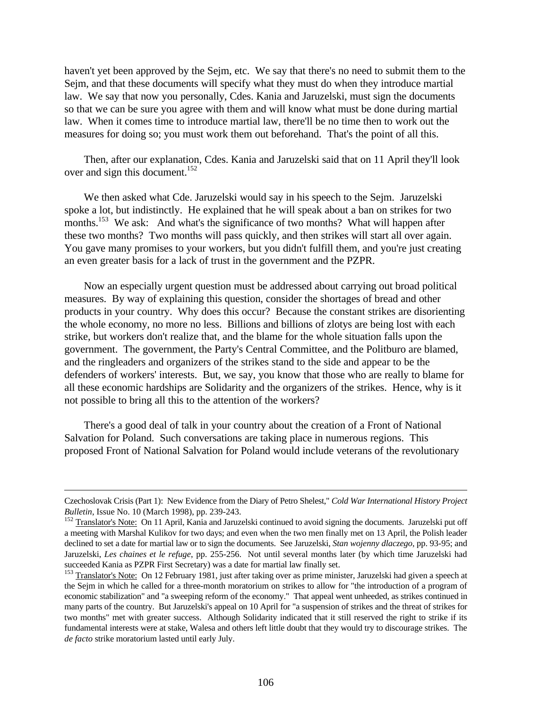haven't yet been approved by the Sejm, etc. We say that there's no need to submit them to the Sejm, and that these documents will specify what they must do when they introduce martial law. We say that now you personally, Cdes. Kania and Jaruzelski, must sign the documents so that we can be sure you agree with them and will know what must be done during martial law. When it comes time to introduce martial law, there'll be no time then to work out the measures for doing so; you must work them out beforehand. That's the point of all this.

Then, after our explanation, Cdes. Kania and Jaruzelski said that on 11 April they'll look over and sign this document.<sup>152</sup>

We then asked what Cde. Jaruzelski would say in his speech to the Sejm. Jaruzelski spoke a lot, but indistinctly. He explained that he will speak about a ban on strikes for two months.<sup>153</sup> We ask: And what's the significance of two months? What will happen after these two months? Two months will pass quickly, and then strikes will start all over again. You gave many promises to your workers, but you didn't fulfill them, and you're just creating an even greater basis for a lack of trust in the government and the PZPR.

Now an especially urgent question must be addressed about carrying out broad political measures. By way of explaining this question, consider the shortages of bread and other products in your country. Why does this occur? Because the constant strikes are disorienting the whole economy, no more no less. Billions and billions of zlotys are being lost with each strike, but workers don't realize that, and the blame for the whole situation falls upon the government. The government, the Party's Central Committee, and the Politburo are blamed, and the ringleaders and organizers of the strikes stand to the side and appear to be the defenders of workers' interests. But, we say, you know that those who are really to blame for all these economic hardships are Solidarity and the organizers of the strikes. Hence, why is it not possible to bring all this to the attention of the workers?

There's a good deal of talk in your country about the creation of a Front of National Salvation for Poland. Such conversations are taking place in numerous regions. This proposed Front of National Salvation for Poland would include veterans of the revolutionary

Czechoslovak Crisis (Part 1): New Evidence from the Diary of Petro Shelest," *Cold War International History Project Bulletin*, Issue No. 10 (March 1998), pp. 239-243.

<sup>&</sup>lt;sup>152</sup> Translator's Note: On 11 April, Kania and Jaruzelski continued to avoid signing the documents. Jaruzelski put off a meeting with Marshal Kulikov for two days; and even when the two men finally met on 13 April, the Polish leader declined to set a date for martial law or to sign the documents. See Jaruzelski, *Stan wojenny dlaczego*, pp. 93-95; and Jaruzelski, *Les chaines et le refuge*, pp. 255-256. Not until several months later (by which time Jaruzelski had succeeded Kania as PZPR First Secretary) was a date for martial law finally set.

<sup>&</sup>lt;sup>153</sup> Translator's Note: On 12 February 1981, just after taking over as prime minister, Jaruzelski had given a speech at the Sejm in which he called for a three-month moratorium on strikes to allow for "the introduction of a program of economic stabilization" and "a sweeping reform of the economy." That appeal went unheeded, as strikes continued in many parts of the country. But Jaruzelski's appeal on 10 April for "a suspension of strikes and the threat of strikes for two months" met with greater success. Although Solidarity indicated that it still reserved the right to strike if its fundamental interests were at stake, Walesa and others left little doubt that they would try to discourage strikes. The *de facto* strike moratorium lasted until early July.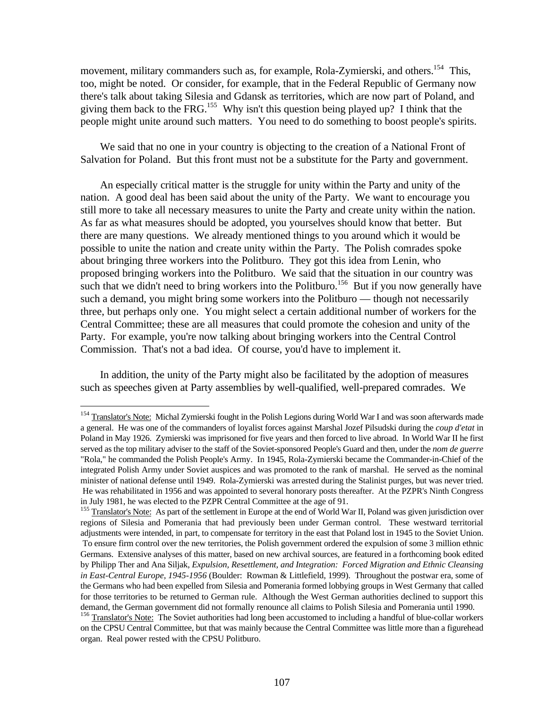movement, military commanders such as, for example, Rola-Zymierski, and others.<sup>154</sup> This, too, might be noted. Or consider, for example, that in the Federal Republic of Germany now there's talk about taking Silesia and Gdansk as territories, which are now part of Poland, and giving them back to the FRG.<sup>155</sup> Why isn't this question being played up? I think that the people might unite around such matters. You need to do something to boost people's spirits.

We said that no one in your country is objecting to the creation of a National Front of Salvation for Poland. But this front must not be a substitute for the Party and government.

An especially critical matter is the struggle for unity within the Party and unity of the nation. A good deal has been said about the unity of the Party. We want to encourage you still more to take all necessary measures to unite the Party and create unity within the nation. As far as what measures should be adopted, you yourselves should know that better. But there are many questions. We already mentioned things to you around which it would be possible to unite the nation and create unity within the Party. The Polish comrades spoke about bringing three workers into the Politburo. They got this idea from Lenin, who proposed bringing workers into the Politburo. We said that the situation in our country was such that we didn't need to bring workers into the Politburo.<sup>156</sup> But if you now generally have such a demand, you might bring some workers into the Politburo — though not necessarily three, but perhaps only one. You might select a certain additional number of workers for the Central Committee; these are all measures that could promote the cohesion and unity of the Party. For example, you're now talking about bringing workers into the Central Control Commission. That's not a bad idea. Of course, you'd have to implement it.

In addition, the unity of the Party might also be facilitated by the adoption of measures such as speeches given at Party assemblies by well-qualified, well-prepared comrades. We

<sup>&</sup>lt;sup>154</sup> Translator's Note: Michal Zymierski fought in the Polish Legions during World War I and was soon afterwards made a general. He was one of the commanders of loyalist forces against Marshal Jozef Pilsudski during the *coup d'etat* in Poland in May 1926. Zymierski was imprisoned for five years and then forced to live abroad. In World War II he first served as the top military adviser to the staff of the Soviet-sponsored People's Guard and then, under the *nom de guerre* "Rola," he commanded the Polish People's Army. In 1945, Rola-Zymierski became the Commander-in-Chief of the integrated Polish Army under Soviet auspices and was promoted to the rank of marshal. He served as the nominal minister of national defense until 1949. Rola-Zymierski was arrested during the Stalinist purges, but was never tried. He was rehabilitated in 1956 and was appointed to several honorary posts thereafter. At the PZPR's Ninth Congress in July 1981, he was elected to the PZPR Central Committee at the age of 91.

<sup>&</sup>lt;sup>155</sup> Translator's Note: As part of the settlement in Europe at the end of World War II, Poland was given jurisdiction over regions of Silesia and Pomerania that had previously been under German control. These westward territorial adjustments were intended, in part, to compensate for territory in the east that Poland lost in 1945 to the Soviet Union. To ensure firm control over the new territories, the Polish government ordered the expulsion of some 3 million ethnic Germans. Extensive analyses of this matter, based on new archival sources, are featured in a forthcoming book edited by Philipp Ther and Ana Siljak, *Expulsion, Resettlement, and Integration: Forced Migration and Ethnic Cleansing in East-Central Europe, 1945-1956* (Boulder: Rowman & Littlefield, 1999). Throughout the postwar era, some of the Germans who had been expelled from Silesia and Pomerania formed lobbying groups in West Germany that called for those territories to be returned to German rule. Although the West German authorities declined to support this demand, the German government did not formally renounce all claims to Polish Silesia and Pomerania until 1990.

<sup>&</sup>lt;sup>156</sup> Translator's Note: The Soviet authorities had long been accustomed to including a handful of blue-collar workers on the CPSU Central Committee, but that was mainly because the Central Committee was little more than a figurehead organ. Real power rested with the CPSU Politburo.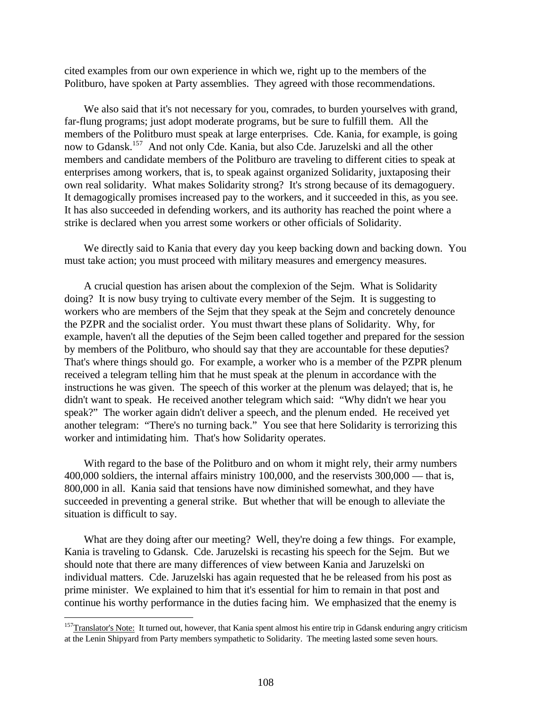cited examples from our own experience in which we, right up to the members of the Politburo, have spoken at Party assemblies. They agreed with those recommendations.

We also said that it's not necessary for you, comrades, to burden yourselves with grand, far-flung programs; just adopt moderate programs, but be sure to fulfill them. All the members of the Politburo must speak at large enterprises. Cde. Kania, for example, is going now to Gdansk.<sup>157</sup> And not only Cde. Kania, but also Cde. Jaruzelski and all the other members and candidate members of the Politburo are traveling to different cities to speak at enterprises among workers, that is, to speak against organized Solidarity, juxtaposing their own real solidarity. What makes Solidarity strong? It's strong because of its demagoguery. It demagogically promises increased pay to the workers, and it succeeded in this, as you see. It has also succeeded in defending workers, and its authority has reached the point where a strike is declared when you arrest some workers or other officials of Solidarity.

We directly said to Kania that every day you keep backing down and backing down. You must take action; you must proceed with military measures and emergency measures.

A crucial question has arisen about the complexion of the Sejm. What is Solidarity doing? It is now busy trying to cultivate every member of the Sejm. It is suggesting to workers who are members of the Sejm that they speak at the Sejm and concretely denounce the PZPR and the socialist order. You must thwart these plans of Solidarity. Why, for example, haven't all the deputies of the Sejm been called together and prepared for the session by members of the Politburo, who should say that they are accountable for these deputies? That's where things should go. For example, a worker who is a member of the PZPR plenum received a telegram telling him that he must speak at the plenum in accordance with the instructions he was given. The speech of this worker at the plenum was delayed; that is, he didn't want to speak. He received another telegram which said: "Why didn't we hear you speak?" The worker again didn't deliver a speech, and the plenum ended. He received yet another telegram: "There's no turning back." You see that here Solidarity is terrorizing this worker and intimidating him. That's how Solidarity operates.

With regard to the base of the Politburo and on whom it might rely, their army numbers 400,000 soldiers, the internal affairs ministry 100,000, and the reservists 300,000 — that is, 800,000 in all. Kania said that tensions have now diminished somewhat, and they have succeeded in preventing a general strike. But whether that will be enough to alleviate the situation is difficult to say.

What are they doing after our meeting? Well, they're doing a few things. For example, Kania is traveling to Gdansk. Cde. Jaruzelski is recasting his speech for the Sejm. But we should note that there are many differences of view between Kania and Jaruzelski on individual matters. Cde. Jaruzelski has again requested that he be released from his post as prime minister. We explained to him that it's essential for him to remain in that post and continue his worthy performance in the duties facing him. We emphasized that the enemy is

<sup>&</sup>lt;sup>157</sup>Translator's Note: It turned out, however, that Kania spent almost his entire trip in Gdansk enduring angry criticism at the Lenin Shipyard from Party members sympathetic to Solidarity. The meeting lasted some seven hours.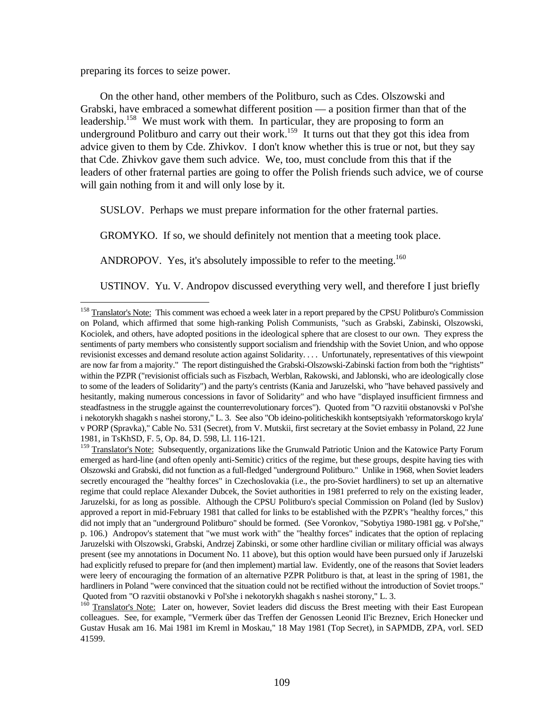preparing its forces to seize power.

<u>.</u>

On the other hand, other members of the Politburo, such as Cdes. Olszowski and Grabski, have embraced a somewhat different position — a position firmer than that of the leadership.<sup>158</sup> We must work with them. In particular, they are proposing to form an underground Politburo and carry out their work.<sup>159</sup> It turns out that they got this idea from advice given to them by Cde. Zhivkov. I don't know whether this is true or not, but they say that Cde. Zhivkov gave them such advice. We, too, must conclude from this that if the leaders of other fraternal parties are going to offer the Polish friends such advice, we of course will gain nothing from it and will only lose by it.

SUSLOV. Perhaps we must prepare information for the other fraternal parties.

GROMYKO. If so, we should definitely not mention that a meeting took place.

ANDROPOV. Yes, it's absolutely impossible to refer to the meeting.<sup>160</sup>

USTINOV. Yu. V. Andropov discussed everything very well, and therefore I just briefly

<sup>&</sup>lt;sup>158</sup> Translator's Note: This comment was echoed a week later in a report prepared by the CPSU Politburo's Commission on Poland, which affirmed that some high-ranking Polish Communists, "such as Grabski, Zabinski, Olszowski, Kociolek, and others, have adopted positions in the ideological sphere that are closest to our own. They express the sentiments of party members who consistently support socialism and friendship with the Soviet Union, and who oppose revisionist excesses and demand resolute action against Solidarity. . . . Unfortunately, representatives of this viewpoint are now far from a majority." The report distinguished the Grabski-Olszowski-Zabinski faction from both the "rightists" within the PZPR ("revisionist officials such as Fiszbach, Werblan, Rakowski, and Jablonski, who are ideologically close to some of the leaders of Solidarity") and the party's centrists (Kania and Jaruzelski, who "have behaved passively and hesitantly, making numerous concessions in favor of Solidarity" and who have "displayed insufficient firmness and steadfastness in the struggle against the counterrevolutionary forces"). Quoted from "O razvitii obstanovski v Pol'she i nekotorykh shagakh s nashei storony," L. 3. See also "Ob ideino-politicheskikh kontseptsiyakh 'reformatorskogo kryla' v PORP (Spravka)," Cable No. 531 (Secret), from V. Mutskii, first secretary at the Soviet embassy in Poland, 22 June 1981, in TsKhSD, F. 5, Op. 84, D. 598, Ll. 116-121.

<sup>&</sup>lt;sup>159</sup> Translator's Note: Subsequently, organizations like the Grunwald Patriotic Union and the Katowice Party Forum emerged as hard-line (and often openly anti-Semitic) critics of the regime, but these groups, despite having ties with Olszowski and Grabski, did not function as a full-fledged "underground Politburo." Unlike in 1968, when Soviet leaders secretly encouraged the "healthy forces" in Czechoslovakia (i.e., the pro-Soviet hardliners) to set up an alternative regime that could replace Alexander Dubcek, the Soviet authorities in 1981 preferred to rely on the existing leader, Jaruzelski, for as long as possible. Although the CPSU Politburo's special Commission on Poland (led by Suslov) approved a report in mid-February 1981 that called for links to be established with the PZPR's "healthy forces," this did not imply that an "underground Politburo" should be formed. (See Voronkov, "Sobytiya 1980-1981 gg. v Pol'she," p. 106.) Andropov's statement that "we must work with" the "healthy forces" indicates that the option of replacing Jaruzelski with Olszowski, Grabski, Andrzej Zabinski, or some other hardline civilian or military official was always present (see my annotations in Document No. 11 above), but this option would have been pursued only if Jaruzelski had explicitly refused to prepare for (and then implement) martial law. Evidently, one of the reasons that Soviet leaders were leery of encouraging the formation of an alternative PZPR Politburo is that, at least in the spring of 1981, the hardliners in Poland "were convinced that the situation could not be rectified without the introduction of Soviet troops." Quoted from "O razvitii obstanovki v Pol'she i nekotorykh shagakh s nashei storony," L. 3.

<sup>&</sup>lt;sup>160</sup> Translator's Note: Later on, however, Soviet leaders did discuss the Brest meeting with their East European colleagues. See, for example, "Vermerk über das Treffen der Genossen Leonid Il'ic Breznev, Erich Honecker und Gustav Husak am 16. Mai 1981 im Kreml in Moskau," 18 May 1981 (Top Secret), in SAPMDB, ZPA, vorl. SED 41599.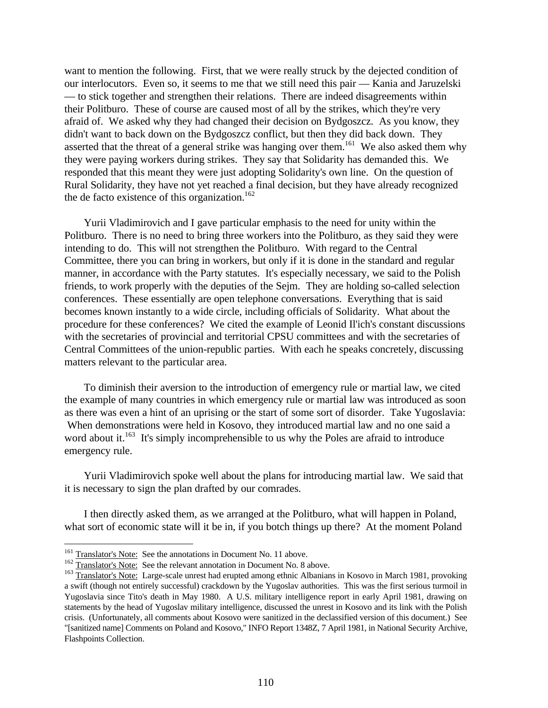want to mention the following. First, that we were really struck by the dejected condition of our interlocutors. Even so, it seems to me that we still need this pair — Kania and Jaruzelski — to stick together and strengthen their relations. There are indeed disagreements within their Politburo. These of course are caused most of all by the strikes, which they're very afraid of. We asked why they had changed their decision on Bydgoszcz. As you know, they didn't want to back down on the Bydgoszcz conflict, but then they did back down. They asserted that the threat of a general strike was hanging over them.<sup>161</sup> We also asked them why they were paying workers during strikes. They say that Solidarity has demanded this. We responded that this meant they were just adopting Solidarity's own line. On the question of Rural Solidarity, they have not yet reached a final decision, but they have already recognized the de facto existence of this organization.<sup>162</sup>

Yurii Vladimirovich and I gave particular emphasis to the need for unity within the Politburo. There is no need to bring three workers into the Politburo, as they said they were intending to do. This will not strengthen the Politburo. With regard to the Central Committee, there you can bring in workers, but only if it is done in the standard and regular manner, in accordance with the Party statutes. It's especially necessary, we said to the Polish friends, to work properly with the deputies of the Sejm. They are holding so-called selection conferences. These essentially are open telephone conversations. Everything that is said becomes known instantly to a wide circle, including officials of Solidarity. What about the procedure for these conferences? We cited the example of Leonid Il'ich's constant discussions with the secretaries of provincial and territorial CPSU committees and with the secretaries of Central Committees of the union-republic parties. With each he speaks concretely, discussing matters relevant to the particular area.

To diminish their aversion to the introduction of emergency rule or martial law, we cited the example of many countries in which emergency rule or martial law was introduced as soon as there was even a hint of an uprising or the start of some sort of disorder. Take Yugoslavia: When demonstrations were held in Kosovo, they introduced martial law and no one said a word about it.<sup>163</sup> It's simply incomprehensible to us why the Poles are afraid to introduce emergency rule.

Yurii Vladimirovich spoke well about the plans for introducing martial law. We said that it is necessary to sign the plan drafted by our comrades.

I then directly asked them, as we arranged at the Politburo, what will happen in Poland, what sort of economic state will it be in, if you botch things up there? At the moment Poland

<sup>&</sup>lt;sup>161</sup> Translator's Note: See the annotations in Document No. 11 above.

<sup>&</sup>lt;sup>162</sup> Translator's Note: See the relevant annotation in Document No. 8 above.

<sup>&</sup>lt;sup>163</sup> Translator's Note: Large-scale unrest had erupted among ethnic Albanians in Kosovo in March 1981, provoking a swift (though not entirely successful) crackdown by the Yugoslav authorities. This was the first serious turmoil in Yugoslavia since Tito's death in May 1980. A U.S. military intelligence report in early April 1981, drawing on statements by the head of Yugoslav military intelligence, discussed the unrest in Kosovo and its link with the Polish crisis. (Unfortunately, all comments about Kosovo were sanitized in the declassified version of this document.) See "[sanitized name] Comments on Poland and Kosovo," INFO Report 1348Z, 7 April 1981, in National Security Archive, Flashpoints Collection.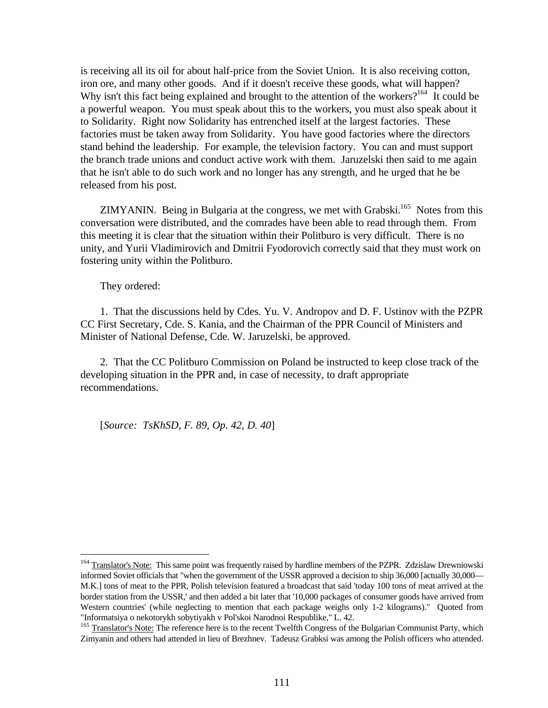is receiving all its oil for about half-price from the Soviet Union. It is also receiving cotton, iron ore, and many other goods. And if it doesn't receive these goods, what will happen? Why isn't this fact being explained and brought to the attention of the workers?<sup>164</sup> It could be a powerful weapon. You must speak about this to the workers, you must also speak about it to Solidarity. Right now Solidarity has entrenched itself at the largest factories. These factories must be taken away from Solidarity. You have good factories where the directors stand behind the leadership. For example, the television factory. You can and must support the branch trade unions and conduct active work with them. Jaruzelski then said to me again that he isn't able to do such work and no longer has any strength, and he urged that he be released from his post.

ZIMYANIN. Being in Bulgaria at the congress, we met with Grabski.<sup>165</sup> Notes from this conversation were distributed, and the comrades have been able to read through them. From this meeting it is clear that the situation within their Politburo is very difficult. There is no unity, and Yurii Vladimirovich and Dmitrii Fyodorovich correctly said that they must work on fostering unity within the Politburo.

They ordered:

<u>.</u>

1. That the discussions held by Cdes. Yu. V. Andropov and D. F. Ustinov with the PZPR CC First Secretary, Cde. S. Kania, and the Chairman of the PPR Council of Ministers and Minister of National Defense, Cde. W. Jaruzelski, be approved.

2. That the CC Politburo Commission on Poland be instructed to keep close track of the developing situation in the PPR and, in case of necessity, to draft appropriate recommendations.

[*Source: TsKhSD, F. 89, Op. 42, D. 40*]

<sup>&</sup>lt;sup>164</sup> Translator's Note: This same point was frequently raised by hardline members of the PZPR. Zdzislaw Drewniowski informed Soviet officials that "when the government of the USSR approved a decision to ship 36,000 [actually 30,000— M.K.] tons of meat to the PPR, Polish television featured a broadcast that said 'today 100 tons of meat arrived at the border station from the USSR,' and then added a bit later that '10,000 packages of consumer goods have arrived from Western countries' (while neglecting to mention that each package weighs only 1-2 kilograms)." Quoted from "Informatsiya o nekotorykh sobytiyakh v Pol'skoi Narodnoi Respublike," L. 42.

<sup>&</sup>lt;sup>165</sup> Translator's Note: The reference here is to the recent Twelfth Congress of the Bulgarian Communist Party, which Zimyanin and others had attended in lieu of Brezhnev. Tadeusz Grabksi was among the Polish officers who attended.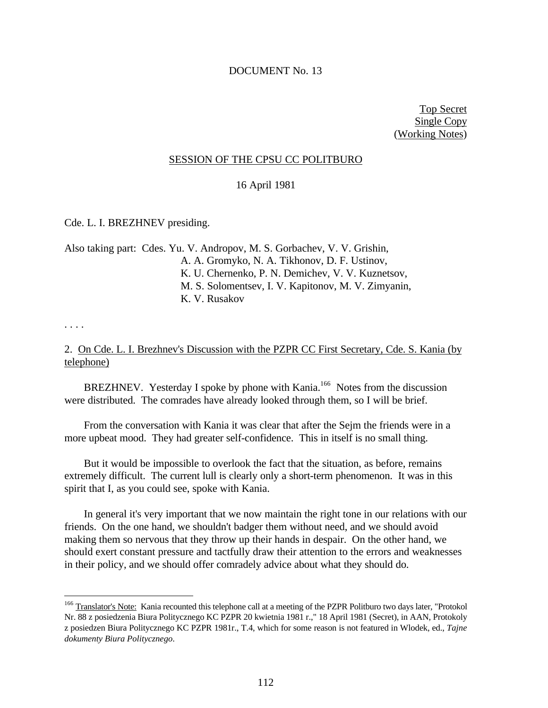### DOCUMENT No. 13

Top Secret Single Copy (Working Notes)

### SESSION OF THE CPSU CC POLITBURO

16 April 1981

Cde. L. I. BREZHNEV presiding.

Also taking part: Cdes. Yu. V. Andropov, M. S. Gorbachev, V. V. Grishin, A. A. Gromyko, N. A. Tikhonov, D. F. Ustinov, K. U. Chernenko, P. N. Demichev, V. V. Kuznetsov, M. S. Solomentsev, I. V. Kapitonov, M. V. Zimyanin, K. V. Rusakov

. . . .

 $\overline{a}$ 

# 2. On Cde. L. I. Brezhnev's Discussion with the PZPR CC First Secretary, Cde. S. Kania (by telephone)

BREZHNEV. Yesterday I spoke by phone with Kania.<sup>166</sup> Notes from the discussion were distributed. The comrades have already looked through them, so I will be brief.

From the conversation with Kania it was clear that after the Sejm the friends were in a more upbeat mood. They had greater self-confidence. This in itself is no small thing.

But it would be impossible to overlook the fact that the situation, as before, remains extremely difficult. The current lull is clearly only a short-term phenomenon. It was in this spirit that I, as you could see, spoke with Kania.

In general it's very important that we now maintain the right tone in our relations with our friends. On the one hand, we shouldn't badger them without need, and we should avoid making them so nervous that they throw up their hands in despair. On the other hand, we should exert constant pressure and tactfully draw their attention to the errors and weaknesses in their policy, and we should offer comradely advice about what they should do.

<sup>&</sup>lt;sup>166</sup> Translator's Note: Kania recounted this telephone call at a meeting of the PZPR Politburo two days later, "Protokol Nr. 88 z posiedzenia Biura Politycznego KC PZPR 20 kwietnia 1981 r.," 18 April 1981 (Secret), in AAN, Protokoly z posiedzen Biura Politycznego KC PZPR 1981r., T.4, which for some reason is not featured in Wlodek, ed., *Tajne dokumenty Biura Politycznego*.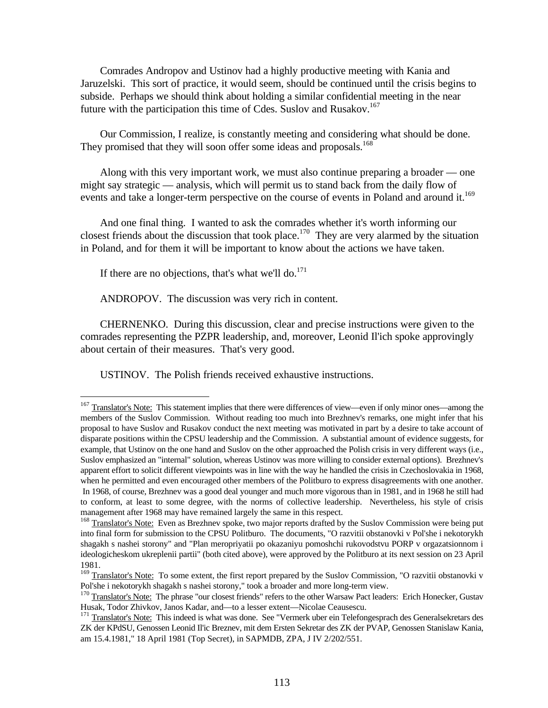Comrades Andropov and Ustinov had a highly productive meeting with Kania and Jaruzelski. This sort of practice, it would seem, should be continued until the crisis begins to subside. Perhaps we should think about holding a similar confidential meeting in the near future with the participation this time of Cdes. Suslov and Rusakov.<sup>167</sup>

Our Commission, I realize, is constantly meeting and considering what should be done. They promised that they will soon offer some ideas and proposals.<sup>168</sup>

Along with this very important work, we must also continue preparing a broader — one might say strategic — analysis, which will permit us to stand back from the daily flow of events and take a longer-term perspective on the course of events in Poland and around it.<sup>169</sup>

And one final thing. I wanted to ask the comrades whether it's worth informing our closest friends about the discussion that took place.<sup>170</sup> They are very alarmed by the situation in Poland, and for them it will be important to know about the actions we have taken.

If there are no objections, that's what we'll do. $^{171}$ 

 $\overline{a}$ 

ANDROPOV. The discussion was very rich in content.

CHERNENKO. During this discussion, clear and precise instructions were given to the comrades representing the PZPR leadership, and, moreover, Leonid Il'ich spoke approvingly about certain of their measures. That's very good.

USTINOV. The Polish friends received exhaustive instructions.

 $167$  Translator's Note: This statement implies that there were differences of view—even if only minor ones—among the members of the Suslov Commission. Without reading too much into Brezhnev's remarks, one might infer that his proposal to have Suslov and Rusakov conduct the next meeting was motivated in part by a desire to take account of disparate positions within the CPSU leadership and the Commission. A substantial amount of evidence suggests, for example, that Ustinov on the one hand and Suslov on the other approached the Polish crisis in very different ways (i.e., Suslov emphasized an "internal" solution, whereas Ustinov was more willing to consider external options). Brezhnev's apparent effort to solicit different viewpoints was in line with the way he handled the crisis in Czechoslovakia in 1968, when he permitted and even encouraged other members of the Politburo to express disagreements with one another. In 1968, of course, Brezhnev was a good deal younger and much more vigorous than in 1981, and in 1968 he still had to conform, at least to some degree, with the norms of collective leadership. Nevertheless, his style of crisis management after 1968 may have remained largely the same in this respect.

<sup>&</sup>lt;sup>168</sup> Translator's Note: Even as Brezhnev spoke, two major reports drafted by the Suslov Commission were being put into final form for submission to the CPSU Politburo. The documents, "O razvitii obstanovki v Pol'she i nekotorykh shagakh s nashei storony" and "Plan meropriyatii po okazaniyu pomoshchi rukovodstvu PORP v orgazatsionnom i ideologicheskom ukreplenii partii" (both cited above), were approved by the Politburo at its next session on 23 April 1981.

<sup>&</sup>lt;sup>169</sup> Translator's Note: To some extent, the first report prepared by the Suslov Commission, "O razvitii obstanovki v Pol'she i nekotorykh shagakh s nashei storony," took a broader and more long-term view.

<sup>&</sup>lt;sup>170</sup> Translator's Note: The phrase "our closest friends" refers to the other Warsaw Pact leaders: Erich Honecker, Gustav Husak, Todor Zhivkov, Janos Kadar, and—to a lesser extent—Nicolae Ceausescu.

<sup>&</sup>lt;sup>171</sup> Translator's Note: This indeed is what was done. See "Vermerk uber ein Telefongesprach des Generalsekretars des ZK der KPdSU, Genossen Leonid Il'ic Breznev, mit dem Ersten Sekretar des ZK der PVAP, Genossen Stanislaw Kania, am 15.4.1981," 18 April 1981 (Top Secret), in SAPMDB, ZPA, J IV 2/202/551.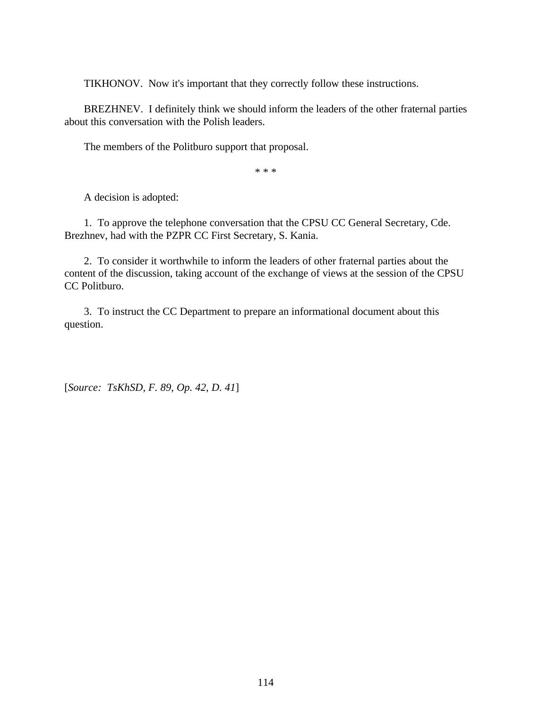TIKHONOV. Now it's important that they correctly follow these instructions.

BREZHNEV. I definitely think we should inform the leaders of the other fraternal parties about this conversation with the Polish leaders.

The members of the Politburo support that proposal.

\* \* \*

A decision is adopted:

1. To approve the telephone conversation that the CPSU CC General Secretary, Cde. Brezhnev, had with the PZPR CC First Secretary, S. Kania.

2. To consider it worthwhile to inform the leaders of other fraternal parties about the content of the discussion, taking account of the exchange of views at the session of the CPSU CC Politburo.

3. To instruct the CC Department to prepare an informational document about this question.

[*Source: TsKhSD, F. 89, Op. 42, D. 41*]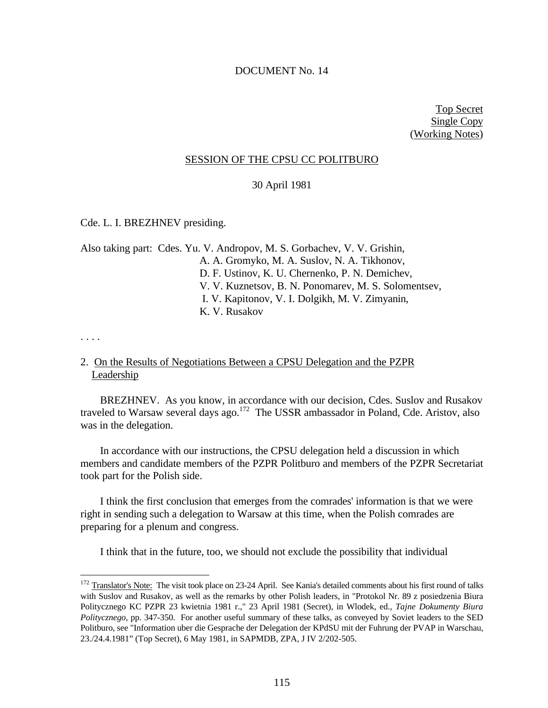### DOCUMENT No. 14

Top Secret Single Copy (Working Notes)

### SESSION OF THE CPSU CC POLITBURO

## 30 April 1981

Cde. L. I. BREZHNEV presiding.

Also taking part: Cdes. Yu. V. Andropov, M. S. Gorbachev, V. V. Grishin, A. A. Gromyko, M. A. Suslov, N. A. Tikhonov, D. F. Ustinov, K. U. Chernenko, P. N. Demichev, V. V. Kuznetsov, B. N. Ponomarev, M. S. Solomentsev, I. V. Kapitonov, V. I. Dolgikh, M. V. Zimyanin, K. V. Rusakov

. . . .

<u>.</u>

# 2. On the Results of Negotiations Between a CPSU Delegation and the PZPR Leadership

BREZHNEV. As you know, in accordance with our decision, Cdes. Suslov and Rusakov traveled to Warsaw several days ago.<sup>172</sup> The USSR ambassador in Poland, Cde. Aristov, also was in the delegation.

In accordance with our instructions, the CPSU delegation held a discussion in which members and candidate members of the PZPR Politburo and members of the PZPR Secretariat took part for the Polish side.

I think the first conclusion that emerges from the comrades' information is that we were right in sending such a delegation to Warsaw at this time, when the Polish comrades are preparing for a plenum and congress.

I think that in the future, too, we should not exclude the possibility that individual

<sup>&</sup>lt;sup>172</sup> Translator's Note: The visit took place on 23-24 April. See Kania's detailed comments about his first round of talks with Suslov and Rusakov, as well as the remarks by other Polish leaders, in "Protokol Nr. 89 z posiedzenia Biura Politycznego KC PZPR 23 kwietnia 1981 r.," 23 April 1981 (Secret), in Wlodek, ed., *Tajne Dokumenty Biura Politycznego*, pp. 347-350. For another useful summary of these talks, as conveyed by Soviet leaders to the SED Politburo, see "Information uber die Gesprache der Delegation der KPdSU mit der Fuhrung der PVAP in Warschau, 23./24.4.1981" (Top Secret), 6 May 1981, in SAPMDB, ZPA, J IV 2/202-505.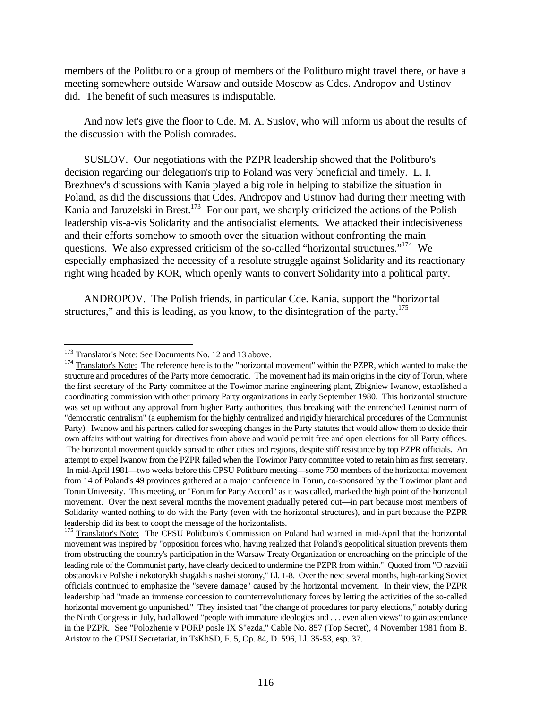members of the Politburo or a group of members of the Politburo might travel there, or have a meeting somewhere outside Warsaw and outside Moscow as Cdes. Andropov and Ustinov did. The benefit of such measures is indisputable.

And now let's give the floor to Cde. M. A. Suslov, who will inform us about the results of the discussion with the Polish comrades.

SUSLOV. Our negotiations with the PZPR leadership showed that the Politburo's decision regarding our delegation's trip to Poland was very beneficial and timely. L. I. Brezhnev's discussions with Kania played a big role in helping to stabilize the situation in Poland, as did the discussions that Cdes. Andropov and Ustinov had during their meeting with Kania and Jaruzelski in Brest.<sup>173</sup> For our part, we sharply criticized the actions of the Polish leadership vis-a-vis Solidarity and the antisocialist elements. We attacked their indecisiveness and their efforts somehow to smooth over the situation without confronting the main questions. We also expressed criticism of the so-called "horizontal structures."<sup>174</sup> We especially emphasized the necessity of a resolute struggle against Solidarity and its reactionary right wing headed by KOR, which openly wants to convert Solidarity into a political party.

ANDROPOV. The Polish friends, in particular Cde. Kania, support the "horizontal structures," and this is leading, as you know, to the disintegration of the party.<sup>175</sup>

<sup>&</sup>lt;sup>173</sup> Translator's Note: See Documents No. 12 and 13 above.

<sup>&</sup>lt;sup>174</sup> Translator's Note: The reference here is to the "horizontal movement" within the PZPR, which wanted to make the structure and procedures of the Party more democratic. The movement had its main origins in the city of Torun, where the first secretary of the Party committee at the Towimor marine engineering plant, Zbigniew Iwanow, established a coordinating commission with other primary Party organizations in early September 1980. This horizontal structure was set up without any approval from higher Party authorities, thus breaking with the entrenched Leninist norm of "democratic centralism" (a euphemism for the highly centralized and rigidly hierarchical procedures of the Communist Party). Iwanow and his partners called for sweeping changes in the Party statutes that would allow them to decide their own affairs without waiting for directives from above and would permit free and open elections for all Party offices. The horizontal movement quickly spread to other cities and regions, despite stiff resistance by top PZPR officials. An attempt to expel Iwanow from the PZPR failed when the Towimor Party committee voted to retain him as first secretary. In mid-April 1981—two weeks before this CPSU Politburo meeting—some 750 members of the horizontal movement from 14 of Poland's 49 provinces gathered at a major conference in Torun, co-sponsored by the Towimor plant and Torun University. This meeting, or "Forum for Party Accord" as it was called, marked the high point of the horizontal movement. Over the next several months the movement gradually petered out—in part because most members of Solidarity wanted nothing to do with the Party (even with the horizontal structures), and in part because the PZPR leadership did its best to coopt the message of the horizontalists.

<sup>&</sup>lt;sup>175</sup> Translator's Note: The CPSU Politburo's Commission on Poland had warned in mid-April that the horizontal movement was inspired by "opposition forces who, having realized that Poland's geopolitical situation prevents them from obstructing the country's participation in the Warsaw Treaty Organization or encroaching on the principle of the leading role of the Communist party, have clearly decided to undermine the PZPR from within." Quoted from "O razvitii obstanovki v Pol'she i nekotorykh shagakh s nashei storony," Ll. 1-8. Over the next several months, high-ranking Soviet officials continued to emphasize the "severe damage" caused by the horizontal movement. In their view, the PZPR leadership had "made an immense concession to counterrevolutionary forces by letting the activities of the so-called horizontal movement go unpunished." They insisted that "the change of procedures for party elections," notably during the Ninth Congress in July, had allowed "people with immature ideologies and . . . even alien views" to gain ascendance in the PZPR. See "Polozhenie v PORP posle IX S"ezda," Cable No. 857 (Top Secret), 4 November 1981 from B. Aristov to the CPSU Secretariat, in TsKhSD, F. 5, Op. 84, D. 596, Ll. 35-53, esp. 37.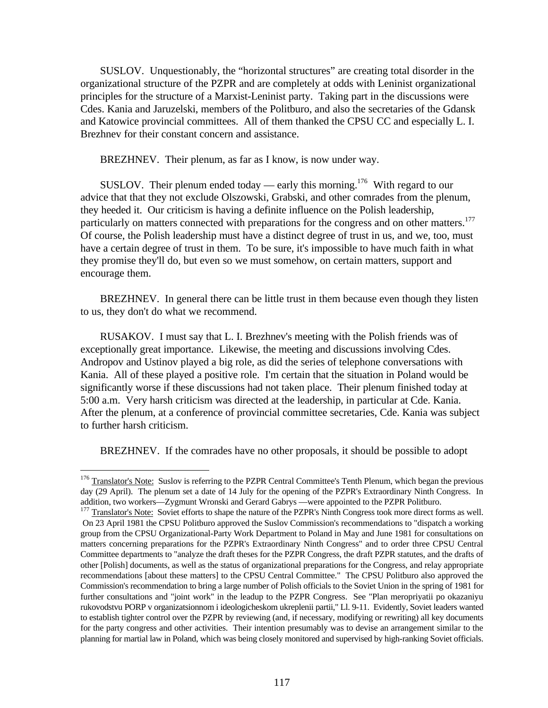SUSLOV. Unquestionably, the "horizontal structures" are creating total disorder in the organizational structure of the PZPR and are completely at odds with Leninist organizational principles for the structure of a Marxist-Leninist party. Taking part in the discussions were Cdes. Kania and Jaruzelski, members of the Politburo, and also the secretaries of the Gdansk and Katowice provincial committees. All of them thanked the CPSU CC and especially L. I. Brezhnev for their constant concern and assistance.

BREZHNEV. Their plenum, as far as I know, is now under way.

SUSLOV. Their plenum ended today — early this morning.<sup>176</sup> With regard to our advice that that they not exclude Olszowski, Grabski, and other comrades from the plenum, they heeded it. Our criticism is having a definite influence on the Polish leadership, particularly on matters connected with preparations for the congress and on other matters.<sup>177</sup> Of course, the Polish leadership must have a distinct degree of trust in us, and we, too, must have a certain degree of trust in them. To be sure, it's impossible to have much faith in what they promise they'll do, but even so we must somehow, on certain matters, support and encourage them.

BREZHNEV. In general there can be little trust in them because even though they listen to us, they don't do what we recommend.

RUSAKOV. I must say that L. I. Brezhnev's meeting with the Polish friends was of exceptionally great importance. Likewise, the meeting and discussions involving Cdes. Andropov and Ustinov played a big role, as did the series of telephone conversations with Kania. All of these played a positive role. I'm certain that the situation in Poland would be significantly worse if these discussions had not taken place. Their plenum finished today at 5:00 a.m. Very harsh criticism was directed at the leadership, in particular at Cde. Kania. After the plenum, at a conference of provincial committee secretaries, Cde. Kania was subject to further harsh criticism.

BREZHNEV. If the comrades have no other proposals, it should be possible to adopt

<sup>&</sup>lt;sup>176</sup> Translator's Note: Suslov is referring to the PZPR Central Committee's Tenth Plenum, which began the previous day (29 April). The plenum set a date of 14 July for the opening of the PZPR's Extraordinary Ninth Congress. In addition, two workers—Zygmunt Wronski and Gerard Gabrys —were appointed to the PZPR Politburo.

<sup>&</sup>lt;sup>177</sup> Translator's Note: Soviet efforts to shape the nature of the PZPR's Ninth Congress took more direct forms as well. On 23 April 1981 the CPSU Politburo approved the Suslov Commission's recommendations to "dispatch a working group from the CPSU Organizational-Party Work Department to Poland in May and June 1981 for consultations on matters concerning preparations for the PZPR's Extraordinary Ninth Congress" and to order three CPSU Central Committee departments to "analyze the draft theses for the PZPR Congress, the draft PZPR statutes, and the drafts of other [Polish] documents, as well as the status of organizational preparations for the Congress, and relay appropriate recommendations [about these matters] to the CPSU Central Committee." The CPSU Politburo also approved the Commission's recommendation to bring a large number of Polish officials to the Soviet Union in the spring of 1981 for further consultations and "joint work" in the leadup to the PZPR Congress. See "Plan meropriyatii po okazaniyu rukovodstvu PORP v organizatsionnom i ideologicheskom ukreplenii partii," Ll. 9-11. Evidently, Soviet leaders wanted to establish tighter control over the PZPR by reviewing (and, if necessary, modifying or rewriting) all key documents for the party congress and other activities. Their intention presumably was to devise an arrangement similar to the planning for martial law in Poland, which was being closely monitored and supervised by high-ranking Soviet officials.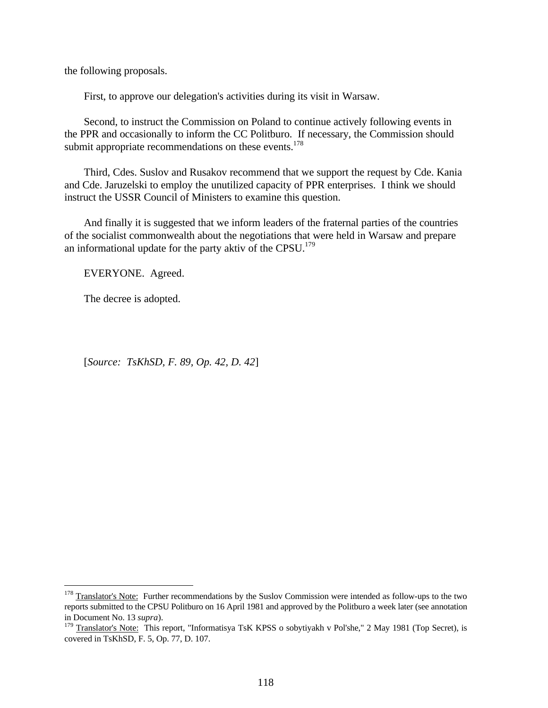the following proposals.

First, to approve our delegation's activities during its visit in Warsaw.

Second, to instruct the Commission on Poland to continue actively following events in the PPR and occasionally to inform the CC Politburo. If necessary, the Commission should submit appropriate recommendations on these events. $178$ 

Third, Cdes. Suslov and Rusakov recommend that we support the request by Cde. Kania and Cde. Jaruzelski to employ the unutilized capacity of PPR enterprises. I think we should instruct the USSR Council of Ministers to examine this question.

And finally it is suggested that we inform leaders of the fraternal parties of the countries of the socialist commonwealth about the negotiations that were held in Warsaw and prepare an informational update for the party aktiv of the CPSU.<sup>179</sup>

EVERYONE. Agreed.

The decree is adopted.

<u>.</u>

[*Source: TsKhSD, F. 89, Op. 42, D. 42*]

 $178$  Translator's Note: Further recommendations by the Suslov Commission were intended as follow-ups to the two reports submitted to the CPSU Politburo on 16 April 1981 and approved by the Politburo a week later (see annotation in Document No. 13 *supra*).

<sup>&</sup>lt;sup>179</sup> Translator's Note: This report, "Informatisya TsK KPSS o sobytiyakh v Pol'she," 2 May 1981 (Top Secret), is covered in TsKhSD, F. 5, Op. 77, D. 107.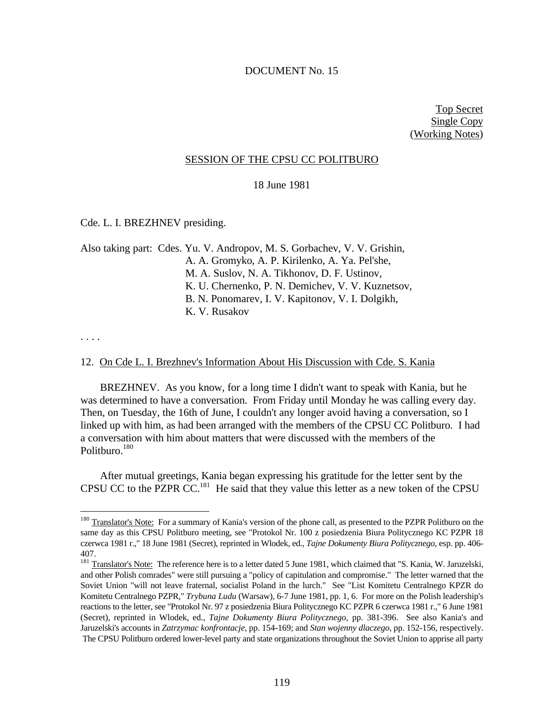### DOCUMENT No. 15

Top Secret Single Copy (Working Notes)

### SESSION OF THE CPSU CC POLITBURO

### 18 June 1981

Cde. L. I. BREZHNEV presiding.

Also taking part: Cdes. Yu. V. Andropov, M. S. Gorbachev, V. V. Grishin, A. A. Gromyko, A. P. Kirilenko, A. Ya. Pel'she, M. A. Suslov, N. A. Tikhonov, D. F. Ustinov, K. U. Chernenko, P. N. Demichev, V. V. Kuznetsov, B. N. Ponomarev, I. V. Kapitonov, V. I. Dolgikh, K. V. Rusakov

. . . .

 $\overline{a}$ 

### 12. On Cde L. I. Brezhnev's Information About His Discussion with Cde. S. Kania

BREZHNEV. As you know, for a long time I didn't want to speak with Kania, but he was determined to have a conversation. From Friday until Monday he was calling every day. Then, on Tuesday, the 16th of June, I couldn't any longer avoid having a conversation, so I linked up with him, as had been arranged with the members of the CPSU CC Politburo. I had a conversation with him about matters that were discussed with the members of the Politburo.<sup>180</sup>

After mutual greetings, Kania began expressing his gratitude for the letter sent by the CPSU CC to the PZPR CC.<sup>181</sup> He said that they value this letter as a new token of the CPSU

<sup>&</sup>lt;sup>180</sup> Translator's Note: For a summary of Kania's version of the phone call, as presented to the PZPR Politburo on the same day as this CPSU Politburo meeting, see "Protokol Nr. 100 z posiedzenia Biura Politycznego KC PZPR 18 czerwca 1981 r.," 18 June 1981 (Secret), reprinted in Wlodek, ed., *Tajne Dokumenty Biura Politycznego*, esp. pp. 406- 407.

<sup>&</sup>lt;sup>181</sup> Translator's Note: The reference here is to a letter dated 5 June 1981, which claimed that "S. Kania, W. Jaruzelski, and other Polish comrades" were still pursuing a "policy of capitulation and compromise." The letter warned that the Soviet Union "will not leave fraternal, socialist Poland in the lurch." See "List Komitetu Centralnego KPZR do Komitetu Centralnego PZPR," *Trybuna Ludu* (Warsaw), 6-7 June 1981, pp. 1, 6. For more on the Polish leadership's reactions to the letter, see "Protokol Nr. 97 z posiedzenia Biura Politycznego KC PZPR 6 czerwca 1981 r.," 6 June 1981 (Secret), reprinted in Wlodek, ed., *Tajne Dokumenty Biura Politycznego*, pp. 381-396. See also Kania's and Jaruzelski's accounts in *Zatrzymac konfrontacje*, pp. 154-169; and *Stan wojenny dlaczego*, pp. 152-156, respectively. The CPSU Politburo ordered lower-level party and state organizations throughout the Soviet Union to apprise all party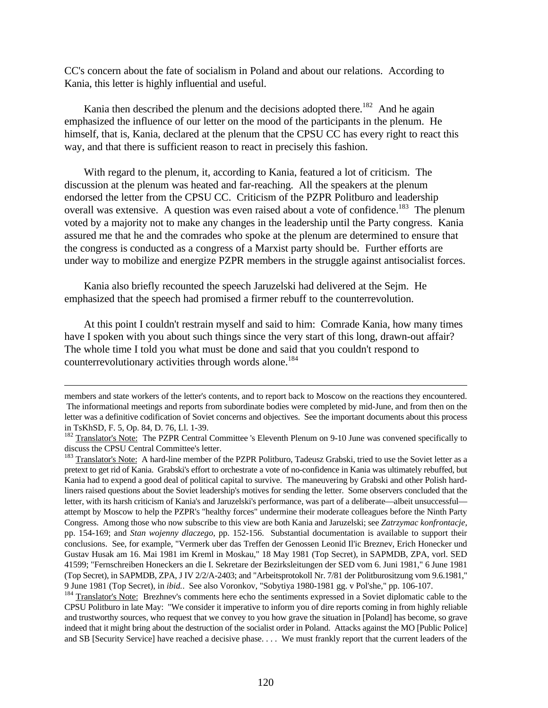CC's concern about the fate of socialism in Poland and about our relations. According to Kania, this letter is highly influential and useful.

Kania then described the plenum and the decisions adopted there.<sup>182</sup> And he again emphasized the influence of our letter on the mood of the participants in the plenum. He himself, that is, Kania, declared at the plenum that the CPSU CC has every right to react this way, and that there is sufficient reason to react in precisely this fashion.

With regard to the plenum, it, according to Kania, featured a lot of criticism. The discussion at the plenum was heated and far-reaching. All the speakers at the plenum endorsed the letter from the CPSU CC. Criticism of the PZPR Politburo and leadership overall was extensive. A question was even raised about a vote of confidence.<sup>183</sup> The plenum voted by a majority not to make any changes in the leadership until the Party congress. Kania assured me that he and the comrades who spoke at the plenum are determined to ensure that the congress is conducted as a congress of a Marxist party should be. Further efforts are under way to mobilize and energize PZPR members in the struggle against antisocialist forces.

Kania also briefly recounted the speech Jaruzelski had delivered at the Sejm. He emphasized that the speech had promised a firmer rebuff to the counterrevolution.

<u>.</u>

At this point I couldn't restrain myself and said to him: Comrade Kania, how many times have I spoken with you about such things since the very start of this long, drawn-out affair? The whole time I told you what must be done and said that you couldn't respond to counterrevolutionary activities through words alone.<sup>184</sup>

members and state workers of the letter's contents, and to report back to Moscow on the reactions they encountered. The informational meetings and reports from subordinate bodies were completed by mid-June, and from then on the letter was a definitive codification of Soviet concerns and objectives. See the important documents about this process in TsKhSD, F. 5, Op. 84, D. 76, Ll. 1-39.

<sup>&</sup>lt;sup>182</sup> Translator's Note: The PZPR Central Committee 's Eleventh Plenum on 9-10 June was convened specifically to discuss the CPSU Central Committee's letter.

<sup>&</sup>lt;sup>183</sup> Translator's Note: A hard-line member of the PZPR Politburo, Tadeusz Grabski, tried to use the Soviet letter as a pretext to get rid of Kania. Grabski's effort to orchestrate a vote of no-confidence in Kania was ultimately rebuffed, but Kania had to expend a good deal of political capital to survive. The maneuvering by Grabski and other Polish hardliners raised questions about the Soviet leadership's motives for sending the letter. Some observers concluded that the letter, with its harsh criticism of Kania's and Jaruzelski's performance, was part of a deliberate—albeit unsuccessful attempt by Moscow to help the PZPR's "healthy forces" undermine their moderate colleagues before the Ninth Party Congress. Among those who now subscribe to this view are both Kania and Jaruzelski; see *Zatrzymac konfrontacje*, pp. 154-169; and *Stan wojenny dlaczego*, pp. 152-156. Substantial documentation is available to support their conclusions. See, for example, "Vermerk uber das Treffen der Genossen Leonid Il'ic Breznev, Erich Honecker und Gustav Husak am 16. Mai 1981 im Kreml in Moskau," 18 May 1981 (Top Secret), in SAPMDB, ZPA, vorl. SED 41599; "Fernschreiben Honeckers an die I. Sekretare der Bezirksleitungen der SED vom 6. Juni 1981," 6 June 1981 (Top Secret), in SAPMDB, ZPA, J IV 2/2/A-2403; and "Arbeitsprotokoll Nr. 7/81 der Politburositzung vom 9.6.1981," 9 June 1981 (Top Secret), in *ibid.*. See also Voronkov, "Sobytiya 1980-1981 gg. v Pol'she," pp. 106-107.

<sup>&</sup>lt;sup>184</sup> Translator's Note: Brezhnev's comments here echo the sentiments expressed in a Soviet diplomatic cable to the CPSU Politburo in late May: "We consider it imperative to inform you of dire reports coming in from highly reliable and trustworthy sources, who request that we convey to you how grave the situation in [Poland] has become, so grave indeed that it might bring about the destruction of the socialist order in Poland. Attacks against the MO [Public Police] and SB [Security Service] have reached a decisive phase. . . . We must frankly report that the current leaders of the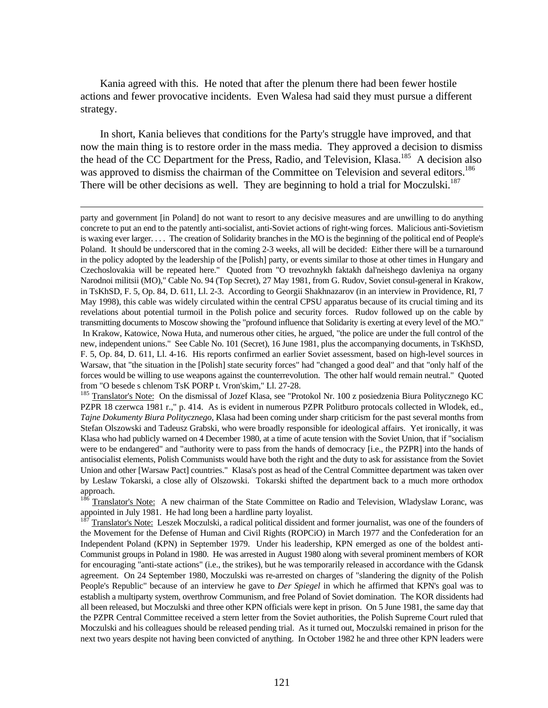Kania agreed with this. He noted that after the plenum there had been fewer hostile actions and fewer provocative incidents. Even Walesa had said they must pursue a different strategy.

In short, Kania believes that conditions for the Party's struggle have improved, and that now the main thing is to restore order in the mass media. They approved a decision to dismiss the head of the CC Department for the Press, Radio, and Television, Klasa.<sup>185</sup> A decision also was approved to dismiss the chairman of the Committee on Television and several editors.<sup>186</sup> There will be other decisions as well. They are beginning to hold a trial for Moczulski.<sup>187</sup>

 $\overline{a}$ 

<sup>186</sup> Translator's Note: A new chairman of the State Committee on Radio and Television, Wladyslaw Loranc, was appointed in July 1981. He had long been a hardline party loyalist.

<sup>187</sup> Translator's Note: Leszek Moczulski, a radical political dissident and former journalist, was one of the founders of the Movement for the Defense of Human and Civil Rights (ROPCiO) in March 1977 and the Confederation for an Independent Poland (KPN) in September 1979. Under his leadership, KPN emerged as one of the boldest anti-Communist groups in Poland in 1980. He was arrested in August 1980 along with several prominent members of KOR for encouraging "anti-state actions" (i.e., the strikes), but he was temporarily released in accordance with the Gdansk agreement. On 24 September 1980, Moczulski was re-arrested on charges of "slandering the dignity of the Polish People's Republic" because of an interview he gave to *Der Spiegel* in which he affirmed that KPN's goal was to establish a multiparty system, overthrow Communism, and free Poland of Soviet domination. The KOR dissidents had all been released, but Moczulski and three other KPN officials were kept in prison. On 5 June 1981, the same day that the PZPR Central Committee received a stern letter from the Soviet authorities, the Polish Supreme Court ruled that Moczulski and his colleagues should be released pending trial. As it turned out, Moczulski remained in prison for the next two years despite not having been convicted of anything. In October 1982 he and three other KPN leaders were

party and government [in Poland] do not want to resort to any decisive measures and are unwilling to do anything concrete to put an end to the patently anti-socialist, anti-Soviet actions of right-wing forces. Malicious anti-Sovietism is waxing ever larger. . . . The creation of Solidarity branches in the MO is the beginning of the political end of People's Poland. It should be underscored that in the coming 2-3 weeks, all will be decided: Either there will be a turnaround in the policy adopted by the leadership of the [Polish] party, or events similar to those at other times in Hungary and Czechoslovakia will be repeated here." Quoted from "O trevozhnykh faktakh dal'neishego davleniya na organy Narodnoi militsii (MO)," Cable No. 94 (Top Secret), 27 May 1981, from G. Rudov, Soviet consul-general in Krakow, in TsKhSD, F. 5, Op. 84, D. 611, Ll. 2-3. According to Georgii Shakhnazarov (in an interview in Providence, RI, 7 May 1998), this cable was widely circulated within the central CPSU apparatus because of its crucial timing and its revelations about potential turmoil in the Polish police and security forces. Rudov followed up on the cable by transmitting documents to Moscow showing the "profound influence that Solidarity is exerting at every level of the MO." In Krakow, Katowice, Nowa Huta, and numerous other cities, he argued, "the police are under the full control of the new, independent unions." See Cable No. 101 (Secret), 16 June 1981, plus the accompanying documents, in TsKhSD, F. 5, Op. 84, D. 611, Ll. 4-16. His reports confirmed an earlier Soviet assessment, based on high-level sources in Warsaw, that "the situation in the [Polish] state security forces" had "changed a good deal" and that "only half of the forces would be willing to use weapons against the counterrevolution. The other half would remain neutral." Quoted from "O besede s chlenom TsK PORP t. Vron'skim," Ll. 27-28.

<sup>&</sup>lt;sup>185</sup> Translator's Note: On the dismissal of Jozef Klasa, see "Protokol Nr. 100 z posiedzenia Biura Politycznego KC PZPR 18 czerwca 1981 r.," p. 414. As is evident in numerous PZPR Politburo protocals collected in Wlodek, ed., *Tajne Dokumenty Biura Politycznego*, Klasa had been coming under sharp criticism for the past several months from Stefan Olszowski and Tadeusz Grabski, who were broadly responsible for ideological affairs. Yet ironically, it was Klasa who had publicly warned on 4 December 1980, at a time of acute tension with the Soviet Union, that if "socialism were to be endangered" and "authority were to pass from the hands of democracy [i.e., the PZPR] into the hands of antisocialist elements, Polish Communists would have both the right and the duty to ask for assistance from the Soviet Union and other [Warsaw Pact] countries." Klasa's post as head of the Central Committee department was taken over by Leslaw Tokarski, a close ally of Olszowski. Tokarski shifted the department back to a much more orthodox approach.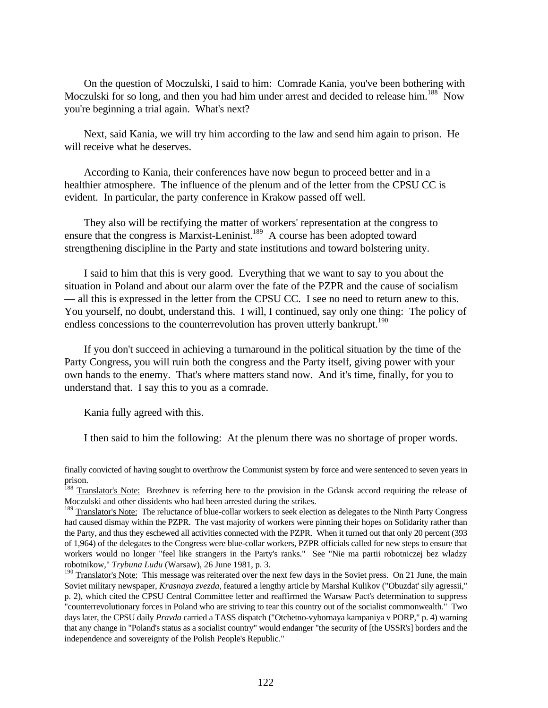On the question of Moczulski, I said to him: Comrade Kania, you've been bothering with Moczulski for so long, and then you had him under arrest and decided to release him.<sup>188</sup> Now you're beginning a trial again. What's next?

Next, said Kania, we will try him according to the law and send him again to prison. He will receive what he deserves.

According to Kania, their conferences have now begun to proceed better and in a healthier atmosphere. The influence of the plenum and of the letter from the CPSU CC is evident. In particular, the party conference in Krakow passed off well.

They also will be rectifying the matter of workers' representation at the congress to ensure that the congress is Marxist-Leninist.<sup>189</sup> A course has been adopted toward strengthening discipline in the Party and state institutions and toward bolstering unity.

I said to him that this is very good. Everything that we want to say to you about the situation in Poland and about our alarm over the fate of the PZPR and the cause of socialism — all this is expressed in the letter from the CPSU CC. I see no need to return anew to this. You yourself, no doubt, understand this. I will, I continued, say only one thing: The policy of endless concessions to the counterrevolution has proven utterly bankrupt.<sup>190</sup>

If you don't succeed in achieving a turnaround in the political situation by the time of the Party Congress, you will ruin both the congress and the Party itself, giving power with your own hands to the enemy. That's where matters stand now. And it's time, finally, for you to understand that. I say this to you as a comrade.

Kania fully agreed with this.

<u>.</u>

I then said to him the following: At the plenum there was no shortage of proper words.

finally convicted of having sought to overthrow the Communist system by force and were sentenced to seven years in prison.

<sup>&</sup>lt;sup>188</sup> Translator's Note: Brezhnev is referring here to the provision in the Gdansk accord requiring the release of Moczulski and other dissidents who had been arrested during the strikes.

<sup>&</sup>lt;sup>189</sup> Translator's Note: The reluctance of blue-collar workers to seek election as delegates to the Ninth Party Congress had caused dismay within the PZPR. The vast majority of workers were pinning their hopes on Solidarity rather than the Party, and thus they eschewed all activities connected with the PZPR. When it turned out that only 20 percent (393 of 1,964) of the delegates to the Congress were blue-collar workers, PZPR officials called for new steps to ensure that workers would no longer "feel like strangers in the Party's ranks." See "Nie ma partii robotniczej bez wladzy robotnikow," *Trybuna Ludu* (Warsaw), 26 June 1981, p. 3.

<sup>&</sup>lt;sup>190</sup> Translator's Note: This message was reiterated over the next few days in the Soviet press. On 21 June, the main Soviet military newspaper, *Krasnaya zvezda*, featured a lengthy article by Marshal Kulikov ("Obuzdat' sily agressii," p. 2), which cited the CPSU Central Committee letter and reaffirmed the Warsaw Pact's determination to suppress "counterrevolutionary forces in Poland who are striving to tear this country out of the socialist commonwealth." Two days later, the CPSU daily *Pravda* carried a TASS dispatch ("Otchetno-vybornaya kampaniya v PORP," p. 4) warning that any change in "Poland's status as a socialist country" would endanger "the security of [the USSR's] borders and the independence and sovereignty of the Polish People's Republic."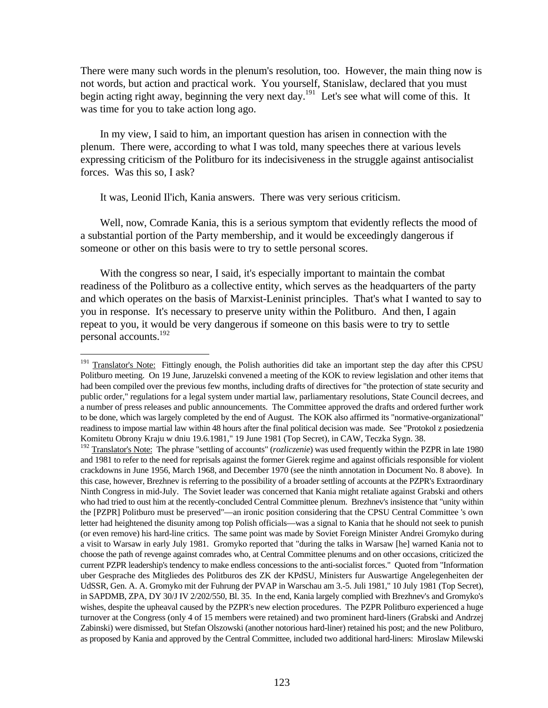There were many such words in the plenum's resolution, too. However, the main thing now is not words, but action and practical work. You yourself, Stanislaw, declared that you must begin acting right away, beginning the very next day.<sup>191</sup> Let's see what will come of this. It was time for you to take action long ago.

In my view, I said to him, an important question has arisen in connection with the plenum. There were, according to what I was told, many speeches there at various levels expressing criticism of the Politburo for its indecisiveness in the struggle against antisocialist forces. Was this so, I ask?

It was, Leonid Il'ich, Kania answers. There was very serious criticism.

Well, now, Comrade Kania, this is a serious symptom that evidently reflects the mood of a substantial portion of the Party membership, and it would be exceedingly dangerous if someone or other on this basis were to try to settle personal scores.

With the congress so near, I said, it's especially important to maintain the combat readiness of the Politburo as a collective entity, which serves as the headquarters of the party and which operates on the basis of Marxist-Leninist principles. That's what I wanted to say to you in response. It's necessary to preserve unity within the Politburo. And then, I again repeat to you, it would be very dangerous if someone on this basis were to try to settle personal accounts.<sup>192</sup>

 $191\,$ Translator's Note: Fittingly enough, the Polish authorities did take an important step the day after this CPSU Politburo meeting. On 19 June, Jaruzelski convened a meeting of the KOK to review legislation and other items that had been compiled over the previous few months, including drafts of directives for "the protection of state security and public order," regulations for a legal system under martial law, parliamentary resolutions, State Council decrees, and a number of press releases and public announcements. The Committee approved the drafts and ordered further work to be done, which was largely completed by the end of August. The KOK also affirmed its "normative-organizational" readiness to impose martial law within 48 hours after the final political decision was made. See "Protokol z posiedzenia Komitetu Obrony Kraju w dniu 19.6.1981," 19 June 1981 (Top Secret), in CAW, Teczka Sygn. 38.

<sup>192</sup> Translator's Note: The phrase "settling of accounts" (*rozliczenie*) was used frequently within the PZPR in late 1980 and 1981 to refer to the need for reprisals against the former Gierek regime and against officials responsible for violent crackdowns in June 1956, March 1968, and December 1970 (see the ninth annotation in Document No. 8 above). In this case, however, Brezhnev is referring to the possibility of a broader settling of accounts at the PZPR's Extraordinary Ninth Congress in mid-July. The Soviet leader was concerned that Kania might retaliate against Grabski and others who had tried to oust him at the recently-concluded Central Committee plenum. Brezhnev's insistence that "unity within the [PZPR] Politburo must be preserved"—an ironic position considering that the CPSU Central Committee 's own letter had heightened the disunity among top Polish officials—was a signal to Kania that he should not seek to punish (or even remove) his hard-line critics. The same point was made by Soviet Foreign Minister Andrei Gromyko during a visit to Warsaw in early July 1981. Gromyko reported that "during the talks in Warsaw [he] warned Kania not to choose the path of revenge against comrades who, at Central Committee plenums and on other occasions, criticized the current PZPR leadership's tendency to make endless concessions to the anti-socialist forces." Quoted from "Information uber Gesprache des Mitgliedes des Politburos des ZK der KPdSU, Ministers fur Auswartige Angelegenheiten der UdSSR, Gen. A. A. Gromyko mit der Fuhrung der PVAP in Warschau am 3.-5. Juli 1981," 10 July 1981 (Top Secret), in SAPDMB, ZPA, DY 30/J IV 2/202/550, Bl. 35. In the end, Kania largely complied with Brezhnev's and Gromyko's wishes, despite the upheaval caused by the PZPR's new election procedures. The PZPR Politburo experienced a huge turnover at the Congress (only 4 of 15 members were retained) and two prominent hard-liners (Grabski and Andrzej Zabinski) were dismissed, but Stefan Olszowski (another notorious hard-liner) retained his post; and the new Politburo, as proposed by Kania and approved by the Central Committee, included two additional hard-liners: Miroslaw Milewski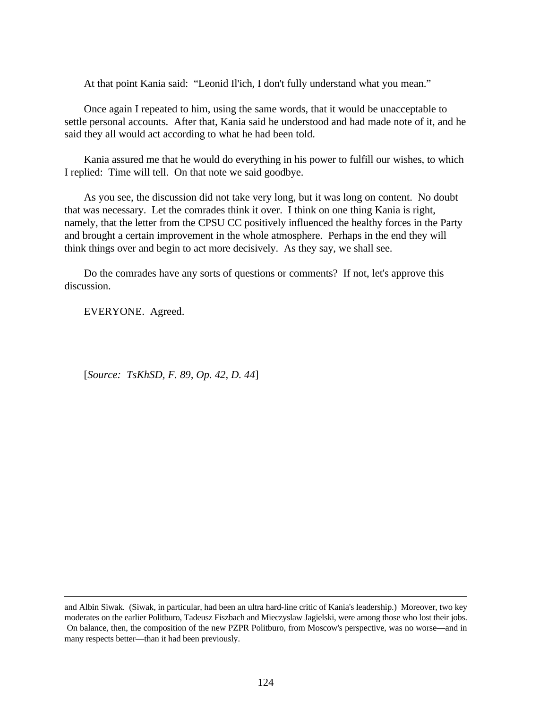At that point Kania said: "Leonid Il'ich, I don't fully understand what you mean."

Once again I repeated to him, using the same words, that it would be unacceptable to settle personal accounts. After that, Kania said he understood and had made note of it, and he said they all would act according to what he had been told.

Kania assured me that he would do everything in his power to fulfill our wishes, to which I replied: Time will tell. On that note we said goodbye.

As you see, the discussion did not take very long, but it was long on content. No doubt that was necessary. Let the comrades think it over. I think on one thing Kania is right, namely, that the letter from the CPSU CC positively influenced the healthy forces in the Party and brought a certain improvement in the whole atmosphere. Perhaps in the end they will think things over and begin to act more decisively. As they say, we shall see.

Do the comrades have any sorts of questions or comments? If not, let's approve this discussion.

EVERYONE. Agreed.

<u>.</u>

[*Source: TsKhSD, F. 89, Op. 42, D. 44*]

and Albin Siwak. (Siwak, in particular, had been an ultra hard-line critic of Kania's leadership.) Moreover, two key moderates on the earlier Politburo, Tadeusz Fiszbach and Mieczyslaw Jagielski, were among those who lost their jobs. On balance, then, the composition of the new PZPR Politburo, from Moscow's perspective, was no worse—and in many respects better—than it had been previously.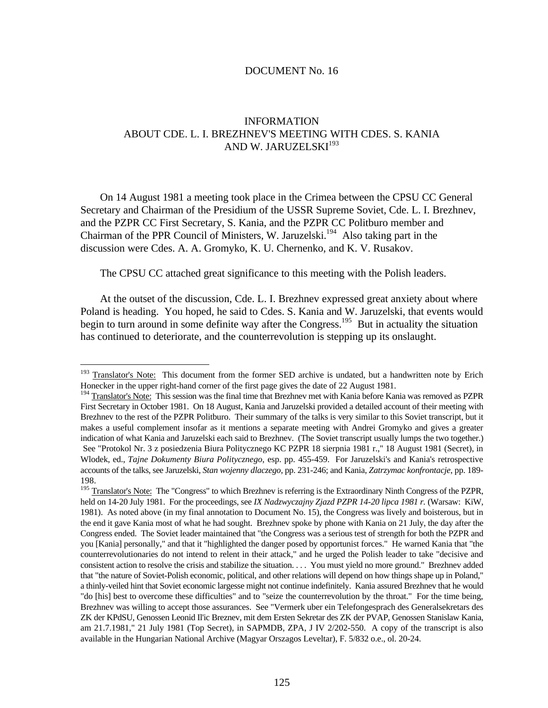#### DOCUMENT No. 16

## INFORMATION ABOUT CDE. L. I. BREZHNEV'S MEETING WITH CDES. S. KANIA AND W. JARUZELSKI<sup>193</sup>

On 14 August 1981 a meeting took place in the Crimea between the CPSU CC General Secretary and Chairman of the Presidium of the USSR Supreme Soviet, Cde. L. I. Brezhnev, and the PZPR CC First Secretary, S. Kania, and the PZPR CC Politburo member and Chairman of the PPR Council of Ministers, W. Jaruzelski.<sup>194</sup> Also taking part in the discussion were Cdes. A. A. Gromyko, K. U. Chernenko, and K. V. Rusakov.

The CPSU CC attached great significance to this meeting with the Polish leaders.

At the outset of the discussion, Cde. L. I. Brezhnev expressed great anxiety about where Poland is heading. You hoped, he said to Cdes. S. Kania and W. Jaruzelski, that events would begin to turn around in some definite way after the Congress.<sup>195</sup> But in actuality the situation has continued to deteriorate, and the counterrevolution is stepping up its onslaught.

<sup>&</sup>lt;sup>193</sup> Translator's Note: This document from the former SED archive is undated, but a handwritten note by Erich Honecker in the upper right-hand corner of the first page gives the date of 22 August 1981.

<sup>&</sup>lt;sup>194</sup> Translator's Note: This session was the final time that Brezhnev met with Kania before Kania was removed as PZPR First Secretary in October 1981. On 18 August, Kania and Jaruzelski provided a detailed account of their meeting with Brezhnev to the rest of the PZPR Politburo. Their summary of the talks is very similar to this Soviet transcript, but it makes a useful complement insofar as it mentions a separate meeting with Andrei Gromyko and gives a greater indication of what Kania and Jaruzelski each said to Brezhnev. (The Soviet transcript usually lumps the two together.) See "Protokol Nr. 3 z posiedzenia Biura Politycznego KC PZPR 18 sierpnia 1981 r.," 18 August 1981 (Secret), in Wlodek, ed., *Tajne Dokumenty Biura Politycznego*, esp. pp. 455-459. For Jaruzelski's and Kania's retrospective accounts of the talks, see Jaruzelski, *Stan wojenny dlaczego*, pp. 231-246; and Kania, *Zatrzymac konfrontacje*, pp. 189- 198.

<sup>&</sup>lt;sup>195</sup> Translator's Note: The "Congress" to which Brezhnev is referring is the Extraordinary Ninth Congress of the PZPR, held on 14-20 July 1981. For the proceedings, see *IX Nadzwyczajny Zjazd PZPR 14-20 lipca 1981 r.* (Warsaw: KiW, 1981). As noted above (in my final annotation to Document No. 15), the Congress was lively and boisterous, but in the end it gave Kania most of what he had sought. Brezhnev spoke by phone with Kania on 21 July, the day after the Congress ended. The Soviet leader maintained that "the Congress was a serious test of strength for both the PZPR and you [Kania] personally," and that it "highlighted the danger posed by opportunist forces." He warned Kania that "the counterrevolutionaries do not intend to relent in their attack," and he urged the Polish leader to take "decisive and consistent action to resolve the crisis and stabilize the situation. . . . You must yield no more ground." Brezhnev added that "the nature of Soviet-Polish economic, political, and other relations will depend on how things shape up in Poland," a thinly-veiled hint that Soviet economic largesse might not continue indefinitely. Kania assured Brezhnev that he would "do [his] best to overcome these difficulties" and to "seize the counterrevolution by the throat." For the time being, Brezhnev was willing to accept those assurances. See "Vermerk uber ein Telefongesprach des Generalsekretars des ZK der KPdSU, Genossen Leonid Il'ic Breznev, mit dem Ersten Sekretar des ZK der PVAP, Genossen Stanislaw Kania, am 21.7.1981," 21 July 1981 (Top Secret), in SAPMDB, ZPA, J IV 2/202-550. A copy of the transcript is also available in the Hungarian National Archive (Magyar Orszagos Leveltar), F. 5/832 o.e., ol. 20-24.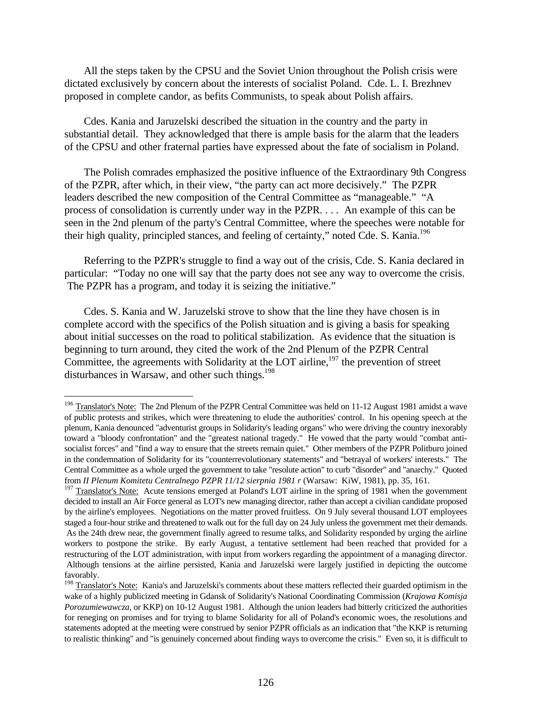All the steps taken by the CPSU and the Soviet Union throughout the Polish crisis were dictated exclusively by concern about the interests of socialist Poland. Cde. L. I. Brezhnev proposed in complete candor, as befits Communists, to speak about Polish affairs.

Cdes. Kania and Jaruzelski described the situation in the country and the party in substantial detail. They acknowledged that there is ample basis for the alarm that the leaders of the CPSU and other fraternal parties have expressed about the fate of socialism in Poland.

The Polish comrades emphasized the positive influence of the Extraordinary 9th Congress of the PZPR, after which, in their view, "the party can act more decisively." The PZPR leaders described the new composition of the Central Committee as "manageable." "A process of consolidation is currently under way in the PZPR. . . . An example of this can be seen in the 2nd plenum of the party's Central Committee, where the speeches were notable for their high quality, principled stances, and feeling of certainty," noted Cde. S. Kania.<sup>196</sup>

Referring to the PZPR's struggle to find a way out of the crisis, Cde. S. Kania declared in particular: "Today no one will say that the party does not see any way to overcome the crisis. The PZPR has a program, and today it is seizing the initiative."

Cdes. S. Kania and W. Jaruzelski strove to show that the line they have chosen is in complete accord with the specifics of the Polish situation and is giving a basis for speaking about initial successes on the road to political stabilization. As evidence that the situation is beginning to turn around, they cited the work of the 2nd Plenum of the PZPR Central Committee, the agreements with Solidarity at the LOT airline,<sup>197</sup> the prevention of street disturbances in Warsaw, and other such things.<sup>198</sup>

<sup>&</sup>lt;sup>196</sup> Translator's Note: The 2nd Plenum of the PZPR Central Committee was held on 11-12 August 1981 amidst a wave of public protests and strikes, which were threatening to elude the authorities' control. In his opening speech at the plenum, Kania denounced "adventurist groups in Solidarity's leading organs" who were driving the country inexorably toward a "bloody confrontation" and the "greatest national tragedy." He vowed that the party would "combat antisocialist forces" and "find a way to ensure that the streets remain quiet." Other members of the PZPR Politburo joined in the condemnation of Solidarity for its "counterrevolutionary statements" and "betrayal of workers' interests." The Central Committee as a whole urged the government to take "resolute action" to curb "disorder" and "anarchy." Quoted from *II Plenum Komitetu Centralnego PZPR 11/12 sierpnia 1981 r* (Warsaw: KiW, 1981), pp. 35, 161.

<sup>&</sup>lt;sup>197</sup> Translator's Note: Acute tensions emerged at Poland's LOT airline in the spring of 1981 when the government decided to install an Air Force general as LOT's new managing director, rather than accept a civilian candidate proposed by the airline's employees. Negotiations on the matter proved fruitless. On 9 July several thousand LOT employees staged a four-hour strike and threatened to walk out for the full day on 24 July unless the government met their demands. As the 24th drew near, the government finally agreed to resume talks, and Solidarity responded by urging the airline workers to postpone the strike. By early August, a tentative settlement had been reached that provided for a restructuring of the LOT administration, with input from workers regarding the appointment of a managing director. Although tensions at the airline persisted, Kania and Jaruzelski were largely justified in depicting the outcome favorably.

<sup>&</sup>lt;sup>198</sup> Translator's Note: Kania's and Jaruzelski's comments about these matters reflected their guarded optimism in the wake of a highly publicized meeting in Gdansk of Solidarity's National Coordinating Commission (*Krajowa Komisja Porozumiewawcza*, or KKP) on 10-12 August 1981. Although the union leaders had bitterly criticized the authorities for reneging on promises and for trying to blame Solidarity for all of Poland's economic woes, the resolutions and statements adopted at the meeting were construed by senior PZPR officials as an indication that "the KKP is returning to realistic thinking" and "is genuinely concerned about finding ways to overcome the crisis." Even so, it is difficult to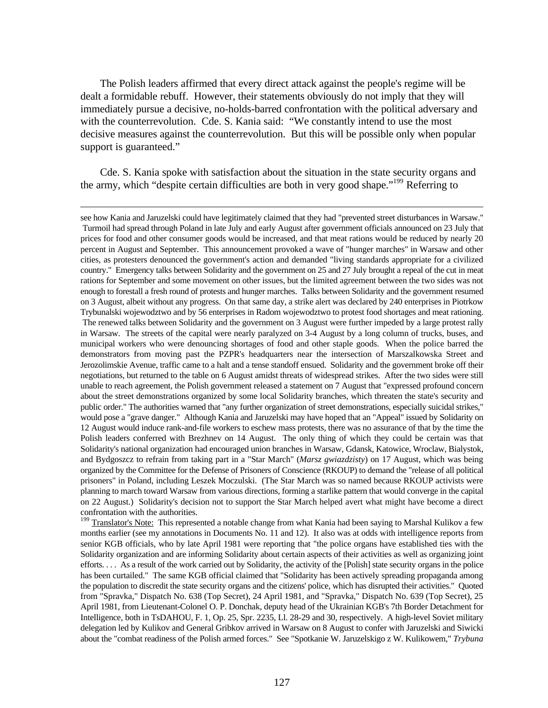The Polish leaders affirmed that every direct attack against the people's regime will be dealt a formidable rebuff. However, their statements obviously do not imply that they will immediately pursue a decisive, no-holds-barred confrontation with the political adversary and with the counterrevolution. Cde. S. Kania said: "We constantly intend to use the most decisive measures against the counterrevolution. But this will be possible only when popular support is guaranteed."

Cde. S. Kania spoke with satisfaction about the situation in the state security organs and the army, which "despite certain difficulties are both in very good shape."<sup>199</sup> Referring to

 $\overline{a}$ 

<sup>199</sup> Translator's Note: This represented a notable change from what Kania had been saying to Marshal Kulikov a few months earlier (see my annotations in Documents No. 11 and 12). It also was at odds with intelligence reports from senior KGB officials, who by late April 1981 were reporting that "the police organs have established ties with the Solidarity organization and are informing Solidarity about certain aspects of their activities as well as organizing joint efforts. . . . As a result of the work carried out by Solidarity, the activity of the [Polish] state security organs in the police has been curtailed." The same KGB official claimed that "Solidarity has been actively spreading propaganda among the population to discredit the state security organs and the citizens' police, which has disrupted their activities." Quoted from "Spravka," Dispatch No. 638 (Top Secret), 24 April 1981, and "Spravka," Dispatch No. 639 (Top Secret), 25 April 1981, from Lieutenant-Colonel O. P. Donchak, deputy head of the Ukrainian KGB's 7th Border Detachment for Intelligence, both in TsDAHOU, F. 1, Op. 25, Spr. 2235, Ll. 28-29 and 30, respectively. A high-level Soviet military delegation led by Kulikov and General Gribkov arrived in Warsaw on 8 August to confer with Jaruzelski and Siwicki about the "combat readiness of the Polish armed forces." See "Spotkanie W. Jaruzelskigo z W. Kulikowem," *Trybuna*

see how Kania and Jaruzelski could have legitimately claimed that they had "prevented street disturbances in Warsaw." Turmoil had spread through Poland in late July and early August after government officials announced on 23 July that prices for food and other consumer goods would be increased, and that meat rations would be reduced by nearly 20 percent in August and September. This announcement provoked a wave of "hunger marches" in Warsaw and other cities, as protesters denounced the government's action and demanded "living standards appropriate for a civilized country." Emergency talks between Solidarity and the government on 25 and 27 July brought a repeal of the cut in meat rations for September and some movement on other issues, but the limited agreement between the two sides was not enough to forestall a fresh round of protests and hunger marches. Talks between Solidarity and the government resumed on 3 August, albeit without any progress. On that same day, a strike alert was declared by 240 enterprises in Piotrkow Trybunalski wojewodztwo and by 56 enterprises in Radom wojewodztwo to protest food shortages and meat rationing. The renewed talks between Solidarity and the government on 3 August were further impeded by a large protest rally in Warsaw. The streets of the capital were nearly paralyzed on 3-4 August by a long column of trucks, buses, and municipal workers who were denouncing shortages of food and other staple goods. When the police barred the demonstrators from moving past the PZPR's headquarters near the intersection of Marszalkowska Street and Jerozolimskie Avenue, traffic came to a halt and a tense standoff ensued. Solidarity and the government broke off their negotiations, but returned to the table on 6 August amidst threats of widespread strikes. After the two sides were still unable to reach agreement, the Polish government released a statement on 7 August that "expressed profound concern about the street demonstrations organized by some local Solidarity branches, which threaten the state's security and public order." The authorities warned that "any further organization of street demonstrations, especially suicidal strikes," would pose a "grave danger." Although Kania and Jaruzelski may have hoped that an "Appeal" issued by Solidarity on 12 August would induce rank-and-file workers to eschew mass protests, there was no assurance of that by the time the Polish leaders conferred with Brezhnev on 14 August. The only thing of which they could be certain was that Solidarity's national organization had encouraged union branches in Warsaw, Gdansk, Katowice, Wroclaw, Bialystok, and Bydgoszcz to refrain from taking part in a "Star March" (*Marsz gwiazdzisty*) on 17 August, which was being organized by the Committee for the Defense of Prisoners of Conscience (RKOUP) to demand the "release of all political prisoners" in Poland, including Leszek Moczulski. (The Star March was so named because RKOUP activists were planning to march toward Warsaw from various directions, forming a starlike pattern that would converge in the capital on 22 August.) Solidarity's decision not to support the Star March helped avert what might have become a direct confrontation with the authorities.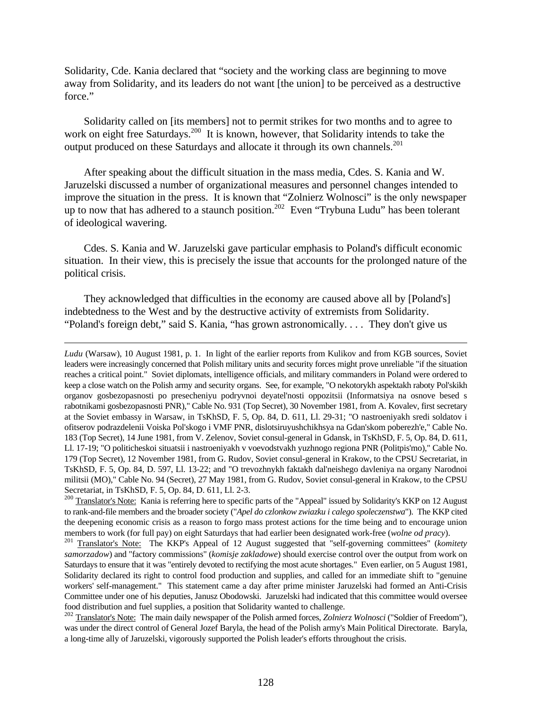Solidarity, Cde. Kania declared that "society and the working class are beginning to move away from Solidarity, and its leaders do not want [the union] to be perceived as a destructive force."

Solidarity called on [its members] not to permit strikes for two months and to agree to work on eight free Saturdays.<sup>200</sup> It is known, however, that Solidarity intends to take the output produced on these Saturdays and allocate it through its own channels.<sup>201</sup>

After speaking about the difficult situation in the mass media, Cdes. S. Kania and W. Jaruzelski discussed a number of organizational measures and personnel changes intended to improve the situation in the press. It is known that "Zolnierz Wolnosci" is the only newspaper up to now that has adhered to a staunch position.<sup>202</sup> Even "Trybuna Ludu" has been tolerant of ideological wavering.

Cdes. S. Kania and W. Jaruzelski gave particular emphasis to Poland's difficult economic situation. In their view, this is precisely the issue that accounts for the prolonged nature of the political crisis.

They acknowledged that difficulties in the economy are caused above all by [Poland's] indebtedness to the West and by the destructive activity of extremists from Solidarity. "Poland's foreign debt," said S. Kania, "has grown astronomically. . . . They don't give us

 $\overline{a}$ 

*Ludu* (Warsaw), 10 August 1981, p. 1. In light of the earlier reports from Kulikov and from KGB sources, Soviet leaders were increasingly concerned that Polish military units and security forces might prove unreliable "if the situation reaches a critical point." Soviet diplomats, intelligence officials, and military commanders in Poland were ordered to keep a close watch on the Polish army and security organs. See, for example, "O nekotorykh aspektakh raboty Pol'skikh organov gosbezopasnosti po presecheniyu podryvnoi deyatel'nosti oppozitsii (Informatsiya na osnove besed s rabotnikami gosbezopasnosti PNR)," Cable No. 931 (Top Secret), 30 November 1981, from A. Kovalev, first secretary at the Soviet embassy in Warsaw, in TsKhSD, F. 5, Op. 84, D. 611, Ll. 29-31; "O nastroeniyakh sredi soldatov i ofitserov podrazdelenii Voiska Pol'skogo i VMF PNR, dislotsiruyushchikhsya na Gdan'skom poberezh'e," Cable No. 183 (Top Secret), 14 June 1981, from V. Zelenov, Soviet consul-general in Gdansk, in TsKhSD, F. 5, Op. 84, D. 611, Ll. 17-19; "O politicheskoi situatsii i nastroeniyakh v voevodstvakh yuzhnogo regiona PNR (Politpis'mo)," Cable No. 179 (Top Secret), 12 November 1981, from G. Rudov, Soviet consul-general in Krakow, to the CPSU Secretariat, in TsKhSD, F. 5, Op. 84, D. 597, Ll. 13-22; and "O trevozhnykh faktakh dal'neishego davleniya na organy Narodnoi militsii (MO)," Cable No. 94 (Secret), 27 May 1981, from G. Rudov, Soviet consul-general in Krakow, to the CPSU Secretariat, in TsKhSD, F. 5, Op. 84, D. 611, Ll. 2-3.

<sup>200</sup> Translator's Note: Kania is referring here to specific parts of the "Appeal" issued by Solidarity's KKP on 12 August to rank-and-file members and the broader society ("*Apel do czlonkow zwiazku i calego spoleczenstwa*"). The KKP cited the deepening economic crisis as a reason to forgo mass protest actions for the time being and to encourage union members to work (for full pay) on eight Saturdays that had earlier been designated work-free (*wolne od pracy*).

<sup>201</sup> Translator's Note: The KKP's Appeal of 12 August suggested that "self-governing committees" (*komitety samorzadow*) and "factory commissions" (*komisje zakladowe*) should exercise control over the output from work on Saturdays to ensure that it was "entirely devoted to rectifying the most acute shortages." Even earlier, on 5 August 1981, Solidarity declared its right to control food production and supplies, and called for an immediate shift to "genuine workers' self-management." This statement came a day after prime minister Jaruzelski had formed an Anti-Crisis Committee under one of his deputies, Janusz Obodowski. Jaruzelski had indicated that this committee would oversee food distribution and fuel supplies, a position that Solidarity wanted to challenge.

<sup>202</sup> Translator's Note: The main daily newspaper of the Polish armed forces, *Zolnierz Wolnosci* ("Soldier of Freedom"), was under the direct control of General Jozef Baryla, the head of the Polish army's Main Political Directorate. Baryla, a long-time ally of Jaruzelski, vigorously supported the Polish leader's efforts throughout the crisis.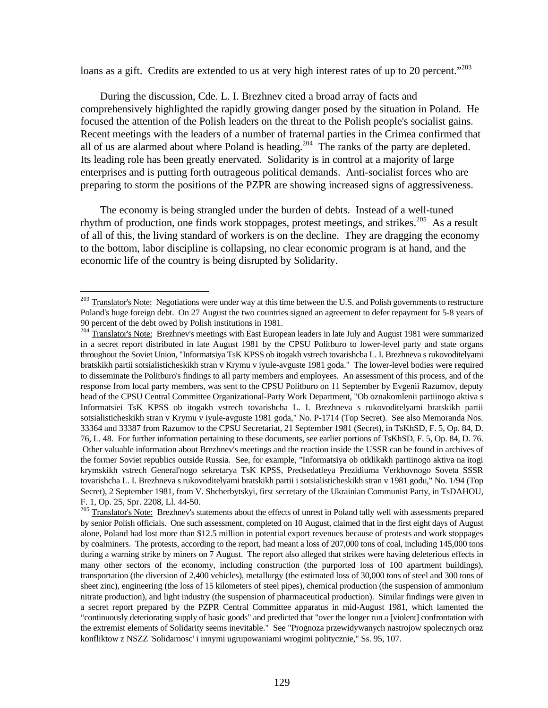loans as a gift. Credits are extended to us at very high interest rates of up to 20 percent."<sup>203</sup>

During the discussion, Cde. L. I. Brezhnev cited a broad array of facts and comprehensively highlighted the rapidly growing danger posed by the situation in Poland. He focused the attention of the Polish leaders on the threat to the Polish people's socialist gains. Recent meetings with the leaders of a number of fraternal parties in the Crimea confirmed that all of us are alarmed about where Poland is heading.<sup>204</sup> The ranks of the party are depleted. Its leading role has been greatly enervated. Solidarity is in control at a majority of large enterprises and is putting forth outrageous political demands. Anti-socialist forces who are preparing to storm the positions of the PZPR are showing increased signs of aggressiveness.

The economy is being strangled under the burden of debts. Instead of a well-tuned rhythm of production, one finds work stoppages, protest meetings, and strikes.<sup>205</sup> As a result of all of this, the living standard of workers is on the decline. They are dragging the economy to the bottom, labor discipline is collapsing, no clear economic program is at hand, and the economic life of the country is being disrupted by Solidarity.

<sup>&</sup>lt;sup>203</sup> Translator's Note: Negotiations were under way at this time between the U.S. and Polish governments to restructure Poland's huge foreign debt. On 27 August the two countries signed an agreement to defer repayment for 5-8 years of 90 percent of the debt owed by Polish institutions in 1981.

<sup>&</sup>lt;sup>204</sup> Translator's Note: Brezhnev's meetings with East European leaders in late July and August 1981 were summarized in a secret report distributed in late August 1981 by the CPSU Politburo to lower-level party and state organs throughout the Soviet Union, "Informatsiya TsK KPSS ob itogakh vstrech tovarishcha L. I. Brezhneva s rukovoditelyami bratskikh partii sotsialisticheskikh stran v Krymu v iyule-avguste 1981 goda." The lower-level bodies were required to disseminate the Politburo's findings to all party members and employees. An assessment of this process, and of the response from local party members, was sent to the CPSU Politburo on 11 September by Evgenii Razumov, deputy head of the CPSU Central Committee Organizational-Party Work Department, "Ob oznakomlenii partiinogo aktiva s Informatsiei TsK KPSS ob itogakh vstrech tovarishcha L. I. Brezhneva s rukovoditelyami bratskikh partii sotsialisticheskikh stran v Krymu v iyule-avguste 1981 goda," No. P-1714 (Top Secret). See also Memoranda Nos. 33364 and 33387 from Razumov to the CPSU Secretariat, 21 September 1981 (Secret), in TsKhSD, F. 5, Op. 84, D. 76, L. 48. For further information pertaining to these documents, see earlier portions of TsKhSD, F. 5, Op. 84, D. 76. Other valuable information about Brezhnev's meetings and the reaction inside the USSR can be found in archives of the former Soviet republics outside Russia. See, for example, "Informatsiya ob otklikakh partiinogo aktiva na itogi krymskikh vstrech General'nogo sekretarya TsK KPSS, Predsedatleya Prezidiuma Verkhovnogo Soveta SSSR tovarishcha L. I. Brezhneva s rukovoditelyami bratskikh partii i sotsialisticheskikh stran v 1981 godu," No. 1/94 (Top Secret), 2 September 1981, from V. Shcherbytskyi, first secretary of the Ukrainian Communist Party, in TsDAHOU, F. 1, Op. 25, Spr. 2208, Ll. 44-50.

<sup>&</sup>lt;sup>205</sup> Translator's Note: Brezhnev's statements about the effects of unrest in Poland tally well with assessments prepared by senior Polish officials. One such assessment, completed on 10 August, claimed that in the first eight days of August alone, Poland had lost more than \$12.5 million in potential export revenues because of protests and work stoppages by coalminers. The protests, according to the report, had meant a loss of 207,000 tons of coal, including 145,000 tons during a warning strike by miners on 7 August. The report also alleged that strikes were having deleterious effects in many other sectors of the economy, including construction (the purported loss of 100 apartment buildings), transportation (the diversion of 2,400 vehicles), metallurgy (the estimated loss of 30,000 tons of steel and 300 tons of sheet zinc), engineering (the loss of 15 kilometers of steel pipes), chemical production (the suspension of ammonium nitrate production), and light industry (the suspension of pharmaceutical production). Similar findings were given in a secret report prepared by the PZPR Central Committee apparatus in mid-August 1981, which lamented the "continuously deteriorating supply of basic goods" and predicted that "over the longer run a [violent] confrontation with the extremist elements of Solidarity seems inevitable." See "Prognoza przewidywanych nastrojow spolecznych oraz konfliktow z NSZZ 'Solidarnosc' i innymi ugrupowaniami wrogimi politycznie," Ss. 95, 107.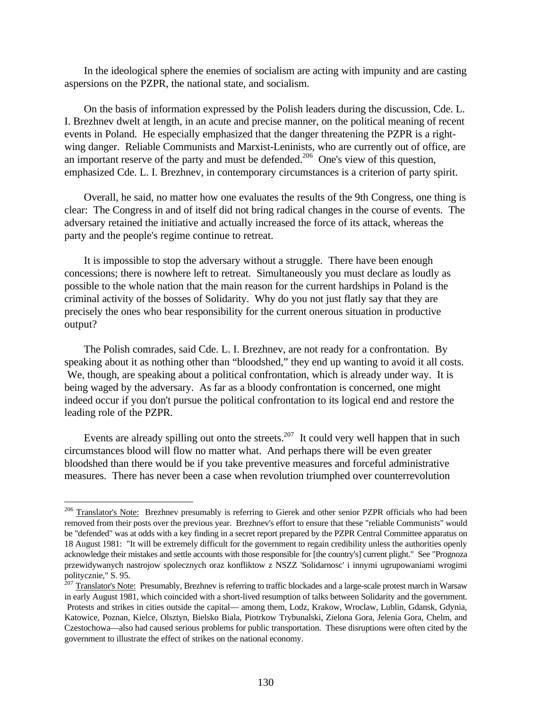In the ideological sphere the enemies of socialism are acting with impunity and are casting aspersions on the PZPR, the national state, and socialism.

On the basis of information expressed by the Polish leaders during the discussion, Cde. L. I. Brezhnev dwelt at length, in an acute and precise manner, on the political meaning of recent events in Poland. He especially emphasized that the danger threatening the PZPR is a rightwing danger. Reliable Communists and Marxist-Leninists, who are currently out of office, are an important reserve of the party and must be defended.<sup>206</sup> One's view of this question, emphasized Cde. L. I. Brezhnev, in contemporary circumstances is a criterion of party spirit.

Overall, he said, no matter how one evaluates the results of the 9th Congress, one thing is clear: The Congress in and of itself did not bring radical changes in the course of events. The adversary retained the initiative and actually increased the force of its attack, whereas the party and the people's regime continue to retreat.

It is impossible to stop the adversary without a struggle. There have been enough concessions; there is nowhere left to retreat. Simultaneously you must declare as loudly as possible to the whole nation that the main reason for the current hardships in Poland is the criminal activity of the bosses of Solidarity. Why do you not just flatly say that they are precisely the ones who bear responsibility for the current onerous situation in productive output?

The Polish comrades, said Cde. L. I. Brezhnev, are not ready for a confrontation. By speaking about it as nothing other than "bloodshed," they end up wanting to avoid it all costs. We, though, are speaking about a political confrontation, which is already under way. It is being waged by the adversary. As far as a bloody confrontation is concerned, one might indeed occur if you don't pursue the political confrontation to its logical end and restore the leading role of the PZPR.

Events are already spilling out onto the streets.<sup>207</sup> It could very well happen that in such circumstances blood will flow no matter what. And perhaps there will be even greater bloodshed than there would be if you take preventive measures and forceful administrative measures. There has never been a case when revolution triumphed over counterrevolution

<u>.</u>

<sup>&</sup>lt;sup>206</sup> Translator's Note: Brezhnev presumably is referring to Gierek and other senior PZPR officials who had been removed from their posts over the previous year. Brezhnev's effort to ensure that these "reliable Communists" would be "defended" was at odds with a key finding in a secret report prepared by the PZPR Central Committee apparatus on 18 August 1981: "It will be extremely difficult for the government to regain credibility unless the authorities openly acknowledge their mistakes and settle accounts with those responsible for [the country's] current plight." See "Prognoza przewidywanych nastrojow spolecznych oraz konfliktow z NSZZ 'Solidarnosc' i innymi ugrupowaniami wrogimi politycznie," S. 95.

<sup>&</sup>lt;sup>207</sup> Translator's Note: Presumably, Brezhnev is referring to traffic blockades and a large-scale protest march in Warsaw in early August 1981, which coincided with a short-lived resumption of talks between Solidarity and the government. Protests and strikes in cities outside the capital— among them, Lodz, Krakow, Wroclaw, Lublin, Gdansk, Gdynia, Katowice, Poznan, Kielce, Olsztyn, Bielsko Biala, Piotrkow Trybunalski, Zielona Gora, Jelenia Gora, Chelm, and Czestochowa—also had caused serious problems for public transportation. These disruptions were often cited by the government to illustrate the effect of strikes on the national economy.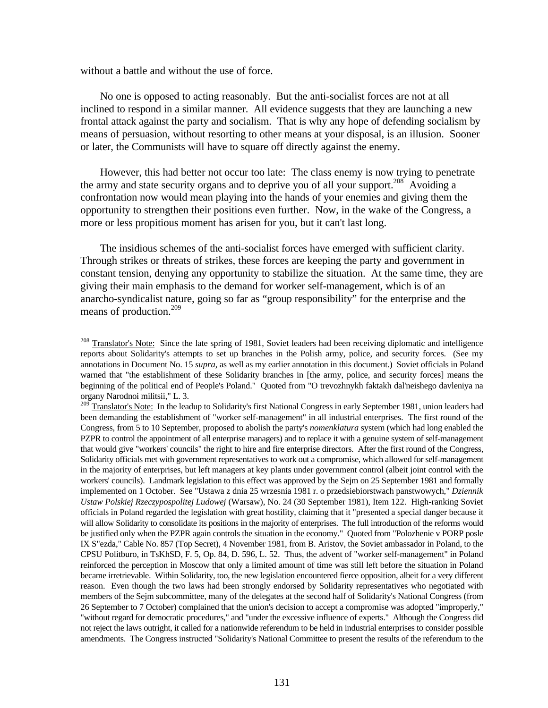without a battle and without the use of force.

<u>.</u>

No one is opposed to acting reasonably. But the anti-socialist forces are not at all inclined to respond in a similar manner. All evidence suggests that they are launching a new frontal attack against the party and socialism. That is why any hope of defending socialism by means of persuasion, without resorting to other means at your disposal, is an illusion. Sooner or later, the Communists will have to square off directly against the enemy.

However, this had better not occur too late: The class enemy is now trying to penetrate the army and state security organs and to deprive you of all your support.<sup>208</sup> Avoiding a confrontation now would mean playing into the hands of your enemies and giving them the opportunity to strengthen their positions even further. Now, in the wake of the Congress, a more or less propitious moment has arisen for you, but it can't last long.

The insidious schemes of the anti-socialist forces have emerged with sufficient clarity. Through strikes or threats of strikes, these forces are keeping the party and government in constant tension, denying any opportunity to stabilize the situation. At the same time, they are giving their main emphasis to the demand for worker self-management, which is of an anarcho-syndicalist nature, going so far as "group responsibility" for the enterprise and the means of production.<sup>209</sup>

<sup>&</sup>lt;sup>208</sup> Translator's Note: Since the late spring of 1981, Soviet leaders had been receiving diplomatic and intelligence reports about Solidarity's attempts to set up branches in the Polish army, police, and security forces. (See my annotations in Document No. 15 *supra*, as well as my earlier annotation in this document.) Soviet officials in Poland warned that "the establishment of these Solidarity branches in [the army, police, and security forces] means the beginning of the political end of People's Poland." Quoted from "O trevozhnykh faktakh dal'neishego davleniya na organy Narodnoi militsii," L. 3.

<sup>&</sup>lt;sup>209</sup> Translator's Note: In the leadup to Solidarity's first National Congress in early September 1981, union leaders had been demanding the establishment of "worker self-management" in all industrial enterprises. The first round of the Congress, from 5 to 10 September, proposed to abolish the party's *nomenklatura* system (which had long enabled the PZPR to control the appointment of all enterprise managers) and to replace it with a genuine system of self-management that would give "workers' councils" the right to hire and fire enterprise directors. After the first round of the Congress, Solidarity officials met with government representatives to work out a compromise, which allowed for self-management in the majority of enterprises, but left managers at key plants under government control (albeit joint control with the workers' councils). Landmark legislation to this effect was approved by the Sejm on 25 September 1981 and formally implemented on 1 October. See "Ustawa z dnia 25 wrzesnia 1981 r. o przedsiebiorstwach panstwowych," *Dziennik Ustaw Polskiej Rzeczypospolitej Ludowej* (Warsaw), No. 24 (30 September 1981), Item 122. High-ranking Soviet officials in Poland regarded the legislation with great hostility, claiming that it "presented a special danger because it will allow Solidarity to consolidate its positions in the majority of enterprises. The full introduction of the reforms would be justified only when the PZPR again controls the situation in the economy." Quoted from "Polozhenie v PORP posle IX S"ezda," Cable No. 857 (Top Secret), 4 November 1981, from B. Aristov, the Soviet ambassador in Poland, to the CPSU Politburo, in TsKhSD, F. 5, Op. 84, D. 596, L. 52. Thus, the advent of "worker self-management" in Poland reinforced the perception in Moscow that only a limited amount of time was still left before the situation in Poland became irretrievable. Within Solidarity, too, the new legislation encountered fierce opposition, albeit for a very different reason. Even though the two laws had been strongly endorsed by Solidarity representatives who negotiated with members of the Sejm subcommittee, many of the delegates at the second half of Solidarity's National Congress (from 26 September to 7 October) complained that the union's decision to accept a compromise was adopted "improperly," "without regard for democratic procedures," and "under the excessive influence of experts." Although the Congress did not reject the laws outright, it called for a nationwide referendum to be held in industrial enterprises to consider possible amendments. The Congress instructed "Solidarity's National Committee to present the results of the referendum to the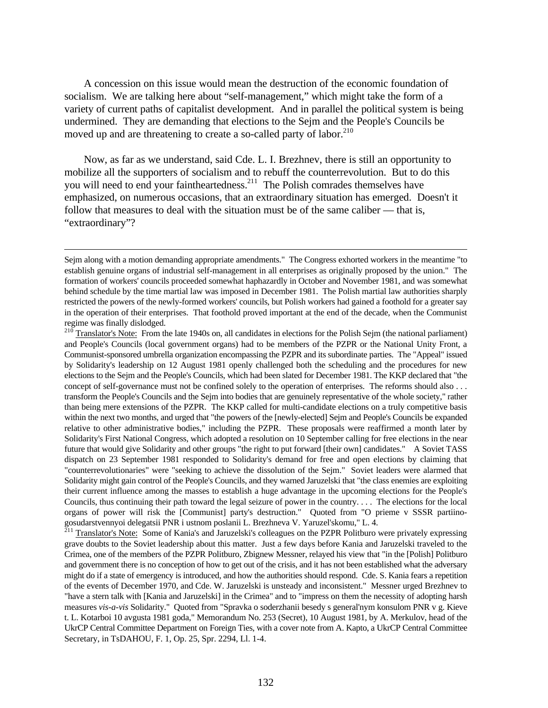A concession on this issue would mean the destruction of the economic foundation of socialism. We are talking here about "self-management," which might take the form of a variety of current paths of capitalist development. And in parallel the political system is being undermined. They are demanding that elections to the Sejm and the People's Councils be moved up and are threatening to create a so-called party of labor.<sup>210</sup>

Now, as far as we understand, said Cde. L. I. Brezhnev, there is still an opportunity to mobilize all the supporters of socialism and to rebuff the counterrevolution. But to do this you will need to end your faintheartedness.<sup>211</sup> The Polish comrades themselves have emphasized, on numerous occasions, that an extraordinary situation has emerged. Doesn't it follow that measures to deal with the situation must be of the same caliber — that is, "extraordinary"?

<u>.</u>

<sup>211</sup> Translator's Note: Some of Kania's and Jaruzelski's colleagues on the PZPR Politburo were privately expressing grave doubts to the Soviet leadership about this matter. Just a few days before Kania and Jaruzelski traveled to the Crimea, one of the members of the PZPR Politburo, Zbignew Messner, relayed his view that "in the [Polish] Politburo and government there is no conception of how to get out of the crisis, and it has not been established what the adversary might do if a state of emergency is introduced, and how the authorities should respond. Cde. S. Kania fears a repetition of the events of December 1970, and Cde. W. Jaruzelski is unsteady and inconsistent." Messner urged Brezhnev to "have a stern talk with [Kania and Jaruzelski] in the Crimea" and to "impress on them the necessity of adopting harsh measures *vis-a-vis* Solidarity." Quoted from "Spravka o soderzhanii besedy s general'nym konsulom PNR v g. Kieve t. L. Kotarboi 10 avgusta 1981 goda," Memorandum No. 253 (Secret), 10 August 1981, by A. Merkulov, head of the UkrCP Central Committee Department on Foreign Ties, with a cover note from A. Kapto, a UkrCP Central Committee Secretary, in TsDAHOU, F. 1, Op. 25, Spr. 2294, Ll. 1-4.

Sejm along with a motion demanding appropriate amendments." The Congress exhorted workers in the meantime "to establish genuine organs of industrial self-management in all enterprises as originally proposed by the union." The formation of workers' councils proceeded somewhat haphazardly in October and November 1981, and was somewhat behind schedule by the time martial law was imposed in December 1981. The Polish martial law authorities sharply restricted the powers of the newly-formed workers' councils, but Polish workers had gained a foothold for a greater say in the operation of their enterprises. That foothold proved important at the end of the decade, when the Communist regime was finally dislodged.

<sup>&</sup>lt;sup>210</sup> Translator's Note: From the late 1940s on, all candidates in elections for the Polish Sejm (the national parliament) and People's Councils (local government organs) had to be members of the PZPR or the National Unity Front, a Communist-sponsored umbrella organization encompassing the PZPR and its subordinate parties. The "Appeal" issued by Solidarity's leadership on 12 August 1981 openly challenged both the scheduling and the procedures for new elections to the Sejm and the People's Councils, which had been slated for December 1981. The KKP declared that "the concept of self-governance must not be confined solely to the operation of enterprises. The reforms should also . . . transform the People's Councils and the Sejm into bodies that are genuinely representative of the whole society," rather than being mere extensions of the PZPR. The KKP called for multi-candidate elections on a truly competitive basis within the next two months, and urged that "the powers of the [newly-elected] Sejm and People's Councils be expanded relative to other administrative bodies," including the PZPR. These proposals were reaffirmed a month later by Solidarity's First National Congress, which adopted a resolution on 10 September calling for free elections in the near future that would give Solidarity and other groups "the right to put forward [their own] candidates." A Soviet TASS dispatch on 23 September 1981 responded to Solidarity's demand for free and open elections by claiming that "counterrevolutionaries" were "seeking to achieve the dissolution of the Sejm." Soviet leaders were alarmed that Solidarity might gain control of the People's Councils, and they warned Jaruzelski that "the class enemies are exploiting their current influence among the masses to establish a huge advantage in the upcoming elections for the People's Councils, thus continuing their path toward the legal seizure of power in the country. . . . The elections for the local organs of power will risk the [Communist] party's destruction." Quoted from "O prieme v SSSR partiinogosudarstvennyoi delegatsii PNR i ustnom poslanii L. Brezhneva V. Yaruzel'skomu," L. 4.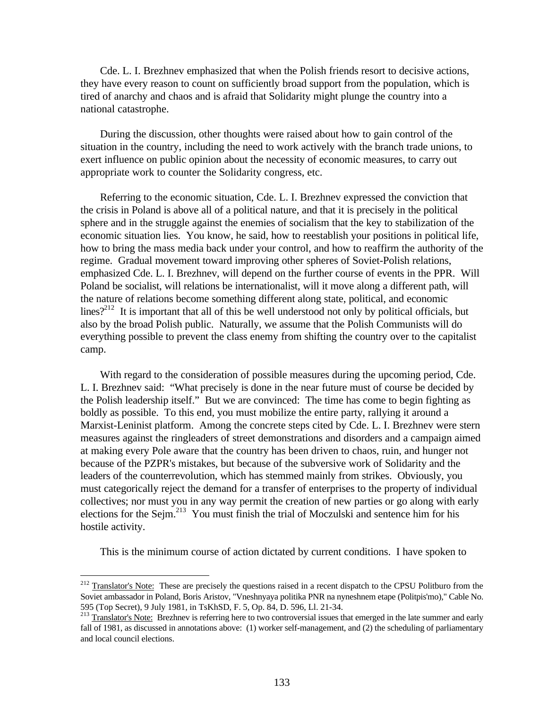Cde. L. I. Brezhnev emphasized that when the Polish friends resort to decisive actions, they have every reason to count on sufficiently broad support from the population, which is tired of anarchy and chaos and is afraid that Solidarity might plunge the country into a national catastrophe.

During the discussion, other thoughts were raised about how to gain control of the situation in the country, including the need to work actively with the branch trade unions, to exert influence on public opinion about the necessity of economic measures, to carry out appropriate work to counter the Solidarity congress, etc.

Referring to the economic situation, Cde. L. I. Brezhnev expressed the conviction that the crisis in Poland is above all of a political nature, and that it is precisely in the political sphere and in the struggle against the enemies of socialism that the key to stabilization of the economic situation lies. You know, he said, how to reestablish your positions in political life, how to bring the mass media back under your control, and how to reaffirm the authority of the regime. Gradual movement toward improving other spheres of Soviet-Polish relations, emphasized Cde. L. I. Brezhnev, will depend on the further course of events in the PPR. Will Poland be socialist, will relations be internationalist, will it move along a different path, will the nature of relations become something different along state, political, and economic lines?<sup>212</sup> It is important that all of this be well understood not only by political officials, but also by the broad Polish public. Naturally, we assume that the Polish Communists will do everything possible to prevent the class enemy from shifting the country over to the capitalist camp.

With regard to the consideration of possible measures during the upcoming period, Cde. L. I. Brezhnev said: "What precisely is done in the near future must of course be decided by the Polish leadership itself." But we are convinced: The time has come to begin fighting as boldly as possible. To this end, you must mobilize the entire party, rallying it around a Marxist-Leninist platform. Among the concrete steps cited by Cde. L. I. Brezhnev were stern measures against the ringleaders of street demonstrations and disorders and a campaign aimed at making every Pole aware that the country has been driven to chaos, ruin, and hunger not because of the PZPR's mistakes, but because of the subversive work of Solidarity and the leaders of the counterrevolution, which has stemmed mainly from strikes. Obviously, you must categorically reject the demand for a transfer of enterprises to the property of individual collectives; nor must you in any way permit the creation of new parties or go along with early elections for the Sejm.<sup>213</sup> You must finish the trial of Moczulski and sentence him for his hostile activity.

This is the minimum course of action dictated by current conditions. I have spoken to

<sup>&</sup>lt;sup>212</sup> Translator's Note: These are precisely the questions raised in a recent dispatch to the CPSU Politburo from the Soviet ambassador in Poland, Boris Aristov, "Vneshnyaya politika PNR na nyneshnem etape (Politpis'mo)," Cable No. 595 (Top Secret), 9 July 1981, in TsKhSD, F. 5, Op. 84, D. 596, Ll. 21-34.

 $213$  Translator's Note: Brezhnev is referring here to two controversial issues that emerged in the late summer and early fall of 1981, as discussed in annotations above: (1) worker self-management, and (2) the scheduling of parliamentary and local council elections.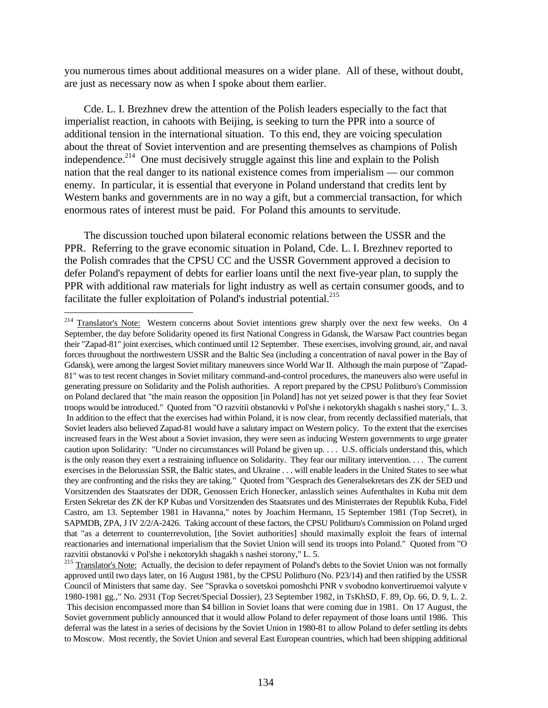you numerous times about additional measures on a wider plane. All of these, without doubt, are just as necessary now as when I spoke about them earlier.

Cde. L. I. Brezhnev drew the attention of the Polish leaders especially to the fact that imperialist reaction, in cahoots with Beijing, is seeking to turn the PPR into a source of additional tension in the international situation. To this end, they are voicing speculation about the threat of Soviet intervention and are presenting themselves as champions of Polish independence.<sup>214</sup> One must decisively struggle against this line and explain to the Polish nation that the real danger to its national existence comes from imperialism — our common enemy. In particular, it is essential that everyone in Poland understand that credits lent by Western banks and governments are in no way a gift, but a commercial transaction, for which enormous rates of interest must be paid. For Poland this amounts to servitude.

The discussion touched upon bilateral economic relations between the USSR and the PPR. Referring to the grave economic situation in Poland, Cde. L. I. Brezhnev reported to the Polish comrades that the CPSU CC and the USSR Government approved a decision to defer Poland's repayment of debts for earlier loans until the next five-year plan, to supply the PPR with additional raw materials for light industry as well as certain consumer goods, and to facilitate the fuller exploitation of Poland's industrial potential.<sup>215</sup>

<sup>&</sup>lt;sup>214</sup> Translator's Note: Western concerns about Soviet intentions grew sharply over the next few weeks. On 4 September, the day before Solidarity opened its first National Congress in Gdansk, the Warsaw Pact countries began their "Zapad-81" joint exercises, which continued until 12 September. These exercises, involving ground, air, and naval forces throughout the northwestern USSR and the Baltic Sea (including a concentration of naval power in the Bay of Gdansk), were among the largest Soviet military maneuvers since World War II. Although the main purpose of "Zapad-81" was to test recent changes in Soviet military command-and-control procedures, the maneuvers also were useful in generating pressure on Solidarity and the Polish authorities. A report prepared by the CPSU Politburo's Commission on Poland declared that "the main reason the opposition [in Poland] has not yet seized power is that they fear Soviet troops would be introduced." Quoted from "O razvitii obstanovki v Pol'she i nekotorykh shagakh s nashei story," L. 3. In addition to the effect that the exercises had within Poland, it is now clear, from recently declassified materials, that Soviet leaders also believed Zapad-81 would have a salutary impact on Western policy. To the extent that the exercises increased fears in the West about a Soviet invasion, they were seen as inducing Western governments to urge greater caution upon Solidarity: "Under no circumstances will Poland be given up. . . . U.S. officials understand this, which is the only reason they exert a restraining influence on Solidarity. They fear our military intervention. . . . The current exercises in the Belorussian SSR, the Baltic states, and Ukraine . . . will enable leaders in the United States to see what they are confronting and the risks they are taking." Quoted from "Gesprach des Generalsekretars des ZK der SED und Vorsitzenden des Staatsrates der DDR, Genossen Erich Honecker, anlasslich seines Aufenthaltes in Kuba mit dem Ersten Sekretar des ZK der KP Kubas und Vorsitzenden des Staatsrates und des Ministerrates der Republik Kuba, Fidel Castro, am 13. September 1981 in Havanna," notes by Joachim Hermann, 15 September 1981 (Top Secret), in SAPMDB, ZPA, J IV 2/2/A-2426. Taking account of these factors, the CPSU Politburo's Commission on Poland urged that "as a deterrent to counterrevolution, [the Soviet authorities] should maximally exploit the fears of internal reactionaries and international imperialism that the Soviet Union will send its troops into Poland." Quoted from "O razvitii obstanovki v Pol'she i nekotorykh shagakh s nashei storony," L. 5.

<sup>&</sup>lt;sup>215</sup> Translator's Note: Actually, the decision to defer repayment of Poland's debts to the Soviet Union was not formally approved until two days later, on 16 August 1981, by the CPSU Politburo (No. P23/14) and then ratified by the USSR Council of Ministers that same day. See "Spravka o sovetskoi pomoshchi PNR v svobodno konvertiruemoi valyute v 1980-1981 gg.," No. 2931 (Top Secret/Special Dossier), 23 September 1982, in TsKhSD, F. 89, Op. 66, D. 9, L. 2. This decision encompassed more than \$4 billion in Soviet loans that were coming due in 1981. On 17 August, the Soviet government publicly announced that it would allow Poland to defer repayment of those loans until 1986. This deferral was the latest in a series of decisions by the Soviet Union in 1980-81 to allow Poland to defer settling its debts to Moscow. Most recently, the Soviet Union and several East European countries, which had been shipping additional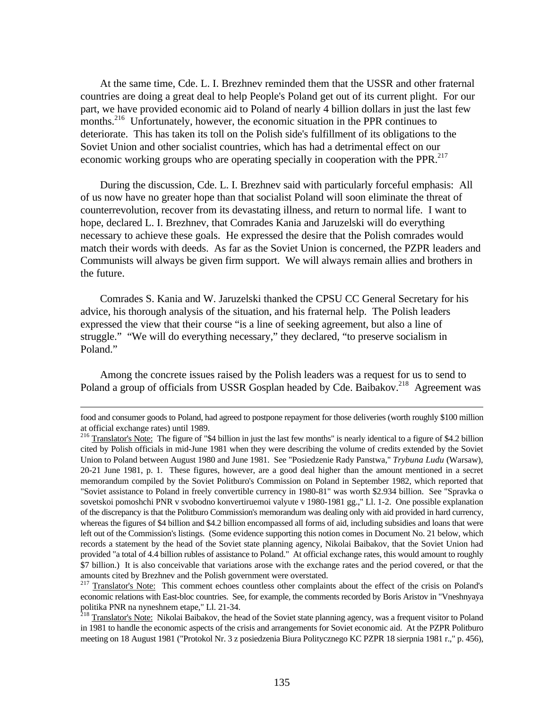At the same time, Cde. L. I. Brezhnev reminded them that the USSR and other fraternal countries are doing a great deal to help People's Poland get out of its current plight. For our part, we have provided economic aid to Poland of nearly 4 billion dollars in just the last few months.<sup>216</sup> Unfortunately, however, the economic situation in the PPR continues to deteriorate. This has taken its toll on the Polish side's fulfillment of its obligations to the Soviet Union and other socialist countries, which has had a detrimental effect on our economic working groups who are operating specially in cooperation with the PPR.<sup>217</sup>

During the discussion, Cde. L. I. Brezhnev said with particularly forceful emphasis: All of us now have no greater hope than that socialist Poland will soon eliminate the threat of counterrevolution, recover from its devastating illness, and return to normal life. I want to hope, declared L. I. Brezhnev, that Comrades Kania and Jaruzelski will do everything necessary to achieve these goals. He expressed the desire that the Polish comrades would match their words with deeds. As far as the Soviet Union is concerned, the PZPR leaders and Communists will always be given firm support. We will always remain allies and brothers in the future.

Comrades S. Kania and W. Jaruzelski thanked the CPSU CC General Secretary for his advice, his thorough analysis of the situation, and his fraternal help. The Polish leaders expressed the view that their course "is a line of seeking agreement, but also a line of struggle." "We will do everything necessary," they declared, "to preserve socialism in Poland."

Among the concrete issues raised by the Polish leaders was a request for us to send to Poland a group of officials from USSR Gosplan headed by Cde. Baibakov.<sup>218</sup> Agreement was

food and consumer goods to Poland, had agreed to postpone repayment for those deliveries (worth roughly \$100 million at official exchange rates) until 1989.

<sup>&</sup>lt;sup>216</sup> Translator's Note: The figure of "\$4 billion in just the last few months" is nearly identical to a figure of \$4.2 billion cited by Polish officials in mid-June 1981 when they were describing the volume of credits extended by the Soviet Union to Poland between August 1980 and June 1981. See "Posiedzenie Rady Panstwa," *Trybuna Ludu* (Warsaw), 20-21 June 1981, p. 1. These figures, however, are a good deal higher than the amount mentioned in a secret memorandum compiled by the Soviet Politburo's Commission on Poland in September 1982, which reported that "Soviet assistance to Poland in freely convertible currency in 1980-81" was worth \$2.934 billion. See "Spravka o sovetskoi pomoshchi PNR v svobodno konvertiruemoi valyute v 1980-1981 gg.," Ll. 1-2. One possible explanation of the discrepancy is that the Politburo Commission's memorandum was dealing only with aid provided in hard currency, whereas the figures of \$4 billion and \$4.2 billion encompassed all forms of aid, including subsidies and loans that were left out of the Commission's listings. (Some evidence supporting this notion comes in Document No. 21 below, which records a statement by the head of the Soviet state planning agency, Nikolai Baibakov, that the Soviet Union had provided "a total of 4.4 billion rubles of assistance to Poland." At official exchange rates, this would amount to roughly \$7 billion.) It is also conceivable that variations arose with the exchange rates and the period covered, or that the amounts cited by Brezhnev and the Polish government were overstated.

<sup>&</sup>lt;sup>217</sup> Translator's Note: This comment echoes countless other complaints about the effect of the crisis on Poland's economic relations with East-bloc countries. See, for example, the comments recorded by Boris Aristov in "Vneshnyaya politika PNR na nyneshnem etape," Ll. 21-34.

<sup>&</sup>lt;sup>218</sup> Translator's Note: Nikolai Baibakov, the head of the Soviet state planning agency, was a frequent visitor to Poland in 1981 to handle the economic aspects of the crisis and arrangements for Soviet economic aid. At the PZPR Politburo meeting on 18 August 1981 ("Protokol Nr. 3 z posiedzenia Biura Politycznego KC PZPR 18 sierpnia 1981 r.," p. 456),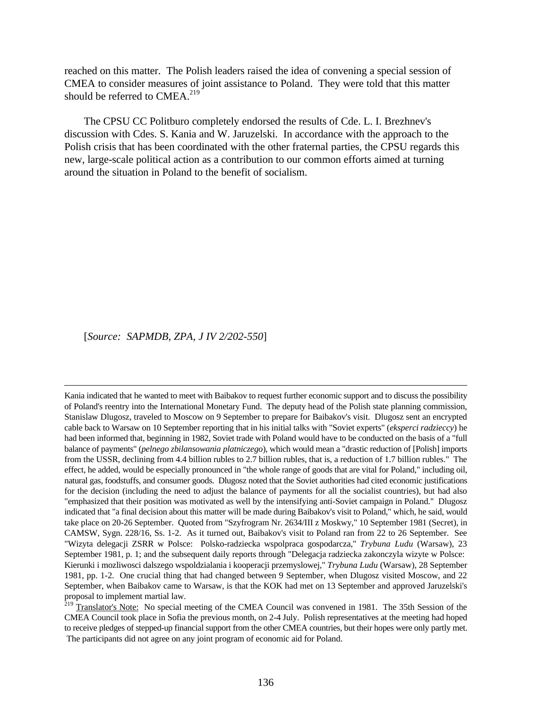reached on this matter. The Polish leaders raised the idea of convening a special session of CMEA to consider measures of joint assistance to Poland. They were told that this matter should be referred to  $CMEA.<sup>219</sup>$ 

The CPSU CC Politburo completely endorsed the results of Cde. L. I. Brezhnev's discussion with Cdes. S. Kania and W. Jaruzelski. In accordance with the approach to the Polish crisis that has been coordinated with the other fraternal parties, the CPSU regards this new, large-scale political action as a contribution to our common efforts aimed at turning around the situation in Poland to the benefit of socialism.

[*Source: SAPMDB, ZPA, J IV 2/202-550*]

 $\overline{a}$ 

Kania indicated that he wanted to meet with Baibakov to request further economic support and to discuss the possibility of Poland's reentry into the International Monetary Fund. The deputy head of the Polish state planning commission, Stanislaw Dlugosz, traveled to Moscow on 9 September to prepare for Baibakov's visit. Dlugosz sent an encrypted cable back to Warsaw on 10 September reporting that in his initial talks with "Soviet experts" (*eksperci radzieccy*) he had been informed that, beginning in 1982, Soviet trade with Poland would have to be conducted on the basis of a "full balance of payments" (*pelnego zbilansowania platniczego*), which would mean a "drastic reduction of [Polish] imports from the USSR, declining from 4.4 billion rubles to 2.7 billion rubles, that is, a reduction of 1.7 billion rubles." The effect, he added, would be especially pronounced in "the whole range of goods that are vital for Poland," including oil, natural gas, foodstuffs, and consumer goods. Dlugosz noted that the Soviet authorities had cited economic justifications for the decision (including the need to adjust the balance of payments for all the socialist countries), but had also "emphasized that their position was motivated as well by the intensifying anti-Soviet campaign in Poland." Dlugosz indicated that "a final decision about this matter will be made during Baibakov's visit to Poland," which, he said, would take place on 20-26 September. Quoted from "Szyfrogram Nr. 2634/III z Moskwy," 10 September 1981 (Secret), in CAMSW, Sygn. 228/16, Ss. 1-2. As it turned out, Baibakov's visit to Poland ran from 22 to 26 September. See "Wizyta delegacji ZSRR w Polsce: Polsko-radziecka wspolpraca gospodarcza," *Trybuna Ludu* (Warsaw), 23 September 1981, p. 1; and the subsequent daily reports through "Delegacja radziecka zakonczyla wizyte w Polsce: Kierunki i mozliwosci dalszego wspoldzialania i kooperacji przemyslowej," *Trybuna Ludu* (Warsaw), 28 September 1981, pp. 1-2. One crucial thing that had changed between 9 September, when Dlugosz visited Moscow, and 22 September, when Baibakov came to Warsaw, is that the KOK had met on 13 September and approved Jaruzelski's proposal to implement martial law.

 $^{219}$  Translator's Note: No special meeting of the CMEA Council was convened in 1981. The 35th Session of the CMEA Council took place in Sofia the previous month, on 2-4 July. Polish representatives at the meeting had hoped to receive pledges of stepped-up financial support from the other CMEA countries, but their hopes were only partly met. The participants did not agree on any joint program of economic aid for Poland.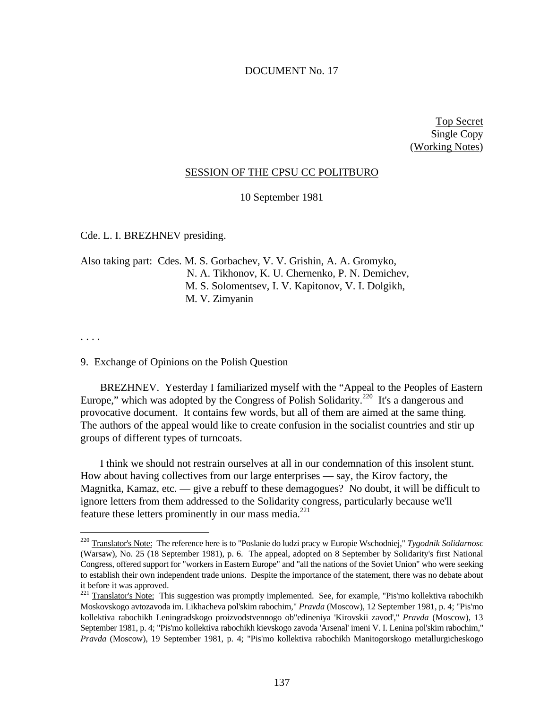### DOCUMENT No. 17

Top Secret Single Copy (Working Notes)

#### SESSION OF THE CPSU CC POLITBURO

10 September 1981

Cde. L. I. BREZHNEV presiding.

Also taking part: Cdes. M. S. Gorbachev, V. V. Grishin, A. A. Gromyko, N. A. Tikhonov, K. U. Chernenko, P. N. Demichev, M. S. Solomentsev, I. V. Kapitonov, V. I. Dolgikh, M. V. Zimyanin

. . . .

-

### 9. Exchange of Opinions on the Polish Question

BREZHNEV. Yesterday I familiarized myself with the "Appeal to the Peoples of Eastern Europe," which was adopted by the Congress of Polish Solidarity.<sup>220</sup> It's a dangerous and provocative document. It contains few words, but all of them are aimed at the same thing. The authors of the appeal would like to create confusion in the socialist countries and stir up groups of different types of turncoats.

I think we should not restrain ourselves at all in our condemnation of this insolent stunt. How about having collectives from our large enterprises — say, the Kirov factory, the Magnitka, Kamaz, etc. — give a rebuff to these demagogues? No doubt, it will be difficult to ignore letters from them addressed to the Solidarity congress, particularly because we'll feature these letters prominently in our mass media. $^{221}$ 

<sup>220</sup> Translator's Note: The reference here is to "Poslanie do ludzi pracy w Europie Wschodniej," *Tygodnik Solidarnosc* (Warsaw), No. 25 (18 September 1981), p. 6. The appeal, adopted on 8 September by Solidarity's first National Congress, offered support for "workers in Eastern Europe" and "all the nations of the Soviet Union" who were seeking to establish their own independent trade unions. Despite the importance of the statement, there was no debate about it before it was approved.

<sup>&</sup>lt;sup>221</sup> Translator's Note: This suggestion was promptly implemented. See, for example, "Pis'mo kollektiva rabochikh Moskovskogo avtozavoda im. Likhacheva pol'skim rabochim," *Pravda* (Moscow), 12 September 1981, p. 4; "Pis'mo kollektiva rabochikh Leningradskogo proizvodstvennogo ob"edineniya 'Kirovskii zavod'," *Pravda* (Moscow), 13 September 1981, p. 4; "Pis'mo kollektiva rabochikh kievskogo zavoda 'Arsenal' imeni V. I. Lenina pol'skim rabochim," *Pravda* (Moscow), 19 September 1981, p. 4; "Pis'mo kollektiva rabochikh Manitogorskogo metallurgicheskogo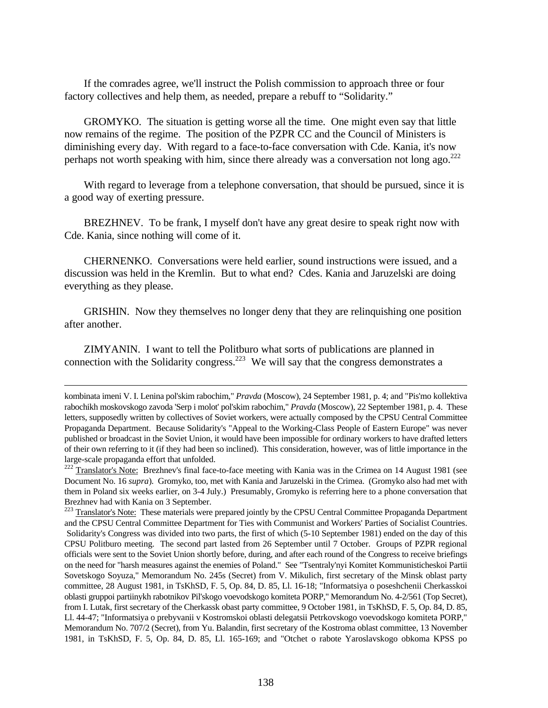If the comrades agree, we'll instruct the Polish commission to approach three or four factory collectives and help them, as needed, prepare a rebuff to "Solidarity."

GROMYKO. The situation is getting worse all the time. One might even say that little now remains of the regime. The position of the PZPR CC and the Council of Ministers is diminishing every day. With regard to a face-to-face conversation with Cde. Kania, it's now perhaps not worth speaking with him, since there already was a conversation not long ago.<sup>222</sup>

With regard to leverage from a telephone conversation, that should be pursued, since it is a good way of exerting pressure.

BREZHNEV. To be frank, I myself don't have any great desire to speak right now with Cde. Kania, since nothing will come of it.

CHERNENKO. Conversations were held earlier, sound instructions were issued, and a discussion was held in the Kremlin. But to what end? Cdes. Kania and Jaruzelski are doing everything as they please.

GRISHIN. Now they themselves no longer deny that they are relinquishing one position after another.

ZIMYANIN. I want to tell the Politburo what sorts of publications are planned in connection with the Solidarity congress.<sup>223</sup> We will say that the congress demonstrates a

<u>.</u>

kombinata imeni V. I. Lenina pol'skim rabochim," *Pravda* (Moscow), 24 September 1981, p. 4; and "Pis'mo kollektiva rabochikh moskovskogo zavoda 'Serp i molot' pol'skim rabochim," *Pravda* (Moscow), 22 September 1981, p. 4. These letters, supposedly written by collectives of Soviet workers, were actually composed by the CPSU Central Committee Propaganda Department. Because Solidarity's "Appeal to the Working-Class People of Eastern Europe" was never published or broadcast in the Soviet Union, it would have been impossible for ordinary workers to have drafted letters of their own referring to it (if they had been so inclined). This consideration, however, was of little importance in the large-scale propaganda effort that unfolded.

<sup>&</sup>lt;sup>222</sup> Translator's Note: Brezhnev's final face-to-face meeting with Kania was in the Crimea on 14 August 1981 (see Document No. 16 *supra*). Gromyko, too, met with Kania and Jaruzelski in the Crimea. (Gromyko also had met with them in Poland six weeks earlier, on 3-4 July.) Presumably, Gromyko is referring here to a phone conversation that Brezhnev had with Kania on 3 September.

<sup>&</sup>lt;sup>223</sup> Translator's Note: These materials were prepared jointly by the CPSU Central Committee Propaganda Department and the CPSU Central Committee Department for Ties with Communist and Workers' Parties of Socialist Countries. Solidarity's Congress was divided into two parts, the first of which (5-10 September 1981) ended on the day of this CPSU Politburo meeting. The second part lasted from 26 September until 7 October. Groups of PZPR regional officials were sent to the Soviet Union shortly before, during, and after each round of the Congress to receive briefings on the need for "harsh measures against the enemies of Poland." See "Tsentraly'nyi Komitet Kommunisticheskoi Partii Sovetskogo Soyuza," Memorandum No. 245s (Secret) from V. Mikulich, first secretary of the Minsk oblast party committee, 28 August 1981, in TsKhSD, F. 5, Op. 84, D. 85, Ll. 16-18; "Informatsiya o poseshchenii Cherkasskoi oblasti gruppoi partiinykh rabotnikov Pil'skogo voevodskogo komiteta PORP," Memorandum No. 4-2/561 (Top Secret), from I. Lutak, first secretary of the Cherkassk obast party committee, 9 October 1981, in TsKhSD, F. 5, Op. 84, D. 85, Ll. 44-47; "Informatsiya o prebyvanii v Kostromskoi oblasti delegatsii Petrkovskogo voevodskogo komiteta PORP," Memorandum No. 707/2 (Secret), from Yu. Balandin, first secretary of the Kostroma oblast committee, 13 November 1981, in TsKhSD, F. 5, Op. 84, D. 85, Ll. 165-169; and "Otchet o rabote Yaroslavskogo obkoma KPSS po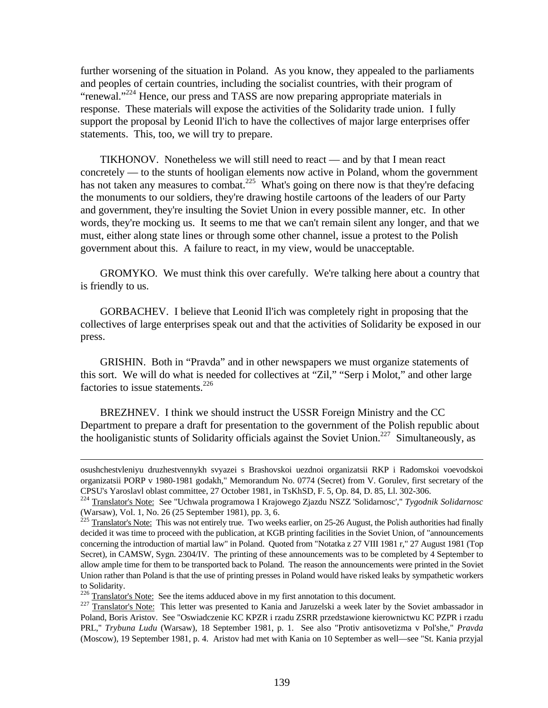further worsening of the situation in Poland. As you know, they appealed to the parliaments and peoples of certain countries, including the socialist countries, with their program of "renewal."<sup>224</sup> Hence, our press and TASS are now preparing appropriate materials in response. These materials will expose the activities of the Solidarity trade union. I fully support the proposal by Leonid Il'ich to have the collectives of major large enterprises offer statements. This, too, we will try to prepare.

TIKHONOV. Nonetheless we will still need to react — and by that I mean react concretely — to the stunts of hooligan elements now active in Poland, whom the government has not taken any measures to combat.<sup>225</sup> What's going on there now is that they're defacing the monuments to our soldiers, they're drawing hostile cartoons of the leaders of our Party and government, they're insulting the Soviet Union in every possible manner, etc. In other words, they're mocking us. It seems to me that we can't remain silent any longer, and that we must, either along state lines or through some other channel, issue a protest to the Polish government about this. A failure to react, in my view, would be unacceptable.

GROMYKO. We must think this over carefully. We're talking here about a country that is friendly to us.

GORBACHEV. I believe that Leonid Il'ich was completely right in proposing that the collectives of large enterprises speak out and that the activities of Solidarity be exposed in our press.

GRISHIN. Both in "Pravda" and in other newspapers we must organize statements of this sort. We will do what is needed for collectives at "Zil," "Serp i Molot," and other large factories to issue statements.<sup>226</sup>

BREZHNEV. I think we should instruct the USSR Foreign Ministry and the CC Department to prepare a draft for presentation to the government of the Polish republic about the hooliganistic stunts of Solidarity officials against the Soviet Union.<sup>227</sup> Simultaneously, as

<sup>226</sup> Translator's Note: See the items adduced above in my first annotation to this document.

osushchestvleniyu druzhestvennykh svyazei s Brashovskoi uezdnoi organizatsii RKP i Radomskoi voevodskoi organizatsii PORP v 1980-1981 godakh," Memorandum No. 0774 (Secret) from V. Gorulev, first secretary of the CPSU's Yaroslavl oblast committee, 27 October 1981, in TsKhSD, F. 5, Op. 84, D. 85, Ll. 302-306.

<sup>224</sup> Translator's Note: See "Uchwala programowa I Krajowego Zjazdu NSZZ 'Solidarnosc'," *Tygodnik Solidarnosc* (Warsaw), Vol. 1, No. 26 (25 September 1981), pp. 3, 6.

 $^{225}$  Translator's Note: This was not entirely true. Two weeks earlier, on 25-26 August, the Polish authorities had finally decided it was time to proceed with the publication, at KGB printing facilities in the Soviet Union, of "announcements concerning the introduction of martial law" in Poland. Quoted from "Notatka z 27 VIII 1981 r," 27 August 1981 (Top Secret), in CAMSW, Sygn. 2304/IV. The printing of these announcements was to be completed by 4 September to allow ample time for them to be transported back to Poland. The reason the announcements were printed in the Soviet Union rather than Poland is that the use of printing presses in Poland would have risked leaks by sympathetic workers to Solidarity.

<sup>&</sup>lt;sup>227</sup> Translator's Note: This letter was presented to Kania and Jaruzelski a week later by the Soviet ambassador in Poland, Boris Aristov. See "Oswiadczenie KC KPZR i rzadu ZSRR przedstawione kierownictwu KC PZPR i rzadu PRL," *Trybuna Ludu* (Warsaw), 18 September 1981, p. 1. See also "Protiv antisovetizma v Pol'she," *Pravda* (Moscow), 19 September 1981, p. 4. Aristov had met with Kania on 10 September as well—see "St. Kania przyjal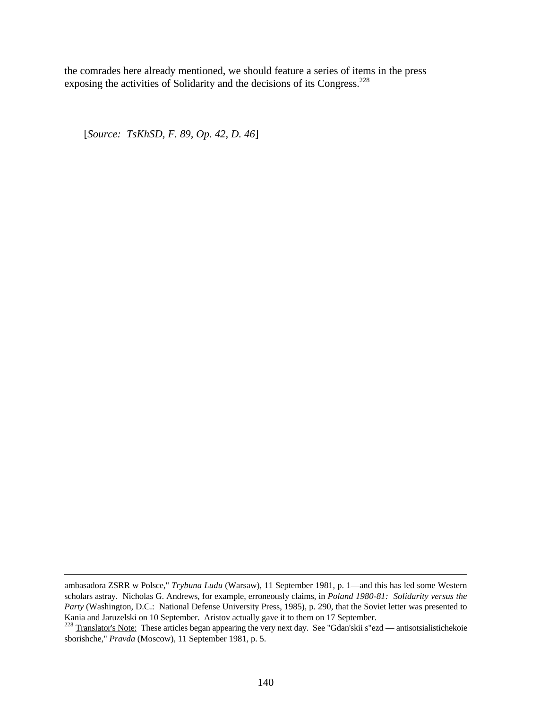the comrades here already mentioned, we should feature a series of items in the press exposing the activities of Solidarity and the decisions of its Congress.<sup>228</sup>

[*Source: TsKhSD, F. 89, Op. 42, D. 46*]

ambasadora ZSRR w Polsce," *Trybuna Ludu* (Warsaw), 11 September 1981, p. 1—and this has led some Western scholars astray. Nicholas G. Andrews, for example, erroneously claims, in *Poland 1980-81: Solidarity versus the Party* (Washington, D.C.: National Defense University Press, 1985), p. 290, that the Soviet letter was presented to Kania and Jaruzelski on 10 September. Aristov actually gave it to them on 17 September.

<sup>&</sup>lt;sup>228</sup> Translator's Note: These articles began appearing the very next day. See "Gdan'skii s"ezd — antisotsialistichekoie sborishche," *Pravda* (Moscow), 11 September 1981, p. 5.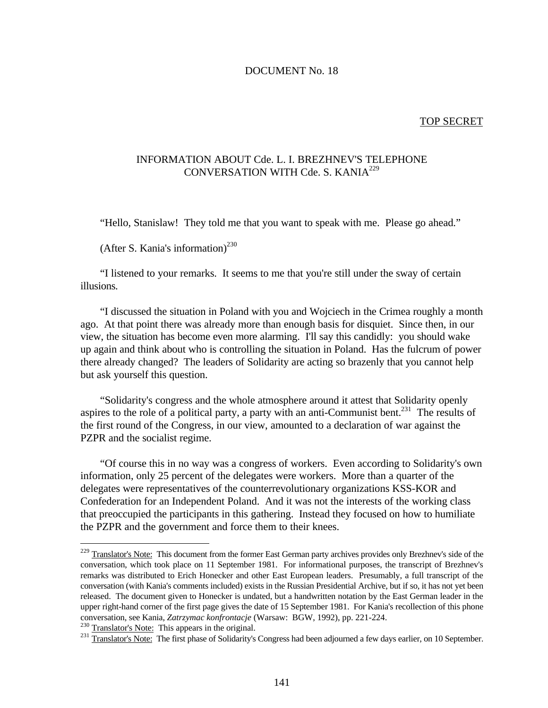#### DOCUMENT No. 18

#### TOP SECRET

# INFORMATION ABOUT Cde. L. I. BREZHNEV'S TELEPHONE CONVERSATION WITH Cde. S. KANIA<sup>229</sup>

"Hello, Stanislaw! They told me that you want to speak with me. Please go ahead."

(After S. Kania's information)<sup>230</sup>

"I listened to your remarks. It seems to me that you're still under the sway of certain illusions.

"I discussed the situation in Poland with you and Wojciech in the Crimea roughly a month ago. At that point there was already more than enough basis for disquiet. Since then, in our view, the situation has become even more alarming. I'll say this candidly: you should wake up again and think about who is controlling the situation in Poland. Has the fulcrum of power there already changed? The leaders of Solidarity are acting so brazenly that you cannot help but ask yourself this question.

"Solidarity's congress and the whole atmosphere around it attest that Solidarity openly aspires to the role of a political party, a party with an anti-Communist bent.<sup>231</sup> The results of the first round of the Congress, in our view, amounted to a declaration of war against the PZPR and the socialist regime.

"Of course this in no way was a congress of workers. Even according to Solidarity's own information, only 25 percent of the delegates were workers. More than a quarter of the delegates were representatives of the counterrevolutionary organizations KSS-KOR and Confederation for an Independent Poland. And it was not the interests of the working class that preoccupied the participants in this gathering. Instead they focused on how to humiliate the PZPR and the government and force them to their knees.

 $230$  Translator's Note: This appears in the original.

<u>.</u>

<sup>&</sup>lt;sup>229</sup> Translator's Note: This document from the former East German party archives provides only Brezhnev's side of the conversation, which took place on 11 September 1981. For informational purposes, the transcript of Brezhnev's remarks was distributed to Erich Honecker and other East European leaders. Presumably, a full transcript of the conversation (with Kania's comments included) exists in the Russian Presidential Archive, but if so, it has not yet been released. The document given to Honecker is undated, but a handwritten notation by the East German leader in the upper right-hand corner of the first page gives the date of 15 September 1981. For Kania's recollection of this phone conversation, see Kania, *Zatrzymac konfrontacje* (Warsaw: BGW, 1992), pp. 221-224.

<sup>&</sup>lt;sup>231</sup> Translator's Note: The first phase of Solidarity's Congress had been adjourned a few days earlier, on 10 September.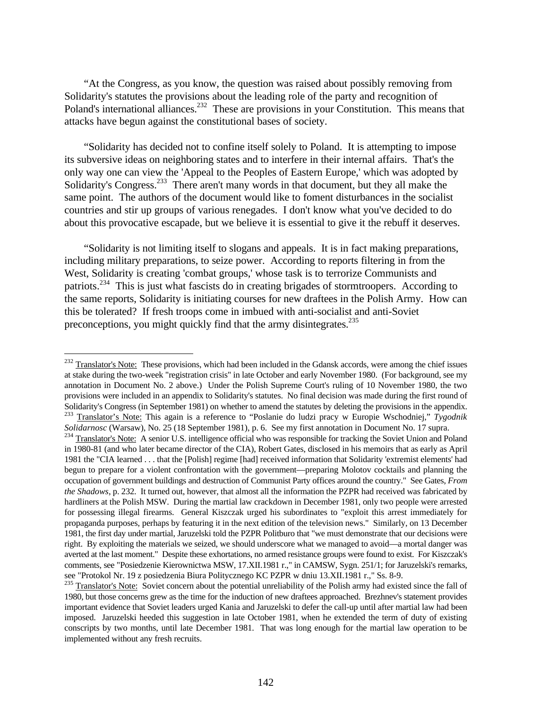"At the Congress, as you know, the question was raised about possibly removing from Solidarity's statutes the provisions about the leading role of the party and recognition of Poland's international alliances.<sup>232</sup> These are provisions in your Constitution. This means that attacks have begun against the constitutional bases of society.

"Solidarity has decided not to confine itself solely to Poland. It is attempting to impose its subversive ideas on neighboring states and to interfere in their internal affairs. That's the only way one can view the 'Appeal to the Peoples of Eastern Europe,' which was adopted by Solidarity's Congress.<sup>233</sup> There aren't many words in that document, but they all make the same point. The authors of the document would like to foment disturbances in the socialist countries and stir up groups of various renegades. I don't know what you've decided to do about this provocative escapade, but we believe it is essential to give it the rebuff it deserves.

"Solidarity is not limiting itself to slogans and appeals. It is in fact making preparations, including military preparations, to seize power. According to reports filtering in from the West, Solidarity is creating 'combat groups,' whose task is to terrorize Communists and patriots.<sup>234</sup> This is just what fascists do in creating brigades of stormtroopers. According to the same reports, Solidarity is initiating courses for new draftees in the Polish Army. How can this be tolerated? If fresh troops come in imbued with anti-socialist and anti-Soviet preconceptions, you might quickly find that the army disintegrates.<sup>235</sup>

 $^{232}$  Translator's Note: These provisions, which had been included in the Gdansk accords, were among the chief issues at stake during the two-week "registration crisis" in late October and early November 1980. (For background, see my annotation in Document No. 2 above.) Under the Polish Supreme Court's ruling of 10 November 1980, the two provisions were included in an appendix to Solidarity's statutes. No final decision was made during the first round of Solidarity's Congress (in September 1981) on whether to amend the statutes by deleting the provisions in the appendix.<br><sup>233</sup> Translator's Note: This again is a reference to "Poslapio de ludri areas: " Eugenis West-to-tai-<sup>233</sup> Translator's Note: This again is a reference to "Poslanie do ludzi pracy w Europie Wschodniej," *Tygodnik*

*Solidarnosc* (Warsaw), No. 25 (18 September 1981), p. 6. See my first annotation in Document No. 17 supra. <sup>234</sup> Translator's Note: A senior U.S. intelligence official who was responsible for tracking the Soviet Union and Poland in 1980-81 (and who later became director of the CIA), Robert Gates, disclosed in his memoirs that as early as April 1981 the "CIA learned . . . that the [Polish] regime [had] received information that Solidarity 'extremist elements' had begun to prepare for a violent confrontation with the government—preparing Molotov cocktails and planning the occupation of government buildings and destruction of Communist Party offices around the country." See Gates, *From the Shadows*, p. 232. It turned out, however, that almost all the information the PZPR had received was fabricated by hardliners at the Polish MSW. During the martial law crackdown in December 1981, only two people were arrested for possessing illegal firearms. General Kiszczak urged his subordinates to "exploit this arrest immediately for propaganda purposes, perhaps by featuring it in the next edition of the television news." Similarly, on 13 December 1981, the first day under martial, Jaruzelski told the PZPR Politburo that "we must demonstrate that our decisions were right. By exploiting the materials we seized, we should underscore what we managed to avoid—a mortal danger was averted at the last moment." Despite these exhortations, no armed resistance groups were found to exist. For Kiszczak's comments, see "Posiedzenie Kierownictwa MSW, 17.XII.1981 r.," in CAMSW, Sygn. 251/1; for Jaruzelski's remarks, see "Protokol Nr. 19 z posiedzenia Biura Politycznego KC PZPR w dniu 13.XII.1981 r.," Ss. 8-9.

<sup>&</sup>lt;sup>235</sup> Translator's Note: Soviet concern about the potential unreliability of the Polish army had existed since the fall of 1980, but those concerns grew as the time for the induction of new draftees approached. Brezhnev's statement provides important evidence that Soviet leaders urged Kania and Jaruzelski to defer the call-up until after martial law had been imposed. Jaruzelski heeded this suggestion in late October 1981, when he extended the term of duty of existing conscripts by two months, until late December 1981. That was long enough for the martial law operation to be implemented without any fresh recruits.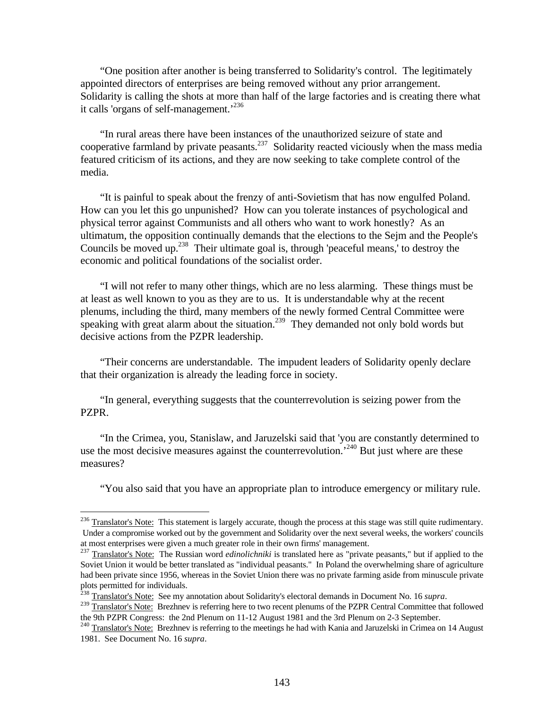"One position after another is being transferred to Solidarity's control. The legitimately appointed directors of enterprises are being removed without any prior arrangement. Solidarity is calling the shots at more than half of the large factories and is creating there what it calls 'organs of self-management.'<sup>236</sup>

"In rural areas there have been instances of the unauthorized seizure of state and cooperative farmland by private peasants.<sup>237</sup> Solidarity reacted viciously when the mass media featured criticism of its actions, and they are now seeking to take complete control of the media.

"It is painful to speak about the frenzy of anti-Sovietism that has now engulfed Poland. How can you let this go unpunished? How can you tolerate instances of psychological and physical terror against Communists and all others who want to work honestly? As an ultimatum, the opposition continually demands that the elections to the Sejm and the People's Councils be moved up.<sup>238</sup> Their ultimate goal is, through 'peaceful means,' to destroy the economic and political foundations of the socialist order.

"I will not refer to many other things, which are no less alarming. These things must be at least as well known to you as they are to us. It is understandable why at the recent plenums, including the third, many members of the newly formed Central Committee were speaking with great alarm about the situation.<sup>239</sup> They demanded not only bold words but decisive actions from the PZPR leadership.

"Their concerns are understandable. The impudent leaders of Solidarity openly declare that their organization is already the leading force in society.

"In general, everything suggests that the counterrevolution is seizing power from the PZPR.

"In the Crimea, you, Stanislaw, and Jaruzelski said that 'you are constantly determined to use the most decisive measures against the counterrevolution.<sup>240</sup> But just where are these measures?

"You also said that you have an appropriate plan to introduce emergency or military rule.

 $^{236}$  Translator's Note: This statement is largely accurate, though the process at this stage was still quite rudimentary. Under a compromise worked out by the government and Solidarity over the next several weeks, the workers' councils at most enterprises were given a much greater role in their own firms' management.

<sup>&</sup>lt;sup>237</sup> Translator's Note: The Russian word *edinolichniki* is translated here as "private peasants," but if applied to the Soviet Union it would be better translated as "individual peasants." In Poland the overwhelming share of agriculture had been private since 1956, whereas in the Soviet Union there was no private farming aside from minuscule private plots permitted for individuals.

<sup>238</sup> Translator's Note: See my annotation about Solidarity's electoral demands in Document No. 16 *supra*.

<sup>&</sup>lt;sup>239</sup> Translator's Note: Brezhnev is referring here to two recent plenums of the PZPR Central Committee that followed the 9th PZPR Congress: the 2nd Plenum on 11-12 August 1981 and the 3rd Plenum on 2-3 September.

<sup>&</sup>lt;sup>240</sup> Translator's Note: Brezhnev is referring to the meetings he had with Kania and Jaruzelski in Crimea on 14 August 1981. See Document No. 16 *supra*.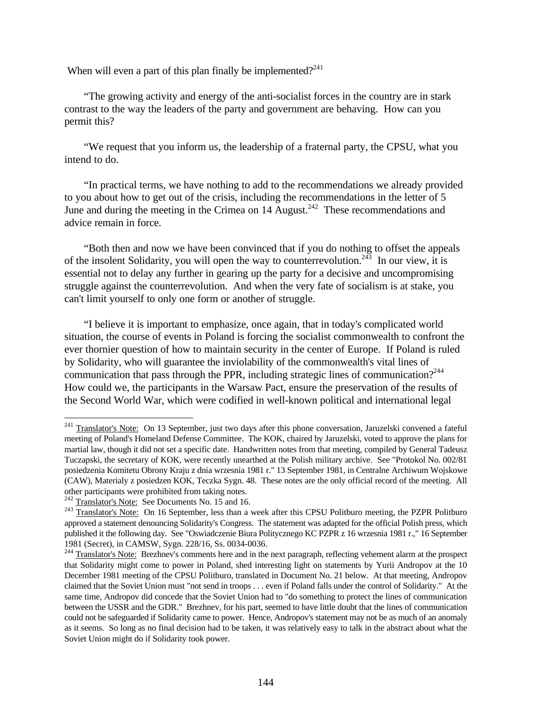When will even a part of this plan finally be implemented?<sup>241</sup>

"The growing activity and energy of the anti-socialist forces in the country are in stark contrast to the way the leaders of the party and government are behaving. How can you permit this?

"We request that you inform us, the leadership of a fraternal party, the CPSU, what you intend to do.

"In practical terms, we have nothing to add to the recommendations we already provided to you about how to get out of the crisis, including the recommendations in the letter of 5 June and during the meeting in the Crimea on  $14$  August.<sup>242</sup> These recommendations and advice remain in force.

"Both then and now we have been convinced that if you do nothing to offset the appeals of the insolent Solidarity, you will open the way to counterrevolution.<sup>243</sup> In our view, it is essential not to delay any further in gearing up the party for a decisive and uncompromising struggle against the counterrevolution. And when the very fate of socialism is at stake, you can't limit yourself to only one form or another of struggle.

"I believe it is important to emphasize, once again, that in today's complicated world situation, the course of events in Poland is forcing the socialist commonwealth to confront the ever thornier question of how to maintain security in the center of Europe. If Poland is ruled by Solidarity, who will guarantee the inviolability of the commonwealth's vital lines of communication that pass through the PPR, including strategic lines of communication?<sup>244</sup> How could we, the participants in the Warsaw Pact, ensure the preservation of the results of the Second World War, which were codified in well-known political and international legal

<sup>&</sup>lt;sup>241</sup> Translator's Note: On 13 September, just two days after this phone conversation, Jaruzelski convened a fateful meeting of Poland's Homeland Defense Committee. The KOK, chaired by Jaruzelski, voted to approve the plans for martial law, though it did not set a specific date. Handwritten notes from that meeting, compiled by General Tadeusz Tuczapski, the secretary of KOK, were recently unearthed at the Polish military archive. See "Protokol No. 002/81 posiedzenia Komitetu Obrony Kraju z dnia wrzesnia 1981 r." 13 September 1981, in Centralne Archiwum Wojskowe (CAW), Materialy z posiedzen KOK, Teczka Sygn. 48. These notes are the only official record of the meeting. All other participants were prohibited from taking notes.

 $242$  Translator's Note: See Documents No. 15 and 16.

<sup>&</sup>lt;sup>243</sup> Translator's Note: On 16 September, less than a week after this CPSU Politburo meeting, the PZPR Politburo approved a statement denouncing Solidarity's Congress. The statement was adapted for the official Polish press, which published it the following day. See "Oswiadczenie Biura Politycznego KC PZPR z 16 wrzesnia 1981 r.," 16 September 1981 (Secret), in CAMSW, Sygn. 228/16, Ss. 0034-0036.

 $^{244}$  Translator's Note: Brezhnev's comments here and in the next paragraph, reflecting vehement alarm at the prospect that Solidarity might come to power in Poland, shed interesting light on statements by Yurii Andropov at the 10 December 1981 meeting of the CPSU Politburo, translated in Document No. 21 below. At that meeting, Andropov claimed that the Soviet Union must "not send in troops . . . even if Poland falls under the control of Solidarity." At the same time, Andropov did concede that the Soviet Union had to "do something to protect the lines of communication between the USSR and the GDR." Brezhnev, for his part, seemed to have little doubt that the lines of communication could not be safeguarded if Solidarity came to power. Hence, Andropov's statement may not be as much of an anomaly as it seems. So long as no final decision had to be taken, it was relatively easy to talk in the abstract about what the Soviet Union might do if Solidarity took power.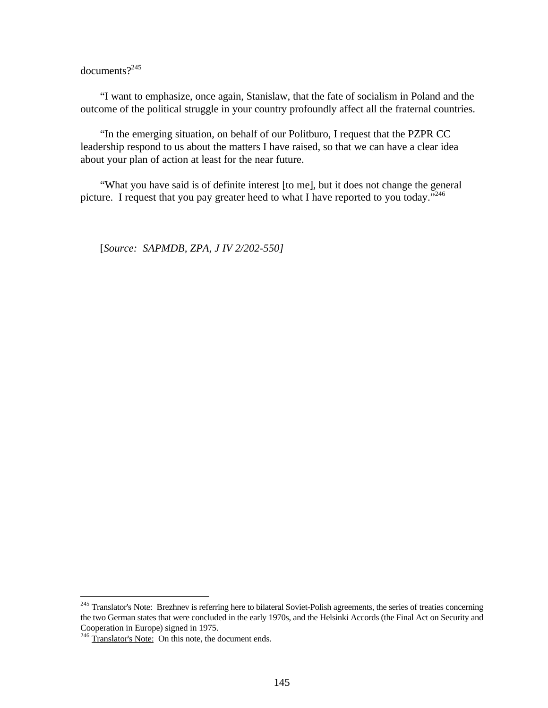documents?<sup>245</sup>

"I want to emphasize, once again, Stanislaw, that the fate of socialism in Poland and the outcome of the political struggle in your country profoundly affect all the fraternal countries.

"In the emerging situation, on behalf of our Politburo, I request that the PZPR CC leadership respond to us about the matters I have raised, so that we can have a clear idea about your plan of action at least for the near future.

"What you have said is of definite interest [to me], but it does not change the general picture. I request that you pay greater heed to what I have reported to you today."<sup>246</sup>

[*Source: SAPMDB, ZPA, J IV 2/202-550]*

<sup>&</sup>lt;sup>245</sup> Translator's Note: Brezhnev is referring here to bilateral Soviet-Polish agreements, the series of treaties concerning the two German states that were concluded in the early 1970s, and the Helsinki Accords (the Final Act on Security and Cooperation in Europe) signed in 1975.

 $^{246}$  Translator's Note: On this note, the document ends.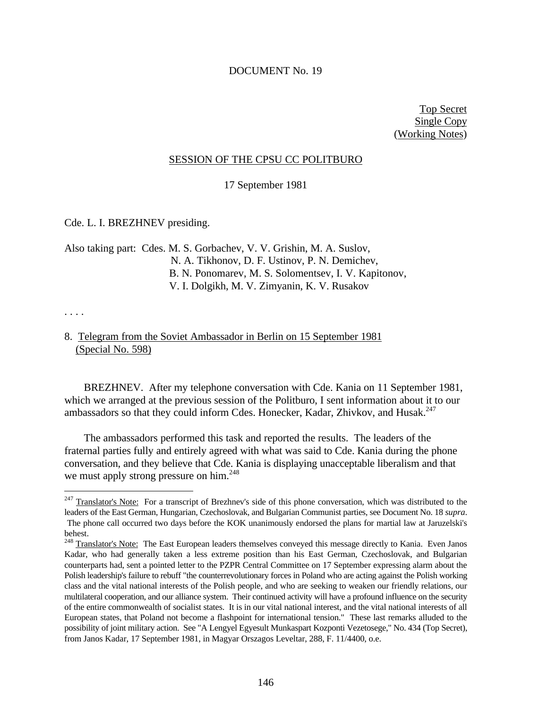## DOCUMENT No. 19

Top Secret Single Copy (Working Notes)

## SESSION OF THE CPSU CC POLITBURO

17 September 1981

Cde. L. I. BREZHNEV presiding.

Also taking part: Cdes. M. S. Gorbachev, V. V. Grishin, M. A. Suslov, N. A. Tikhonov, D. F. Ustinov, P. N. Demichev, B. N. Ponomarev, M. S. Solomentsev, I. V. Kapitonov, V. I. Dolgikh, M. V. Zimyanin, K. V. Rusakov

. . . .

 $\overline{a}$ 

## 8. Telegram from the Soviet Ambassador in Berlin on 15 September 1981 (Special No. 598)

BREZHNEV. After my telephone conversation with Cde. Kania on 11 September 1981, which we arranged at the previous session of the Politburo, I sent information about it to our ambassadors so that they could inform Cdes. Honecker, Kadar, Zhivkov, and Husak.<sup>247</sup>

The ambassadors performed this task and reported the results. The leaders of the fraternal parties fully and entirely agreed with what was said to Cde. Kania during the phone conversation, and they believe that Cde. Kania is displaying unacceptable liberalism and that we must apply strong pressure on him.<sup>248</sup>

<sup>&</sup>lt;sup>247</sup> Translator's Note: For a transcript of Brezhnev's side of this phone conversation, which was distributed to the leaders of the East German, Hungarian, Czechoslovak, and Bulgarian Communist parties, see Document No. 18 *supra*. The phone call occurred two days before the KOK unanimously endorsed the plans for martial law at Jaruzelski's behest.

<sup>&</sup>lt;sup>248</sup> Translator's Note: The East European leaders themselves conveyed this message directly to Kania. Even Janos Kadar, who had generally taken a less extreme position than his East German, Czechoslovak, and Bulgarian counterparts had, sent a pointed letter to the PZPR Central Committee on 17 September expressing alarm about the Polish leadership's failure to rebuff "the counterrevolutionary forces in Poland who are acting against the Polish working class and the vital national interests of the Polish people, and who are seeking to weaken our friendly relations, our multilateral cooperation, and our alliance system. Their continued activity will have a profound influence on the security of the entire commonwealth of socialist states. It is in our vital national interest, and the vital national interests of all European states, that Poland not become a flashpoint for international tension." These last remarks alluded to the possibility of joint military action. See "A Lengyel Egyesult Munkaspart Kozponti Vezetosege," No. 434 (Top Secret), from Janos Kadar, 17 September 1981, in Magyar Orszagos Leveltar, 288, F. 11/4400, o.e.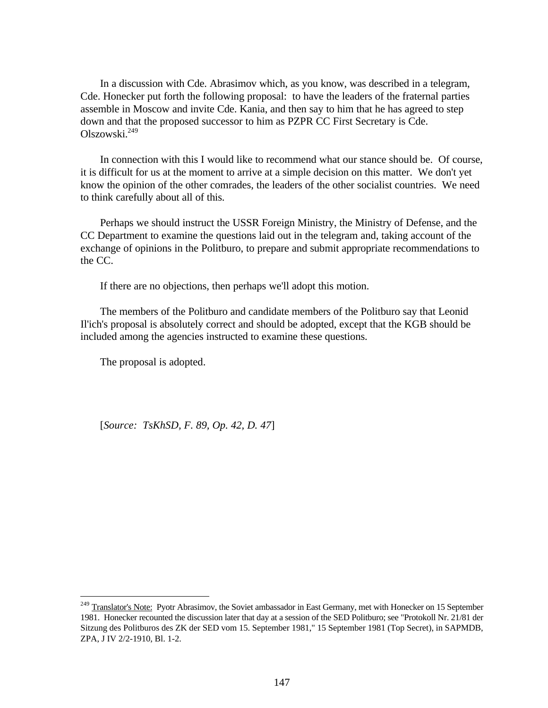In a discussion with Cde. Abrasimov which, as you know, was described in a telegram, Cde. Honecker put forth the following proposal: to have the leaders of the fraternal parties assemble in Moscow and invite Cde. Kania, and then say to him that he has agreed to step down and that the proposed successor to him as PZPR CC First Secretary is Cde. Olszowski.<sup>249</sup>

In connection with this I would like to recommend what our stance should be. Of course, it is difficult for us at the moment to arrive at a simple decision on this matter. We don't yet know the opinion of the other comrades, the leaders of the other socialist countries. We need to think carefully about all of this.

Perhaps we should instruct the USSR Foreign Ministry, the Ministry of Defense, and the CC Department to examine the questions laid out in the telegram and, taking account of the exchange of opinions in the Politburo, to prepare and submit appropriate recommendations to the CC.

If there are no objections, then perhaps we'll adopt this motion.

The members of the Politburo and candidate members of the Politburo say that Leonid Il'ich's proposal is absolutely correct and should be adopted, except that the KGB should be included among the agencies instructed to examine these questions.

The proposal is adopted.

<u>.</u>

[*Source: TsKhSD, F. 89, Op. 42, D. 47*]

<sup>&</sup>lt;sup>249</sup> Translator's Note: Pyotr Abrasimov, the Soviet ambassador in East Germany, met with Honecker on 15 September 1981. Honecker recounted the discussion later that day at a session of the SED Politburo; see "Protokoll Nr. 21/81 der Sitzung des Politburos des ZK der SED vom 15. September 1981," 15 September 1981 (Top Secret), in SAPMDB, ZPA, J IV 2/2-1910, Bl. 1-2.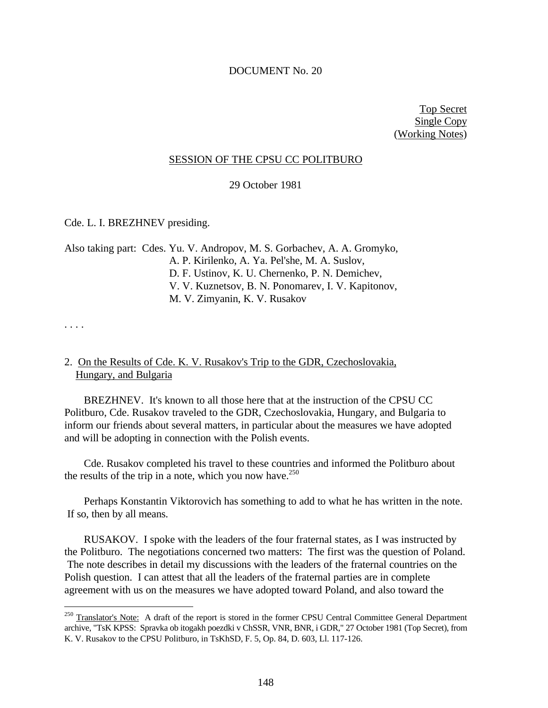## DOCUMENT No. 20

Top Secret Single Copy (Working Notes)

### SESSION OF THE CPSU CC POLITBURO

29 October 1981

Cde. L. I. BREZHNEV presiding.

Also taking part: Cdes. Yu. V. Andropov, M. S. Gorbachev, A. A. Gromyko, A. P. Kirilenko, A. Ya. Pel'she, M. A. Suslov, D. F. Ustinov, K. U. Chernenko, P. N. Demichev, V. V. Kuznetsov, B. N. Ponomarev, I. V. Kapitonov, M. V. Zimyanin, K. V. Rusakov

. . . .

 $\overline{a}$ 

## 2. On the Results of Cde. K. V. Rusakov's Trip to the GDR, Czechoslovakia, Hungary, and Bulgaria

BREZHNEV. It's known to all those here that at the instruction of the CPSU CC Politburo, Cde. Rusakov traveled to the GDR, Czechoslovakia, Hungary, and Bulgaria to inform our friends about several matters, in particular about the measures we have adopted and will be adopting in connection with the Polish events.

Cde. Rusakov completed his travel to these countries and informed the Politburo about the results of the trip in a note, which you now have.<sup>250</sup>

Perhaps Konstantin Viktorovich has something to add to what he has written in the note. If so, then by all means.

RUSAKOV. I spoke with the leaders of the four fraternal states, as I was instructed by the Politburo. The negotiations concerned two matters: The first was the question of Poland. The note describes in detail my discussions with the leaders of the fraternal countries on the Polish question. I can attest that all the leaders of the fraternal parties are in complete agreement with us on the measures we have adopted toward Poland, and also toward the

<sup>&</sup>lt;sup>250</sup> Translator's Note: A draft of the report is stored in the former CPSU Central Committee General Department archive, "TsK KPSS: Spravka ob itogakh poezdki v ChSSR, VNR, BNR, i GDR," 27 October 1981 (Top Secret), from K. V. Rusakov to the CPSU Politburo, in TsKhSD, F. 5, Op. 84, D. 603, Ll. 117-126.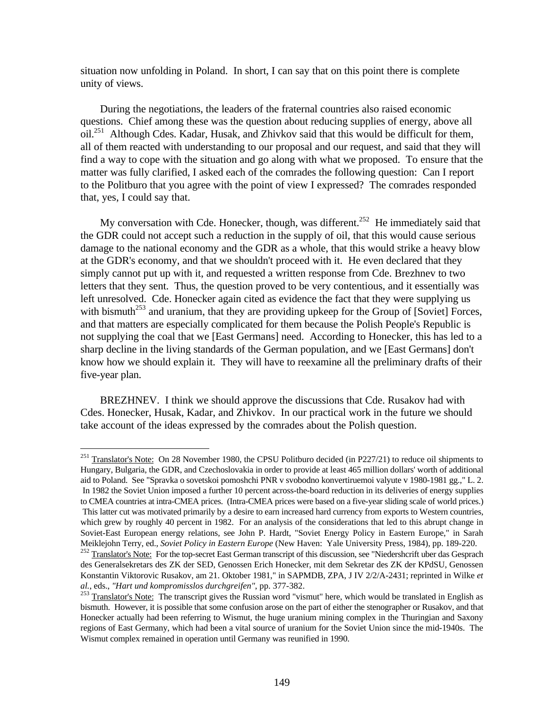situation now unfolding in Poland. In short, I can say that on this point there is complete unity of views.

During the negotiations, the leaders of the fraternal countries also raised economic questions. Chief among these was the question about reducing supplies of energy, above all oil.<sup>251</sup> Although Cdes. Kadar, Husak, and Zhivkov said that this would be difficult for them, all of them reacted with understanding to our proposal and our request, and said that they will find a way to cope with the situation and go along with what we proposed. To ensure that the matter was fully clarified, I asked each of the comrades the following question: Can I report to the Politburo that you agree with the point of view I expressed? The comrades responded that, yes, I could say that.

My conversation with Cde. Honecker, though, was different.<sup>252</sup> He immediately said that the GDR could not accept such a reduction in the supply of oil, that this would cause serious damage to the national economy and the GDR as a whole, that this would strike a heavy blow at the GDR's economy, and that we shouldn't proceed with it. He even declared that they simply cannot put up with it, and requested a written response from Cde. Brezhnev to two letters that they sent. Thus, the question proved to be very contentious, and it essentially was left unresolved. Cde. Honecker again cited as evidence the fact that they were supplying us with bismuth<sup>253</sup> and uranium, that they are providing upkeep for the Group of [Soviet] Forces, and that matters are especially complicated for them because the Polish People's Republic is not supplying the coal that we [East Germans] need. According to Honecker, this has led to a sharp decline in the living standards of the German population, and we [East Germans] don't know how we should explain it. They will have to reexamine all the preliminary drafts of their five-year plan.

BREZHNEV. I think we should approve the discussions that Cde. Rusakov had with Cdes. Honecker, Husak, Kadar, and Zhivkov. In our practical work in the future we should take account of the ideas expressed by the comrades about the Polish question.

<u>.</u>

 $^{251}$  Translator's Note: On 28 November 1980, the CPSU Politburo decided (in P227/21) to reduce oil shipments to Hungary, Bulgaria, the GDR, and Czechoslovakia in order to provide at least 465 million dollars' worth of additional aid to Poland. See "Spravka o sovetskoi pomoshchi PNR v svobodno konvertiruemoi valyute v 1980-1981 gg.," L. 2. In 1982 the Soviet Union imposed a further 10 percent across-the-board reduction in its deliveries of energy supplies to CMEA countries at intra-CMEA prices. (Intra-CMEA prices were based on a five-year sliding scale of world prices.) This latter cut was motivated primarily by a desire to earn increased hard currency from exports to Western countries, which grew by roughly 40 percent in 1982. For an analysis of the considerations that led to this abrupt change in Soviet-East European energy relations, see John P. Hardt, "Soviet Energy Policy in Eastern Europe," in Sarah Meiklejohn Terry, ed., *Soviet Policy in Eastern Europe* (New Haven: Yale University Press, 1984), pp. 189-220.

<sup>&</sup>lt;sup>252</sup> Translator's Note: For the top-secret East German transcript of this discussion, see "Niedershcrift uber das Gesprach des Generalsekretars des ZK der SED, Genossen Erich Honecker, mit dem Sekretar des ZK der KPdSU, Genossen Konstantin Viktorovic Rusakov, am 21. Oktober 1981," in SAPMDB, ZPA, J IV 2/2/A-2431; reprinted in Wilke *et al.*, eds., *"Hart und kompromisslos durchgreifen"*, pp. 377-382.

<sup>&</sup>lt;sup>253</sup> Translator's Note: The transcript gives the Russian word "vismut" here, which would be translated in English as bismuth. However, it is possible that some confusion arose on the part of either the stenographer or Rusakov, and that Honecker actually had been referring to Wismut, the huge uranium mining complex in the Thuringian and Saxony regions of East Germany, which had been a vital source of uranium for the Soviet Union since the mid-1940s. The Wismut complex remained in operation until Germany was reunified in 1990.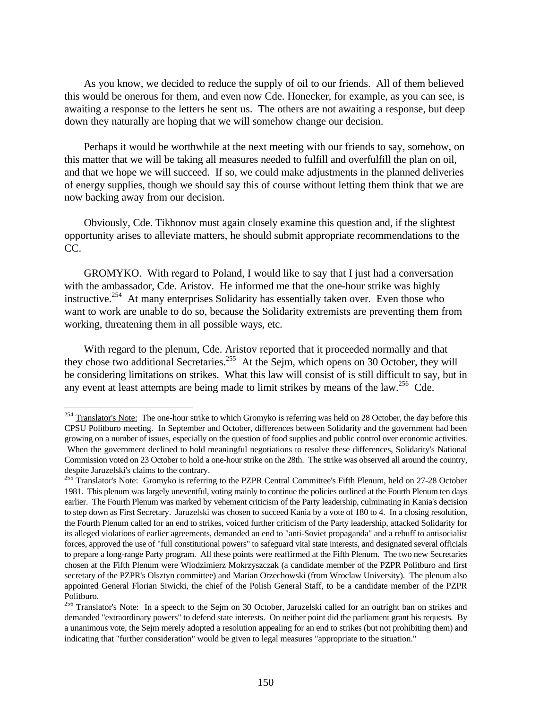As you know, we decided to reduce the supply of oil to our friends. All of them believed this would be onerous for them, and even now Cde. Honecker, for example, as you can see, is awaiting a response to the letters he sent us. The others are not awaiting a response, but deep down they naturally are hoping that we will somehow change our decision.

Perhaps it would be worthwhile at the next meeting with our friends to say, somehow, on this matter that we will be taking all measures needed to fulfill and overfulfill the plan on oil, and that we hope we will succeed. If so, we could make adjustments in the planned deliveries of energy supplies, though we should say this of course without letting them think that we are now backing away from our decision.

Obviously, Cde. Tikhonov must again closely examine this question and, if the slightest opportunity arises to alleviate matters, he should submit appropriate recommendations to the  $CC$ .

GROMYKO. With regard to Poland, I would like to say that I just had a conversation with the ambassador, Cde. Aristov. He informed me that the one-hour strike was highly instructive.<sup>254</sup> At many enterprises Solidarity has essentially taken over. Even those who want to work are unable to do so, because the Solidarity extremists are preventing them from working, threatening them in all possible ways, etc.

With regard to the plenum, Cde. Aristov reported that it proceeded normally and that they chose two additional Secretaries.<sup>255</sup> At the Sejm, which opens on 30 October, they will be considering limitations on strikes. What this law will consist of is still difficult to say, but in any event at least attempts are being made to limit strikes by means of the law.<sup>256</sup> Cde.

 $^{254}$  Translator's Note: The one-hour strike to which Gromyko is referring was held on 28 October, the day before this CPSU Politburo meeting. In September and October, differences between Solidarity and the government had been growing on a number of issues, especially on the question of food supplies and public control over economic activities. When the government declined to hold meaningful negotiations to resolve these differences, Solidarity's National Commission voted on 23 October to hold a one-hour strike on the 28th. The strike was observed all around the country,

despite Jaruzelski's claims to the contrary.

<sup>&</sup>lt;sup>255</sup> Translator's Note: Gromyko is referring to the PZPR Central Committee's Fifth Plenum, held on 27-28 October 1981. This plenum was largely uneventful, voting mainly to continue the policies outlined at the Fourth Plenum ten days earlier. The Fourth Plenum was marked by vehement criticism of the Party leadership, culminating in Kania's decision to step down as First Secretary. Jaruzelski was chosen to succeed Kania by a vote of 180 to 4. In a closing resolution, the Fourth Plenum called for an end to strikes, voiced further criticism of the Party leadership, attacked Solidarity for its alleged violations of earlier agreements, demanded an end to "anti-Soviet propaganda" and a rebuff to antisocialist forces, approved the use of "full constitutional powers" to safeguard vital state interests, and designated several officials to prepare a long-range Party program. All these points were reaffirmed at the Fifth Plenum. The two new Secretaries chosen at the Fifth Plenum were Wlodzimierz Mokrzyszczak (a candidate member of the PZPR Politburo and first secretary of the PZPR's Olsztyn committee) and Marian Orzechowski (from Wroclaw University). The plenum also appointed General Florian Siwicki, the chief of the Polish General Staff, to be a candidate member of the PZPR Politburo.

<sup>&</sup>lt;sup>256</sup> Translator's Note: In a speech to the Sejm on 30 October, Jaruzelski called for an outright ban on strikes and demanded "extraordinary powers" to defend state interests. On neither point did the parliament grant his requests. By a unanimous vote, the Sejm merely adopted a resolution appealing for an end to strikes (but not prohibiting them) and indicating that "further consideration" would be given to legal measures "appropriate to the situation."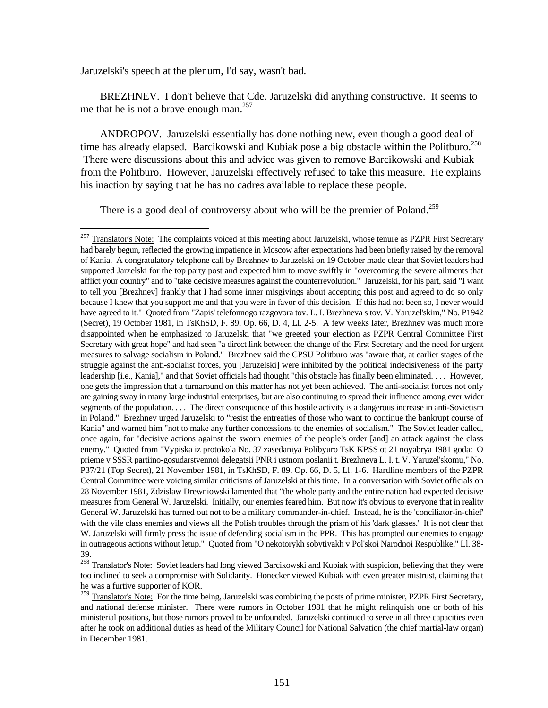Jaruzelski's speech at the plenum, I'd say, wasn't bad.

<u>.</u>

BREZHNEV. I don't believe that Cde. Jaruzelski did anything constructive. It seems to me that he is not a brave enough man.<sup>257</sup>

ANDROPOV. Jaruzelski essentially has done nothing new, even though a good deal of time has already elapsed. Barcikowski and Kubiak pose a big obstacle within the Politburo.<sup>258</sup> There were discussions about this and advice was given to remove Barcikowski and Kubiak from the Politburo. However, Jaruzelski effectively refused to take this measure. He explains his inaction by saying that he has no cadres available to replace these people.

There is a good deal of controversy about who will be the premier of Poland.<sup>259</sup>

 $^{257}$  Translator's Note: The complaints voiced at this meeting about Jaruzelski, whose tenure as PZPR First Secretary had barely begun, reflected the growing impatience in Moscow after expectations had been briefly raised by the removal of Kania. A congratulatory telephone call by Brezhnev to Jaruzelski on 19 October made clear that Soviet leaders had supported Jarzelski for the top party post and expected him to move swiftly in "overcoming the severe ailments that afflict your country" and to "take decisive measures against the counterrevolution." Jaruzelski, for his part, said "I want to tell you [Brezhnev] frankly that I had some inner misgivings about accepting this post and agreed to do so only because I knew that you support me and that you were in favor of this decision. If this had not been so, I never would have agreed to it." Quoted from "Zapis' telefonnogo razgovora tov. L. I. Brezhneva s tov. V. Yaruzel'skim," No. P1942 (Secret), 19 October 1981, in TsKhSD, F. 89, Op. 66, D. 4, Ll. 2-5. A few weeks later, Brezhnev was much more disappointed when he emphasized to Jaruzelski that "we greeted your election as PZPR Central Committee First Secretary with great hope" and had seen "a direct link between the change of the First Secretary and the need for urgent measures to salvage socialism in Poland." Brezhnev said the CPSU Politburo was "aware that, at earlier stages of the struggle against the anti-socialist forces, you [Jaruzelski] were inhibited by the political indecisiveness of the party leadership [i.e., Kania]," and that Soviet officials had thought "this obstacle has finally been eliminated. . . . However, one gets the impression that a turnaround on this matter has not yet been achieved. The anti-socialist forces not only are gaining sway in many large industrial enterprises, but are also continuing to spread their influence among ever wider segments of the population. . . . The direct consequence of this hostile activity is a dangerous increase in anti-Sovietism in Poland." Brezhnev urged Jaruzelski to "resist the entreaties of those who want to continue the bankrupt course of Kania" and warned him "not to make any further concessions to the enemies of socialism." The Soviet leader called, once again, for "decisive actions against the sworn enemies of the people's order [and] an attack against the class enemy." Quoted from "Vypiska iz protokola No. 37 zasedaniya Polibyuro TsK KPSS ot 21 noyabrya 1981 goda: O prieme v SSSR partiino-gosudarstvennoi delegatsii PNR i ustnom poslanii t. Brezhneva L. I. t. V. Yaruzel'skomu," No. P37/21 (Top Secret), 21 November 1981, in TsKhSD, F. 89, Op. 66, D. 5, Ll. 1-6. Hardline members of the PZPR Central Committee were voicing similar criticisms of Jaruzelski at this time. In a conversation with Soviet officials on 28 November 1981, Zdzislaw Drewniowski lamented that "the whole party and the entire nation had expected decisive measures from General W. Jaruzelski. Initially, our enemies feared him. But now it's obvious to everyone that in reality General W. Jaruzelski has turned out not to be a military commander-in-chief. Instead, he is the 'conciliator-in-chief' with the vile class enemies and views all the Polish troubles through the prism of his 'dark glasses.' It is not clear that W. Jaruzelski will firmly press the issue of defending socialism in the PPR. This has prompted our enemies to engage in outrageous actions without letup." Quoted from "O nekotorykh sobytiyakh v Pol'skoi Narodnoi Respublike," Ll. 38- 39.

<sup>&</sup>lt;sup>258</sup> Translator's Note: Soviet leaders had long viewed Barcikowski and Kubiak with suspicion, believing that they were too inclined to seek a compromise with Solidarity. Honecker viewed Kubiak with even greater mistrust, claiming that he was a furtive supporter of KOR.

<sup>&</sup>lt;sup>259</sup> Translator's Note: For the time being, Jaruzelski was combining the posts of prime minister, PZPR First Secretary, and national defense minister. There were rumors in October 1981 that he might relinquish one or both of his ministerial positions, but those rumors proved to be unfounded. Jaruzelski continued to serve in all three capacities even after he took on additional duties as head of the Military Council for National Salvation (the chief martial-law organ) in December 1981.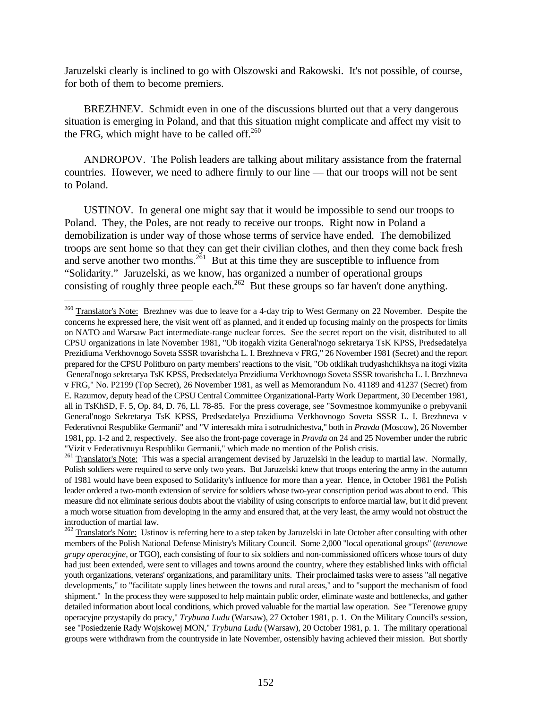Jaruzelski clearly is inclined to go with Olszowski and Rakowski. It's not possible, of course, for both of them to become premiers.

BREZHNEV. Schmidt even in one of the discussions blurted out that a very dangerous situation is emerging in Poland, and that this situation might complicate and affect my visit to the FRG, which might have to be called off. $260$ 

ANDROPOV. The Polish leaders are talking about military assistance from the fraternal countries. However, we need to adhere firmly to our line — that our troops will not be sent to Poland.

USTINOV. In general one might say that it would be impossible to send our troops to Poland. They, the Poles, are not ready to receive our troops. Right now in Poland a demobilization is under way of those whose terms of service have ended. The demobilized troops are sent home so that they can get their civilian clothes, and then they come back fresh and serve another two months.<sup>261</sup> But at this time they are susceptible to influence from "Solidarity." Jaruzelski, as we know, has organized a number of operational groups consisting of roughly three people each.<sup>262</sup> But these groups so far haven't done anything.

<sup>&</sup>lt;sup>260</sup> Translator's Note: Brezhnev was due to leave for a 4-day trip to West Germany on 22 November. Despite the concerns he expressed here, the visit went off as planned, and it ended up focusing mainly on the prospects for limits on NATO and Warsaw Pact intermediate-range nuclear forces. See the secret report on the visit, distributed to all CPSU organizations in late November 1981, "Ob itogakh vizita General'nogo sekretarya TsK KPSS, Predsedatelya Prezidiuma Verkhovnogo Soveta SSSR tovarishcha L. I. Brezhneva v FRG," 26 November 1981 (Secret) and the report prepared for the CPSU Politburo on party members' reactions to the visit, "Ob otklikah trudyashchikhsya na itogi vizita General'nogo sekretarya TsK KPSS, Predsedatelya Prezidiuma Verkhovnogo Soveta SSSR tovarishcha L. I. Brezhneva v FRG," No. P2199 (Top Secret), 26 November 1981, as well as Memorandum No. 41189 and 41237 (Secret) from E. Razumov, deputy head of the CPSU Central Committee Organizational-Party Work Department, 30 December 1981, all in TsKhSD, F. 5, Op. 84, D. 76, Ll. 78-85. For the press coverage, see "Sovmestnoe kommyunike o prebyvanii General'nogo Sekretarya TsK KPSS, Predsedatelya Prezidiuma Verkhovnogo Soveta SSSR L. I. Brezhneva v Federativnoi Respublike Germanii" and "V interesakh mira i sotrudnichestva," both in *Pravda* (Moscow), 26 November 1981, pp. 1-2 and 2, respectively. See also the front-page coverage in *Pravda* on 24 and 25 November under the rubric "Vizit v Federativnuyu Respubliku Germanii," which made no mention of the Polish crisis.

<sup>&</sup>lt;sup>261</sup> Translator's Note: This was a special arrangement devised by Jaruzelski in the leadup to martial law. Normally, Polish soldiers were required to serve only two years. But Jaruzelski knew that troops entering the army in the autumn of 1981 would have been exposed to Solidarity's influence for more than a year. Hence, in October 1981 the Polish leader ordered a two-month extension of service for soldiers whose two-year conscription period was about to end. This measure did not eliminate serious doubts about the viability of using conscripts to enforce martial law, but it did prevent a much worse situation from developing in the army and ensured that, at the very least, the army would not obstruct the introduction of martial law.

<sup>&</sup>lt;sup>262</sup> Translator's Note: Ustinov is referring here to a step taken by Jaruzelski in late October after consulting with other members of the Polish National Defense Ministry's Military Council. Some 2,000 "local operational groups" (*terenowe grupy operacyjne*, or TGO), each consisting of four to six soldiers and non-commissioned officers whose tours of duty had just been extended, were sent to villages and towns around the country, where they established links with official youth organizations, veterans' organizations, and paramilitary units. Their proclaimed tasks were to assess "all negative developments," to "facilitate supply lines between the towns and rural areas," and to "support the mechanism of food shipment." In the process they were supposed to help maintain public order, eliminate waste and bottlenecks, and gather detailed information about local conditions, which proved valuable for the martial law operation. See "Terenowe grupy operacyjne przystapily do pracy," *Trybuna Ludu* (Warsaw), 27 October 1981, p. 1. On the Military Council's session, see "Posiedzenie Rady Wojskowej MON," *Trybuna Ludu* (Warsaw), 20 October 1981, p. 1. The military operational groups were withdrawn from the countryside in late November, ostensibly having achieved their mission. But shortly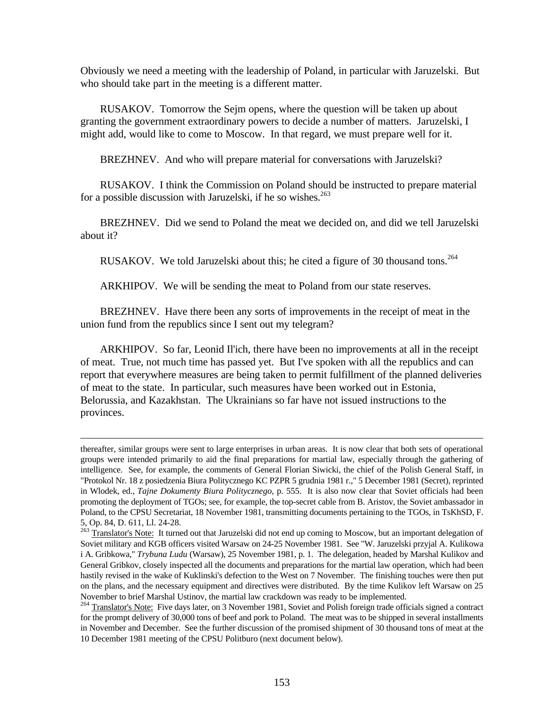Obviously we need a meeting with the leadership of Poland, in particular with Jaruzelski. But who should take part in the meeting is a different matter.

RUSAKOV. Tomorrow the Sejm opens, where the question will be taken up about granting the government extraordinary powers to decide a number of matters. Jaruzelski, I might add, would like to come to Moscow. In that regard, we must prepare well for it.

BREZHNEV. And who will prepare material for conversations with Jaruzelski?

RUSAKOV. I think the Commission on Poland should be instructed to prepare material for a possible discussion with Jaruzelski, if he so wishes.<sup>263</sup>

BREZHNEV. Did we send to Poland the meat we decided on, and did we tell Jaruzelski about it?

RUSAKOV. We told Jaruzelski about this; he cited a figure of 30 thousand tons.<sup>264</sup>

ARKHIPOV. We will be sending the meat to Poland from our state reserves.

BREZHNEV. Have there been any sorts of improvements in the receipt of meat in the union fund from the republics since I sent out my telegram?

ARKHIPOV. So far, Leonid Il'ich, there have been no improvements at all in the receipt of meat. True, not much time has passed yet. But I've spoken with all the republics and can report that everywhere measures are being taken to permit fulfillment of the planned deliveries of meat to the state. In particular, such measures have been worked out in Estonia, Belorussia, and Kazakhstan. The Ukrainians so far have not issued instructions to the provinces.

thereafter, similar groups were sent to large enterprises in urban areas. It is now clear that both sets of operational groups were intended primarily to aid the final preparations for martial law, especially through the gathering of intelligence. See, for example, the comments of General Florian Siwicki, the chief of the Polish General Staff, in "Protokol Nr. 18 z posiedzenia Biura Politycznego KC PZPR 5 grudnia 1981 r.," 5 December 1981 (Secret), reprinted in Wlodek, ed., *Tajne Dokumenty Biura Politycznego*, p. 555. It is also now clear that Soviet officials had been promoting the deployment of TGOs; see, for example, the top-secret cable from B. Aristov, the Soviet ambassador in Poland, to the CPSU Secretariat, 18 November 1981, transmitting documents pertaining to the TGOs, in TsKhSD, F. 5, Op. 84, D. 611, Ll. 24-28.

<sup>&</sup>lt;sup>263</sup> Translator's Note: It turned out that Jaruzelski did not end up coming to Moscow, but an important delegation of Soviet military and KGB officers visited Warsaw on 24-25 November 1981. See "W. Jaruzelski przyjal A. Kulikowa i A. Gribkowa," *Trybuna Ludu* (Warsaw), 25 November 1981, p. 1. The delegation, headed by Marshal Kulikov and General Gribkov, closely inspected all the documents and preparations for the martial law operation, which had been hastily revised in the wake of Kuklinski's defection to the West on 7 November. The finishing touches were then put on the plans, and the necessary equipment and directives were distributed. By the time Kulikov left Warsaw on 25 November to brief Marshal Ustinov, the martial law crackdown was ready to be implemented.

<sup>&</sup>lt;sup>264</sup> Translator's Note: Five days later, on 3 November 1981, Soviet and Polish foreign trade officials signed a contract for the prompt delivery of 30,000 tons of beef and pork to Poland. The meat was to be shipped in several installments in November and December. See the further discussion of the promised shipment of 30 thousand tons of meat at the 10 December 1981 meeting of the CPSU Politburo (next document below).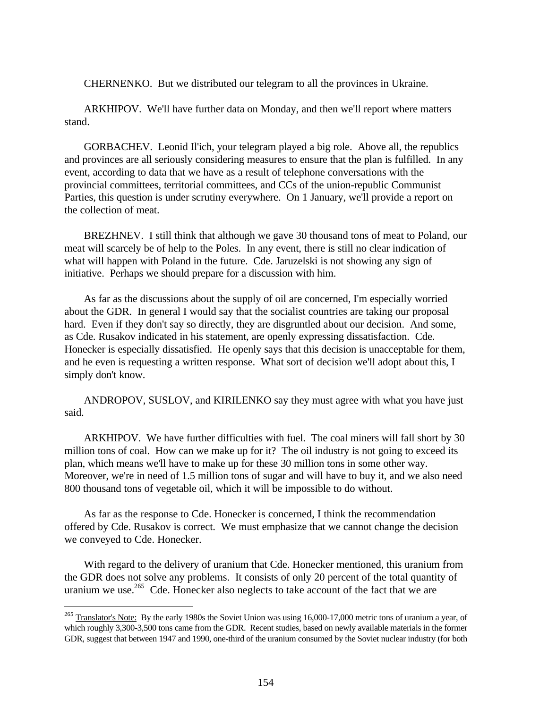CHERNENKO. But we distributed our telegram to all the provinces in Ukraine.

ARKHIPOV. We'll have further data on Monday, and then we'll report where matters stand.

GORBACHEV. Leonid Il'ich, your telegram played a big role. Above all, the republics and provinces are all seriously considering measures to ensure that the plan is fulfilled. In any event, according to data that we have as a result of telephone conversations with the provincial committees, territorial committees, and CCs of the union-republic Communist Parties, this question is under scrutiny everywhere. On 1 January, we'll provide a report on the collection of meat.

BREZHNEV. I still think that although we gave 30 thousand tons of meat to Poland, our meat will scarcely be of help to the Poles. In any event, there is still no clear indication of what will happen with Poland in the future. Cde. Jaruzelski is not showing any sign of initiative. Perhaps we should prepare for a discussion with him.

As far as the discussions about the supply of oil are concerned, I'm especially worried about the GDR. In general I would say that the socialist countries are taking our proposal hard. Even if they don't say so directly, they are disgruntled about our decision. And some, as Cde. Rusakov indicated in his statement, are openly expressing dissatisfaction. Cde. Honecker is especially dissatisfied. He openly says that this decision is unacceptable for them, and he even is requesting a written response. What sort of decision we'll adopt about this, I simply don't know.

ANDROPOV, SUSLOV, and KIRILENKO say they must agree with what you have just said.

ARKHIPOV. We have further difficulties with fuel. The coal miners will fall short by 30 million tons of coal. How can we make up for it? The oil industry is not going to exceed its plan, which means we'll have to make up for these 30 million tons in some other way. Moreover, we're in need of 1.5 million tons of sugar and will have to buy it, and we also need 800 thousand tons of vegetable oil, which it will be impossible to do without.

As far as the response to Cde. Honecker is concerned, I think the recommendation offered by Cde. Rusakov is correct. We must emphasize that we cannot change the decision we conveyed to Cde. Honecker.

With regard to the delivery of uranium that Cde. Honecker mentioned, this uranium from the GDR does not solve any problems. It consists of only 20 percent of the total quantity of uranium we use.<sup>265</sup> Cde. Honecker also neglects to take account of the fact that we are

 $^{265}$  Translator's Note: By the early 1980s the Soviet Union was using 16,000-17,000 metric tons of uranium a year, of which roughly 3,300-3,500 tons came from the GDR. Recent studies, based on newly available materials in the former GDR, suggest that between 1947 and 1990, one-third of the uranium consumed by the Soviet nuclear industry (for both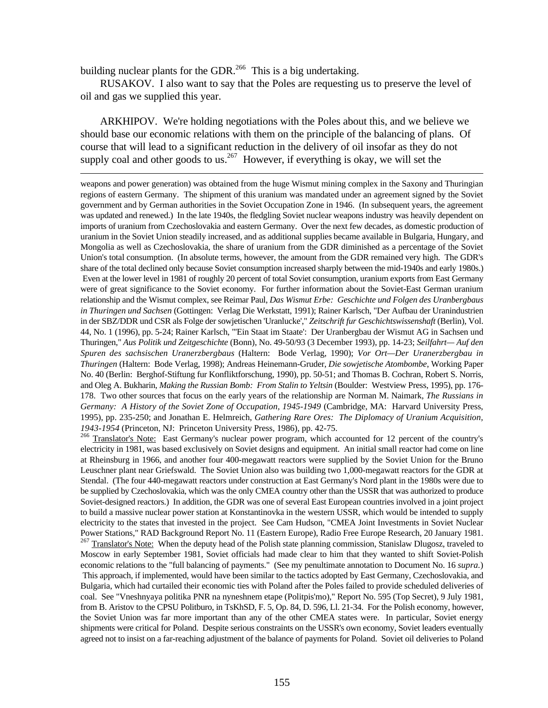building nuclear plants for the GDR.<sup>266</sup> This is a big undertaking.

 $\overline{a}$ 

RUSAKOV. I also want to say that the Poles are requesting us to preserve the level of oil and gas we supplied this year.

ARKHIPOV. We're holding negotiations with the Poles about this, and we believe we should base our economic relations with them on the principle of the balancing of plans. Of course that will lead to a significant reduction in the delivery of oil insofar as they do not supply coal and other goods to us.<sup>267</sup> However, if everything is okay, we will set the

weapons and power generation) was obtained from the huge Wismut mining complex in the Saxony and Thuringian regions of eastern Germany. The shipment of this uranium was mandated under an agreement signed by the Soviet government and by German authorities in the Soviet Occupation Zone in 1946. (In subsequent years, the agreement was updated and renewed.) In the late 1940s, the fledgling Soviet nuclear weapons industry was heavily dependent on imports of uranium from Czechoslovakia and eastern Germany. Over the next few decades, as domestic production of uranium in the Soviet Union steadily increased, and as additional supplies became available in Bulgaria, Hungary, and Mongolia as well as Czechoslovakia, the share of uranium from the GDR diminished as a percentage of the Soviet Union's total consumption. (In absolute terms, however, the amount from the GDR remained very high. The GDR's share of the total declined only because Soviet consumption increased sharply between the mid-1940s and early 1980s.) Even at the lower level in 1981 of roughly 20 percent of total Soviet consumption, uranium exports from East Germany were of great significance to the Soviet economy. For further information about the Soviet-East German uranium relationship and the Wismut complex, see Reimar Paul, *Das Wismut Erbe: Geschichte und Folgen des Uranbergbaus in Thuringen und Sachsen* (Gottingen: Verlag Die Werkstatt, 1991); Rainer Karlsch, "Der Aufbau der Uranindustrien in der SBZ/DDR und CSR als Folge der sowjetischen 'Uranlucke'," *Zeitschrift fur Geschichtswissenshaft* (Berlin), Vol. 44, No. 1 (1996), pp. 5-24; Rainer Karlsch, "'Ein Staat im Staate': Der Uranbergbau der Wismut AG in Sachsen und Thuringen," *Aus Politik und Zeitgeschichte* (Bonn), No. 49-50/93 (3 December 1993), pp. 14-23; *Seilfahrt— Auf den Spuren des sachsischen Uranerzbergbaus* (Haltern: Bode Verlag, 1990); *Vor Ort—Der Uranerzbergbau in Thuringen* (Haltern: Bode Verlag, 1998); Andreas Heinemann-Gruder, *Die sowjetische Atombombe*, Working Paper No. 40 (Berlin: Berghof-Stiftung fur Konfliktforschung, 1990), pp. 50-51; and Thomas B. Cochran, Robert S. Norris, and Oleg A. Bukharin, *Making the Russian Bomb: From Stalin to Yeltsin* (Boulder: Westview Press, 1995), pp. 176- 178. Two other sources that focus on the early years of the relationship are Norman M. Naimark, *The Russians in Germany: A History of the Soviet Zone of Occupation, 1945-1949* (Cambridge, MA: Harvard University Press, 1995), pp. 235-250; and Jonathan E. Helmreich, *Gathering Rare Ores: The Diplomacy of Uranium Acquisition, 1943-1954* (Princeton, NJ: Princeton University Press, 1986), pp. 42-75.

<sup>266</sup> Translator's Note: East Germany's nuclear power program, which accounted for 12 percent of the country's electricity in 1981, was based exclusively on Soviet designs and equipment. An initial small reactor had come on line at Rheinsburg in 1966, and another four 400-megawatt reactors were supplied by the Soviet Union for the Bruno Leuschner plant near Griefswald. The Soviet Union also was building two 1,000-megawatt reactors for the GDR at Stendal. (The four 440-megawatt reactors under construction at East Germany's Nord plant in the 1980s were due to be supplied by Czechoslovakia, which was the only CMEA country other than the USSR that was authorized to produce Soviet-designed reactors.) In addition, the GDR was one of several East European countries involved in a joint project to build a massive nuclear power station at Konstantinovka in the western USSR, which would be intended to supply electricity to the states that invested in the project. See Cam Hudson, "CMEA Joint Investments in Soviet Nuclear Power Stations," RAD Background Report No. 11 (Eastern Europe), Radio Free Europe Research, 20 January 1981. 267 Translator's Note: When the deputy head of the Polish state planning commission, Stanislaw Dlugosz, traveled to Moscow in early September 1981, Soviet officials had made clear to him that they wanted to shift Soviet-Polish economic relations to the "full balancing of payments." (See my penultimate annotation to Document No. 16 *supra.*) This approach, if implemented, would have been similar to the tactics adopted by East Germany, Czechoslovakia, and Bulgaria, which had curtailed their economic ties with Poland after the Poles failed to provide scheduled deliveries of coal. See "Vneshnyaya politika PNR na nyneshnem etape (Politpis'mo)," Report No. 595 (Top Secret), 9 July 1981, from B. Aristov to the CPSU Politburo, in TsKhSD, F. 5, Op. 84, D. 596, Ll. 21-34. For the Polish economy, however, the Soviet Union was far more important than any of the other CMEA states were. In particular, Soviet energy shipments were critical for Poland. Despite serious constraints on the USSR's own economy, Soviet leaders eventually agreed not to insist on a far-reaching adjustment of the balance of payments for Poland. Soviet oil deliveries to Poland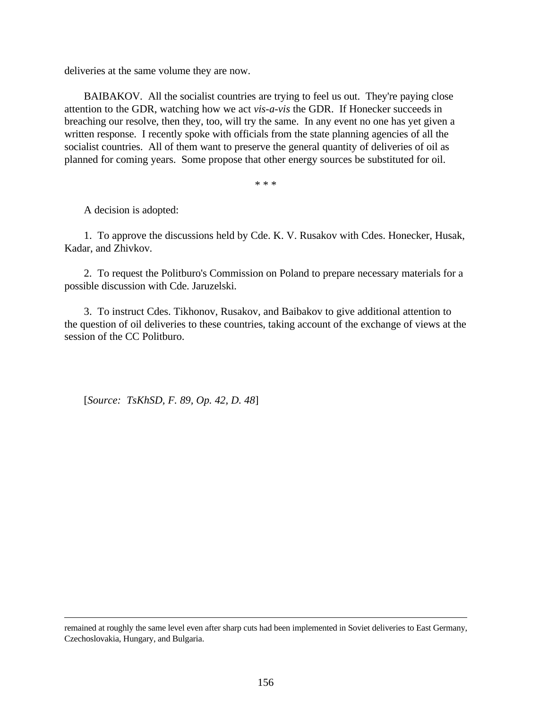deliveries at the same volume they are now.

BAIBAKOV. All the socialist countries are trying to feel us out. They're paying close attention to the GDR, watching how we act *vis-a-vis* the GDR. If Honecker succeeds in breaching our resolve, then they, too, will try the same. In any event no one has yet given a written response. I recently spoke with officials from the state planning agencies of all the socialist countries. All of them want to preserve the general quantity of deliveries of oil as planned for coming years. Some propose that other energy sources be substituted for oil.

\* \* \*

A decision is adopted:

<u>.</u>

1. To approve the discussions held by Cde. K. V. Rusakov with Cdes. Honecker, Husak, Kadar, and Zhivkov.

2. To request the Politburo's Commission on Poland to prepare necessary materials for a possible discussion with Cde. Jaruzelski.

3. To instruct Cdes. Tikhonov, Rusakov, and Baibakov to give additional attention to the question of oil deliveries to these countries, taking account of the exchange of views at the session of the CC Politburo.

[*Source: TsKhSD, F. 89, Op. 42, D. 48*]

remained at roughly the same level even after sharp cuts had been implemented in Soviet deliveries to East Germany, Czechoslovakia, Hungary, and Bulgaria.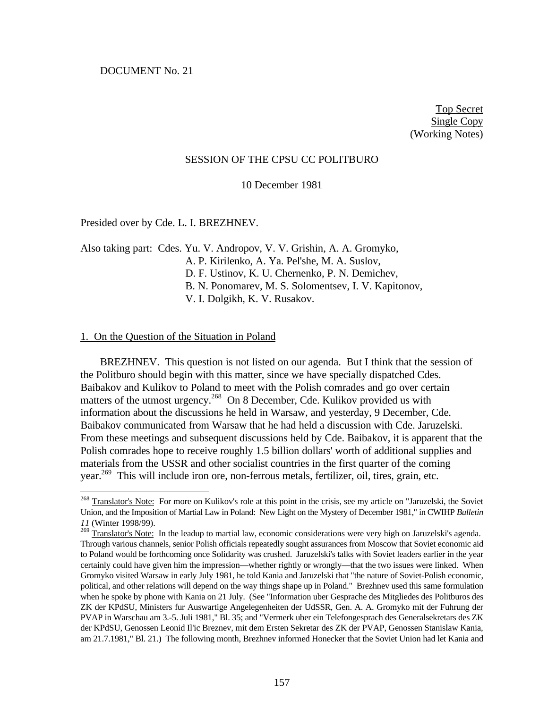Top Secret Single Copy (Working Notes)

#### SESSION OF THE CPSU CC POLITBURO

10 December 1981

Presided over by Cde. L. I. BREZHNEV.

Also taking part: Cdes. Yu. V. Andropov, V. V. Grishin, A. A. Gromyko, A. P. Kirilenko, A. Ya. Pel'she, M. A. Suslov, D. F. Ustinov, K. U. Chernenko, P. N. Demichev, B. N. Ponomarev, M. S. Solomentsev, I. V. Kapitonov, V. I. Dolgikh, K. V. Rusakov.

#### 1. On the Question of the Situation in Poland

 $\overline{a}$ 

BREZHNEV. This question is not listed on our agenda. But I think that the session of the Politburo should begin with this matter, since we have specially dispatched Cdes. Baibakov and Kulikov to Poland to meet with the Polish comrades and go over certain matters of the utmost urgency.<sup>268</sup> On 8 December, Cde. Kulikov provided us with information about the discussions he held in Warsaw, and yesterday, 9 December, Cde. Baibakov communicated from Warsaw that he had held a discussion with Cde. Jaruzelski. From these meetings and subsequent discussions held by Cde. Baibakov, it is apparent that the Polish comrades hope to receive roughly 1.5 billion dollars' worth of additional supplies and materials from the USSR and other socialist countries in the first quarter of the coming year.<sup>269</sup> This will include iron ore, non-ferrous metals, fertilizer, oil, tires, grain, etc.

<sup>&</sup>lt;sup>268</sup> Translator's Note: For more on Kulikov's role at this point in the crisis, see my article on "Jaruzelski, the Soviet Union, and the Imposition of Martial Law in Poland: New Light on the Mystery of December 1981," in CWIHP *Bulletin 11* (Winter 1998/99).

 $^{269}$  Translator's Note: In the leadup to martial law, economic considerations were very high on Jaruzelski's agenda. Through various channels, senior Polish officials repeatedly sought assurances from Moscow that Soviet economic aid to Poland would be forthcoming once Solidarity was crushed. Jaruzelski's talks with Soviet leaders earlier in the year certainly could have given him the impression—whether rightly or wrongly—that the two issues were linked. When Gromyko visited Warsaw in early July 1981, he told Kania and Jaruzelski that "the nature of Soviet-Polish economic, political, and other relations will depend on the way things shape up in Poland." Brezhnev used this same formulation when he spoke by phone with Kania on 21 July. (See "Information uber Gesprache des Mitgliedes des Politburos des ZK der KPdSU, Ministers fur Auswartige Angelegenheiten der UdSSR, Gen. A. A. Gromyko mit der Fuhrung der PVAP in Warschau am 3.-5. Juli 1981," Bl. 35; and "Vermerk uber ein Telefongesprach des Generalsekretars des ZK der KPdSU, Genossen Leonid Il'ic Breznev, mit dem Ersten Sekretar des ZK der PVAP, Genossen Stanislaw Kania, am 21.7.1981," Bl. 21.) The following month, Brezhnev informed Honecker that the Soviet Union had let Kania and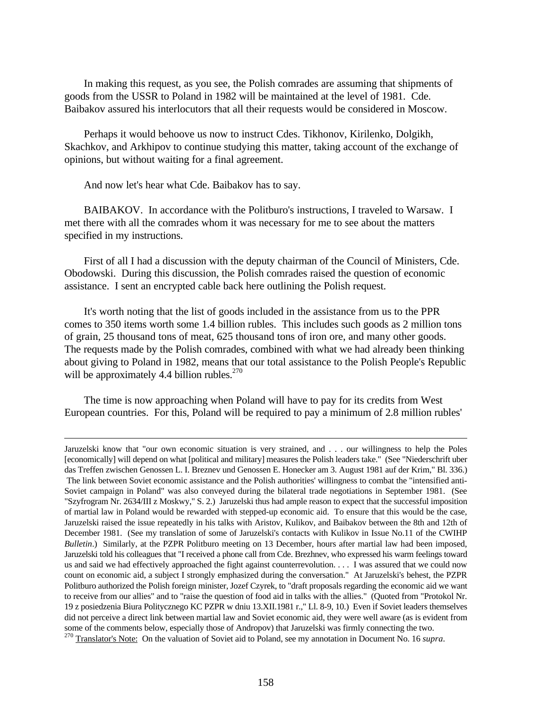In making this request, as you see, the Polish comrades are assuming that shipments of goods from the USSR to Poland in 1982 will be maintained at the level of 1981. Cde. Baibakov assured his interlocutors that all their requests would be considered in Moscow.

Perhaps it would behoove us now to instruct Cdes. Tikhonov, Kirilenko, Dolgikh, Skachkov, and Arkhipov to continue studying this matter, taking account of the exchange of opinions, but without waiting for a final agreement.

And now let's hear what Cde. Baibakov has to say.

 $\overline{a}$ 

BAIBAKOV. In accordance with the Politburo's instructions, I traveled to Warsaw. I met there with all the comrades whom it was necessary for me to see about the matters specified in my instructions.

First of all I had a discussion with the deputy chairman of the Council of Ministers, Cde. Obodowski. During this discussion, the Polish comrades raised the question of economic assistance. I sent an encrypted cable back here outlining the Polish request.

It's worth noting that the list of goods included in the assistance from us to the PPR comes to 350 items worth some 1.4 billion rubles. This includes such goods as 2 million tons of grain, 25 thousand tons of meat, 625 thousand tons of iron ore, and many other goods. The requests made by the Polish comrades, combined with what we had already been thinking about giving to Poland in 1982, means that our total assistance to the Polish People's Republic will be approximately 4.4 billion rubles. $270$ 

The time is now approaching when Poland will have to pay for its credits from West European countries. For this, Poland will be required to pay a minimum of 2.8 million rubles'

Jaruzelski know that "our own economic situation is very strained, and . . . our willingness to help the Poles [economically] will depend on what [political and military] measures the Polish leaders take." (See "Niederschrift uber das Treffen zwischen Genossen L. I. Breznev und Genossen E. Honecker am 3. August 1981 auf der Krim," Bl. 336.) The link between Soviet economic assistance and the Polish authorities' willingness to combat the "intensified anti-Soviet campaign in Poland" was also conveyed during the bilateral trade negotiations in September 1981. (See "Szyfrogram Nr. 2634/III z Moskwy," S. 2.) Jaruzelski thus had ample reason to expect that the successful imposition of martial law in Poland would be rewarded with stepped-up economic aid. To ensure that this would be the case, Jaruzelski raised the issue repeatedly in his talks with Aristov, Kulikov, and Baibakov between the 8th and 12th of December 1981. (See my translation of some of Jaruzelski's contacts with Kulikov in Issue No.11 of the CWIHP *Bulletin*.) Similarly, at the PZPR Politburo meeting on 13 December, hours after martial law had been imposed, Jaruzelski told his colleagues that "I received a phone call from Cde. Brezhnev, who expressed his warm feelings toward us and said we had effectively approached the fight against counterrevolution. . . . I was assured that we could now count on economic aid, a subject I strongly emphasized during the conversation." At Jaruzelski's behest, the PZPR Politburo authorized the Polish foreign minister, Jozef Czyrek, to "draft proposals regarding the economic aid we want to receive from our allies" and to "raise the question of food aid in talks with the allies." (Quoted from "Protokol Nr. 19 z posiedzenia Biura Politycznego KC PZPR w dniu 13.XII.1981 r.," Ll. 8-9, 10.) Even if Soviet leaders themselves did not perceive a direct link between martial law and Soviet economic aid, they were well aware (as is evident from some of the comments below, especially those of Andropov) that Jaruzelski was firmly connecting the two.

<sup>270</sup> Translator's Note: On the valuation of Soviet aid to Poland, see my annotation in Document No. 16 *supra*.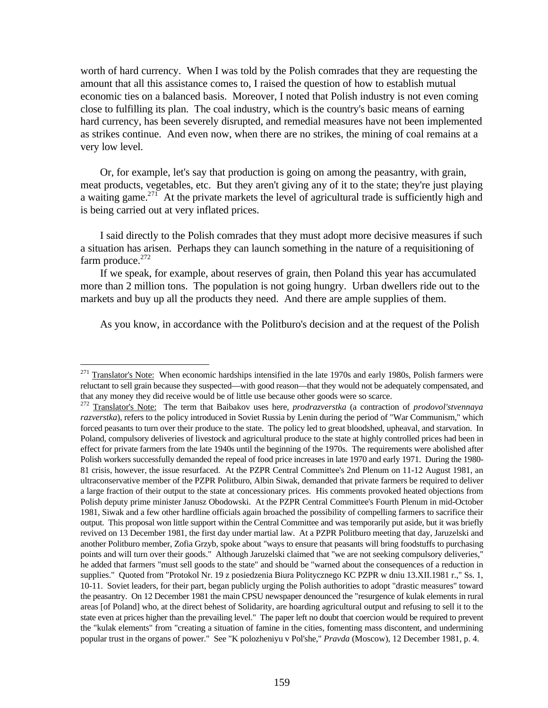worth of hard currency. When I was told by the Polish comrades that they are requesting the amount that all this assistance comes to, I raised the question of how to establish mutual economic ties on a balanced basis. Moreover, I noted that Polish industry is not even coming close to fulfilling its plan. The coal industry, which is the country's basic means of earning hard currency, has been severely disrupted, and remedial measures have not been implemented as strikes continue. And even now, when there are no strikes, the mining of coal remains at a very low level.

Or, for example, let's say that production is going on among the peasantry, with grain, meat products, vegetables, etc. But they aren't giving any of it to the state; they're just playing a waiting game.<sup>271</sup> At the private markets the level of agricultural trade is sufficiently high and is being carried out at very inflated prices.

I said directly to the Polish comrades that they must adopt more decisive measures if such a situation has arisen. Perhaps they can launch something in the nature of a requisitioning of farm produce. $272$ 

If we speak, for example, about reserves of grain, then Poland this year has accumulated more than 2 million tons. The population is not going hungry. Urban dwellers ride out to the markets and buy up all the products they need. And there are ample supplies of them.

As you know, in accordance with the Politburo's decision and at the request of the Polish

Translator's Note: When economic hardships intensified in the late 1970s and early 1980s, Polish farmers were reluctant to sell grain because they suspected—with good reason—that they would not be adequately compensated, and that any money they did receive would be of little use because other goods were so scarce.

<sup>272</sup> Translator's Note: The term that Baibakov uses here, *prodrazverstka* (a contraction of *prodovol'stvennaya razverstka*), refers to the policy introduced in Soviet Russia by Lenin during the period of "War Communism," which forced peasants to turn over their produce to the state. The policy led to great bloodshed, upheaval, and starvation. In Poland, compulsory deliveries of livestock and agricultural produce to the state at highly controlled prices had been in effect for private farmers from the late 1940s until the beginning of the 1970s. The requirements were abolished after Polish workers successfully demanded the repeal of food price increases in late 1970 and early 1971. During the 1980- 81 crisis, however, the issue resurfaced. At the PZPR Central Committee's 2nd Plenum on 11-12 August 1981, an ultraconservative member of the PZPR Politburo, Albin Siwak, demanded that private farmers be required to deliver a large fraction of their output to the state at concessionary prices. His comments provoked heated objections from Polish deputy prime minister Janusz Obodowski. At the PZPR Central Committee's Fourth Plenum in mid-October 1981, Siwak and a few other hardline officials again broached the possibility of compelling farmers to sacrifice their output. This proposal won little support within the Central Committee and was temporarily put aside, but it was briefly revived on 13 December 1981, the first day under martial law. At a PZPR Politburo meeting that day, Jaruzelski and another Politburo member, Zofia Grzyb, spoke about "ways to ensure that peasants will bring foodstuffs to purchasing points and will turn over their goods." Although Jaruzelski claimed that "we are not seeking compulsory deliveries," he added that farmers "must sell goods to the state" and should be "warned about the consequences of a reduction in supplies." Quoted from "Protokol Nr. 19 z posiedzenia Biura Politycznego KC PZPR w dniu 13.XII.1981 r.," Ss. 1, 10-11. Soviet leaders, for their part, began publicly urging the Polish authorities to adopt "drastic measures" toward the peasantry. On 12 December 1981 the main CPSU newspaper denounced the "resurgence of kulak elements in rural areas [of Poland] who, at the direct behest of Solidarity, are hoarding agricultural output and refusing to sell it to the state even at prices higher than the prevailing level." The paper left no doubt that coercion would be required to prevent the "kulak elements" from "creating a situation of famine in the cities, fomenting mass discontent, and undermining popular trust in the organs of power." See "K polozheniyu v Pol'she," *Pravda* (Moscow), 12 December 1981, p. 4.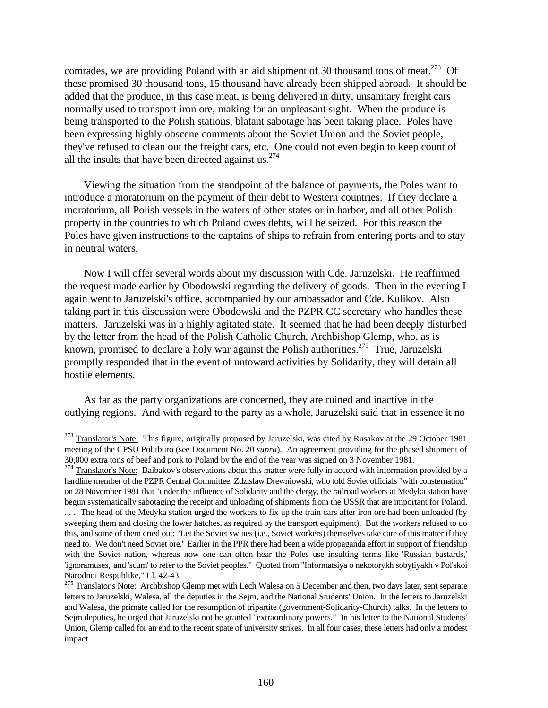comrades, we are providing Poland with an aid shipment of 30 thousand tons of meat.<sup>273</sup> Of these promised 30 thousand tons, 15 thousand have already been shipped abroad. It should be added that the produce, in this case meat, is being delivered in dirty, unsanitary freight cars normally used to transport iron ore, making for an unpleasant sight. When the produce is being transported to the Polish stations, blatant sabotage has been taking place. Poles have been expressing highly obscene comments about the Soviet Union and the Soviet people, they've refused to clean out the freight cars, etc. One could not even begin to keep count of all the insults that have been directed against us. $274$ 

Viewing the situation from the standpoint of the balance of payments, the Poles want to introduce a moratorium on the payment of their debt to Western countries. If they declare a moratorium, all Polish vessels in the waters of other states or in harbor, and all other Polish property in the countries to which Poland owes debts, will be seized. For this reason the Poles have given instructions to the captains of ships to refrain from entering ports and to stay in neutral waters.

Now I will offer several words about my discussion with Cde. Jaruzelski. He reaffirmed the request made earlier by Obodowski regarding the delivery of goods. Then in the evening I again went to Jaruzelski's office, accompanied by our ambassador and Cde. Kulikov. Also taking part in this discussion were Obodowski and the PZPR CC secretary who handles these matters. Jaruzelski was in a highly agitated state. It seemed that he had been deeply disturbed by the letter from the head of the Polish Catholic Church, Archbishop Glemp, who, as is known, promised to declare a holy war against the Polish authorities.<sup>275</sup> True, Jaruzelski promptly responded that in the event of untoward activities by Solidarity, they will detain all hostile elements.

As far as the party organizations are concerned, they are ruined and inactive in the outlying regions. And with regard to the party as a whole, Jaruzelski said that in essence it no

<sup>&</sup>lt;sup>273</sup> Translator's Note: This figure, originally proposed by Jaruzelski, was cited by Rusakov at the 29 October 1981 meeting of the CPSU Politburo (see Document No. 20 *supra*). An agreement providing for the phased shipment of 30,000 extra tons of beef and pork to Poland by the end of the year was signed on 3 November 1981.

 $274$  Translator's Note: Baibakov's observations about this matter were fully in accord with information provided by a hardline member of the PZPR Central Committee, Zdzislaw Drewniowski, who told Soviet officials "with consternation" on 28 November 1981 that "under the influence of Solidarity and the clergy, the railroad workers at Medyka station have begun systematically sabotaging the receipt and unloading of shipments from the USSR that are important for Poland. . . . The head of the Medyka station urged the workers to fix up the train cars after iron ore had been unloaded (by sweeping them and closing the lower hatches, as required by the transport equipment). But the workers refused to do this, and some of them cried out: 'Let the Soviet swines (i.e., Soviet workers) themselves take care of this matter if they need to. We don't need Soviet ore.' Earlier in the PPR there had been a wide propaganda effort in support of friendship with the Soviet nation, whereas now one can often hear the Poles use insulting terms like 'Russian bastards,' 'ignoramuses,' and 'scum' to refer to the Soviet peoples." Quoted from "Informatsiya o nekotorykh sobytiyakh v Pol'skoi Narodnoi Respublike," Ll. 42-43.

<sup>&</sup>lt;sup>275</sup> Translator's Note: Archbishop Glemp met with Lech Walesa on 5 December and then, two days later, sent separate letters to Jaruzelski, Walesa, all the deputies in the Sejm, and the National Students' Union. In the letters to Jaruzelski and Walesa, the primate called for the resumption of tripartite (government-Solidarity-Church) talks. In the letters to Sejm deputies, he urged that Jaruzelski not be granted "extraordinary powers." In his letter to the National Students' Union, Glemp called for an end to the recent spate of university strikes. In all four cases, these letters had only a modest impact.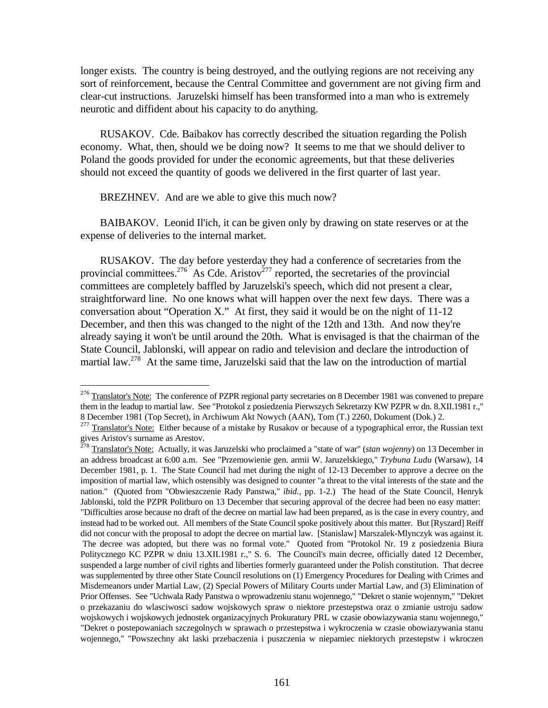longer exists. The country is being destroyed, and the outlying regions are not receiving any sort of reinforcement, because the Central Committee and government are not giving firm and clear-cut instructions. Jaruzelski himself has been transformed into a man who is extremely neurotic and diffident about his capacity to do anything.

RUSAKOV. Cde. Baibakov has correctly described the situation regarding the Polish economy. What, then, should we be doing now? It seems to me that we should deliver to Poland the goods provided for under the economic agreements, but that these deliveries should not exceed the quantity of goods we delivered in the first quarter of last year.

BREZHNEV. And are we able to give this much now?

<u>.</u>

BAIBAKOV. Leonid Il'ich, it can be given only by drawing on state reserves or at the expense of deliveries to the internal market.

RUSAKOV. The day before yesterday they had a conference of secretaries from the provincial committees.<sup>276</sup> As Cde. Aristov<sup>277</sup> reported, the secretaries of the provincial committees are completely baffled by Jaruzelski's speech, which did not present a clear, straightforward line. No one knows what will happen over the next few days. There was a conversation about "Operation X." At first, they said it would be on the night of 11-12 December, and then this was changed to the night of the 12th and 13th. And now they're already saying it won't be until around the 20th. What is envisaged is that the chairman of the State Council, Jablonski, will appear on radio and television and declare the introduction of martial law.<sup>278</sup> At the same time, Jaruzelski said that the law on the introduction of martial

<sup>&</sup>lt;sup>276</sup> Translator's Note: The conference of PZPR regional party secretaries on 8 December 1981 was convened to prepare them in the leadup to martial law. See "Protokol z posiedzenia Pierwszych Sekretarzy KW PZPR w dn. 8.XII.1981 r.," 8 December 1981 (Top Secret), in Archiwum Akt Nowych (AAN), Tom (T.) 2260, Dokument (Dok.) 2.

<sup>&</sup>lt;sup>277</sup> Translator's Note: Either because of a mistake by Rusakov or because of a typographical error, the Russian text gives Aristov's surname as Arestov.

<sup>278</sup> Translator's Note: Actually, it was Jaruzelski who proclaimed a "state of war" (*stan wojenny*) on 13 December in an address broadcast at 6:00 a.m. See "Przemowienie gen. armii W. Jaruzelskiego," *Trybuna Ludu* (Warsaw), 14 December 1981, p. 1. The State Council had met during the night of 12-13 December to approve a decree on the imposition of martial law, which ostensibly was designed to counter "a threat to the vital interests of the state and the nation." (Quoted from "Obwieszczenie Rady Panstwa," *ibid.*, pp. 1-2.) The head of the State Council, Henryk Jablonski, told the PZPR Politburo on 13 December that securing approval of the decree had been no easy matter: "Difficulties arose because no draft of the decree on martial law had been prepared, as is the case in every country, and instead had to be worked out. All members of the State Council spoke positively about this matter. But [Ryszard] Reiff did not concur with the proposal to adopt the decree on martial law. [Stanislaw] Marszalek-Mlynczyk was against it. The decree was adopted, but there was no formal vote." Quoted from "Protokol Nr. 19 z posiedzenia Biura Politycznego KC PZPR w dniu 13.XII.1981 r.," S. 6. The Council's main decree, officially dated 12 December, suspended a large number of civil rights and liberties formerly guaranteed under the Polish constitution. That decree was supplemented by three other State Council resolutions on (1) Emergency Procedures for Dealing with Crimes and Misdemeanors under Martial Law, (2) Special Powers of Military Courts under Martial Law, and (3) Elimination of Prior Offenses. See "Uchwala Rady Panstwa o wprowadzeniu stanu wojennego," "Dekret o stanie wojennym," "Dekret o przekazaniu do wlasciwosci sadow wojskowych spraw o niektore przestepstwa oraz o zmianie ustroju sadow wojskowych i wojskowych jednostek organizacyjnych Prokuratury PRL w czasie obowiazywania stanu wojennego," "Dekret o postepowaniach szczegolnych w sprawach o przestepstwa i wykroczenia w czasie obowiazywania stanu wojennego," "Powszechny akt laski przebaczenia i puszczenia w niepamiec niektorych przestepstw i wkroczen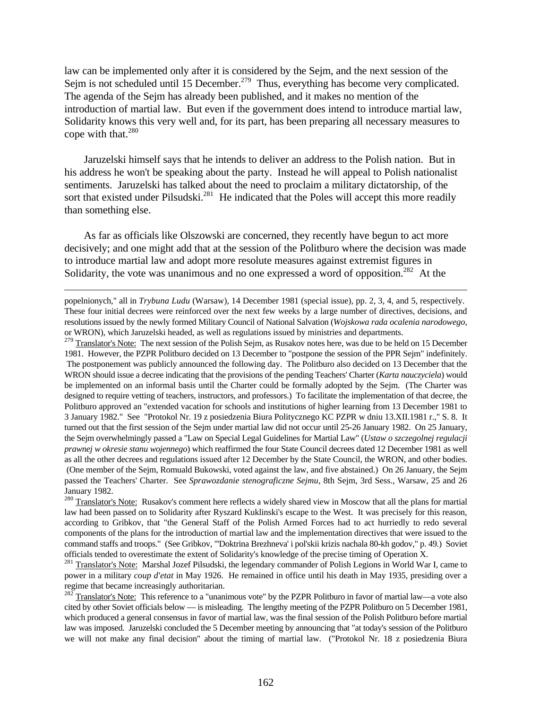law can be implemented only after it is considered by the Sejm, and the next session of the Sejm is not scheduled until 15 December.<sup>279</sup> Thus, everything has become very complicated. The agenda of the Sejm has already been published, and it makes no mention of the introduction of martial law. But even if the government does intend to introduce martial law, Solidarity knows this very well and, for its part, has been preparing all necessary measures to cope with that. $280$ 

Jaruzelski himself says that he intends to deliver an address to the Polish nation. But in his address he won't be speaking about the party. Instead he will appeal to Polish nationalist sentiments. Jaruzelski has talked about the need to proclaim a military dictatorship, of the sort that existed under Pilsudski.<sup>281</sup> He indicated that the Poles will accept this more readily than something else.

As far as officials like Olszowski are concerned, they recently have begun to act more decisively; and one might add that at the session of the Politburo where the decision was made to introduce martial law and adopt more resolute measures against extremist figures in Solidarity, the vote was unanimous and no one expressed a word of opposition.<sup>282</sup> At the

-

<sup>279</sup> Translator's Note: The next session of the Polish Sejm, as Rusakov notes here, was due to be held on 15 December 1981. However, the PZPR Politburo decided on 13 December to "postpone the session of the PPR Sejm" indefinitely. The postponement was publicly announced the following day. The Politburo also decided on 13 December that the WRON should issue a decree indicating that the provisions of the pending Teachers' Charter (*Karta nauczyciela*) would be implemented on an informal basis until the Charter could be formally adopted by the Sejm. (The Charter was designed to require vetting of teachers, instructors, and professors.) To facilitate the implementation of that decree, the Politburo approved an "extended vacation for schools and institutions of higher learning from 13 December 1981 to 3 January 1982." See "Protokol Nr. 19 z posiedzenia Biura Politycznego KC PZPR w dniu 13.XII.1981 r.," S. 8. It turned out that the first session of the Sejm under martial law did not occur until 25-26 January 1982. On 25 January, the Sejm overwhelmingly passed a "Law on Special Legal Guidelines for Martial Law" (*Ustaw o szczegolnej regulacji prawnej w okresie stanu wojennego*) which reaffirmed the four State Council decrees dated 12 December 1981 as well as all the other decrees and regulations issued after 12 December by the State Council, the WRON, and other bodies. (One member of the Sejm, Romuald Bukowski, voted against the law, and five abstained.) On 26 January, the Sejm passed the Teachers' Charter. See *Sprawozdanie stenograficzne Sejmu*, 8th Sejm, 3rd Sess., Warsaw, 25 and 26 January 1982.

popelnionych," all in *Trybuna Ludu* (Warsaw), 14 December 1981 (special issue), pp. 2, 3, 4, and 5, respectively. These four initial decrees were reinforced over the next few weeks by a large number of directives, decisions, and resolutions issued by the newly formed Military Council of National Salvation (*Wojskowa rada ocalenia narodowego*, or WRON), which Jaruzelski headed, as well as regulations issued by ministries and departments.

<sup>&</sup>lt;sup>280</sup> Translator's Note: Rusakov's comment here reflects a widely shared view in Moscow that all the plans for martial law had been passed on to Solidarity after Ryszard Kuklinski's escape to the West. It was precisely for this reason, according to Gribkov, that "the General Staff of the Polish Armed Forces had to act hurriedly to redo several components of the plans for the introduction of martial law and the implementation directives that were issued to the command staffs and troops." (See Gribkov, "'Doktrina Brezhneva' i pol'skii krizis nachala 80-kh godov," p. 49.) Soviet officials tended to overestimate the extent of Solidarity's knowledge of the precise timing of Operation X.

<sup>&</sup>lt;sup>281</sup> Translator's Note: Marshal Jozef Pilsudski, the legendary commander of Polish Legions in World War I, came to power in a military *coup d'etat* in May 1926. He remained in office until his death in May 1935, presiding over a regime that became increasingly authoritarian.

 $282 \text{ Translator's Note:}$  This reference to a "unanimous vote" by the PZPR Politburo in favor of martial law—a vote also cited by other Soviet officials below — is misleading. The lengthy meeting of the PZPR Politburo on 5 December 1981, which produced a general consensus in favor of martial law, was the final session of the Polish Politburo before martial law was imposed. Jaruzelski concluded the 5 December meeting by announcing that "at today's session of the Politburo we will not make any final decision" about the timing of martial law. ("Protokol Nr. 18 z posiedzenia Biura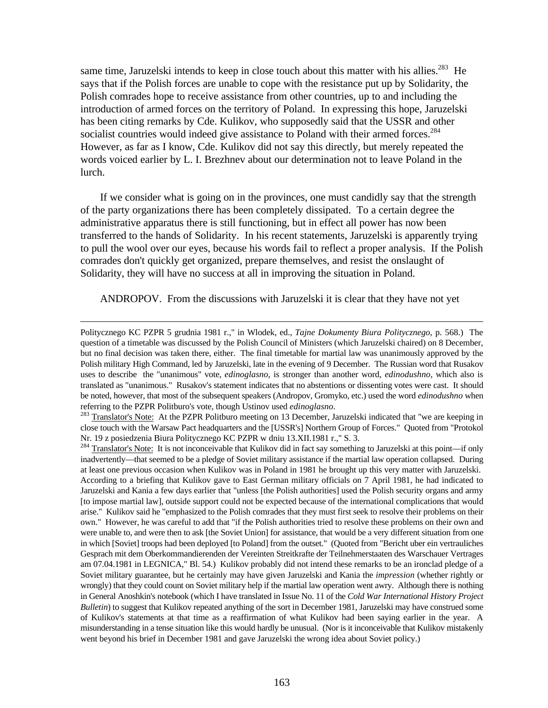same time, Jaruzelski intends to keep in close touch about this matter with his allies.<sup>283</sup> He says that if the Polish forces are unable to cope with the resistance put up by Solidarity, the Polish comrades hope to receive assistance from other countries, up to and including the introduction of armed forces on the territory of Poland. In expressing this hope, Jaruzelski has been citing remarks by Cde. Kulikov, who supposedly said that the USSR and other socialist countries would indeed give assistance to Poland with their armed forces.<sup>284</sup> However, as far as I know, Cde. Kulikov did not say this directly, but merely repeated the words voiced earlier by L. I. Brezhnev about our determination not to leave Poland in the lurch.

If we consider what is going on in the provinces, one must candidly say that the strength of the party organizations there has been completely dissipated. To a certain degree the administrative apparatus there is still functioning, but in effect all power has now been transferred to the hands of Solidarity. In his recent statements, Jaruzelski is apparently trying to pull the wool over our eyes, because his words fail to reflect a proper analysis. If the Polish comrades don't quickly get organized, prepare themselves, and resist the onslaught of Solidarity, they will have no success at all in improving the situation in Poland.

ANDROPOV. From the discussions with Jaruzelski it is clear that they have not yet

 $\overline{a}$ 

<sup>283</sup> Translator's Note: At the PZPR Politburo meeting on 13 December, Jaruzelski indicated that "we are keeping in close touch with the Warsaw Pact headquarters and the [USSR's] Northern Group of Forces." Quoted from "Protokol Nr. 19 z posiedzenia Biura Politycznego KC PZPR w dniu 13.XII.1981 r.," S. 3.

<sup>284</sup> Translator's Note: It is not inconceivable that Kulikov did in fact say something to Jaruzelski at this point—if only inadvertently—that seemed to be a pledge of Soviet military assistance if the martial law operation collapsed. During at least one previous occasion when Kulikov was in Poland in 1981 he brought up this very matter with Jaruzelski. According to a briefing that Kulikov gave to East German military officials on 7 April 1981, he had indicated to Jaruzelski and Kania a few days earlier that "unless [the Polish authorities] used the Polish security organs and army [to impose martial law], outside support could not be expected because of the international complications that would arise." Kulikov said he "emphasized to the Polish comrades that they must first seek to resolve their problems on their own." However, he was careful to add that "if the Polish authorities tried to resolve these problems on their own and were unable to, and were then to ask [the Soviet Union] for assistance, that would be a very different situation from one in which [Soviet] troops had been deployed [to Poland] from the outset." (Quoted from "Bericht uber ein vertrauliches Gesprach mit dem Oberkommandierenden der Vereinten Streitkrafte der Teilnehmerstaaten des Warschauer Vertrages am 07.04.1981 in LEGNICA," Bl. 54.) Kulikov probably did not intend these remarks to be an ironclad pledge of a Soviet military guarantee, but he certainly may have given Jaruzelski and Kania the *impression* (whether rightly or wrongly) that they could count on Soviet military help if the martial law operation went awry. Although there is nothing in General Anoshkin's notebook (which I have translated in Issue No. 11 of the *Cold War International History Project Bulletin*) to suggest that Kulikov repeated anything of the sort in December 1981, Jaruzelski may have construed some of Kulikov's statements at that time as a reaffirmation of what Kulikov had been saying earlier in the year. A misunderstanding in a tense situation like this would hardly be unusual. (Nor is it inconceivable that Kulikov mistakenly went beyond his brief in December 1981 and gave Jaruzelski the wrong idea about Soviet policy.)

Politycznego KC PZPR 5 grudnia 1981 r.," in Wlodek, ed., *Tajne Dokumenty Biura Politycznego*, p. 568.) The question of a timetable was discussed by the Polish Council of Ministers (which Jaruzelski chaired) on 8 December, but no final decision was taken there, either. The final timetable for martial law was unanimously approved by the Polish military High Command, led by Jaruzelski, late in the evening of 9 December. The Russian word that Rusakov uses to describe the "unanimous" vote, *edinoglasno*, is stronger than another word, *edinodushno*, which also is translated as "unanimous." Rusakov's statement indicates that no abstentions or dissenting votes were cast. It should be noted, however, that most of the subsequent speakers (Andropov, Gromyko, etc.) used the word *edinodushno* when referring to the PZPR Politburo's vote, though Ustinov used *edinoglasno*.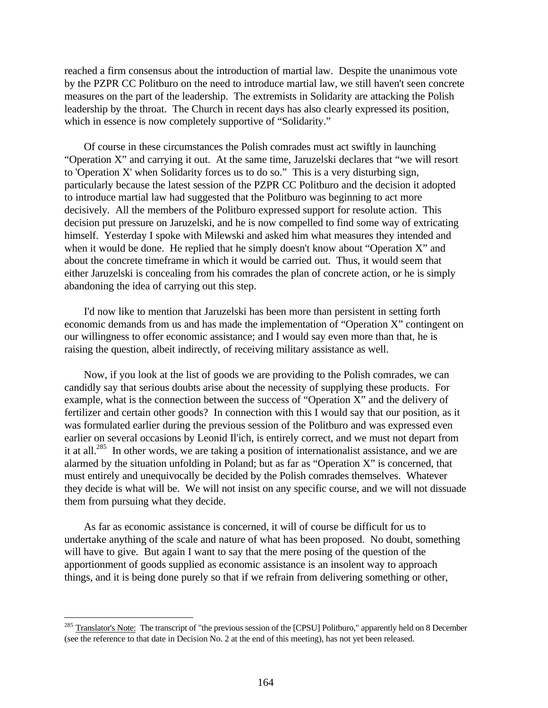reached a firm consensus about the introduction of martial law. Despite the unanimous vote by the PZPR CC Politburo on the need to introduce martial law, we still haven't seen concrete measures on the part of the leadership. The extremists in Solidarity are attacking the Polish leadership by the throat. The Church in recent days has also clearly expressed its position, which in essence is now completely supportive of "Solidarity."

Of course in these circumstances the Polish comrades must act swiftly in launching "Operation X" and carrying it out. At the same time, Jaruzelski declares that "we will resort to 'Operation X' when Solidarity forces us to do so." This is a very disturbing sign, particularly because the latest session of the PZPR CC Politburo and the decision it adopted to introduce martial law had suggested that the Politburo was beginning to act more decisively. All the members of the Politburo expressed support for resolute action. This decision put pressure on Jaruzelski, and he is now compelled to find some way of extricating himself. Yesterday I spoke with Milewski and asked him what measures they intended and when it would be done. He replied that he simply doesn't know about "Operation X" and about the concrete timeframe in which it would be carried out. Thus, it would seem that either Jaruzelski is concealing from his comrades the plan of concrete action, or he is simply abandoning the idea of carrying out this step.

I'd now like to mention that Jaruzelski has been more than persistent in setting forth economic demands from us and has made the implementation of "Operation X" contingent on our willingness to offer economic assistance; and I would say even more than that, he is raising the question, albeit indirectly, of receiving military assistance as well.

Now, if you look at the list of goods we are providing to the Polish comrades, we can candidly say that serious doubts arise about the necessity of supplying these products. For example, what is the connection between the success of "Operation X" and the delivery of fertilizer and certain other goods? In connection with this I would say that our position, as it was formulated earlier during the previous session of the Politburo and was expressed even earlier on several occasions by Leonid Il'ich, is entirely correct, and we must not depart from it at all.<sup>285</sup> In other words, we are taking a position of internationalist assistance, and we are alarmed by the situation unfolding in Poland; but as far as "Operation X" is concerned, that must entirely and unequivocally be decided by the Polish comrades themselves. Whatever they decide is what will be. We will not insist on any specific course, and we will not dissuade them from pursuing what they decide.

As far as economic assistance is concerned, it will of course be difficult for us to undertake anything of the scale and nature of what has been proposed. No doubt, something will have to give. But again I want to say that the mere posing of the question of the apportionment of goods supplied as economic assistance is an insolent way to approach things, and it is being done purely so that if we refrain from delivering something or other,

<sup>&</sup>lt;sup>285</sup> Translator's Note: The transcript of "the previous session of the [CPSU] Politburo," apparently held on 8 December (see the reference to that date in Decision No. 2 at the end of this meeting), has not yet been released.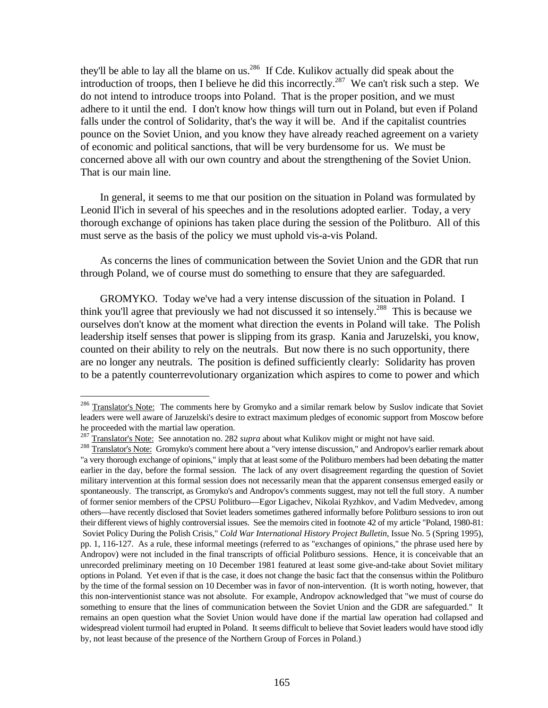they'll be able to lay all the blame on us.<sup>286</sup> If Cde. Kulikov actually did speak about the introduction of troops, then I believe he did this incorrectly.<sup>287</sup> We can't risk such a step. We do not intend to introduce troops into Poland. That is the proper position, and we must adhere to it until the end. I don't know how things will turn out in Poland, but even if Poland falls under the control of Solidarity, that's the way it will be. And if the capitalist countries pounce on the Soviet Union, and you know they have already reached agreement on a variety of economic and political sanctions, that will be very burdensome for us. We must be concerned above all with our own country and about the strengthening of the Soviet Union. That is our main line.

In general, it seems to me that our position on the situation in Poland was formulated by Leonid Il'ich in several of his speeches and in the resolutions adopted earlier. Today, a very thorough exchange of opinions has taken place during the session of the Politburo. All of this must serve as the basis of the policy we must uphold vis-a-vis Poland.

As concerns the lines of communication between the Soviet Union and the GDR that run through Poland, we of course must do something to ensure that they are safeguarded.

GROMYKO. Today we've had a very intense discussion of the situation in Poland. I think you'll agree that previously we had not discussed it so intensely.<sup>288</sup> This is because we ourselves don't know at the moment what direction the events in Poland will take. The Polish leadership itself senses that power is slipping from its grasp. Kania and Jaruzelski, you know, counted on their ability to rely on the neutrals. But now there is no such opportunity, there are no longer any neutrals. The position is defined sufficiently clearly: Solidarity has proven to be a patently counterrevolutionary organization which aspires to come to power and which

<u>.</u>

<sup>&</sup>lt;sup>286</sup> Translator's Note: The comments here by Gromyko and a similar remark below by Suslov indicate that Soviet leaders were well aware of Jaruzelski's desire to extract maximum pledges of economic support from Moscow before he proceeded with the martial law operation.

<sup>&</sup>lt;sup>287</sup> Translator's Note: See annotation no. 282 *supra* about what Kulikov might or might not have said.

<sup>&</sup>lt;sup>288</sup> Translator's Note: Gromyko's comment here about a "very intense discussion," and Andropov's earlier remark about "a very thorough exchange of opinions," imply that at least some of the Politburo members had been debating the matter earlier in the day, before the formal session. The lack of any overt disagreement regarding the question of Soviet military intervention at this formal session does not necessarily mean that the apparent consensus emerged easily or spontaneously. The transcript, as Gromyko's and Andropov's comments suggest, may not tell the full story. A number of former senior members of the CPSU Politburo—Egor Ligachev, Nikolai Ryzhkov, and Vadim Medvedev, among others—have recently disclosed that Soviet leaders sometimes gathered informally before Politburo sessions to iron out their different views of highly controversial issues. See the memoirs cited in footnote 42 of my article "Poland, 1980-81: Soviet Policy During the Polish Crisis," *Cold War International History Project Bulletin*, Issue No. 5 (Spring 1995), pp. 1, 116-127. As a rule, these informal meetings (referred to as "exchanges of opinions," the phrase used here by Andropov) were not included in the final transcripts of official Politburo sessions. Hence, it is conceivable that an unrecorded preliminary meeting on 10 December 1981 featured at least some give-and-take about Soviet military options in Poland. Yet even if that is the case, it does not change the basic fact that the consensus within the Politburo by the time of the formal session on 10 December was in favor of non-intervention. (It is worth noting, however, that this non-interventionist stance was not absolute. For example, Andropov acknowledged that "we must of course do something to ensure that the lines of communication between the Soviet Union and the GDR are safeguarded." It remains an open question what the Soviet Union would have done if the martial law operation had collapsed and widespread violent turmoil had erupted in Poland. It seems difficult to believe that Soviet leaders would have stood idly by, not least because of the presence of the Northern Group of Forces in Poland.)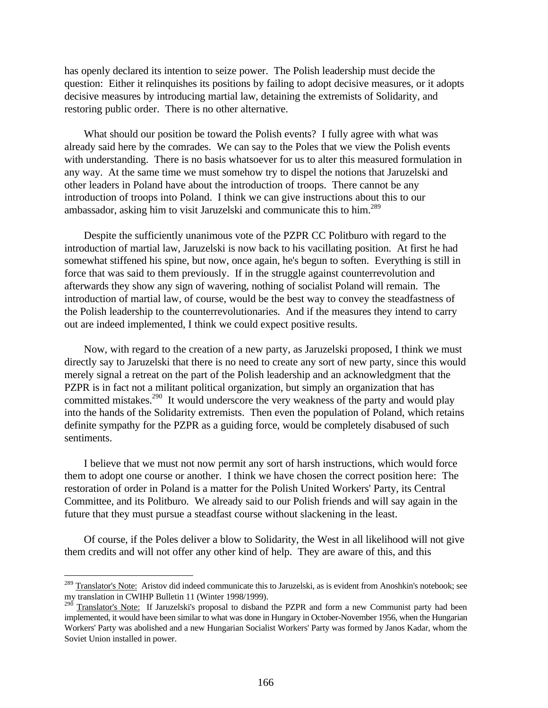has openly declared its intention to seize power. The Polish leadership must decide the question: Either it relinquishes its positions by failing to adopt decisive measures, or it adopts decisive measures by introducing martial law, detaining the extremists of Solidarity, and restoring public order. There is no other alternative.

What should our position be toward the Polish events? I fully agree with what was already said here by the comrades. We can say to the Poles that we view the Polish events with understanding. There is no basis whatsoever for us to alter this measured formulation in any way. At the same time we must somehow try to dispel the notions that Jaruzelski and other leaders in Poland have about the introduction of troops. There cannot be any introduction of troops into Poland. I think we can give instructions about this to our ambassador, asking him to visit Jaruzelski and communicate this to him.<sup>289</sup>

Despite the sufficiently unanimous vote of the PZPR CC Politburo with regard to the introduction of martial law, Jaruzelski is now back to his vacillating position. At first he had somewhat stiffened his spine, but now, once again, he's begun to soften. Everything is still in force that was said to them previously. If in the struggle against counterrevolution and afterwards they show any sign of wavering, nothing of socialist Poland will remain. The introduction of martial law, of course, would be the best way to convey the steadfastness of the Polish leadership to the counterrevolutionaries. And if the measures they intend to carry out are indeed implemented, I think we could expect positive results.

Now, with regard to the creation of a new party, as Jaruzelski proposed, I think we must directly say to Jaruzelski that there is no need to create any sort of new party, since this would merely signal a retreat on the part of the Polish leadership and an acknowledgment that the PZPR is in fact not a militant political organization, but simply an organization that has committed mistakes.<sup>290</sup> It would underscore the very weakness of the party and would play into the hands of the Solidarity extremists. Then even the population of Poland, which retains definite sympathy for the PZPR as a guiding force, would be completely disabused of such sentiments.

I believe that we must not now permit any sort of harsh instructions, which would force them to adopt one course or another. I think we have chosen the correct position here: The restoration of order in Poland is a matter for the Polish United Workers' Party, its Central Committee, and its Politburo. We already said to our Polish friends and will say again in the future that they must pursue a steadfast course without slackening in the least.

Of course, if the Poles deliver a blow to Solidarity, the West in all likelihood will not give them credits and will not offer any other kind of help. They are aware of this, and this

<sup>&</sup>lt;sup>289</sup> Translator's Note: Aristov did indeed communicate this to Jaruzelski, as is evident from Anoshkin's notebook; see my translation in CWIHP Bulletin 11 (Winter 1998/1999).

<sup>&</sup>lt;sup>290</sup> Translator's Note: If Jaruzelski's proposal to disband the PZPR and form a new Communist party had been implemented, it would have been similar to what was done in Hungary in October-November 1956, when the Hungarian Workers' Party was abolished and a new Hungarian Socialist Workers' Party was formed by Janos Kadar, whom the Soviet Union installed in power.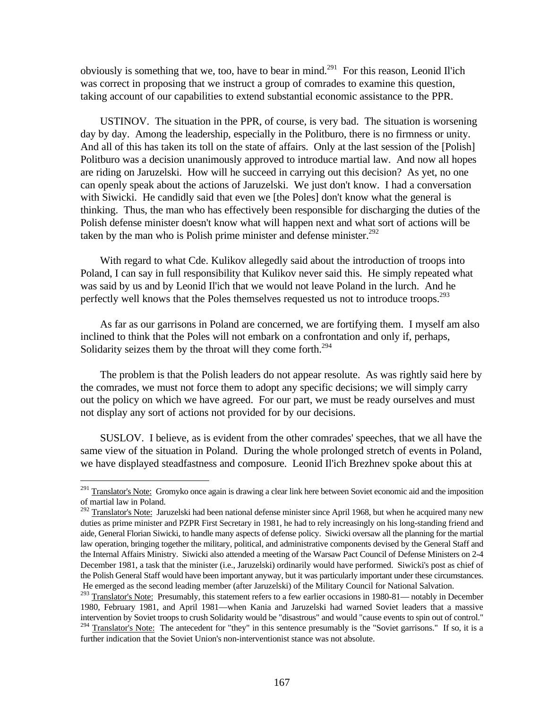obviously is something that we, too, have to bear in mind.<sup>291</sup> For this reason, Leonid II'ich was correct in proposing that we instruct a group of comrades to examine this question, taking account of our capabilities to extend substantial economic assistance to the PPR.

USTINOV. The situation in the PPR, of course, is very bad. The situation is worsening day by day. Among the leadership, especially in the Politburo, there is no firmness or unity. And all of this has taken its toll on the state of affairs. Only at the last session of the [Polish] Politburo was a decision unanimously approved to introduce martial law. And now all hopes are riding on Jaruzelski. How will he succeed in carrying out this decision? As yet, no one can openly speak about the actions of Jaruzelski. We just don't know. I had a conversation with Siwicki. He candidly said that even we [the Poles] don't know what the general is thinking. Thus, the man who has effectively been responsible for discharging the duties of the Polish defense minister doesn't know what will happen next and what sort of actions will be taken by the man who is Polish prime minister and defense minister. $292$ 

With regard to what Cde. Kulikov allegedly said about the introduction of troops into Poland, I can say in full responsibility that Kulikov never said this. He simply repeated what was said by us and by Leonid Il'ich that we would not leave Poland in the lurch. And he perfectly well knows that the Poles themselves requested us not to introduce troops.<sup>293</sup>

As far as our garrisons in Poland are concerned, we are fortifying them. I myself am also inclined to think that the Poles will not embark on a confrontation and only if, perhaps, Solidarity seizes them by the throat will they come forth. $^{294}$ 

The problem is that the Polish leaders do not appear resolute. As was rightly said here by the comrades, we must not force them to adopt any specific decisions; we will simply carry out the policy on which we have agreed. For our part, we must be ready ourselves and must not display any sort of actions not provided for by our decisions.

SUSLOV. I believe, as is evident from the other comrades' speeches, that we all have the same view of the situation in Poland. During the whole prolonged stretch of events in Poland, we have displayed steadfastness and composure. Leonid Il'ich Brezhnev spoke about this at

<u>.</u>

<sup>&</sup>lt;sup>291</sup> Translator's Note: Gromyko once again is drawing a clear link here between Soviet economic aid and the imposition of martial law in Poland.

 $292$  Translator's Note: Jaruzelski had been national defense minister since April 1968, but when he acquired many new duties as prime minister and PZPR First Secretary in 1981, he had to rely increasingly on his long-standing friend and aide, General Florian Siwicki, to handle many aspects of defense policy. Siwicki oversaw all the planning for the martial law operation, bringing together the military, political, and administrative components devised by the General Staff and the Internal Affairs Ministry. Siwicki also attended a meeting of the Warsaw Pact Council of Defense Ministers on 2-4 December 1981, a task that the minister (i.e., Jaruzelski) ordinarily would have performed. Siwicki's post as chief of the Polish General Staff would have been important anyway, but it was particularly important under these circumstances. He emerged as the second leading member (after Jaruzelski) of the Military Council for National Salvation.

<sup>&</sup>lt;sup>293</sup> Translator's Note: Presumably, this statement refers to a few earlier occasions in 1980-81— notably in December 1980, February 1981, and April 1981—when Kania and Jaruzelski had warned Soviet leaders that a massive intervention by Soviet troops to crush Solidarity would be "disastrous" and would "cause events to spin out of control." <sup>294</sup> Translator's Note: The antecedent for "they" in this sentence presumably is the "Soviet garrisons." If so, it is a further indication that the Soviet Union's non-interventionist stance was not absolute.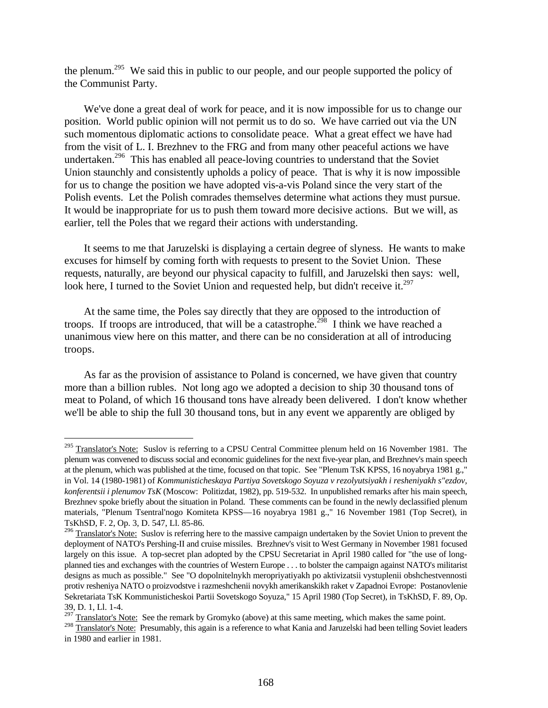the plenum.<sup>295</sup> We said this in public to our people, and our people supported the policy of the Communist Party.

We've done a great deal of work for peace, and it is now impossible for us to change our position. World public opinion will not permit us to do so. We have carried out via the UN such momentous diplomatic actions to consolidate peace. What a great effect we have had from the visit of L. I. Brezhnev to the FRG and from many other peaceful actions we have undertaken.<sup>296</sup> This has enabled all peace-loving countries to understand that the Soviet Union staunchly and consistently upholds a policy of peace. That is why it is now impossible for us to change the position we have adopted vis-a-vis Poland since the very start of the Polish events. Let the Polish comrades themselves determine what actions they must pursue. It would be inappropriate for us to push them toward more decisive actions. But we will, as earlier, tell the Poles that we regard their actions with understanding.

It seems to me that Jaruzelski is displaying a certain degree of slyness. He wants to make excuses for himself by coming forth with requests to present to the Soviet Union. These requests, naturally, are beyond our physical capacity to fulfill, and Jaruzelski then says: well, look here, I turned to the Soviet Union and requested help, but didn't receive it.<sup>297</sup>

At the same time, the Poles say directly that they are opposed to the introduction of troops. If troops are introduced, that will be a catastrophe.<sup>298</sup> I think we have reached a unanimous view here on this matter, and there can be no consideration at all of introducing troops.

As far as the provision of assistance to Poland is concerned, we have given that country more than a billion rubles. Not long ago we adopted a decision to ship 30 thousand tons of meat to Poland, of which 16 thousand tons have already been delivered. I don't know whether we'll be able to ship the full 30 thousand tons, but in any event we apparently are obliged by

<sup>&</sup>lt;sup>295</sup> Translator's Note: Suslov is referring to a CPSU Central Committee plenum held on 16 November 1981. The plenum was convened to discuss social and economic guidelines for the next five-year plan, and Brezhnev's main speech at the plenum, which was published at the time, focused on that topic. See "Plenum TsK KPSS, 16 noyabrya 1981 g.," in Vol. 14 (1980-1981) of *Kommunisticheskaya Partiya Sovetskogo Soyuza v rezolyutsiyakh i resheniyakh s"ezdov, konferentsii i plenumov TsK* (Moscow: Politizdat, 1982), pp. 519-532. In unpublished remarks after his main speech, Brezhnev spoke briefly about the situation in Poland. These comments can be found in the newly declassified plenum materials, "Plenum Tsentral'nogo Komiteta KPSS—16 noyabrya 1981 g.," 16 November 1981 (Top Secret), in TsKhSD, F. 2, Op. 3, D. 547, Ll. 85-86.

<sup>&</sup>lt;sup>296</sup> Translator's Note: Suslov is referring here to the massive campaign undertaken by the Soviet Union to prevent the deployment of NATO's Pershing-II and cruise missiles. Brezhnev's visit to West Germany in November 1981 focused largely on this issue. A top-secret plan adopted by the CPSU Secretariat in April 1980 called for "the use of longplanned ties and exchanges with the countries of Western Europe . . . to bolster the campaign against NATO's militarist designs as much as possible." See "O dopolnitelnykh meropriyatiyakh po aktivizatsii vystuplenii obshchestvennosti protiv resheniya NATO o proizvodstve i razmeshchenii novykh amerikanskikh raket v Zapadnoi Evrope: Postanovlenie Sekretariata TsK Kommunisticheskoi Partii Sovetskogo Soyuza," 15 April 1980 (Top Secret), in TsKhSD, F. 89, Op. 39, D. 1, Ll. 1-4.

 $297 \text{ Translator's Note:}$  See the remark by Gromyko (above) at this same meeting, which makes the same point.

<sup>&</sup>lt;sup>298</sup> Translator's Note: Presumably, this again is a reference to what Kania and Jaruzelski had been telling Soviet leaders in 1980 and earlier in 1981.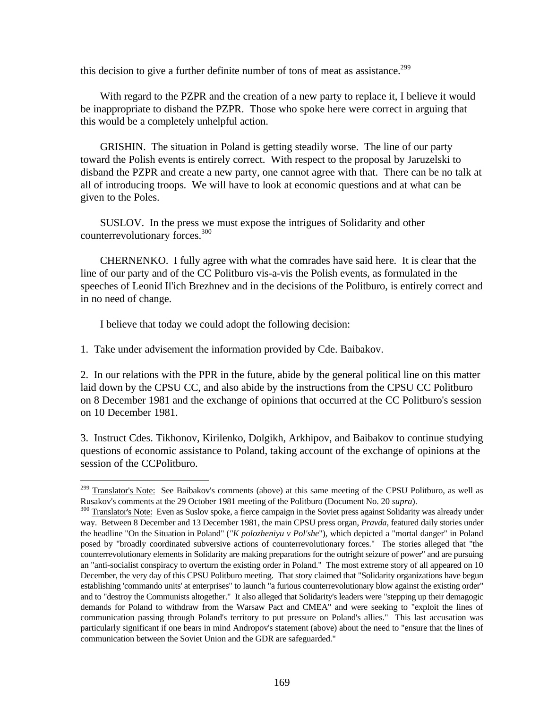this decision to give a further definite number of tons of meat as assistance.<sup>299</sup>

With regard to the PZPR and the creation of a new party to replace it, I believe it would be inappropriate to disband the PZPR. Those who spoke here were correct in arguing that this would be a completely unhelpful action.

GRISHIN. The situation in Poland is getting steadily worse. The line of our party toward the Polish events is entirely correct. With respect to the proposal by Jaruzelski to disband the PZPR and create a new party, one cannot agree with that. There can be no talk at all of introducing troops. We will have to look at economic questions and at what can be given to the Poles.

SUSLOV. In the press we must expose the intrigues of Solidarity and other counterrevolutionary forces.<sup>300</sup>

CHERNENKO. I fully agree with what the comrades have said here. It is clear that the line of our party and of the CC Politburo vis-a-vis the Polish events, as formulated in the speeches of Leonid Il'ich Brezhnev and in the decisions of the Politburo, is entirely correct and in no need of change.

I believe that today we could adopt the following decision:

 $\overline{a}$ 

1. Take under advisement the information provided by Cde. Baibakov.

2. In our relations with the PPR in the future, abide by the general political line on this matter laid down by the CPSU CC, and also abide by the instructions from the CPSU CC Politburo on 8 December 1981 and the exchange of opinions that occurred at the CC Politburo's session on 10 December 1981.

3. Instruct Cdes. Tikhonov, Kirilenko, Dolgikh, Arkhipov, and Baibakov to continue studying questions of economic assistance to Poland, taking account of the exchange of opinions at the session of the CCPolitburo.

<sup>&</sup>lt;sup>299</sup> Translator's Note: See Baibakov's comments (above) at this same meeting of the CPSU Politburo, as well as Rusakov's comments at the 29 October 1981 meeting of the Politburo (Document No. 20 *supra*).

<sup>&</sup>lt;sup>300</sup> Translator's Note: Even as Suslov spoke, a fierce campaign in the Soviet press against Solidarity was already under way. Between 8 December and 13 December 1981, the main CPSU press organ, *Pravda*, featured daily stories under the headline "On the Situation in Poland" (*"K polozheniyu v Pol'she*"), which depicted a "mortal danger" in Poland posed by "broadly coordinated subversive actions of counterrevolutionary forces." The stories alleged that "the counterrevolutionary elements in Solidarity are making preparations for the outright seizure of power" and are pursuing an "anti-socialist conspiracy to overturn the existing order in Poland." The most extreme story of all appeared on 10 December, the very day of this CPSU Politburo meeting. That story claimed that "Solidarity organizations have begun establishing 'commando units' at enterprises" to launch "a furious counterrevolutionary blow against the existing order" and to "destroy the Communists altogether." It also alleged that Solidarity's leaders were "stepping up their demagogic demands for Poland to withdraw from the Warsaw Pact and CMEA" and were seeking to "exploit the lines of communication passing through Poland's territory to put pressure on Poland's allies." This last accusation was particularly significant if one bears in mind Andropov's statement (above) about the need to "ensure that the lines of communication between the Soviet Union and the GDR are safeguarded."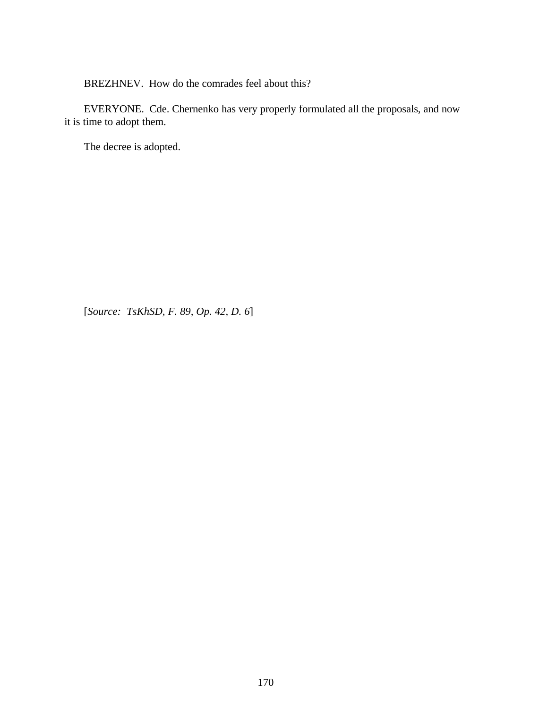BREZHNEV. How do the comrades feel about this?

EVERYONE. Cde. Chernenko has very properly formulated all the proposals, and now it is time to adopt them.

The decree is adopted.

[*Source: TsKhSD, F. 89, Op. 42, D. 6*]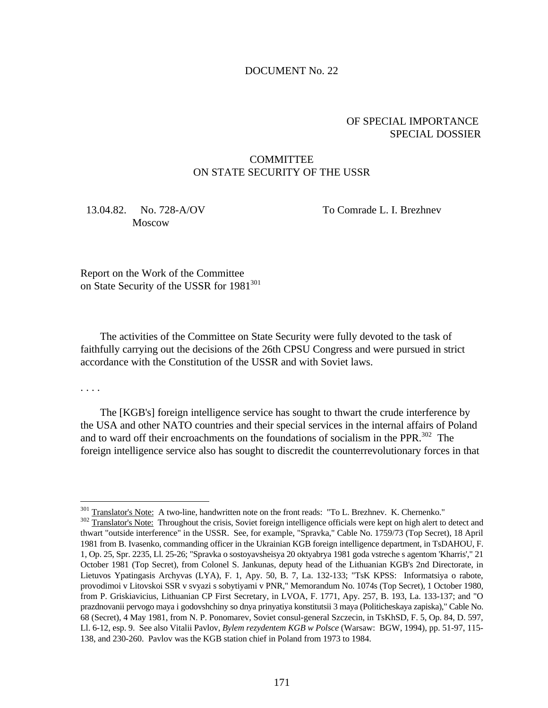#### DOCUMENT No. 22

## OF SPECIAL IMPORTANCE SPECIAL DOSSIER

## **COMMITTEE** ON STATE SECURITY OF THE USSR

## 13.04.82. No. 728-A/OV To Comrade L. I. Brezhnev Moscow

Report on the Work of the Committee on State Security of the USSR for 1981<sup>301</sup>

The activities of the Committee on State Security were fully devoted to the task of faithfully carrying out the decisions of the 26th CPSU Congress and were pursued in strict accordance with the Constitution of the USSR and with Soviet laws.

. . . .

 $\overline{a}$ 

The [KGB's] foreign intelligence service has sought to thwart the crude interference by the USA and other NATO countries and their special services in the internal affairs of Poland and to ward off their encroachments on the foundations of socialism in the PPR.<sup>302</sup> The foreign intelligence service also has sought to discredit the counterrevolutionary forces in that

<sup>&</sup>lt;sup>301</sup> Translator's Note: A two-line, handwritten note on the front reads: "To L. Brezhnev. K. Chernenko."

<sup>&</sup>lt;sup>302</sup> Translator's Note: Throughout the crisis, Soviet foreign intelligence officials were kept on high alert to detect and thwart "outside interference" in the USSR. See, for example, "Spravka," Cable No. 1759/73 (Top Secret), 18 April 1981 from B. Ivasenko, commanding officer in the Ukrainian KGB foreign intelligence department, in TsDAHOU, F. 1, Op. 25, Spr. 2235, Ll. 25-26; "Spravka o sostoyavsheisya 20 oktyabrya 1981 goda vstreche s agentom 'Kharris'," 21 October 1981 (Top Secret), from Colonel S. Jankunas, deputy head of the Lithuanian KGB's 2nd Directorate, in Lietuvos Ypatingasis Archyvas (LYA), F. 1, Apy. 50, B. 7, La. 132-133; "TsK KPSS: Informatsiya o rabote, provodimoi v Litovskoi SSR v svyazi s sobytiyami v PNR," Memorandum No. 1074s (Top Secret), 1 October 1980, from P. Griskiavicius, Lithuanian CP First Secretary, in LVOA, F. 1771, Apy. 257, B. 193, La. 133-137; and "O prazdnovanii pervogo maya i godovshchiny so dnya prinyatiya konstitutsii 3 maya (Politicheskaya zapiska)," Cable No. 68 (Secret), 4 May 1981, from N. P. Ponomarev, Soviet consul-general Szczecin, in TsKhSD, F. 5, Op. 84, D. 597, Ll. 6-12, esp. 9. See also Vitalii Pavlov, *Bylem rezydentem KGB w Polsce* (Warsaw: BGW, 1994), pp. 51-97, 115- 138, and 230-260. Pavlov was the KGB station chief in Poland from 1973 to 1984.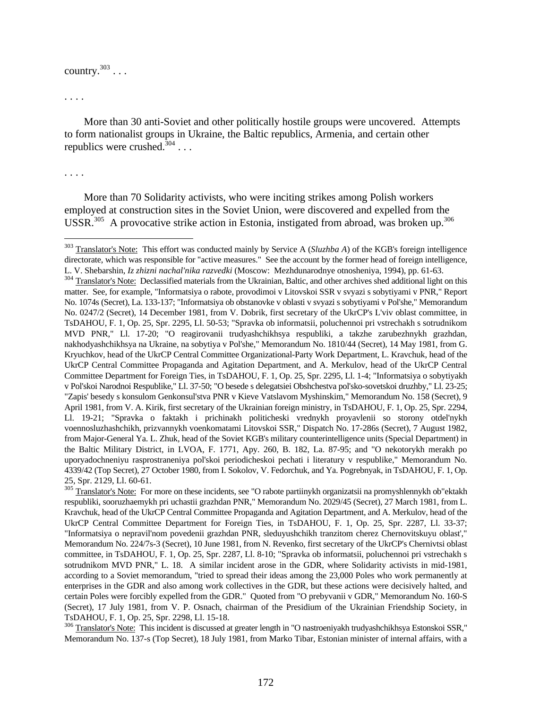# country.<sup>303</sup> . . .

. . . .

More than 30 anti-Soviet and other politically hostile groups were uncovered. Attempts to form nationalist groups in Ukraine, the Baltic republics, Armenia, and certain other republics were crushed. $304$ ...

. . . .

 $\overline{a}$ 

More than 70 Solidarity activists, who were inciting strikes among Polish workers employed at construction sites in the Soviet Union, were discovered and expelled from the USSR.<sup>305</sup> A provocative strike action in Estonia, instigated from abroad, was broken up.<sup>306</sup>

<sup>303</sup> Translator's Note: This effort was conducted mainly by Service A (*Sluzhba A*) of the KGB's foreign intelligence directorate, which was responsible for "active measures." See the account by the former head of foreign intelligence, L. V. Shebarshin, *Iz zhizni nachal'nika razvedki* (Moscow: Mezhdunarodnye otnosheniya, 1994), pp. 61-63.

<sup>&</sup>lt;sup>304</sup> Translator's Note: Declassified materials from the Ukrainian, Baltic, and other archives shed additional light on this matter. See, for example, "Informatsiya o rabote, provodimoi v Litovskoi SSR v svyazi s sobytiyami v PNR," Report No. 1074s (Secret), La. 133-137; "Informatsiya ob obstanovke v oblasti v svyazi s sobytiyami v Pol'she," Memorandum No. 0247/2 (Secret), 14 December 1981, from V. Dobrik, first secretary of the UkrCP's L'viv oblast committee, in TsDAHOU, F. 1, Op. 25, Spr. 2295, Ll. 50-53; "Spravka ob informatsii, poluchennoi pri vstrechakh s sotrudnikom MVD PNR," Ll. 17-20; "O reagirovanii trudyashchikhsya respubliki, a takzhe zarubezhnykh grazhdan, nakhodyashchikhsya na Ukraine, na sobytiya v Pol'she," Memorandum No. 1810/44 (Secret), 14 May 1981, from G. Kryuchkov, head of the UkrCP Central Committee Organizational-Party Work Department, L. Kravchuk, head of the UkrCP Central Committee Propaganda and Agitation Department, and A. Merkulov, head of the UkrCP Central Committee Department for Foreign Ties, in TsDAHOU, F. 1, Op. 25, Spr. 2295, Ll. 1-4; "Informatsiya o sobytiyakh v Pol'skoi Narodnoi Respublike," Ll. 37-50; "O besede s delegatsiei Obshchestva pol'sko-sovetskoi druzhby," Ll. 23-25; "Zapis' besedy s konsulom Genkonsul'stva PNR v Kieve Vatslavom Myshinskim," Memorandum No. 158 (Secret), 9 April 1981, from V. A. Kirik, first secretary of the Ukrainian foreign ministry, in TsDAHOU, F. 1, Op. 25, Spr. 2294, Ll. 19-21; "Spravka o faktakh i prichinakh politicheski vrednykh proyavlenii so storony otdel'nykh voennosluzhashchikh, prizvannykh voenkomatami Litovskoi SSR," Dispatch No. 17-286s (Secret), 7 August 1982, from Major-General Ya. L. Zhuk, head of the Soviet KGB's military counterintelligence units (Special Department) in the Baltic Military District, in LVOA, F. 1771, Apy. 260, B. 182, La. 87-95; and "O nekotorykh merakh po uporyadochneniyu rasprostraneniya pol'skoi periodicheskoi pechati i literatury v respublike," Memorandum No. 4339/42 (Top Secret), 27 October 1980, from I. Sokolov, V. Fedorchuk, and Ya. Pogrebnyak, in TsDAHOU, F. 1, Op. 25, Spr. 2129, Ll. 60-61.

<sup>&</sup>lt;sup>305</sup> Translator's Note: For more on these incidents, see "O rabote partiinykh organizatsii na promyshlennykh ob"ektakh respubliki, sooruzhaemykh pri uchastii grazhdan PNR," Memorandum No. 2029/45 (Secret), 27 March 1981, from L. Kravchuk, head of the UkrCP Central Committee Propaganda and Agitation Department, and A. Merkulov, head of the UkrCP Central Committee Department for Foreign Ties, in TsDAHOU, F. 1, Op. 25, Spr. 2287, Ll. 33-37; "Informatsiya o nepravil'nom povedenii grazhdan PNR, sleduyushchikh tranzitom cherez Chernovitskuyu oblast'," Memorandum No. 224/7s-3 (Secret), 10 June 1981, from N. Revenko, first secretary of the UkrCP's Chernivtsi oblast committee, in TsDAHOU, F. 1, Op. 25, Spr. 2287, Ll. 8-10; "Spravka ob informatsii, poluchennoi pri vstrechakh s sotrudnikom MVD PNR," L. 18. A similar incident arose in the GDR, where Solidarity activists in mid-1981, according to a Soviet memorandum, "tried to spread their ideas among the 23,000 Poles who work permanently at enterprises in the GDR and also among work collectives in the GDR, but these actions were decisively halted, and certain Poles were forcibly expelled from the GDR." Quoted from "O prebyvanii v GDR," Memorandum No. 160-S (Secret), 17 July 1981, from V. P. Osnach, chairman of the Presidium of the Ukrainian Friendship Society, in TsDAHOU, F. 1, Op. 25, Spr. 2298, Ll. 15-18.

<sup>&</sup>lt;sup>306</sup> Translator's Note: This incident is discussed at greater length in "O nastroeniyakh trudyashchikhsya Estonskoi SSR," Memorandum No. 137-s (Top Secret), 18 July 1981, from Marko Tibar, Estonian minister of internal affairs, with a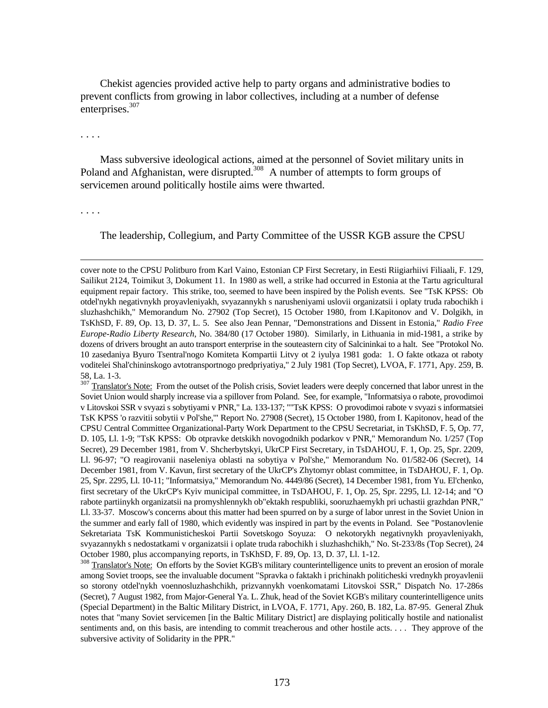Chekist agencies provided active help to party organs and administrative bodies to prevent conflicts from growing in labor collectives, including at a number of defense enterprises.<sup>307</sup>

. . . .

Mass subversive ideological actions, aimed at the personnel of Soviet military units in Poland and Afghanistan, were disrupted.<sup>308</sup> A number of attempts to form groups of servicemen around politically hostile aims were thwarted.

. . . .

 $\overline{a}$ 

The leadership, Collegium, and Party Committee of the USSR KGB assure the CPSU

cover note to the CPSU Politburo from Karl Vaino, Estonian CP First Secretary, in Eesti Riigiarhiivi Filiaali, F. 129, Sailikut 2124, Toimikut 3, Dokument 11. In 1980 as well, a strike had occurred in Estonia at the Tartu agricultural equipment repair factory. This strike, too, seemed to have been inspired by the Polish events. See "TsK KPSS: Ob otdel'nykh negativnykh proyavleniyakh, svyazannykh s narusheniyami uslovii organizatsii i oplaty truda rabochikh i sluzhashchikh," Memorandum No. 27902 (Top Secret), 15 October 1980, from I.Kapitonov and V. Dolgikh, in TsKhSD, F. 89, Op. 13, D. 37, L. 5. See also Jean Pennar, "Demonstrations and Dissent in Estonia," *Radio Free Europe-Radio Liberty Research*, No. 384/80 (17 October 1980). Similarly, in Lithuania in mid-1981, a strike by dozens of drivers brought an auto transport enterprise in the souteastern city of Salcininkai to a halt. See "Protokol No. 10 zasedaniya Byuro Tsentral'nogo Komiteta Kompartii Litvy ot 2 iyulya 1981 goda: 1. O fakte otkaza ot raboty voditelei Shal'chininskogo avtotransportnogo predpriyatiya," 2 July 1981 (Top Secret), LVOA, F. 1771, Apy. 259, B. 58, La. 1-3.

<sup>&</sup>lt;sup>307</sup> Translator's Note: From the outset of the Polish crisis, Soviet leaders were deeply concerned that labor unrest in the Soviet Union would sharply increase via a spillover from Poland. See, for example, "Informatsiya o rabote, provodimoi v Litovskoi SSR v svyazi s sobytiyami v PNR," La. 133-137; ""TsK KPSS: O provodimoi rabote v svyazi s informatsiei TsK KPSS 'o razvitii sobytii v Pol'she,'" Report No. 27908 (Secret), 15 October 1980, from I. Kapitonov, head of the CPSU Central Committee Organizational-Party Work Department to the CPSU Secretariat, in TsKhSD, F. 5, Op. 77, D. 105, Ll. 1-9; "TsK KPSS: Ob otpravke detskikh novogodnikh podarkov v PNR," Memorandum No. 1/257 (Top Secret), 29 December 1981, from V. Shcherbytskyi, UkrCP First Secretary, in TsDAHOU, F. 1, Op. 25, Spr. 2209, Ll. 96-97; "O reagirovanii naseleniya oblasti na sobytiya v Pol'she," Memorandum No. 01/582-06 (Secret), 14 December 1981, from V. Kavun, first secretary of the UkrCP's Zhytomyr oblast committee, in TsDAHOU, F. 1, Op. 25, Spr. 2295, Ll. 10-11; "Informatsiya," Memorandum No. 4449/86 (Secret), 14 December 1981, from Yu. El'chenko, first secretary of the UkrCP's Kyiv municipal committee, in TsDAHOU, F. 1, Op. 25, Spr. 2295, Ll. 12-14; and "O rabote partiinykh organizatsii na promyshlennykh ob"ektakh respubliki, sooruzhaemykh pri uchastii grazhdan PNR," Ll. 33-37. Moscow's concerns about this matter had been spurred on by a surge of labor unrest in the Soviet Union in the summer and early fall of 1980, which evidently was inspired in part by the events in Poland. See "Postanovlenie Sekretariata TsK Kommunisticheskoi Partii Sovetskogo Soyuza: O nekotorykh negativnykh proyavleniyakh, svyazannykh s nedostatkami v organizatsii i oplate truda rabochikh i sluzhashchikh," No. St-233/8s (Top Secret), 24 October 1980, plus accompanying reports, in TsKhSD, F. 89, Op. 13, D. 37, Ll. 1-12.

<sup>&</sup>lt;sup>308</sup> Translator's Note: On efforts by the Soviet KGB's military counterintelligence units to prevent an erosion of morale among Soviet troops, see the invaluable document "Spravka o faktakh i prichinakh politicheski vrednykh proyavlenii so storony otdel'nykh voennosluzhashchikh, prizvannykh voenkomatami Litovskoi SSR," Dispatch No. 17-286s (Secret), 7 August 1982, from Major-General Ya. L. Zhuk, head of the Soviet KGB's military counterintelligence units (Special Department) in the Baltic Military District, in LVOA, F. 1771, Apy. 260, B. 182, La. 87-95. General Zhuk notes that "many Soviet servicemen [in the Baltic Military District] are displaying politically hostile and nationalist sentiments and, on this basis, are intending to commit treacherous and other hostile acts. . . . They approve of the subversive activity of Solidarity in the PPR."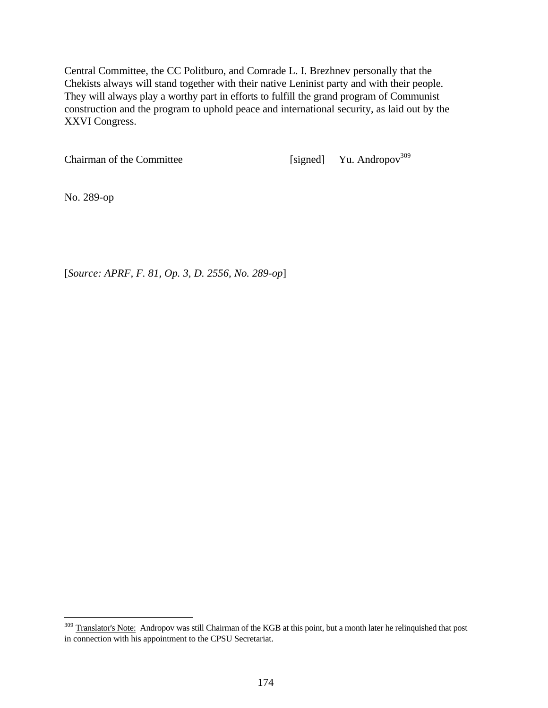Central Committee, the CC Politburo, and Comrade L. I. Brezhnev personally that the Chekists always will stand together with their native Leninist party and with their people. They will always play a worthy part in efforts to fulfill the grand program of Communist construction and the program to uphold peace and international security, as laid out by the XXVI Congress.

Chairman of the Committee [signed] Yu. Andropov<sup>309</sup>

No. 289-op

 $\overline{a}$ 

[*Source: APRF, F. 81, Op. 3, D. 2556, No. 289-op*]

<sup>&</sup>lt;sup>309</sup> Translator's Note: Andropov was still Chairman of the KGB at this point, but a month later he relinquished that post in connection with his appointment to the CPSU Secretariat.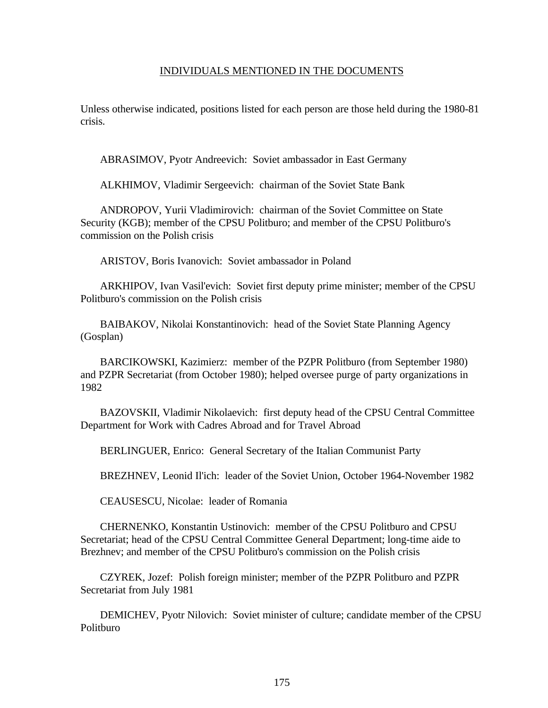#### INDIVIDUALS MENTIONED IN THE DOCUMENTS

Unless otherwise indicated, positions listed for each person are those held during the 1980-81 crisis.

ABRASIMOV, Pyotr Andreevich: Soviet ambassador in East Germany

ALKHIMOV, Vladimir Sergeevich: chairman of the Soviet State Bank

ANDROPOV, Yurii Vladimirovich: chairman of the Soviet Committee on State Security (KGB); member of the CPSU Politburo; and member of the CPSU Politburo's commission on the Polish crisis

ARISTOV, Boris Ivanovich: Soviet ambassador in Poland

ARKHIPOV, Ivan Vasil'evich: Soviet first deputy prime minister; member of the CPSU Politburo's commission on the Polish crisis

BAIBAKOV, Nikolai Konstantinovich: head of the Soviet State Planning Agency (Gosplan)

BARCIKOWSKI, Kazimierz: member of the PZPR Politburo (from September 1980) and PZPR Secretariat (from October 1980); helped oversee purge of party organizations in 1982

BAZOVSKII, Vladimir Nikolaevich: first deputy head of the CPSU Central Committee Department for Work with Cadres Abroad and for Travel Abroad

BERLINGUER, Enrico: General Secretary of the Italian Communist Party

BREZHNEV, Leonid Il'ich: leader of the Soviet Union, October 1964-November 1982

CEAUSESCU, Nicolae: leader of Romania

CHERNENKO, Konstantin Ustinovich: member of the CPSU Politburo and CPSU Secretariat; head of the CPSU Central Committee General Department; long-time aide to Brezhnev; and member of the CPSU Politburo's commission on the Polish crisis

CZYREK, Jozef: Polish foreign minister; member of the PZPR Politburo and PZPR Secretariat from July 1981

DEMICHEV, Pyotr Nilovich: Soviet minister of culture; candidate member of the CPSU Politburo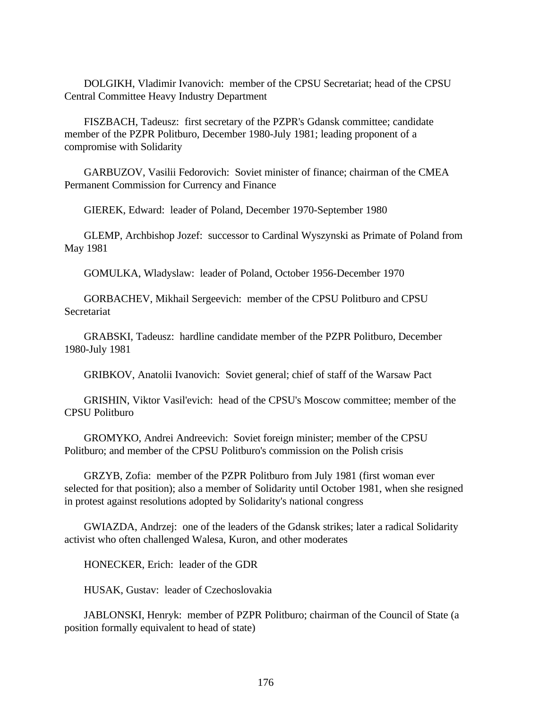DOLGIKH, Vladimir Ivanovich: member of the CPSU Secretariat; head of the CPSU Central Committee Heavy Industry Department

FISZBACH, Tadeusz: first secretary of the PZPR's Gdansk committee; candidate member of the PZPR Politburo, December 1980-July 1981; leading proponent of a compromise with Solidarity

GARBUZOV, Vasilii Fedorovich: Soviet minister of finance; chairman of the CMEA Permanent Commission for Currency and Finance

GIEREK, Edward: leader of Poland, December 1970-September 1980

GLEMP, Archbishop Jozef: successor to Cardinal Wyszynski as Primate of Poland from May 1981

GOMULKA, Wladyslaw: leader of Poland, October 1956-December 1970

GORBACHEV, Mikhail Sergeevich: member of the CPSU Politburo and CPSU Secretariat

GRABSKI, Tadeusz: hardline candidate member of the PZPR Politburo, December 1980-July 1981

GRIBKOV, Anatolii Ivanovich: Soviet general; chief of staff of the Warsaw Pact

GRISHIN, Viktor Vasil'evich: head of the CPSU's Moscow committee; member of the CPSU Politburo

GROMYKO, Andrei Andreevich: Soviet foreign minister; member of the CPSU Politburo; and member of the CPSU Politburo's commission on the Polish crisis

GRZYB, Zofia: member of the PZPR Politburo from July 1981 (first woman ever selected for that position); also a member of Solidarity until October 1981, when she resigned in protest against resolutions adopted by Solidarity's national congress

GWIAZDA, Andrzej: one of the leaders of the Gdansk strikes; later a radical Solidarity activist who often challenged Walesa, Kuron, and other moderates

HONECKER, Erich: leader of the GDR

HUSAK, Gustav: leader of Czechoslovakia

JABLONSKI, Henryk: member of PZPR Politburo; chairman of the Council of State (a position formally equivalent to head of state)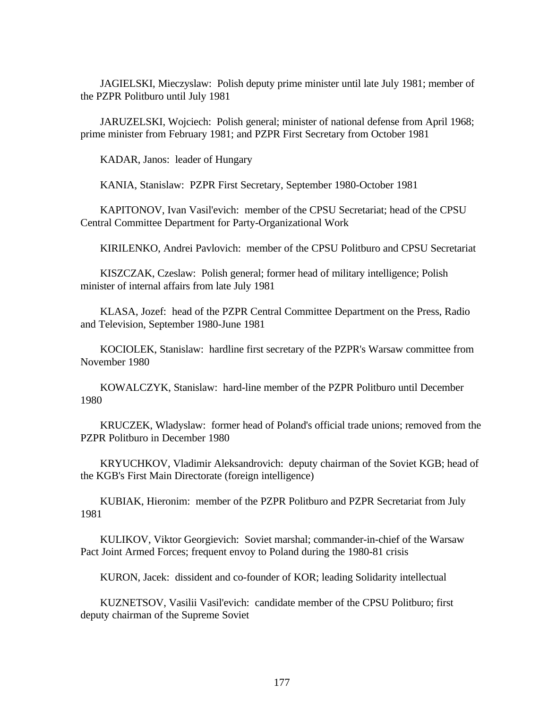JAGIELSKI, Mieczyslaw: Polish deputy prime minister until late July 1981; member of the PZPR Politburo until July 1981

JARUZELSKI, Wojciech: Polish general; minister of national defense from April 1968; prime minister from February 1981; and PZPR First Secretary from October 1981

KADAR, Janos: leader of Hungary

KANIA, Stanislaw: PZPR First Secretary, September 1980-October 1981

KAPITONOV, Ivan Vasil'evich: member of the CPSU Secretariat; head of the CPSU Central Committee Department for Party-Organizational Work

KIRILENKO, Andrei Pavlovich: member of the CPSU Politburo and CPSU Secretariat

KISZCZAK, Czeslaw: Polish general; former head of military intelligence; Polish minister of internal affairs from late July 1981

KLASA, Jozef: head of the PZPR Central Committee Department on the Press, Radio and Television, September 1980-June 1981

KOCIOLEK, Stanislaw: hardline first secretary of the PZPR's Warsaw committee from November 1980

KOWALCZYK, Stanislaw: hard-line member of the PZPR Politburo until December 1980

KRUCZEK, Wladyslaw: former head of Poland's official trade unions; removed from the PZPR Politburo in December 1980

KRYUCHKOV, Vladimir Aleksandrovich: deputy chairman of the Soviet KGB; head of the KGB's First Main Directorate (foreign intelligence)

KUBIAK, Hieronim: member of the PZPR Politburo and PZPR Secretariat from July 1981

KULIKOV, Viktor Georgievich: Soviet marshal; commander-in-chief of the Warsaw Pact Joint Armed Forces; frequent envoy to Poland during the 1980-81 crisis

KURON, Jacek: dissident and co-founder of KOR; leading Solidarity intellectual

KUZNETSOV, Vasilii Vasil'evich: candidate member of the CPSU Politburo; first deputy chairman of the Supreme Soviet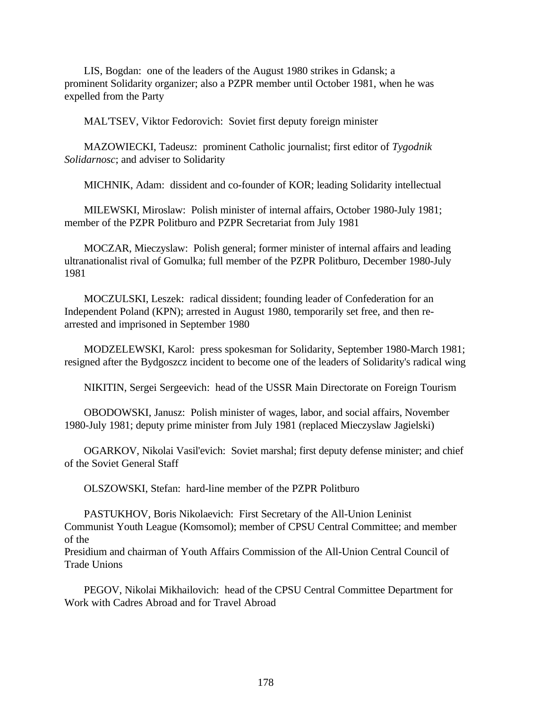LIS, Bogdan: one of the leaders of the August 1980 strikes in Gdansk; a prominent Solidarity organizer; also a PZPR member until October 1981, when he was expelled from the Party

MAL'TSEV, Viktor Fedorovich: Soviet first deputy foreign minister

MAZOWIECKI, Tadeusz: prominent Catholic journalist; first editor of *Tygodnik Solidarnosc*; and adviser to Solidarity

MICHNIK, Adam: dissident and co-founder of KOR; leading Solidarity intellectual

MILEWSKI, Miroslaw: Polish minister of internal affairs, October 1980-July 1981; member of the PZPR Politburo and PZPR Secretariat from July 1981

MOCZAR, Mieczyslaw: Polish general; former minister of internal affairs and leading ultranationalist rival of Gomulka; full member of the PZPR Politburo, December 1980-July 1981

MOCZULSKI, Leszek: radical dissident; founding leader of Confederation for an Independent Poland (KPN); arrested in August 1980, temporarily set free, and then rearrested and imprisoned in September 1980

MODZELEWSKI, Karol: press spokesman for Solidarity, September 1980-March 1981; resigned after the Bydgoszcz incident to become one of the leaders of Solidarity's radical wing

NIKITIN, Sergei Sergeevich: head of the USSR Main Directorate on Foreign Tourism

OBODOWSKI, Janusz: Polish minister of wages, labor, and social affairs, November 1980-July 1981; deputy prime minister from July 1981 (replaced Mieczyslaw Jagielski)

OGARKOV, Nikolai Vasil'evich: Soviet marshal; first deputy defense minister; and chief of the Soviet General Staff

OLSZOWSKI, Stefan: hard-line member of the PZPR Politburo

PASTUKHOV, Boris Nikolaevich: First Secretary of the All-Union Leninist Communist Youth League (Komsomol); member of CPSU Central Committee; and member of the

Presidium and chairman of Youth Affairs Commission of the All-Union Central Council of Trade Unions

PEGOV, Nikolai Mikhailovich: head of the CPSU Central Committee Department for Work with Cadres Abroad and for Travel Abroad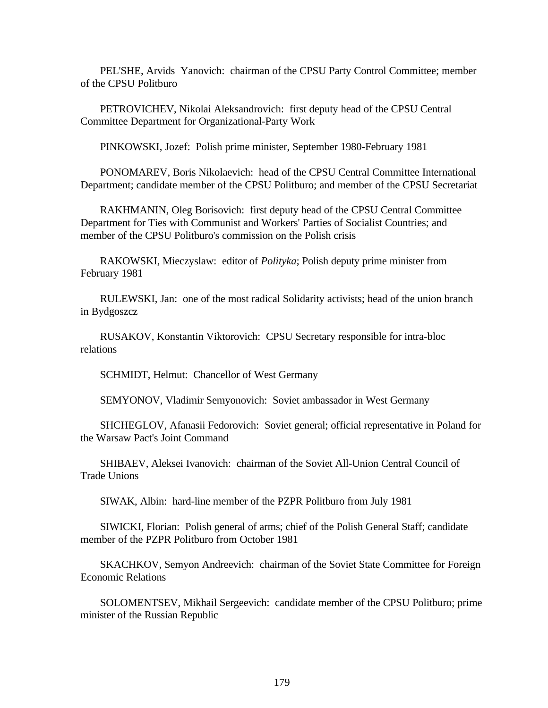PEL'SHE, Arvids Yanovich: chairman of the CPSU Party Control Committee; member of the CPSU Politburo

PETROVICHEV, Nikolai Aleksandrovich: first deputy head of the CPSU Central Committee Department for Organizational-Party Work

PINKOWSKI, Jozef: Polish prime minister, September 1980-February 1981

PONOMAREV, Boris Nikolaevich: head of the CPSU Central Committee International Department; candidate member of the CPSU Politburo; and member of the CPSU Secretariat

RAKHMANIN, Oleg Borisovich: first deputy head of the CPSU Central Committee Department for Ties with Communist and Workers' Parties of Socialist Countries; and member of the CPSU Politburo's commission on the Polish crisis

RAKOWSKI, Mieczyslaw: editor of *Polityka*; Polish deputy prime minister from February 1981

RULEWSKI, Jan: one of the most radical Solidarity activists; head of the union branch in Bydgoszcz

RUSAKOV, Konstantin Viktorovich: CPSU Secretary responsible for intra-bloc relations

SCHMIDT, Helmut: Chancellor of West Germany

SEMYONOV, Vladimir Semyonovich: Soviet ambassador in West Germany

SHCHEGLOV, Afanasii Fedorovich: Soviet general; official representative in Poland for the Warsaw Pact's Joint Command

SHIBAEV, Aleksei Ivanovich: chairman of the Soviet All-Union Central Council of Trade Unions

SIWAK, Albin: hard-line member of the PZPR Politburo from July 1981

SIWICKI, Florian: Polish general of arms; chief of the Polish General Staff; candidate member of the PZPR Politburo from October 1981

SKACHKOV, Semyon Andreevich: chairman of the Soviet State Committee for Foreign Economic Relations

SOLOMENTSEV, Mikhail Sergeevich: candidate member of the CPSU Politburo; prime minister of the Russian Republic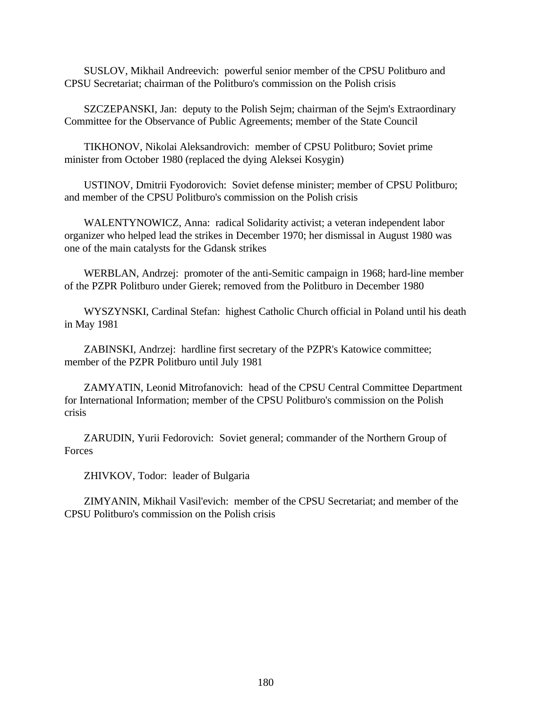SUSLOV, Mikhail Andreevich: powerful senior member of the CPSU Politburo and CPSU Secretariat; chairman of the Politburo's commission on the Polish crisis

SZCZEPANSKI, Jan: deputy to the Polish Sejm; chairman of the Sejm's Extraordinary Committee for the Observance of Public Agreements; member of the State Council

TIKHONOV, Nikolai Aleksandrovich: member of CPSU Politburo; Soviet prime minister from October 1980 (replaced the dying Aleksei Kosygin)

USTINOV, Dmitrii Fyodorovich: Soviet defense minister; member of CPSU Politburo; and member of the CPSU Politburo's commission on the Polish crisis

WALENTYNOWICZ, Anna: radical Solidarity activist; a veteran independent labor organizer who helped lead the strikes in December 1970; her dismissal in August 1980 was one of the main catalysts for the Gdansk strikes

WERBLAN, Andrzej: promoter of the anti-Semitic campaign in 1968; hard-line member of the PZPR Politburo under Gierek; removed from the Politburo in December 1980

WYSZYNSKI, Cardinal Stefan: highest Catholic Church official in Poland until his death in May 1981

ZABINSKI, Andrzej: hardline first secretary of the PZPR's Katowice committee; member of the PZPR Politburo until July 1981

ZAMYATIN, Leonid Mitrofanovich: head of the CPSU Central Committee Department for International Information; member of the CPSU Politburo's commission on the Polish crisis

ZARUDIN, Yurii Fedorovich: Soviet general; commander of the Northern Group of **Forces** 

ZHIVKOV, Todor: leader of Bulgaria

ZIMYANIN, Mikhail Vasil'evich: member of the CPSU Secretariat; and member of the CPSU Politburo's commission on the Polish crisis